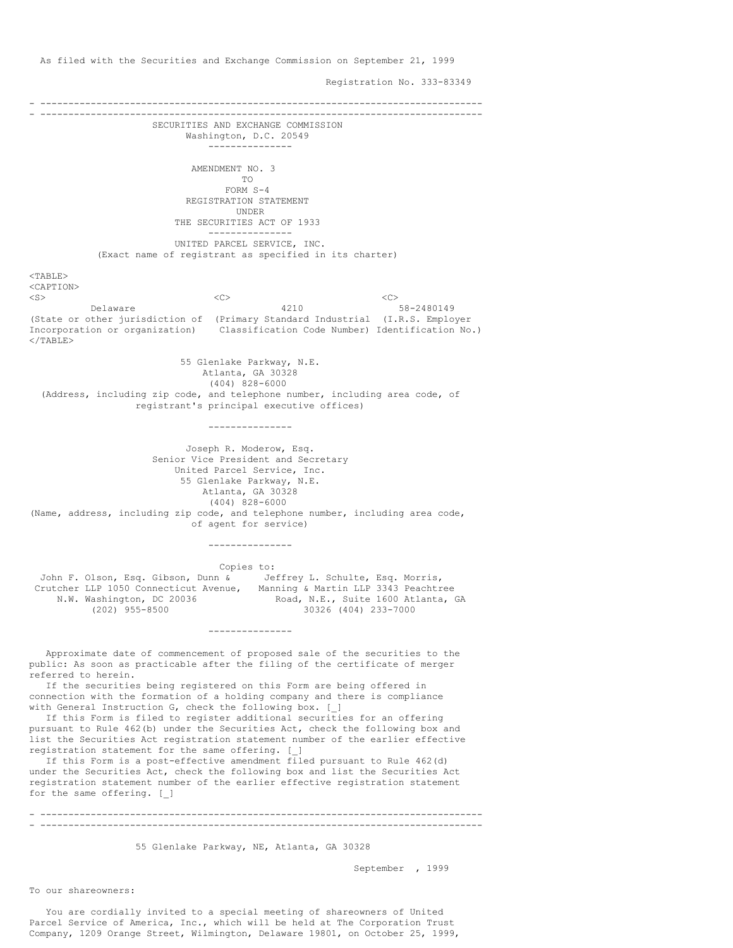As filed with the Securities and Exchange Commission on September 21, 1999

Registration No. 333-83349

- ------------------------------------------------------------------------------- - ------------------------------------------------------------------------------- SECURITIES AND EXCHANGE COMMISSION Washington, D.C. 20549 --------------- AMENDMENT NO. 3 TO FORM S-4 REGISTRATION STATEMENT UNDER THE SECURITIES ACT OF 1933 --------------- UNITED PARCEL SERVICE, INC. (Exact name of registrant as specified in its charter)  $<$ TABLE> <CAPTION> <S><C><C><C><C><C> Delaware 4210 58-2480149 (State or other jurisdiction of (Primary Standard Industrial (I.R.S. Employer Incorporation or organization) Classification Code Number) Identification No.)  $<$ /TABLE> 55 Glenlake Parkway, N.E. Atlanta, GA 30328 (404) 828-6000 (Address, including zip code, and telephone number, including area code, of registrant's principal executive offices) --------------- Joseph R. Moderow, Esq. Senior Vice President and Secretary United Parcel Service, Inc. 55 Glenlake Parkway, N.E. Atlanta, GA 30328 (404) 828-6000 (Name, address, including zip code, and telephone number, including area code, of agent for service) --------------- Copies to: John F. Olson, Esq. Gibson, Dunn & Jeffrey L. Schulte, Esq. Morris,<br>Crutcher LLP 1050 Connecticut Avenue, Manning & Martin LLP 3343 Peachtree Crutcher LLP 1050 Connecticut Avenue, N.W. Washington, DC 20036 Road, N.E., Suite 1600 Atlanta, GA (202) 955-8500 30326 (404) 233-7000 (202) 955-8500 30326 (404) 233-7000 --------------- Approximate date of commencement of proposed sale of the securities to the public: As soon as practicable after the filing of the certificate of merger referred to herein. If the securities being registered on this Form are being offered in connection with the formation of a holding company and there is compliance with General Instruction G, check the following box. [ ] If this Form is filed to register additional securities for an offering pursuant to Rule 462(b) under the Securities Act, check the following box and list the Securities Act registration statement number of the earlier effective registration statement for the same offering. [\_] If this Form is a post-effective amendment filed pursuant to Rule 462(d) under the Securities Act, check the following box and list the Securities Act registration statement number of the earlier effective registration statement for the same offering. [\_]

- ------------------------------------------------------------------------------- - -------------------------------------------------------------------------------

55 Glenlake Parkway, NE, Atlanta, GA 30328

September , 1999

To our shareowners:

You are cordially invited to a special meeting of shareowners of United Parcel Service of America, Inc., which will be held at The Corporation Trust Company, 1209 Orange Street, Wilmington, Delaware 19801, on October 25, 1999,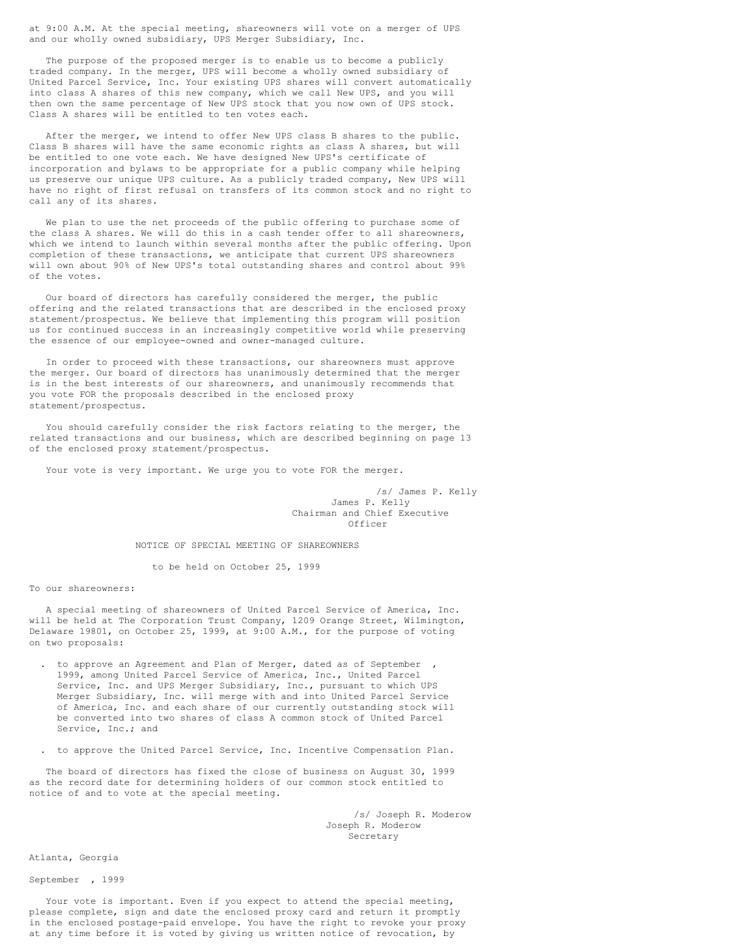at 9:00 A.M. At the special meeting, shareowners will vote on a merger of UPS and our wholly owned subsidiary, UPS Merger Subsidiary, Inc.

The purpose of the proposed merger is to enable us to become a publicly traded company. In the merger, UPS will become a wholly owned subsidiary of United Parcel Service, Inc. Your existing UPS shares will convert automatically into class A shares of this new company, which we call New UPS, and you will then own the same percentage of New UPS stock that you now own of UPS stock. Class A shares will be entitled to ten votes each.

After the merger, we intend to offer New UPS class B shares to the public. Class B shares will have the same economic rights as class A shares, but will be entitled to one vote each. We have designed New UPS's certificate of incorporation and bylaws to be appropriate for a public company while helping us preserve our unique UPS culture. As a publicly traded company, New UPS will have no right of first refusal on transfers of its common stock and no right to call any of its shares.

We plan to use the net proceeds of the public offering to purchase some of the class A shares. We will do this in a cash tender offer to all shareowners, which we intend to launch within several months after the public offering. Upon completion of these transactions, we anticipate that current UPS shareowners will own about 90% of New UPS's total outstanding shares and control about 99% of the votes.

Our board of directors has carefully considered the merger, the public offering and the related transactions that are described in the enclosed proxy statement/prospectus. We believe that implementing this program will position us for continued success in an increasingly competitive world while preserving the essence of our employee-owned and owner-managed culture.

In order to proceed with these transactions, our shareowners must approve the merger. Our board of directors has unanimously determined that the merger is in the best interests of our shareowners, and unanimously recommends that you vote FOR the proposals described in the enclosed proxy statement/prospectus.

You should carefully consider the risk factors relating to the merger, the related transactions and our business, which are described beginning on page 13 of the enclosed proxy statement/prospectus.

Your vote is very important. We urge you to vote FOR the merger.

/s/ James P. Kelly James P. Kelly Chairman and Chief Executive Officer

### NOTICE OF SPECIAL MEETING OF SHAREOWNERS

to be held on October 25, 1999

To our shareowners:

A special meeting of shareowners of United Parcel Service of America, Inc. will be held at The Corporation Trust Company, 1209 Orange Street, Wilmington, Delaware 19801, on October 25, 1999, at 9:00 A.M., for the purpose of voting on two proposals:

- . to approve an Agreement and Plan of Merger, dated as of September 1999, among United Parcel Service of America, Inc., United Parcel Service, Inc. and UPS Merger Subsidiary, Inc., pursuant to which UPS Merger Subsidiary, Inc. will merge with and into United Parcel Service of America, Inc. and each share of our currently outstanding stock will be converted into two shares of class A common stock of United Parcel Service, Inc.; and
- . to approve the United Parcel Service, Inc. Incentive Compensation Plan.

The board of directors has fixed the close of business on August 30, 1999 as the record date for determining holders of our common stock entitled to notice of and to vote at the special meeting.

> /s/ Joseph R. Moderow Joseph R. Moderow Secretary

Atlanta, Georgia

September , 1999

Your vote is important. Even if you expect to attend the special meeting, please complete, sign and date the enclosed proxy card and return it promptly in the enclosed postage-paid envelope. You have the right to revoke your proxy at any time before it is voted by giving us written notice of revocation, by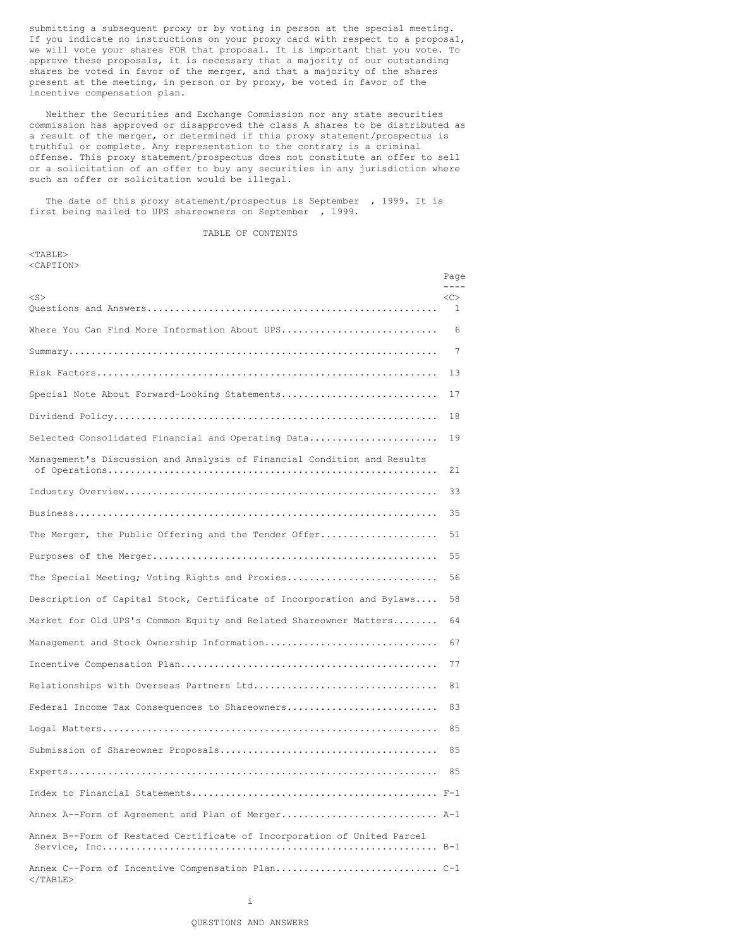submitting a subsequent proxy or by voting in person at the special meeting. If you indicate no instructions on your proxy card with respect to a proposal, we will vote your shares FOR that proposal. It is important that you vote. To approve these proposals, it is necessary that a majority of our outstanding shares be voted in favor of the merger, and that a majority of the shares present at the meeting, in person or by proxy, be voted in favor of the incentive compensation plan.

Neither the Securities and Exchange Commission nor any state securities commission has approved or disapproved the class A shares to be distributed as a result of the merger, or determined if this proxy statement/prospectus is truthful or complete. Any representation to the contrary is a criminal offense. This proxy statement/prospectus does not constitute an offer to sell or a solicitation of an offer to buy any securities in any jurisdiction where such an offer or solicitation would be illegal.

The date of this proxy statement/prospectus is September , 1999. It is first being mailed to UPS shareowners on September , 1999.

#### TABLE OF CONTENTS

 $<$ TABLE $>$ <CAPTION>

|                                                                         | Page<br>$- - - -$  |
|-------------------------------------------------------------------------|--------------------|
| $<$ S $>$                                                               | <<<br><sup>1</sup> |
| Where You Can Find More Information About UPS                           | 6                  |
|                                                                         | 7                  |
|                                                                         | 13                 |
| Special Note About Forward-Looking Statements                           | 17                 |
|                                                                         | 18                 |
| Selected Consolidated Financial and Operating Data                      | 19                 |
| Management's Discussion and Analysis of Financial Condition and Results | 21                 |
|                                                                         | 33                 |
|                                                                         | 35                 |
| The Merger, the Public Offering and the Tender Offer                    | 51                 |
|                                                                         | 55                 |
| The Special Meeting; Voting Rights and Proxies                          | 56                 |
| Description of Capital Stock, Certificate of Incorporation and Bylaws   | 58                 |
| Market for Old UPS's Common Equity and Related Shareowner Matters       | 64                 |
| Management and Stock Ownership Information                              | 67                 |
|                                                                         | 77                 |
| Relationships with Overseas Partners Ltd                                | 81                 |
| Federal Income Tax Consequences to Shareowners                          | 83                 |
|                                                                         | 85                 |
|                                                                         | 85                 |
|                                                                         | 85                 |
|                                                                         |                    |
| Annex A--Form of Agreement and Plan of Merger A-1                       |                    |
| Annex B--Form of Restated Certificate of Incorporation of United Parcel |                    |
| $<$ /TABLE>                                                             |                    |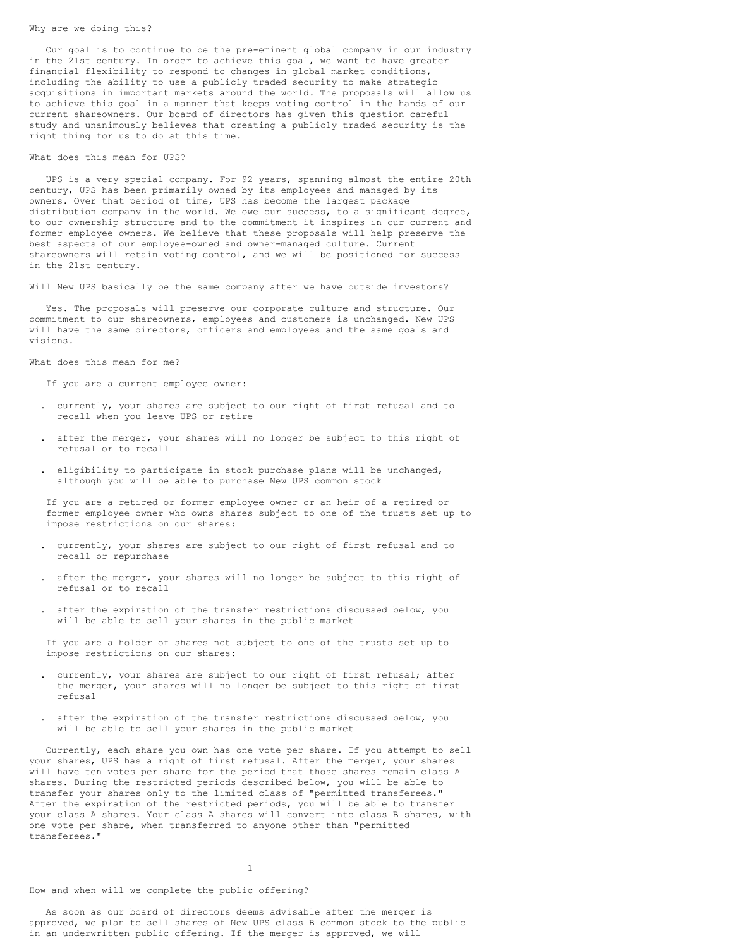#### Why are we doing this?

Our goal is to continue to be the pre-eminent global company in our industry in the 21st century. In order to achieve this goal, we want to have greater financial flexibility to respond to changes in global market conditions, including the ability to use a publicly traded security to make strategic acquisitions in important markets around the world. The proposals will allow us to achieve this goal in a manner that keeps voting control in the hands of our current shareowners. Our board of directors has given this question careful study and unanimously believes that creating a publicly traded security is the right thing for us to do at this time.

### What does this mean for UPS?

UPS is a very special company. For 92 years, spanning almost the entire 20th century, UPS has been primarily owned by its employees and managed by its owners. Over that period of time, UPS has become the largest package distribution company in the world. We owe our success, to a significant degree, to our ownership structure and to the commitment it inspires in our current and former employee owners. We believe that these proposals will help preserve the best aspects of our employee-owned and owner-managed culture. Current shareowners will retain voting control, and we will be positioned for success in the 21st century.

Will New UPS basically be the same company after we have outside investors?

Yes. The proposals will preserve our corporate culture and structure. Our commitment to our shareowners, employees and customers is unchanged. New UPS will have the same directors, officers and employees and the same goals and visions.

What does this mean for me?

If you are a current employee owner:

- . currently, your shares are subject to our right of first refusal and to recall when you leave UPS or retire
- . after the merger, your shares will no longer be subject to this right of refusal or to recall
- . eligibility to participate in stock purchase plans will be unchanged, although you will be able to purchase New UPS common stock

If you are a retired or former employee owner or an heir of a retired or former employee owner who owns shares subject to one of the trusts set up to impose restrictions on our shares:

- . currently, your shares are subject to our right of first refusal and to recall or repurchase
- . after the merger, your shares will no longer be subject to this right of refusal or to recall
- . after the expiration of the transfer restrictions discussed below, you will be able to sell your shares in the public market

If you are a holder of shares not subject to one of the trusts set up to impose restrictions on our shares:

- . currently, your shares are subject to our right of first refusal; after the merger, your shares will no longer be subject to this right of first refusal
- . after the expiration of the transfer restrictions discussed below, you will be able to sell your shares in the public market

Currently, each share you own has one vote per share. If you attempt to sell your shares, UPS has a right of first refusal. After the merger, your shares will have ten votes per share for the period that those shares remain class A shares. During the restricted periods described below, you will be able to transfer your shares only to the limited class of "permitted transferees." After the expiration of the restricted periods, you will be able to transfer your class A shares. Your class A shares will convert into class B shares, with one vote per share, when transferred to anyone other than "permitted transferees."

# 1

### How and when will we complete the public offering?

As soon as our board of directors deems advisable after the merger is approved, we plan to sell shares of New UPS class B common stock to the public in an underwritten public offering. If the merger is approved, we will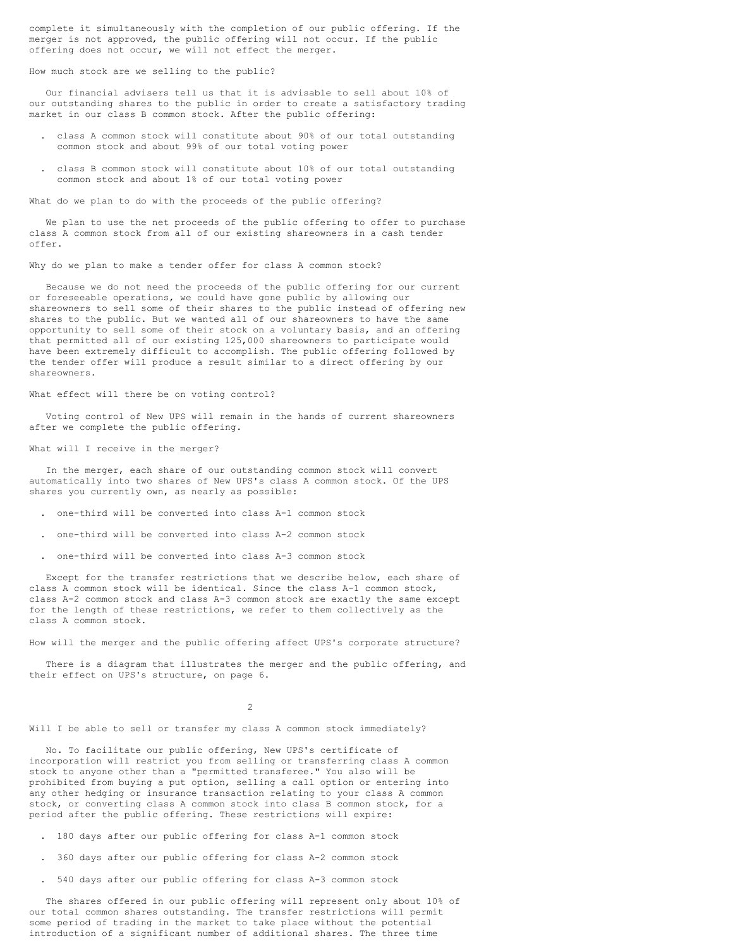complete it simultaneously with the completion of our public offering. If the merger is not approved, the public offering will not occur. If the public offering does not occur, we will not effect the merger.

### How much stock are we selling to the public?

Our financial advisers tell us that it is advisable to sell about 10% of our outstanding shares to the public in order to create a satisfactory trading market in our class B common stock. After the public offering:

- . class A common stock will constitute about 90% of our total outstanding common stock and about 99% of our total voting power
- . class B common stock will constitute about 10% of our total outstanding common stock and about 1% of our total voting power

What do we plan to do with the proceeds of the public offering?

We plan to use the net proceeds of the public offering to offer to purchase class A common stock from all of our existing shareowners in a cash tender offer.

Why do we plan to make a tender offer for class A common stock?

Because we do not need the proceeds of the public offering for our current or foreseeable operations, we could have gone public by allowing our shareowners to sell some of their shares to the public instead of offering new shares to the public. But we wanted all of our shareowners to have the same opportunity to sell some of their stock on a voluntary basis, and an offering that permitted all of our existing 125,000 shareowners to participate would have been extremely difficult to accomplish. The public offering followed by the tender offer will produce a result similar to a direct offering by our shareowners.

### What effect will there be on voting control?

Voting control of New UPS will remain in the hands of current shareowners after we complete the public offering.

### What will I receive in the merger?

In the merger, each share of our outstanding common stock will convert automatically into two shares of New UPS's class A common stock. Of the UPS shares you currently own, as nearly as possible:

- . one-third will be converted into class A-1 common stock
- . one-third will be converted into class A-2 common stock
- . one-third will be converted into class A-3 common stock

Except for the transfer restrictions that we describe below, each share of class A common stock will be identical. Since the class A-1 common stock, class A-2 common stock and class A-3 common stock are exactly the same except for the length of these restrictions, we refer to them collectively as the class A common stock.

How will the merger and the public offering affect UPS's corporate structure?

There is a diagram that illustrates the merger and the public offering, and their effect on UPS's structure, on page 6.

 $\mathfrak{D}$ 

Will I be able to sell or transfer my class A common stock immediately?

No. To facilitate our public offering, New UPS's certificate of incorporation will restrict you from selling or transferring class A common stock to anyone other than a "permitted transferee." You also will be prohibited from buying a put option, selling a call option or entering into any other hedging or insurance transaction relating to your class A common stock, or converting class A common stock into class B common stock, for a period after the public offering. These restrictions will expire:

- . 180 days after our public offering for class A-1 common stock
- . 360 days after our public offering for class A-2 common stock
- . 540 days after our public offering for class A-3 common stock

The shares offered in our public offering will represent only about 10% of our total common shares outstanding. The transfer restrictions will permit some period of trading in the market to take place without the potential introduction of a significant number of additional shares. The three time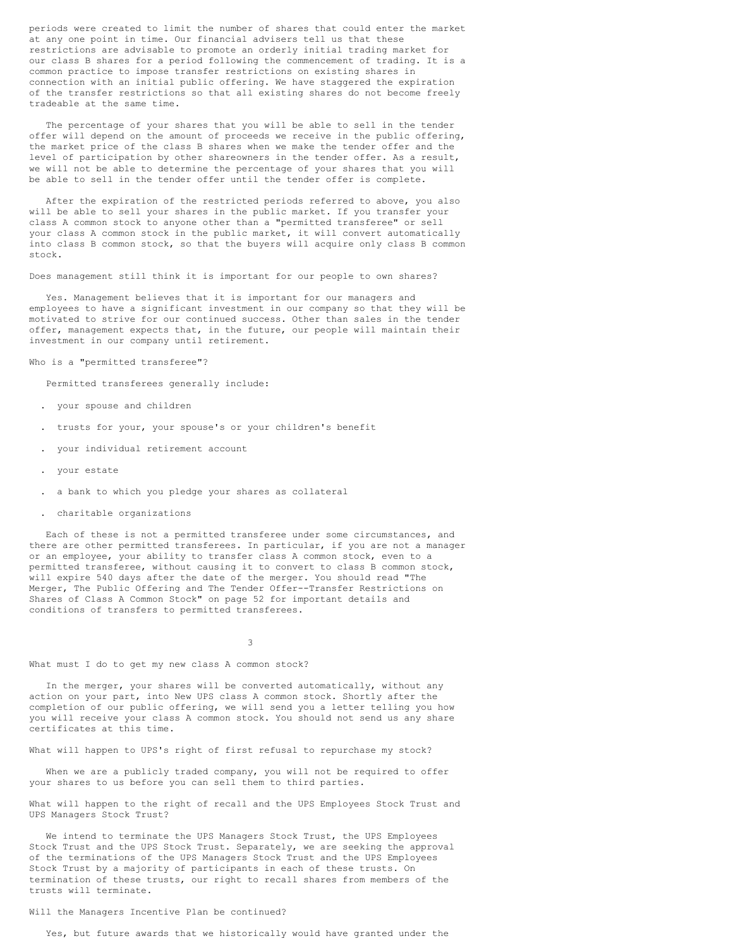periods were created to limit the number of shares that could enter the market at any one point in time. Our financial advisers tell us that these restrictions are advisable to promote an orderly initial trading market for our class B shares for a period following the commencement of trading. It is a common practice to impose transfer restrictions on existing shares in connection with an initial public offering. We have staggered the expiration of the transfer restrictions so that all existing shares do not become freely tradeable at the same time.

The percentage of your shares that you will be able to sell in the tender offer will depend on the amount of proceeds we receive in the public offering, the market price of the class B shares when we make the tender offer and the level of participation by other shareowners in the tender offer. As a result, we will not be able to determine the percentage of your shares that you will be able to sell in the tender offer until the tender offer is complete.

After the expiration of the restricted periods referred to above, you also will be able to sell your shares in the public market. If you transfer your class A common stock to anyone other than a "permitted transferee" or sell your class A common stock in the public market, it will convert automatically into class B common stock, so that the buyers will acquire only class B common stock.

Does management still think it is important for our people to own shares?

Yes. Management believes that it is important for our managers and employees to have a significant investment in our company so that they will be motivated to strive for our continued success. Other than sales in the tender offer, management expects that, in the future, our people will maintain their investment in our company until retirement.

Who is a "permitted transferee"?

Permitted transferees generally include:

- . your spouse and children
- . trusts for your, your spouse's or your children's benefit
- . your individual retirement account
- . your estate
- . a bank to which you pledge your shares as collateral
- . charitable organizations

Each of these is not a permitted transferee under some circumstances, and there are other permitted transferees. In particular, if you are not a manager or an employee, your ability to transfer class A common stock, even to a permitted transferee, without causing it to convert to class B common stock, will expire 540 days after the date of the merger. You should read "The Merger, The Public Offering and The Tender Offer--Transfer Restrictions on Shares of Class A Common Stock" on page 52 for important details and conditions of transfers to permitted transferees.

3

What must I do to get my new class A common stock?

In the merger, your shares will be converted automatically, without any action on your part, into New UPS class A common stock. Shortly after the completion of our public offering, we will send you a letter telling you how you will receive your class A common stock. You should not send us any share certificates at this time.

What will happen to UPS's right of first refusal to repurchase my stock?

When we are a publicly traded company, you will not be required to offer your shares to us before you can sell them to third parties.

What will happen to the right of recall and the UPS Employees Stock Trust and UPS Managers Stock Trust?

We intend to terminate the UPS Managers Stock Trust, the UPS Employees Stock Trust and the UPS Stock Trust. Separately, we are seeking the approval of the terminations of the UPS Managers Stock Trust and the UPS Employees Stock Trust by a majority of participants in each of these trusts. On termination of these trusts, our right to recall shares from members of the trusts will terminate.

#### Will the Managers Incentive Plan be continued?

Yes, but future awards that we historically would have granted under the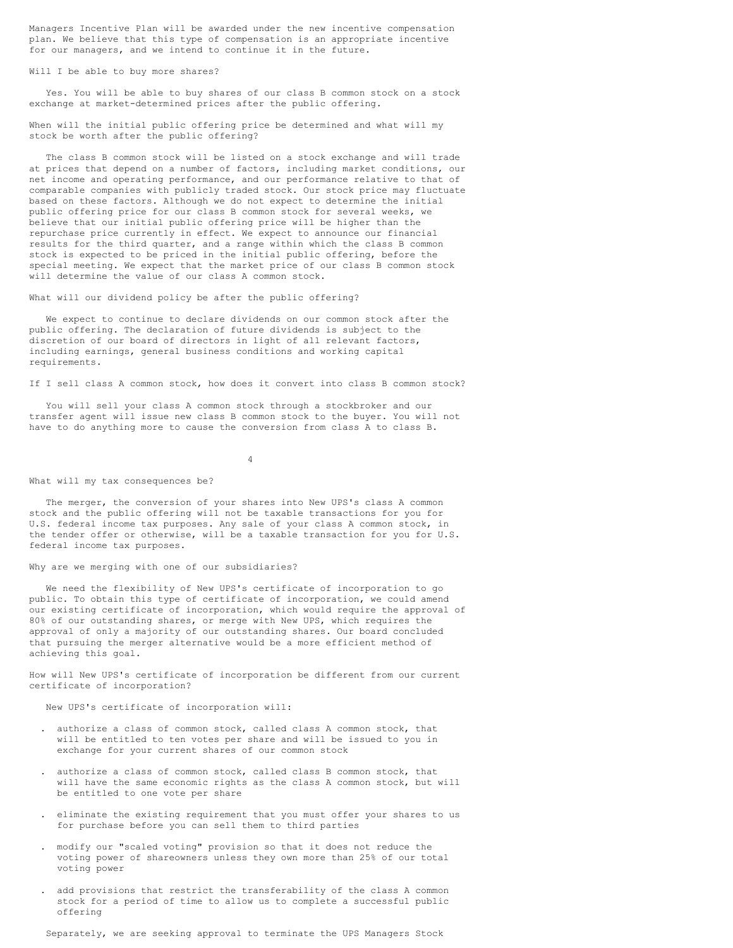Managers Incentive Plan will be awarded under the new incentive compensation plan. We believe that this type of compensation is an appropriate incentive for our managers, and we intend to continue it in the future.

Will I be able to buy more shares?

Yes. You will be able to buy shares of our class B common stock on a stock exchange at market-determined prices after the public offering.

When will the initial public offering price be determined and what will my stock be worth after the public offering?

The class B common stock will be listed on a stock exchange and will trade at prices that depend on a number of factors, including market conditions, our net income and operating performance, and our performance relative to that of comparable companies with publicly traded stock. Our stock price may fluctuate based on these factors. Although we do not expect to determine the initial public offering price for our class B common stock for several weeks, we believe that our initial public offering price will be higher than the repurchase price currently in effect. We expect to announce our financial results for the third quarter, and a range within which the class B common stock is expected to be priced in the initial public offering, before the special meeting. We expect that the market price of our class B common stock will determine the value of our class A common stock.

What will our dividend policy be after the public offering?

We expect to continue to declare dividends on our common stock after the public offering. The declaration of future dividends is subject to the discretion of our board of directors in light of all relevant factors, including earnings, general business conditions and working capital requirements.

If I sell class A common stock, how does it convert into class B common stock?

You will sell your class A common stock through a stockbroker and our transfer agent will issue new class B common stock to the buyer. You will not have to do anything more to cause the conversion from class A to class B.

4

### What will my tax consequences be?

The merger, the conversion of your shares into New UPS's class A common stock and the public offering will not be taxable transactions for you for U.S. federal income tax purposes. Any sale of your class A common stock, in the tender offer or otherwise, will be a taxable transaction for you for U.S. federal income tax purposes.

Why are we merging with one of our subsidiaries?

We need the flexibility of New UPS's certificate of incorporation to go public. To obtain this type of certificate of incorporation, we could amend our existing certificate of incorporation, which would require the approval of 80% of our outstanding shares, or merge with New UPS, which requires the approval of only a majority of our outstanding shares. Our board concluded that pursuing the merger alternative would be a more efficient method of achieving this goal.

How will New UPS's certificate of incorporation be different from our current certificate of incorporation?

New UPS's certificate of incorporation will:

- . authorize a class of common stock, called class A common stock, that will be entitled to ten votes per share and will be issued to you in exchange for your current shares of our common stock
- . authorize a class of common stock, called class B common stock, that will have the same economic rights as the class A common stock, but will be entitled to one vote per share
- . eliminate the existing requirement that you must offer your shares to us for purchase before you can sell them to third parties
- . modify our "scaled voting" provision so that it does not reduce the voting power of shareowners unless they own more than 25% of our total voting power
- . add provisions that restrict the transferability of the class A common stock for a period of time to allow us to complete a successful public offering

Separately, we are seeking approval to terminate the UPS Managers Stock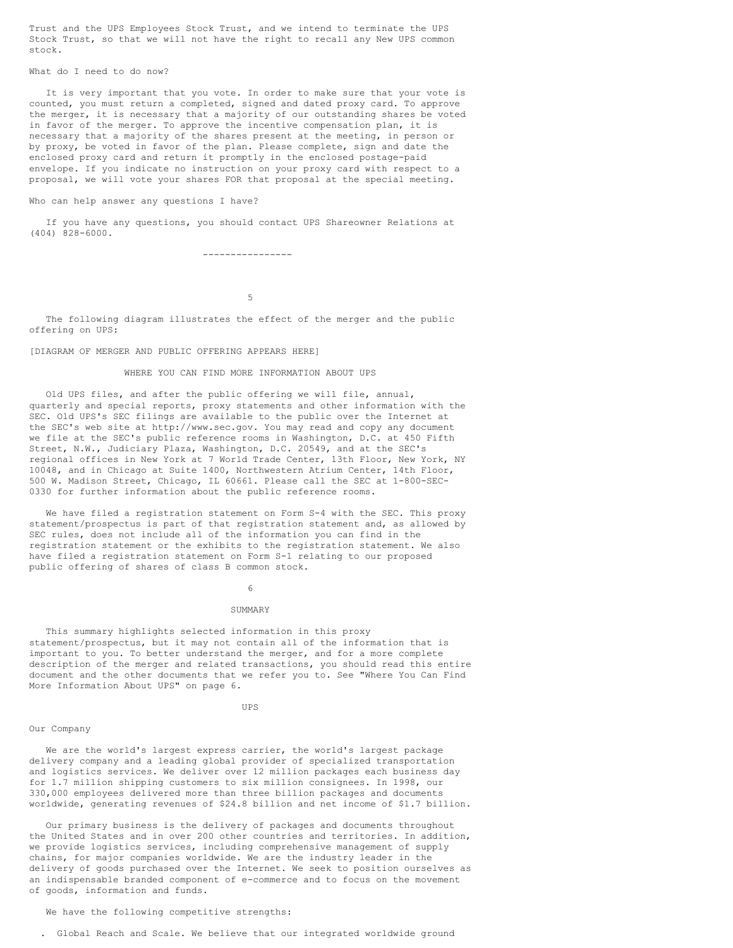Trust and the UPS Employees Stock Trust, and we intend to terminate the UPS Stock Trust, so that we will not have the right to recall any New UPS common stock.

What do I need to do now?

It is very important that you vote. In order to make sure that your vote is counted, you must return a completed, signed and dated proxy card. To approve the merger, it is necessary that a majority of our outstanding shares be voted in favor of the merger. To approve the incentive compensation plan, it is necessary that a majority of the shares present at the meeting, in person or by proxy, be voted in favor of the plan. Please complete, sign and date the enclosed proxy card and return it promptly in the enclosed postage-paid envelope. If you indicate no instruction on your proxy card with respect to a proposal, we will vote your shares FOR that proposal at the special meeting.

#### Who can help answer any questions I have?

If you have any questions, you should contact UPS Shareowner Relations at (404) 828-6000.

----------------

5

The following diagram illustrates the effect of the merger and the public offering on UPS:

### [DIAGRAM OF MERGER AND PUBLIC OFFERING APPEARS HERE]

### WHERE YOU CAN FIND MORE INFORMATION ABOUT UPS

Old UPS files, and after the public offering we will file, annual, quarterly and special reports, proxy statements and other information with the SEC. Old UPS's SEC filings are available to the public over the Internet at the SEC's web site at http://www.sec.gov. You may read and copy any document we file at the SEC's public reference rooms in Washington, D.C. at 450 Fifth Street, N.W., Judiciary Plaza, Washington, D.C. 20549, and at the SEC's regional offices in New York at 7 World Trade Center, 13th Floor, New York, NY 10048, and in Chicago at Suite 1400, Northwestern Atrium Center, 14th Floor, 500 W. Madison Street, Chicago, IL 60661. Please call the SEC at 1-800-SEC-0330 for further information about the public reference rooms.

We have filed a registration statement on Form S-4 with the SEC. This proxy statement/prospectus is part of that registration statement and, as allowed by SEC rules, does not include all of the information you can find in the registration statement or the exhibits to the registration statement. We also have filed a registration statement on Form S-1 relating to our proposed public offering of shares of class B common stock.

6

### SUMMARY

This summary highlights selected information in this proxy statement/prospectus, but it may not contain all of the information that is important to you. To better understand the merger, and for a more complete description of the merger and related transactions, you should read this entire document and the other documents that we refer you to. See "Where You Can Find More Information About UPS" on page 6.

#### UPS

### Our Company

We are the world's largest express carrier, the world's largest package delivery company and a leading global provider of specialized transportation and logistics services. We deliver over 12 million packages each business day for 1.7 million shipping customers to six million consignees. In 1998, our 330,000 employees delivered more than three billion packages and documents worldwide, generating revenues of \$24.8 billion and net income of \$1.7 billion.

Our primary business is the delivery of packages and documents throughout the United States and in over 200 other countries and territories. In addition, we provide logistics services, including comprehensive management of supply chains, for major companies worldwide. We are the industry leader in the delivery of goods purchased over the Internet. We seek to position ourselves as an indispensable branded component of e-commerce and to focus on the movement of goods, information and funds.

We have the following competitive strengths:

. Global Reach and Scale. We believe that our integrated worldwide ground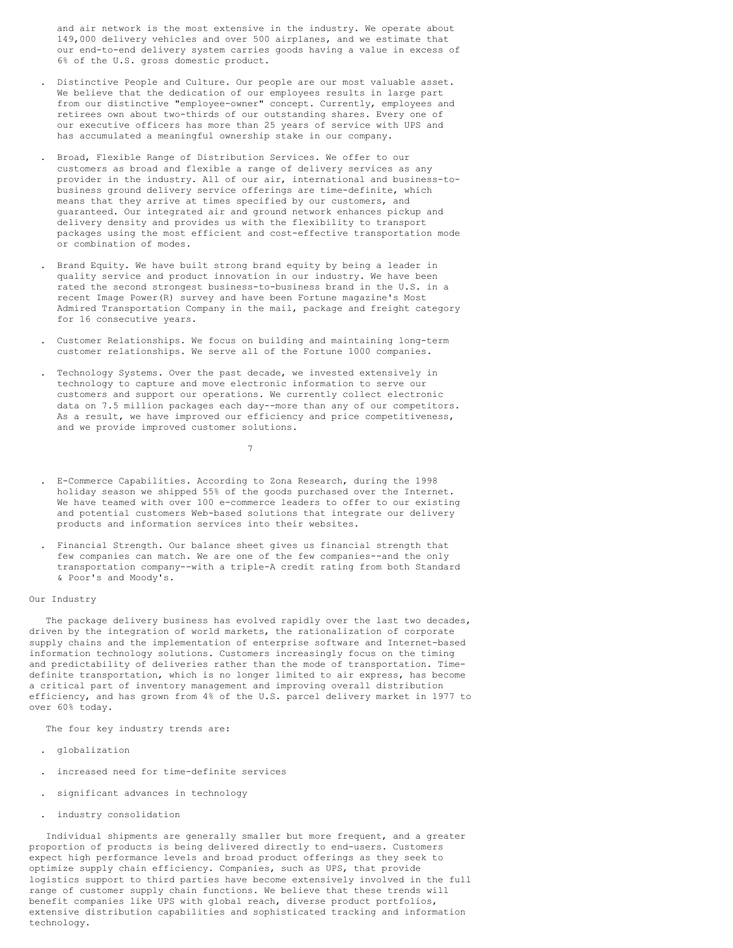and air network is the most extensive in the industry. We operate about 149,000 delivery vehicles and over 500 airplanes, and we estimate that our end-to-end delivery system carries goods having a value in excess of 6% of the U.S. gross domestic product.

- . Distinctive People and Culture. Our people are our most valuable asset. We believe that the dedication of our employees results in large part from our distinctive "employee-owner" concept. Currently, employees and retirees own about two-thirds of our outstanding shares. Every one of our executive officers has more than 25 years of service with UPS and has accumulated a meaningful ownership stake in our company.
- . Broad, Flexible Range of Distribution Services. We offer to our customers as broad and flexible a range of delivery services as any provider in the industry. All of our air, international and business-tobusiness ground delivery service offerings are time-definite, which means that they arrive at times specified by our customers, and guaranteed. Our integrated air and ground network enhances pickup and delivery density and provides us with the flexibility to transport packages using the most efficient and cost-effective transportation mode or combination of modes.
- . Brand Equity. We have built strong brand equity by being a leader in quality service and product innovation in our industry. We have been rated the second strongest business-to-business brand in the U.S. in a recent Image Power(R) survey and have been Fortune magazine's Most Admired Transportation Company in the mail, package and freight category for 16 consecutive years.
- . Customer Relationships. We focus on building and maintaining long-term customer relationships. We serve all of the Fortune 1000 companies.
- . Technology Systems. Over the past decade, we invested extensively in technology to capture and move electronic information to serve our customers and support our operations. We currently collect electronic data on 7.5 million packages each day--more than any of our competitors. As a result, we have improved our efficiency and price competitiveness, and we provide improved customer solutions.

7

- . E-Commerce Capabilities. According to Zona Research, during the 1998 holiday season we shipped 55% of the goods purchased over the Internet. We have teamed with over 100 e-commerce leaders to offer to our existing and potential customers Web-based solutions that integrate our delivery products and information services into their websites.
- . Financial Strength. Our balance sheet gives us financial strength that few companies can match. We are one of the few companies--and the only transportation company--with a triple-A credit rating from both Standard & Poor's and Moody's.

### Our Industry

The package delivery business has evolved rapidly over the last two decades, driven by the integration of world markets, the rationalization of corporate supply chains and the implementation of enterprise software and Internet-based information technology solutions. Customers increasingly focus on the timing and predictability of deliveries rather than the mode of transportation. Timedefinite transportation, which is no longer limited to air express, has become a critical part of inventory management and improving overall distribution efficiency, and has grown from 4% of the U.S. parcel delivery market in 1977 to over 60% today.

The four key industry trends are:

- . globalization
- . increased need for time-definite services
- . significant advances in technology
- . industry consolidation

Individual shipments are generally smaller but more frequent, and a greater proportion of products is being delivered directly to end-users. Customers expect high performance levels and broad product offerings as they seek to optimize supply chain efficiency. Companies, such as UPS, that provide logistics support to third parties have become extensively involved in the full range of customer supply chain functions. We believe that these trends will benefit companies like UPS with global reach, diverse product portfolios, extensive distribution capabilities and sophisticated tracking and information technology.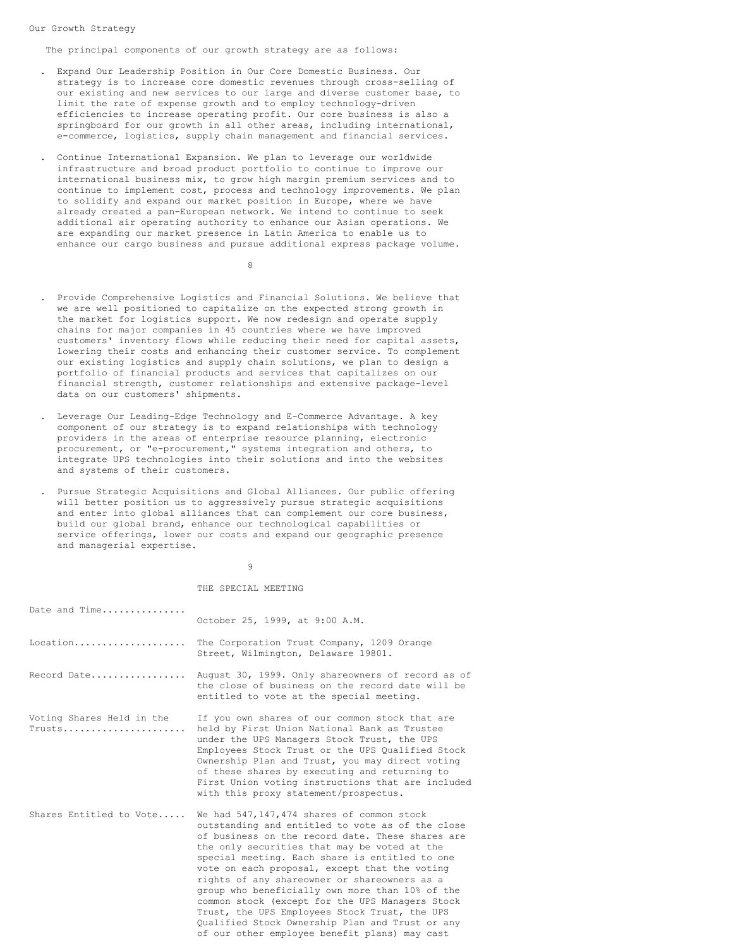Our Growth Strategy

The principal components of our growth strategy are as follows:

- . Expand Our Leadership Position in Our Core Domestic Business. Our strategy is to increase core domestic revenues through cross-selling of our existing and new services to our large and diverse customer base, to limit the rate of expense growth and to employ technology-driven efficiencies to increase operating profit. Our core business is also a springboard for our growth in all other areas, including international, e-commerce, logistics, supply chain management and financial services.
- . Continue International Expansion. We plan to leverage our worldwide infrastructure and broad product portfolio to continue to improve our international business mix, to grow high margin premium services and to continue to implement cost, process and technology improvements. We plan to solidify and expand our market position in Europe, where we have already created a pan-European network. We intend to continue to seek additional air operating authority to enhance our Asian operations. We are expanding our market presence in Latin America to enable us to enhance our cargo business and pursue additional express package volume.

8

- . Provide Comprehensive Logistics and Financial Solutions. We believe that we are well positioned to capitalize on the expected strong growth in the market for logistics support. We now redesign and operate supply chains for major companies in 45 countries where we have improved customers' inventory flows while reducing their need for capital assets, lowering their costs and enhancing their customer service. To complement our existing logistics and supply chain solutions, we plan to design a portfolio of financial products and services that capitalizes on our financial strength, customer relationships and extensive package-level data on our customers' shipments.
- . Leverage Our Leading-Edge Technology and E-Commerce Advantage. A key component of our strategy is to expand relationships with technology providers in the areas of enterprise resource planning, electronic procurement, or "e-procurement," systems integration and others, to integrate UPS technologies into their solutions and into the websites and systems of their customers.
- . Pursue Strategic Acquisitions and Global Alliances. Our public offering will better position us to aggressively pursue strategic acquisitions and enter into global alliances that can complement our core business, build our global brand, enhance our technological capabilities or service offerings, lower our costs and expand our geographic presence and managerial expertise.

9

#### THE SPECIAL MEETING

| Date and Time                       | October 25, 1999, at 9:00 A.M.                                                                                                                                                                                                                                                                                                                                                                                                                                                                                                                                                                                  |
|-------------------------------------|-----------------------------------------------------------------------------------------------------------------------------------------------------------------------------------------------------------------------------------------------------------------------------------------------------------------------------------------------------------------------------------------------------------------------------------------------------------------------------------------------------------------------------------------------------------------------------------------------------------------|
| Location                            | The Corporation Trust Company, 1209 Orange<br>Street, Wilmington, Delaware 19801.                                                                                                                                                                                                                                                                                                                                                                                                                                                                                                                               |
| Record Date                         | August 30, 1999. Only shareowners of record as of<br>the close of business on the record date will be<br>entitled to vote at the special meeting.                                                                                                                                                                                                                                                                                                                                                                                                                                                               |
| Voting Shares Held in the<br>Trusts | If you own shares of our common stock that are<br>held by First Union National Bank as Trustee<br>under the UPS Managers Stock Trust, the UPS<br>Employees Stock Trust or the UPS Qualified Stock<br>Ownership Plan and Trust, you may direct voting<br>of these shares by executing and returning to<br>First Union voting instructions that are included<br>with this proxy statement/prospectus.                                                                                                                                                                                                             |
| Shares Entitled to Vote             | We had 547,147,474 shares of common stock<br>outstanding and entitled to vote as of the close<br>of business on the record date. These shares are<br>the only securities that may be voted at the<br>special meeting. Each share is entitled to one<br>vote on each proposal, except that the voting<br>rights of any shareowner or shareowners as a<br>group who beneficially own more than 10% of the<br>common stock (except for the UPS Managers Stock<br>Trust, the UPS Employees Stock Trust, the UPS<br>Oualified Stock Ownership Plan and Trust or any<br>of our other employee benefit plans) may cast |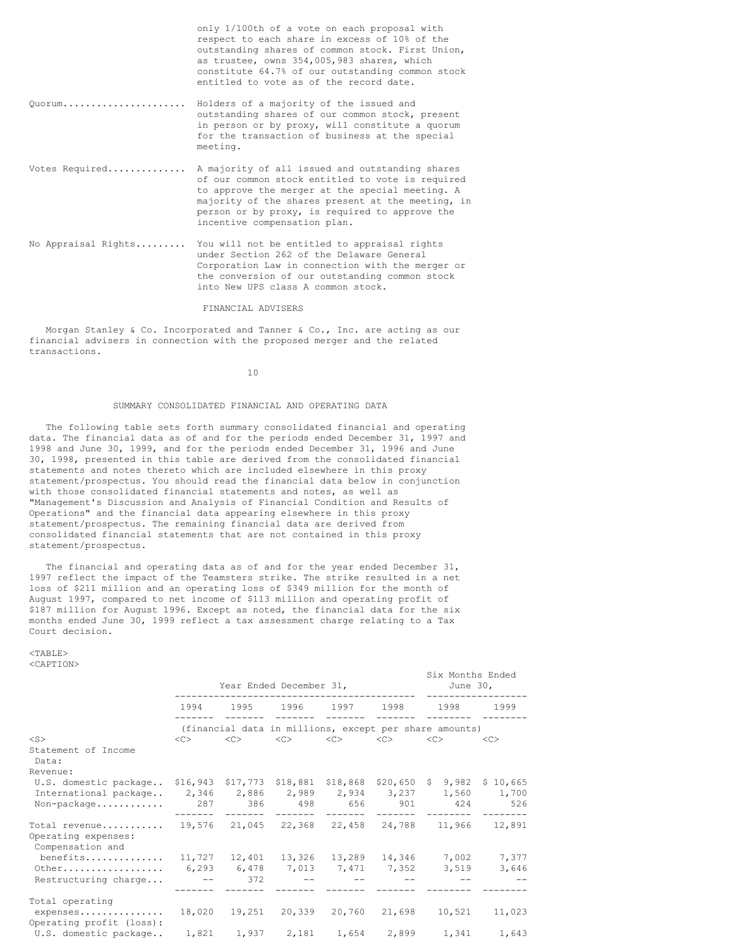|                     | only 1/100th of a vote on each proposal with<br>respect to each share in excess of 10% of the<br>outstanding shares of common stock. First Union,<br>as trustee, owns 354,005,983 shares, which<br>constitute 64.7% of our outstanding common stock<br>entitled to vote as of the record date. |
|---------------------|------------------------------------------------------------------------------------------------------------------------------------------------------------------------------------------------------------------------------------------------------------------------------------------------|
| 0uorum              | Holders of a majority of the issued and<br>outstanding shares of our common stock, present<br>in person or by proxy, will constitute a quorum<br>for the transaction of business at the special<br>meeting.                                                                                    |
| Votes Required      | A majority of all issued and outstanding shares<br>of our common stock entitled to vote is required<br>to approve the merger at the special meeting. A<br>majority of the shares present at the meeting, in<br>person or by proxy, is required to approve the<br>incentive compensation plan.  |
| No Appraisal Rights | You will not be entitled to appraisal rights<br>under Section 262 of the Delaware General<br>Corporation Law in connection with the merger or<br>the conversion of our outstanding common stock<br>into New UPS class A common stock.                                                          |

FINANCIAL ADVISERS

Morgan Stanley & Co. Incorporated and Tanner & Co., Inc. are acting as our financial advisers in connection with the proposed merger and the related transactions.

10

### SUMMARY CONSOLIDATED FINANCIAL AND OPERATING DATA

The following table sets forth summary consolidated financial and operating data. The financial data as of and for the periods ended December 31, 1997 and 1998 and June 30, 1999, and for the periods ended December 31, 1996 and June 30, 1998, presented in this table are derived from the consolidated financial statements and notes thereto which are included elsewhere in this proxy statement/prospectus. You should read the financial data below in conjunction with those consolidated financial statements and notes, as well as "Management's Discussion and Analysis of Financial Condition and Results of Operations" and the financial data appearing elsewhere in this proxy statement/prospectus. The remaining financial data are derived from consolidated financial statements that are not contained in this proxy statement/prospectus.

The financial and operating data as of and for the year ended December 31, 1997 reflect the impact of the Teamsters strike. The strike resulted in a net loss of \$211 million and an operating loss of \$349 million for the month of August 1997, compared to net income of \$113 million and operating profit of \$187 million for August 1996. Except as noted, the financial data for the six months ended June 30, 1999 reflect a tax assessment charge relating to a Tax Court decision.

<TABLE> <CAPTION>

|                                                                                                           |                     | Year Ended December 31, | Six Months Ended<br>June 30,                                |          |           |                                                                               |               |
|-----------------------------------------------------------------------------------------------------------|---------------------|-------------------------|-------------------------------------------------------------|----------|-----------|-------------------------------------------------------------------------------|---------------|
|                                                                                                           | 1994                |                         | 1995 1996 1997 1998                                         |          |           |                                                                               | 1999          |
| $<$ S $>$                                                                                                 | $\langle C \rangle$ |                         | $\langle C \rangle$ $\langle C \rangle$ $\langle C \rangle$ |          | < <c></c> | (financial data in millions, except per share amounts)<br>$\langle C \rangle$ | < <sub></sub> |
| Statement of Income<br>Data:                                                                              |                     |                         |                                                             |          |           |                                                                               |               |
| Revenue:                                                                                                  |                     |                         |                                                             |          |           |                                                                               |               |
| U.S. domestic package \$16,943 \$17,773 \$18,881 \$18,868 \$20,650 \$ 9,982 \$ 10,665                     |                     |                         |                                                             |          |           |                                                                               |               |
| International package                                                                                     |                     |                         |                                                             |          |           | 2,346 2,886 2,989 2,934 3,237 1,560 1,700                                     |               |
| Non-package                                                                                               |                     |                         | _________________                                           | -------- |           | 287 386 498 656 901 424 526<br>___________________                            |               |
| Total revenue 19,576 21,045 22,368 22,458 24,788 11,966 12,891<br>Operating expenses:<br>Compensation and |                     |                         |                                                             |          |           |                                                                               |               |
| benefits 11,727  12,401  13,326  13,289  14,346  7,002                                                    |                     |                         |                                                             |          |           |                                                                               | 7,377         |
| Other                                                                                                     |                     |                         |                                                             |          |           | 6,293 6,478 7,013 7,471 7,352 3,519                                           | 3,646         |
| Restructuring charge                                                                                      |                     | $--$ 372                |                                                             |          |           |                                                                               |               |
| Total operating<br>expenses 18,020 19,251 20,339 20,760 21,698 10,521<br>Operating profit (loss):         |                     |                         |                                                             |          |           |                                                                               | 11,023        |
| U.S. domestic package 1,821 1,937 2,181 1,654 2,899 1,341 1,643                                           |                     |                         |                                                             |          |           |                                                                               |               |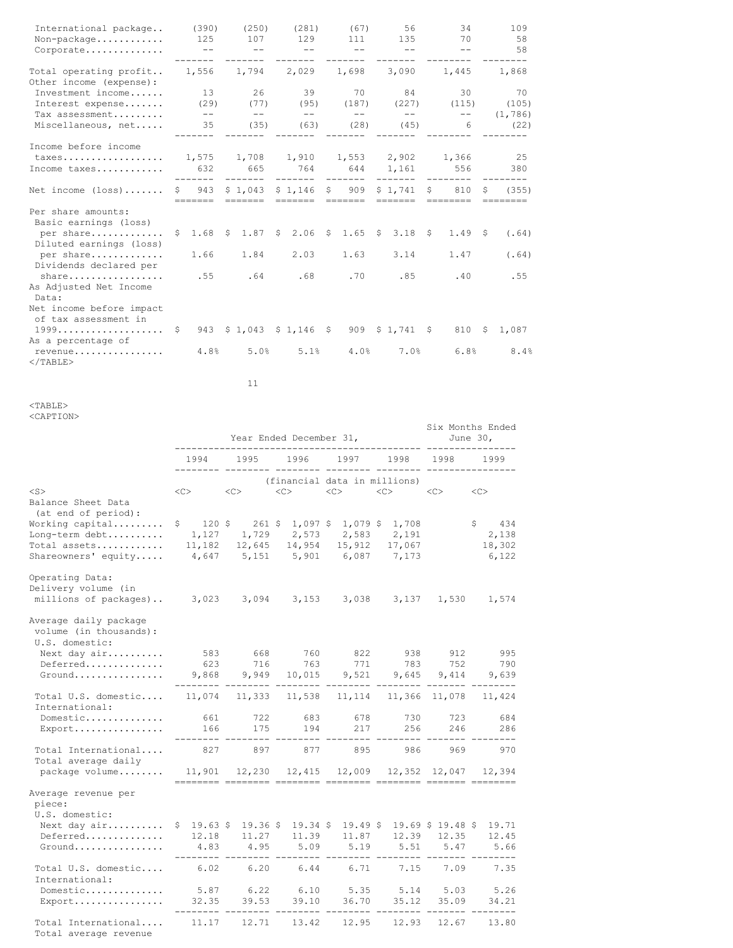| International package<br>Non-package<br>Corporate                                                                          | (390)<br>125<br>$\qquad \qquad -$ | (250)<br>107<br>$\qquad \qquad -$ | (281)<br>129<br>$\qquad \qquad -$ | (67)<br>111<br>$- -$         | 56<br>135<br>$\qquad \qquad -$                  | 34<br>70<br>$\qquad \qquad -$ | 109<br>58<br>58                 |
|----------------------------------------------------------------------------------------------------------------------------|-----------------------------------|-----------------------------------|-----------------------------------|------------------------------|-------------------------------------------------|-------------------------------|---------------------------------|
| Total operating profit<br>Other income (expense):                                                                          | 1,556                             | 1,794                             |                                   | 2,029 1,698                  | 3,090                                           | 1,445                         | 1,868                           |
| Investment income<br>Interest expense<br>Tax assessment<br>Miscellaneous, net                                              | 13<br>(29)<br>$- -$<br>35         | 26<br>(77)<br>$- -$<br>(35)       | 39<br>(95)<br>$--$<br>(63)        | 70<br>(187)<br>$- -$<br>(28) | 84<br>(227)<br>$- -$<br>(45)                    | 30<br>(115)<br>$- -$<br>6     | 70<br>(105)<br>(1, 786)<br>(22) |
| Income before income<br>taxes<br>Income taxes                                                                              | 632<br>-------                    | 665<br>--------                   | 764 644 1,161<br>-------          | --------                     | 1,575 1,708 1,910 1,553 2,902 1,366<br>-------- | 556<br>---------              | 25<br>380                       |
| Net income $(\text{loss}) \dots \dots$                                                                                     | \$943<br>--------                 | =======                           | $$1,043$ $$1,146$ $$909$          | =======                      | \$1.741<br><b>EEEEEEE</b>                       | S<br>810                      | (355)<br>S.                     |
| Per share amounts:<br>Basic earnings (loss)<br>per share<br>Diluted earnings (loss)<br>per share<br>Dividends declared per | 1.68<br>$\mathsf{S}^-$<br>1.66    | 1.84                              | 2.03                              | 1.63                         | $$1.87$ $$2.06$ $$1.65$ $$3.18$ $$$<br>3.14     | 1.49S<br>1.47                 | (.64)<br>(.64)                  |
| share<br>As Adjusted Net Income<br>Data:<br>Net income before impact                                                       | .55                               | .64                               | .68                               | .70                          | .85                                             | .40                           | .55                             |
| of tax assessment in<br>$1999 \ldots \ldots \ldots \ldots$<br>As a percentage of                                           |                                   |                                   | 943 \$1,043 \$1,146 \$            |                              | $909 \t$ 1,741 \t$$                             | 810                           | - \$<br>1,087                   |
| revenue<br>$<$ /TABLE>                                                                                                     | 4.8%                              | 5.0%                              | 5.1%                              | 4.0%                         | 7.0%                                            | 6.8%                          | 8.4%                            |

11

<TABLE>

<CAPTION>

| NUAE I IUNZ                                                                                     |                             | Six Months Ended<br>June 30, |                                                                             |                                |                          |               |                                   |
|-------------------------------------------------------------------------------------------------|-----------------------------|------------------------------|-----------------------------------------------------------------------------|--------------------------------|--------------------------|---------------|-----------------------------------|
|                                                                                                 | 1994<br>بالمستحدث والمستحدث | 1995                         | 1996                                                                        | 1997                           | 1998                     | 1998          | 1999                              |
| $<$ S $>$<br>Balance Sheet Data                                                                 | $\langle C \rangle$         | <<                           | (financial data in millions)<br>$<\infty$                                   |                                | $<\infty$                | <<            | $<\infty$                         |
| (at end of period):<br>Working capital<br>Long-term debt<br>Total assets<br>Shareowners' equity | 1,127<br>11,182<br>4,647    | 1,729<br>12,645<br>5,151     | \$ 120 \$ 261 \$ 1,097 \$ 1,079 \$ 1,708<br>14,954<br>5,901                 | 2,573 2,583<br>15,912<br>6,087 | 2,191<br>17,067<br>7,173 |               | \$434<br>2,138<br>18,302<br>6,122 |
| Operating Data:<br>Delivery volume (in<br>millions of packages) 3,023 3,094                     |                             |                              | 3,153                                                                       | 3,038                          | 3,137                    | 1,530         | 1,574                             |
| Average daily package<br>volume (in thousands):<br>U.S. domestic:<br>Next day air               | 583                         | 668                          | 760                                                                         | 822                            | 938                      | 912           | 995                               |
| Deferred<br>Ground                                                                              | 623<br>9,868                | 716<br>9,949                 | 763<br>10,015                                                               | 771<br>9,521                   | 783<br>9,645             | 752<br>9,414  | 790<br>9,639                      |
| Total U.S. domestic<br>International:                                                           |                             | $11,074$ $11,333$            | 11,538                                                                      | 11, 114                        |                          | 11,366 11,078 | 11,424                            |
| Domestic<br>Export                                                                              | 661<br>166                  | 722<br>175                   | 683<br>194                                                                  | 678<br>217                     | 730<br>256               | 723<br>246    | 684<br>286                        |
| Total International<br>Total average daily                                                      | 827                         | 897                          | 877                                                                         | 895                            | $---$<br>986             | 969           | ----<br>970                       |
| package volume 11,901 12,230 12,415 12,009 12,352 12,047 12,394                                 |                             |                              |                                                                             |                                |                          |               |                                   |
| Average revenue per<br>piece:<br>U.S. domestic:                                                 |                             |                              |                                                                             |                                |                          |               |                                   |
| Next day air<br>Deferred<br>$Groupd.$                                                           | 12.18<br>4.83               | 11.27<br>4.95                | $$19.63$ $$19.36$ $$19.34$ $$19.49$ $$19.69$ $$19.48$ $$5$<br>11.39<br>5.09 | 11.87<br>5.19                  | 12.39<br>5.51            | 12.35<br>5.47 | 19.71<br>12.45<br>5.66            |
| Total U.S. domestic<br>International:                                                           | ---------<br>6.02           | 6.20                         | 6.44                                                                        | 6.71                           | 7.15                     | 7.09          | $- - - - -$<br>7.35               |
| Domestic<br>Export                                                                              | 5.87<br>32.35               | 6.22<br>39.53                | 6.10<br>39.10                                                               | 5.35<br>36.70                  | 5.14<br>35.12            | 5.03<br>35.09 | 5.26<br>34.21                     |
| Total International<br>Total average revenue                                                    | 11.17                       | 12.71                        | 13.42                                                                       | 12.95                          | 12.93                    | 12.67         | 13.80                             |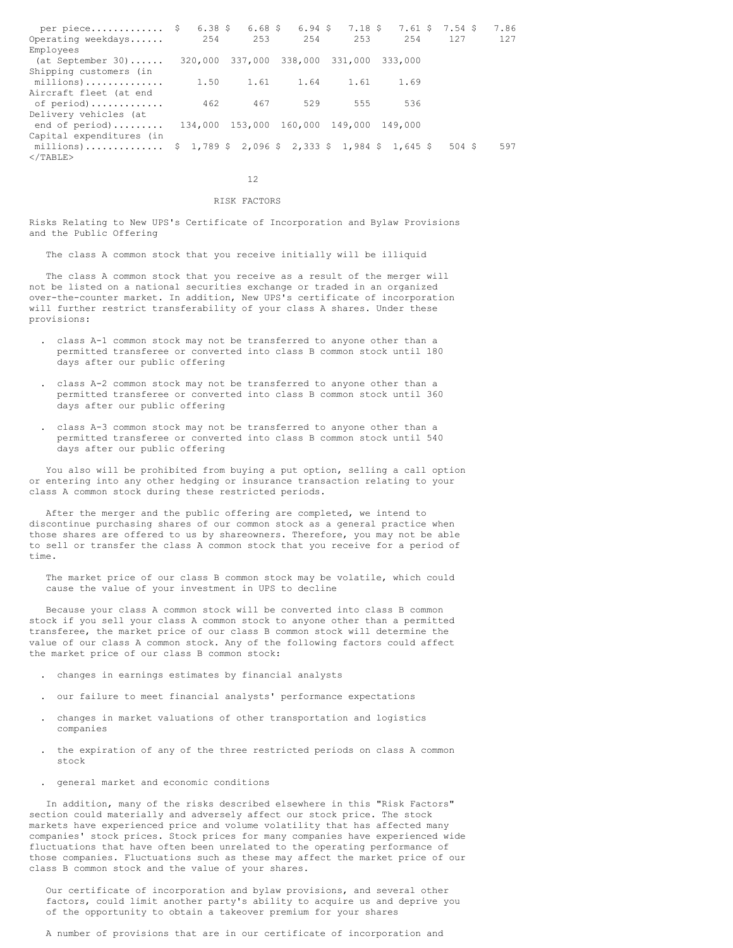| per piece $\frac{1}{2}$                                                                                                     |      |      |      |                                         |         | 6.38 \$ 6.68 \$ 6.94 \$ 7.18 \$ 7.61 \$ 7.54 \$ | 7.86 |
|-----------------------------------------------------------------------------------------------------------------------------|------|------|------|-----------------------------------------|---------|-------------------------------------------------|------|
| Operating weekdays                                                                                                          | 2.54 | 253  | 2.54 | 2.53                                    | 2.54    | 127                                             | 127  |
| Employees                                                                                                                   |      |      |      |                                         |         |                                                 |      |
| $(at$ September 30)                                                                                                         |      |      |      | 320,000 337,000 338,000 331,000         | 333,000 |                                                 |      |
| Shipping customers (in                                                                                                      |      |      |      |                                         |         |                                                 |      |
| millions)                                                                                                                   | 1.50 | 1.61 |      | 1.64 1.61                               | 1.69    |                                                 |      |
| Aircraft fleet (at end                                                                                                      |      |      |      |                                         |         |                                                 |      |
| of period)                                                                                                                  | 462  | 467  | 529  | 555                                     | 536     |                                                 |      |
| Delivery vehicles (at                                                                                                       |      |      |      |                                         |         |                                                 |      |
| end of period)                                                                                                              |      |      |      | 134,000 153,000 160,000 149,000 149,000 |         |                                                 |      |
| Capital expenditures (in                                                                                                    |      |      |      |                                         |         |                                                 |      |
| millions) $\frac{1}{2}$ 1,789 $\frac{1}{2}$ 2,096 $\frac{1}{2}$ 2,333 $\frac{1}{2}$ 1,984 $\frac{1}{2}$ 1,645 $\frac{1}{2}$ |      |      |      |                                         |         | 504S                                            | 597  |
| $<$ /TABLE>                                                                                                                 |      |      |      |                                         |         |                                                 |      |

12

#### RISK FACTORS

Risks Relating to New UPS's Certificate of Incorporation and Bylaw Provisions and the Public Offering

The class A common stock that you receive initially will be illiquid

The class A common stock that you receive as a result of the merger will not be listed on a national securities exchange or traded in an organized over-the-counter market. In addition, New UPS's certificate of incorporation will further restrict transferability of your class A shares. Under these provisions:

- . class A-1 common stock may not be transferred to anyone other than a permitted transferee or converted into class B common stock until 180 days after our public offering
- . class A-2 common stock may not be transferred to anyone other than a permitted transferee or converted into class B common stock until 360 days after our public offering
- . class A-3 common stock may not be transferred to anyone other than a permitted transferee or converted into class B common stock until 540 days after our public offering

You also will be prohibited from buying a put option, selling a call option or entering into any other hedging or insurance transaction relating to your class A common stock during these restricted periods.

After the merger and the public offering are completed, we intend to discontinue purchasing shares of our common stock as a general practice when those shares are offered to us by shareowners. Therefore, you may not be able to sell or transfer the class A common stock that you receive for a period of time.

The market price of our class B common stock may be volatile, which could cause the value of your investment in UPS to decline

Because your class A common stock will be converted into class B common stock if you sell your class A common stock to anyone other than a permitted transferee, the market price of our class B common stock will determine the value of our class A common stock. Any of the following factors could affect the market price of our class B common stock:

- . changes in earnings estimates by financial analysts
- . our failure to meet financial analysts' performance expectations
- . changes in market valuations of other transportation and logistics companies
- . the expiration of any of the three restricted periods on class A common stock
- . general market and economic conditions

In addition, many of the risks described elsewhere in this "Risk Factors" section could materially and adversely affect our stock price. The stock markets have experienced price and volume volatility that has affected many companies' stock prices. Stock prices for many companies have experienced wide fluctuations that have often been unrelated to the operating performance of those companies. Fluctuations such as these may affect the market price of our class B common stock and the value of your shares.

Our certificate of incorporation and bylaw provisions, and several other factors, could limit another party's ability to acquire us and deprive you of the opportunity to obtain a takeover premium for your shares

A number of provisions that are in our certificate of incorporation and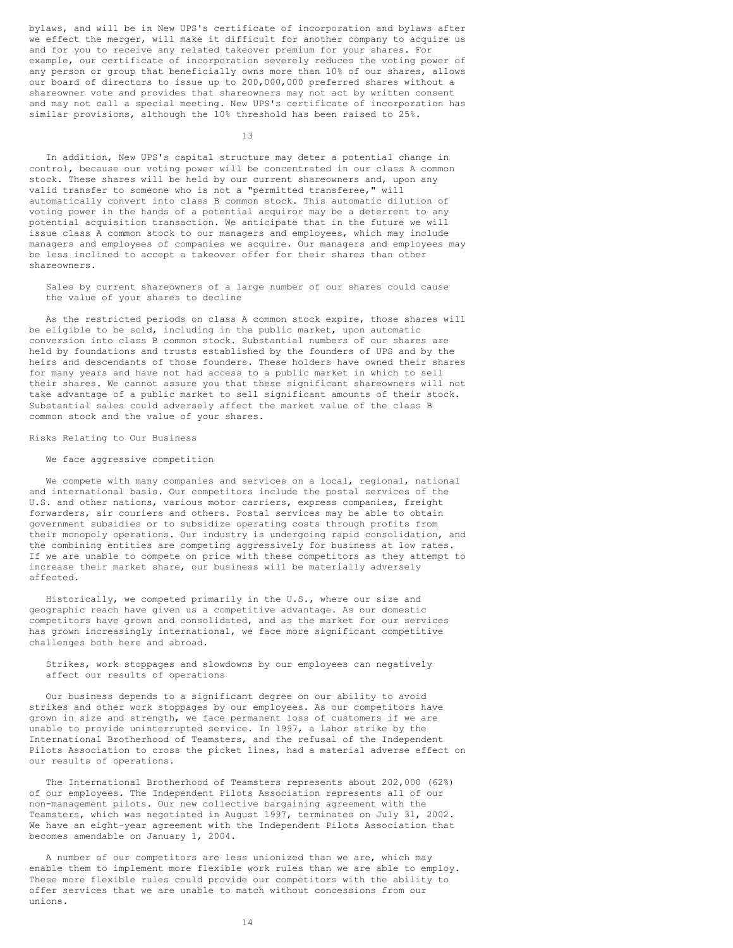bylaws, and will be in New UPS's certificate of incorporation and bylaws after we effect the merger, will make it difficult for another company to acquire us and for you to receive any related takeover premium for your shares. For example, our certificate of incorporation severely reduces the voting power of any person or group that beneficially owns more than 10% of our shares, allows our board of directors to issue up to 200,000,000 preferred shares without a shareowner vote and provides that shareowners may not act by written consent and may not call a special meeting. New UPS's certificate of incorporation has similar provisions, although the 10% threshold has been raised to 25%.

13

In addition, New UPS's capital structure may deter a potential change in control, because our voting power will be concentrated in our class A common stock. These shares will be held by our current shareowners and, upon any valid transfer to someone who is not a "permitted transferee," will automatically convert into class B common stock. This automatic dilution of voting power in the hands of a potential acquiror may be a deterrent to any potential acquisition transaction. We anticipate that in the future we will issue class A common stock to our managers and employees, which may include managers and employees of companies we acquire. Our managers and employees may be less inclined to accept a takeover offer for their shares than other shareowners.

Sales by current shareowners of a large number of our shares could cause the value of your shares to decline

As the restricted periods on class A common stock expire, those shares will be eligible to be sold, including in the public market, upon automatic conversion into class B common stock. Substantial numbers of our shares are held by foundations and trusts established by the founders of UPS and by the heirs and descendants of those founders. These holders have owned their shares for many years and have not had access to a public market in which to sell their shares. We cannot assure you that these significant shareowners will not take advantage of a public market to sell significant amounts of their stock. Substantial sales could adversely affect the market value of the class B common stock and the value of your shares.

Risks Relating to Our Business

# We face aggressive competition

We compete with many companies and services on a local, regional, national and international basis. Our competitors include the postal services of the U.S. and other nations, various motor carriers, express companies, freight forwarders, air couriers and others. Postal services may be able to obtain government subsidies or to subsidize operating costs through profits from their monopoly operations. Our industry is undergoing rapid consolidation, and the combining entities are competing aggressively for business at low rates. If we are unable to compete on price with these competitors as they attempt to increase their market share, our business will be materially adversely affected.

Historically, we competed primarily in the U.S., where our size and geographic reach have given us a competitive advantage. As our domestic competitors have grown and consolidated, and as the market for our services has grown increasingly international, we face more significant competitive challenges both here and abroad.

Strikes, work stoppages and slowdowns by our employees can negatively affect our results of operations

Our business depends to a significant degree on our ability to avoid strikes and other work stoppages by our employees. As our competitors have grown in size and strength, we face permanent loss of customers if we are unable to provide uninterrupted service. In 1997, a labor strike by the International Brotherhood of Teamsters, and the refusal of the Independent Pilots Association to cross the picket lines, had a material adverse effect on our results of operations.

The International Brotherhood of Teamsters represents about 202,000 (62%) of our employees. The Independent Pilots Association represents all of our non-management pilots. Our new collective bargaining agreement with the Teamsters, which was negotiated in August 1997, terminates on July 31, 2002. We have an eight-year agreement with the Independent Pilots Association that becomes amendable on January 1, 2004.

A number of our competitors are less unionized than we are, which may enable them to implement more flexible work rules than we are able to employ. These more flexible rules could provide our competitors with the ability to offer services that we are unable to match without concessions from our unions.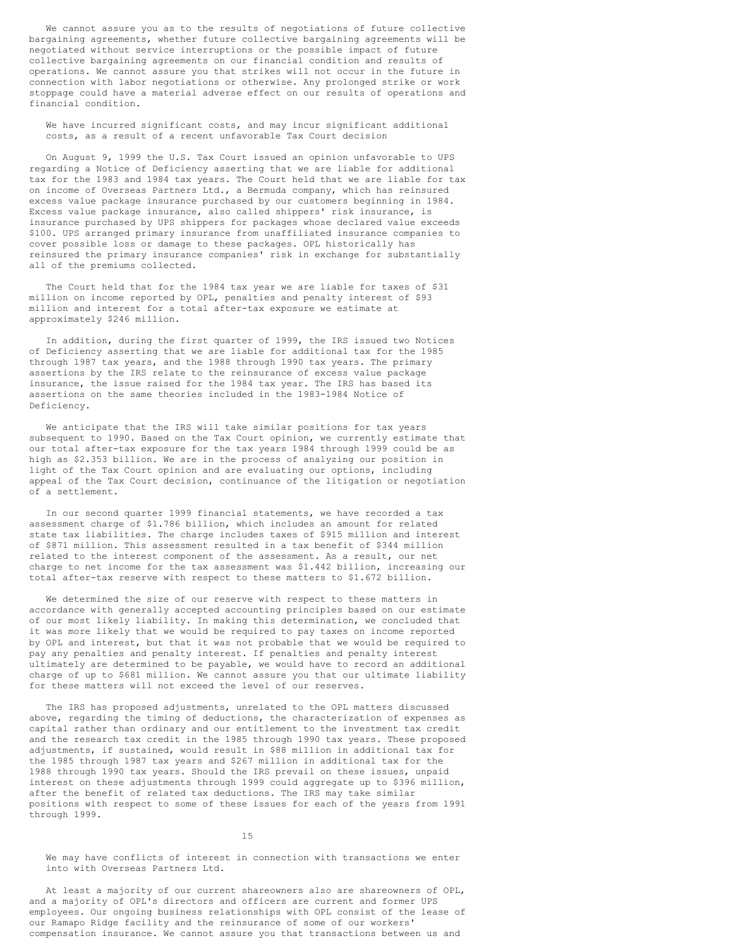We cannot assure you as to the results of negotiations of future collective bargaining agreements, whether future collective bargaining agreements will be negotiated without service interruptions or the possible impact of future collective bargaining agreements on our financial condition and results of operations. We cannot assure you that strikes will not occur in the future in connection with labor negotiations or otherwise. Any prolonged strike or work stoppage could have a material adverse effect on our results of operations and financial condition.

We have incurred significant costs, and may incur significant additional costs, as a result of a recent unfavorable Tax Court decision

On August 9, 1999 the U.S. Tax Court issued an opinion unfavorable to UPS regarding a Notice of Deficiency asserting that we are liable for additional tax for the 1983 and 1984 tax years. The Court held that we are liable for tax on income of Overseas Partners Ltd., a Bermuda company, which has reinsured excess value package insurance purchased by our customers beginning in 1984. Excess value package insurance, also called shippers' risk insurance, is insurance purchased by UPS shippers for packages whose declared value exceeds \$100. UPS arranged primary insurance from unaffiliated insurance companies to cover possible loss or damage to these packages. OPL historically has reinsured the primary insurance companies' risk in exchange for substantially all of the premiums collected.

The Court held that for the 1984 tax year we are liable for taxes of \$31 million on income reported by OPL, penalties and penalty interest of \$93 million and interest for a total after-tax exposure we estimate at approximately \$246 million.

In addition, during the first quarter of 1999, the IRS issued two Notices of Deficiency asserting that we are liable for additional tax for the 1985 through 1987 tax years, and the 1988 through 1990 tax years. The primary assertions by the IRS relate to the reinsurance of excess value package insurance, the issue raised for the 1984 tax year. The IRS has based its assertions on the same theories included in the 1983-1984 Notice of Deficiency.

We anticipate that the IRS will take similar positions for tax years subsequent to 1990. Based on the Tax Court opinion, we currently estimate that our total after-tax exposure for the tax years 1984 through 1999 could be as high as \$2.353 billion. We are in the process of analyzing our position in light of the Tax Court opinion and are evaluating our options, including appeal of the Tax Court decision, continuance of the litigation or negotiation of a settlement.

In our second quarter 1999 financial statements, we have recorded a tax assessment charge of \$1.786 billion, which includes an amount for related state tax liabilities. The charge includes taxes of \$915 million and interest of \$871 million. This assessment resulted in a tax benefit of \$344 million related to the interest component of the assessment. As a result, our net charge to net income for the tax assessment was \$1.442 billion, increasing our total after-tax reserve with respect to these matters to \$1.672 billion.

We determined the size of our reserve with respect to these matters in accordance with generally accepted accounting principles based on our estimate of our most likely liability. In making this determination, we concluded that it was more likely that we would be required to pay taxes on income reported by OPL and interest, but that it was not probable that we would be required to pay any penalties and penalty interest. If penalties and penalty interest ultimately are determined to be payable, we would have to record an additional charge of up to \$681 million. We cannot assure you that our ultimate liability for these matters will not exceed the level of our reserves.

The IRS has proposed adjustments, unrelated to the OPL matters discussed above, regarding the timing of deductions, the characterization of expenses as capital rather than ordinary and our entitlement to the investment tax credit and the research tax credit in the 1985 through 1990 tax years. These proposed adjustments, if sustained, would result in \$88 million in additional tax for the 1985 through 1987 tax years and \$267 million in additional tax for the 1988 through 1990 tax years. Should the IRS prevail on these issues, unpaid interest on these adjustments through 1999 could aggregate up to \$396 million, after the benefit of related tax deductions. The IRS may take similar positions with respect to some of these issues for each of the years from 1991 through 1999.

### 15

We may have conflicts of interest in connection with transactions we enter into with Overseas Partners Ltd.

At least a majority of our current shareowners also are shareowners of OPL, and a majority of OPL's directors and officers are current and former UPS employees. Our ongoing business relationships with OPL consist of the lease of our Ramapo Ridge facility and the reinsurance of some of our workers' compensation insurance. We cannot assure you that transactions between us and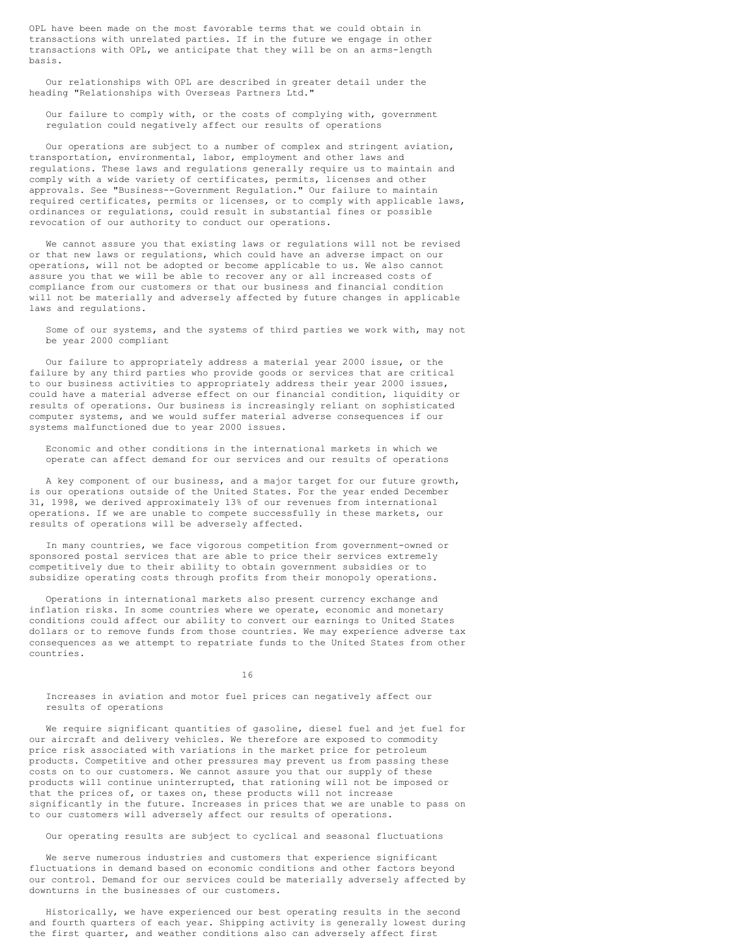OPL have been made on the most favorable terms that we could obtain in transactions with unrelated parties. If in the future we engage in other transactions with OPL, we anticipate that they will be on an arms-length basis.

Our relationships with OPL are described in greater detail under the heading "Relationships with Overseas Partners Ltd."

Our failure to comply with, or the costs of complying with, government regulation could negatively affect our results of operations

Our operations are subject to a number of complex and stringent aviation, transportation, environmental, labor, employment and other laws and regulations. These laws and regulations generally require us to maintain and comply with a wide variety of certificates, permits, licenses and other approvals. See "Business--Government Regulation." Our failure to maintain required certificates, permits or licenses, or to comply with applicable laws, ordinances or regulations, could result in substantial fines or possible revocation of our authority to conduct our operations.

We cannot assure you that existing laws or regulations will not be revised or that new laws or regulations, which could have an adverse impact on our operations, will not be adopted or become applicable to us. We also cannot assure you that we will be able to recover any or all increased costs of compliance from our customers or that our business and financial condition will not be materially and adversely affected by future changes in applicable laws and regulations.

Some of our systems, and the systems of third parties we work with, may not be year 2000 compliant

Our failure to appropriately address a material year 2000 issue, or the failure by any third parties who provide goods or services that are critical to our business activities to appropriately address their year 2000 issues, could have a material adverse effect on our financial condition, liquidity or results of operations. Our business is increasingly reliant on sophisticated computer systems, and we would suffer material adverse consequences if our systems malfunctioned due to year 2000 issues.

Economic and other conditions in the international markets in which we operate can affect demand for our services and our results of operations

A key component of our business, and a major target for our future growth, is our operations outside of the United States. For the year ended December 31, 1998, we derived approximately 13% of our revenues from international operations. If we are unable to compete successfully in these markets, our results of operations will be adversely affected.

In many countries, we face vigorous competition from government-owned or sponsored postal services that are able to price their services extremely competitively due to their ability to obtain government subsidies or to subsidize operating costs through profits from their monopoly operations.

Operations in international markets also present currency exchange and inflation risks. In some countries where we operate, economic and monetary conditions could affect our ability to convert our earnings to United States dollars or to remove funds from those countries. We may experience adverse tax consequences as we attempt to repatriate funds to the United States from other countries.

16

Increases in aviation and motor fuel prices can negatively affect our results of operations

We require significant quantities of gasoline, diesel fuel and jet fuel for our aircraft and delivery vehicles. We therefore are exposed to commodity price risk associated with variations in the market price for petroleum products. Competitive and other pressures may prevent us from passing these costs on to our customers. We cannot assure you that our supply of these products will continue uninterrupted, that rationing will not be imposed or that the prices of, or taxes on, these products will not increase significantly in the future. Increases in prices that we are unable to pass on to our customers will adversely affect our results of operations.

Our operating results are subject to cyclical and seasonal fluctuations

We serve numerous industries and customers that experience significant fluctuations in demand based on economic conditions and other factors beyond our control. Demand for our services could be materially adversely affected by downturns in the businesses of our customers.

Historically, we have experienced our best operating results in the second and fourth quarters of each year. Shipping activity is generally lowest during the first quarter, and weather conditions also can adversely affect first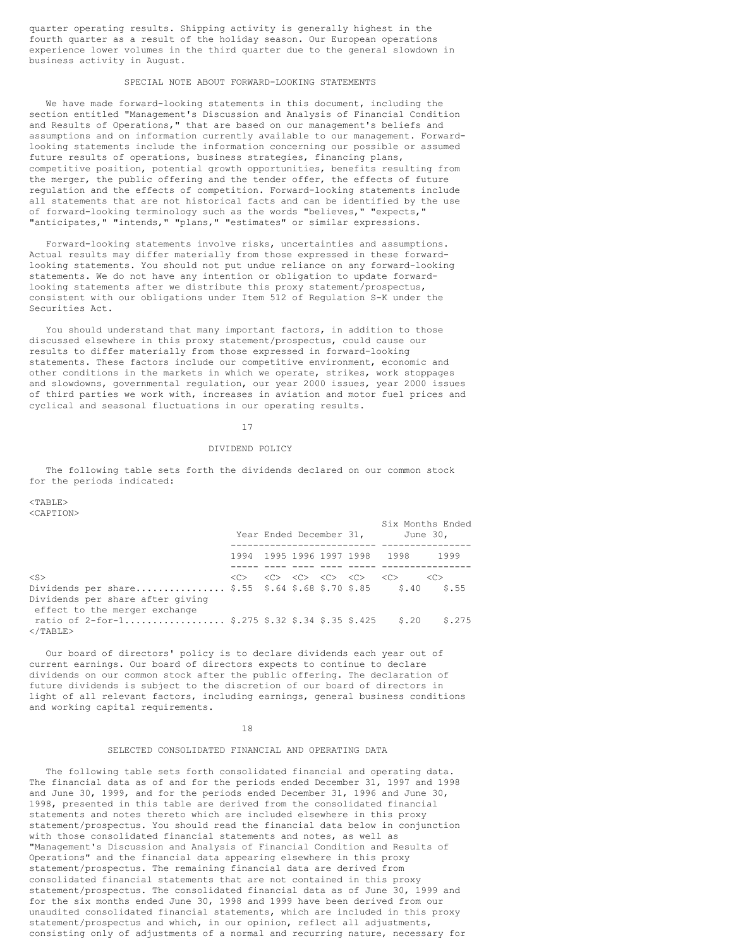quarter operating results. Shipping activity is generally highest in the fourth quarter as a result of the holiday season. Our European operations experience lower volumes in the third quarter due to the general slowdown in business activity in August.

### SPECIAL NOTE ABOUT FORWARD-LOOKING STATEMENTS

We have made forward-looking statements in this document, including the section entitled "Management's Discussion and Analysis of Financial Condition and Results of Operations," that are based on our management's beliefs and assumptions and on information currently available to our management. Forwardlooking statements include the information concerning our possible or assumed future results of operations, business strategies, financing plans, competitive position, potential growth opportunities, benefits resulting from the merger, the public offering and the tender offer, the effects of future regulation and the effects of competition. Forward-looking statements include all statements that are not historical facts and can be identified by the use of forward-looking terminology such as the words "believes," "expects," "anticipates," "intends," "plans," "estimates" or similar expressions.

Forward-looking statements involve risks, uncertainties and assumptions. Actual results may differ materially from those expressed in these forwardlooking statements. You should not put undue reliance on any forward-looking statements. We do not have any intention or obligation to update forwardlooking statements after we distribute this proxy statement/prospectus, consistent with our obligations under Item 512 of Regulation S-K under the Securities Act.

You should understand that many important factors, in addition to those discussed elsewhere in this proxy statement/prospectus, could cause our results to differ materially from those expressed in forward-looking statements. These factors include our competitive environment, economic and other conditions in the markets in which we operate, strikes, work stoppages and slowdowns, governmental regulation, our year 2000 issues, year 2000 issues of third parties we work with, increases in aviation and motor fuel prices and cyclical and seasonal fluctuations in our operating results.

### 17

#### DIVIDEND POLICY

The following table sets forth the dividends declared on our common stock for the periods indicated:

<TABLE> <CAPTION>

|                                                                                                                                        |               |  | Year Ended December 31,                                                                             |                               | Six Months Ended<br>June 30, |
|----------------------------------------------------------------------------------------------------------------------------------------|---------------|--|-----------------------------------------------------------------------------------------------------|-------------------------------|------------------------------|
|                                                                                                                                        |               |  |                                                                                                     | 1994 1995 1996 1997 1998 1998 | 1999                         |
| $<$ S><br>Dividends per share \$.55 \$.64 \$.68 \$.70 \$.85 \$.40<br>Dividends per share after giving<br>effect to the merger exchange | < <sub></sub> |  | $\langle C \rangle = \langle C \rangle = \langle C \rangle = \langle C \rangle = \langle C \rangle$ |                               | < <c><br/>\$.55</c>          |
| ratio of 2-for-1 \$.275 \$.32 \$.34 \$.35 \$.425<br>$<$ /TABLE>                                                                        |               |  |                                                                                                     | \$.20                         | \$.275                       |

Our board of directors' policy is to declare dividends each year out of current earnings. Our board of directors expects to continue to declare dividends on our common stock after the public offering. The declaration of future dividends is subject to the discretion of our board of directors in light of all relevant factors, including earnings, general business conditions and working capital requirements.

### 18

# SELECTED CONSOLIDATED FINANCIAL AND OPERATING DATA

The following table sets forth consolidated financial and operating data. The financial data as of and for the periods ended December 31, 1997 and 1998 and June 30, 1999, and for the periods ended December 31, 1996 and June 30, 1998, presented in this table are derived from the consolidated financial statements and notes thereto which are included elsewhere in this proxy statement/prospectus. You should read the financial data below in conjunction with those consolidated financial statements and notes, as well as "Management's Discussion and Analysis of Financial Condition and Results of Operations" and the financial data appearing elsewhere in this proxy statement/prospectus. The remaining financial data are derived from consolidated financial statements that are not contained in this proxy statement/prospectus. The consolidated financial data as of June 30, 1999 and for the six months ended June 30, 1998 and 1999 have been derived from our unaudited consolidated financial statements, which are included in this proxy statement/prospectus and which, in our opinion, reflect all adjustments, consisting only of adjustments of a normal and recurring nature, necessary for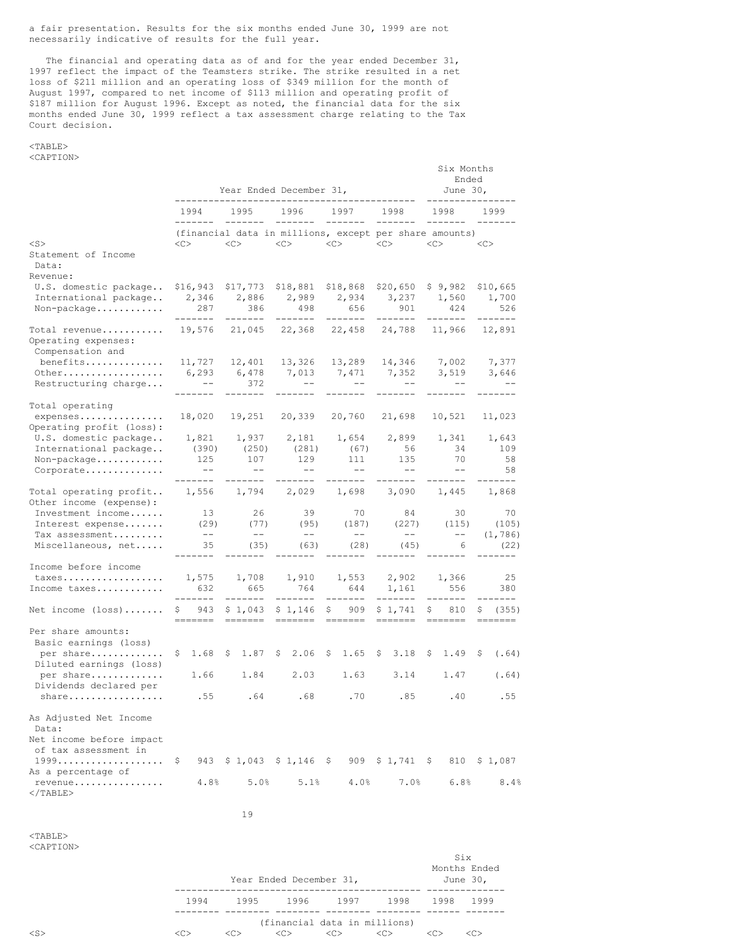a fair presentation. Results for the six months ended June 30, 1999 are not necessarily indicative of results for the full year.

The financial and operating data as of and for the year ended December 31, 1997 reflect the impact of the Teamsters strike. The strike resulted in a net loss of \$211 million and an operating loss of \$349 million for the month of August 1997, compared to net income of \$113 million and operating profit of \$187 million for August 1996. Except as noted, the financial data for the six months ended June 30, 1999 reflect a tax assessment charge relating to the Tax Court decision.

### <TABLE> <CAPTION>

|                                                                                            | Year Ended December 31,<br>------------------------------ |                                                               |                     |               |              |                              |     |                                                                                                                                                                                                                                                                                                                                                                                                                                                                                                                           | Six Months<br>Ended<br>June $301$ |  |                                                 |     |                          |
|--------------------------------------------------------------------------------------------|-----------------------------------------------------------|---------------------------------------------------------------|---------------------|---------------|--------------|------------------------------|-----|---------------------------------------------------------------------------------------------------------------------------------------------------------------------------------------------------------------------------------------------------------------------------------------------------------------------------------------------------------------------------------------------------------------------------------------------------------------------------------------------------------------------------|-----------------------------------|--|-------------------------------------------------|-----|--------------------------|
|                                                                                            |                                                           | 1994                                                          | 1995                |               |              | 1996 —                       |     | 1997                                                                                                                                                                                                                                                                                                                                                                                                                                                                                                                      | 1998                              |  | 1998                                            |     | 1999                     |
| $<$ S $>$                                                                                  |                                                           | (financial data in millions, except per share amounts)<br><<> | $<<$ $>$            |               |              |                              |     | $\langle C \rangle$ $\langle C \rangle$ $\langle C \rangle$                                                                                                                                                                                                                                                                                                                                                                                                                                                               |                                   |  | $<<$ $>$                                        | <<> |                          |
| Statement of Income<br>Data:                                                               |                                                           |                                                               |                     |               |              |                              |     |                                                                                                                                                                                                                                                                                                                                                                                                                                                                                                                           |                                   |  |                                                 |     |                          |
| Revenue:                                                                                   |                                                           |                                                               |                     |               |              |                              |     |                                                                                                                                                                                                                                                                                                                                                                                                                                                                                                                           |                                   |  |                                                 |     |                          |
| U.S. domestic package                                                                      |                                                           | \$16,943                                                      | \$17,773            |               |              | \$18,881                     |     | $$18,868$ $$20,650$                                                                                                                                                                                                                                                                                                                                                                                                                                                                                                       |                                   |  | \$9,982                                         |     | \$10,665                 |
| International package<br>Non-package                                                       |                                                           | 2,346<br>287                                                  | 2,886               | 386           |              | 498                          |     | 2,989 2,934 3,237<br>656                                                                                                                                                                                                                                                                                                                                                                                                                                                                                                  | 901                               |  | 1,560<br>424                                    |     | 1,700<br>526             |
| Total revenue<br>Operating expenses:<br>Compensation and                                   |                                                           | --------<br>19,576 21,045                                     | --------            |               |              | --------<br>22,368           |     | -------<br>22,458 24,788                                                                                                                                                                                                                                                                                                                                                                                                                                                                                                  | --------                          |  | --------<br>11,966                              |     | -------<br>12,891        |
| benefits                                                                                   |                                                           | 11,727                                                        | 12,401              |               |              | 13,326                       |     |                                                                                                                                                                                                                                                                                                                                                                                                                                                                                                                           |                                   |  | 13,289 14,346 7,002                             |     | 7,377                    |
| Other<br>Restructuring charge                                                              |                                                           | 6,293<br>$- -$                                                | 6,478<br>. <u>.</u> | 372           |              | $\sim$ $-$                   |     | 7,013 7,471<br>$\sim$ $-$                                                                                                                                                                                                                                                                                                                                                                                                                                                                                                 | 7,352<br>$--$                     |  | 3,519<br>$--$                                   |     | 3,646<br>$\sim$ $-$      |
| Total operating                                                                            |                                                           |                                                               |                     |               |              |                              |     |                                                                                                                                                                                                                                                                                                                                                                                                                                                                                                                           |                                   |  |                                                 |     |                          |
| expenses<br>Operating profit (loss):                                                       |                                                           | 18,020                                                        | 19,251              |               |              | 20,339                       |     | 20,760                                                                                                                                                                                                                                                                                                                                                                                                                                                                                                                    | 21,698                            |  | 10,521                                          |     | 11,023                   |
| U.S. domestic package                                                                      |                                                           | 1,821                                                         | 1,937               |               |              | 2,181                        |     | 1,654                                                                                                                                                                                                                                                                                                                                                                                                                                                                                                                     | 2,899                             |  | 1,341                                           |     | 1,643                    |
| International package                                                                      |                                                           | (390)                                                         |                     | (250)         |              | (281)                        |     | (67)                                                                                                                                                                                                                                                                                                                                                                                                                                                                                                                      | 56                                |  | 34                                              |     | 109                      |
| Non-package<br>Corporate                                                                   |                                                           | 125<br>$- -$                                                  |                     | 107<br>$--$   |              | 129<br>$--$                  |     | 111<br>$--$                                                                                                                                                                                                                                                                                                                                                                                                                                                                                                               | 135<br>$--$                       |  | 70<br>$--$                                      |     | 58<br>58                 |
| Total operating profit<br>Other income (expense):<br>Investment income<br>Interest expense |                                                           | .<br>1,556                                                    | --------<br>1,794   |               |              | --------<br>2,029            |     | -------<br>1,698                                                                                                                                                                                                                                                                                                                                                                                                                                                                                                          | $- - - - - - -$<br>3,090          |  | --------<br>1,445                               |     | $- - - - - - -$<br>1,868 |
|                                                                                            |                                                           | 13                                                            |                     | 26            |              | 39                           |     | 70                                                                                                                                                                                                                                                                                                                                                                                                                                                                                                                        | 84                                |  | 30                                              |     | 70                       |
|                                                                                            |                                                           | (29)                                                          |                     | (77)          |              | (95)                         |     | (187)                                                                                                                                                                                                                                                                                                                                                                                                                                                                                                                     | (227)                             |  | (115)                                           |     | (105)                    |
| Tax assessment<br>Miscellaneous, net                                                       |                                                           | $--$<br>35                                                    |                     | $- -$<br>(35) |              | $--$<br>(63)                 |     | $--$<br>(28)                                                                                                                                                                                                                                                                                                                                                                                                                                                                                                              | $--$<br>(45)                      |  | $--$<br>6                                       |     | (1, 786)<br>(22)         |
|                                                                                            |                                                           | ------                                                        |                     |               |              |                              |     |                                                                                                                                                                                                                                                                                                                                                                                                                                                                                                                           | ------                            |  | --------                                        |     |                          |
| Income before income                                                                       |                                                           |                                                               |                     |               |              |                              |     |                                                                                                                                                                                                                                                                                                                                                                                                                                                                                                                           |                                   |  |                                                 |     |                          |
| taxes<br>Income taxes                                                                      |                                                           | 1,575<br>632<br>--------                                      | 1,708<br>-------    | 665           |              | 1,910<br>764<br>-------      |     | 1,553<br>644<br>-------                                                                                                                                                                                                                                                                                                                                                                                                                                                                                                   | 2,902 1,366<br>1,161<br>--------  |  | 556<br>--------                                 |     | 25<br>380<br>-------     |
| Net income $(\text{loss}) \dots \dots$                                                     |                                                           | S<br>943<br>=======                                           | =======             |               |              | $$1,043$ $$1,146$<br>======= |     | \$<br>$\begin{tabular}{ll} \multicolumn{3}{l}{{\color{blue}\textbf{1}}}\\ \multicolumn{3}{l}{\color{blue}\textbf{2}}\\ \multicolumn{3}{l}{\color{blue}\textbf{2}}\\ \multicolumn{3}{l}{\color{blue}\textbf{3}}\\ \multicolumn{3}{l}{\color{blue}\textbf{4}}\\ \multicolumn{3}{l}{\color{blue}\textbf{4}}\\ \multicolumn{3}{l}{\color{blue}\textbf{5}}\\ \multicolumn{3}{l}{\color{blue}\textbf{5}}\\ \multicolumn{3}{l}{\color{blue}\textbf{5}}\\ \multicolumn{3}{l}{\color{blue}\textbf{6}}\\ \multicolumn{3}{l}{\color$ | $909 \div 1,741 \div$<br>=======  |  | 810<br><b>CONCORD</b>                           | \$  | (355)                    |
| Per share amounts:<br>Basic earnings (loss)                                                |                                                           |                                                               |                     |               |              |                              |     |                                                                                                                                                                                                                                                                                                                                                                                                                                                                                                                           |                                   |  |                                                 |     |                          |
| per share<br>Diluted earnings (loss)                                                       |                                                           | $$1.68$ \$                                                    |                     | 1.87          | $\mathsf{S}$ | 2.06                         | - Ş | $1.65$ \$                                                                                                                                                                                                                                                                                                                                                                                                                                                                                                                 | $3.18 \pm 5$                      |  | 1.49                                            | -Ş  | (.64)                    |
| per share<br>Dividends declared per                                                        |                                                           | 1.66                                                          |                     | 1.84          |              | 2.03                         |     | 1.63                                                                                                                                                                                                                                                                                                                                                                                                                                                                                                                      | 3.14                              |  | 1.47                                            |     | (.64)                    |
| share                                                                                      |                                                           | .55                                                           | .64                 |               |              | .68                          |     | .70                                                                                                                                                                                                                                                                                                                                                                                                                                                                                                                       | .85                               |  | .40                                             |     | .55                      |
| As Adjusted Net Income<br>Data:                                                            |                                                           |                                                               |                     |               |              |                              |     |                                                                                                                                                                                                                                                                                                                                                                                                                                                                                                                           |                                   |  |                                                 |     |                          |
| Net income before impact<br>of tax assessment in                                           |                                                           |                                                               |                     |               |              |                              |     |                                                                                                                                                                                                                                                                                                                                                                                                                                                                                                                           |                                   |  |                                                 |     |                          |
| As a percentage of                                                                         | Ş.                                                        |                                                               |                     |               |              |                              |     |                                                                                                                                                                                                                                                                                                                                                                                                                                                                                                                           |                                   |  | 943 \$1,043 \$1,146 \$909 \$1,741 \$810 \$1,087 |     |                          |
| revenue<br>$<$ /TABLE>                                                                     |                                                           | 4.8%                                                          |                     |               | 5.0%         | 5.1%                         |     | 4.0%                                                                                                                                                                                                                                                                                                                                                                                                                                                                                                                      | 7.0%                              |  | 6.8%                                            |     | 8.4%                     |
|                                                                                            |                                                           |                                                               | 19                  |               |              |                              |     |                                                                                                                                                                                                                                                                                                                                                                                                                                                                                                                           |                                   |  |                                                 |     |                          |
| $<$ TABLE>                                                                                 |                                                           |                                                               |                     |               |              |                              |     |                                                                                                                                                                                                                                                                                                                                                                                                                                                                                                                           |                                   |  |                                                 |     |                          |

<CAPTION>

| .       |         |      | Year Ended December 31,            |               |      |      | Six<br>Months Ended<br>June 30, |  |
|---------|---------|------|------------------------------------|---------------|------|------|---------------------------------|--|
|         | 1994    | 1995 | 1996 - 1996                        | 1997          | 1998 | 1998 | 1999                            |  |
| <s></s> | <c></c> |      | (financial data in millions)<br><< | < <sub></sub> |      |      |                                 |  |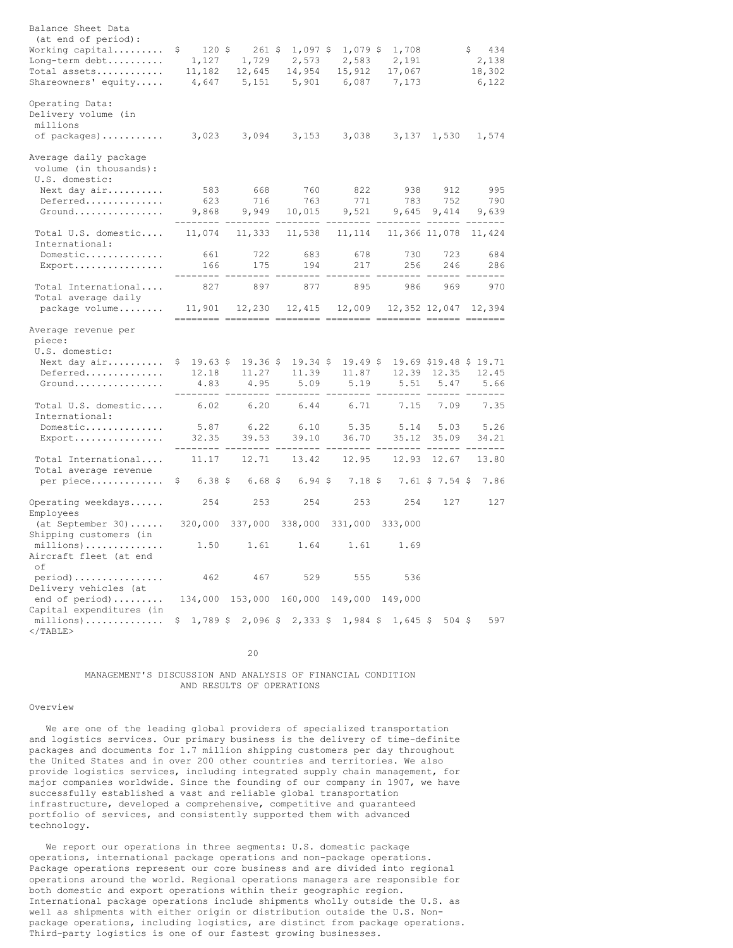| Balance Sheet Data<br>(at end of period):          |                              |                                                    |           |                         |                   |                     |                       |
|----------------------------------------------------|------------------------------|----------------------------------------------------|-----------|-------------------------|-------------------|---------------------|-----------------------|
| Working capital<br>Long-term debt                  | \$<br>1,127                  | $120 \div 261 \div 1,097 \div 1,079 \div$<br>1,729 | 2,573     | 2,583                   | 1,708<br>2,191    |                     | 434<br>S.<br>2,138    |
| Total assets                                       | 11,182                       | 12,645                                             | 14,954    | 15,912                  | 17,067            |                     | 18,302                |
| Shareowners' equity                                | 4,647                        | 5,151                                              | 5,901     | 6,087                   | 7,173             |                     | 6,122                 |
| Operating Data:<br>Delivery volume (in<br>millions |                              |                                                    |           |                         |                   |                     |                       |
| of packages)                                       | 3,023                        | 3,094                                              | 3,153     | 3,038                   | 3,137             | 1,530               | 1,574                 |
| Average daily package<br>volume (in thousands):    |                              |                                                    |           |                         |                   |                     |                       |
| U.S. domestic:                                     |                              |                                                    |           |                         |                   |                     |                       |
| Next day air                                       | 583                          | 668                                                | 760       | 822                     | 938               | 912                 | 995                   |
| Deferred<br>Ground                                 | 623                          | 716                                                | 763       | 771                     | 783<br>9,645      | 752<br>9,414        | 790<br>9,639          |
|                                                    | 9,868<br>---------           | 9,949                                              | 10,015    | 9,521<br>------         |                   | -------             | -------               |
| Total U.S. domestic<br>International:              | 11,074                       | 11,333                                             | 11,538    | 11,114                  |                   | 11,366 11,078       | 11,424                |
| Domestic                                           | 661                          | 722                                                | 683       | 678                     | 730               | 723                 | 684                   |
| Export                                             | 166                          | 175                                                | 194       | 217                     | 256               | 246                 | 286                   |
| Total International<br>Total average daily         | 827                          | 897                                                | 877       | 895                     | 986               | 969                 | 970                   |
| package volume                                     | 11,901                       | 12,230                                             | 12,415    | 12,009                  |                   |                     | 12,352 12,047 12,394  |
| Average revenue per<br>piece:<br>U.S. domestic:    |                              |                                                    |           |                         |                   |                     |                       |
| Next day air                                       | $$19.63$ \$                  | $19.36$ \$                                         |           | $19.34 \div 19.49 \div$ |                   |                     | 19.69 \$19.48 \$19.71 |
| Deferred                                           | 12.18                        | 11.27                                              | 11.39     | 11.87                   | 12.39             | 12.35               | 12.45                 |
| Ground                                             | 4.83<br>--------             | 4.95<br>----                                       | 5.09      | 5.19                    | 5.51<br>$- - - -$ | 5.47                | 5.66<br>------        |
| Total U.S. domestic<br>International:              | 6.02                         | 6.20                                               | 6.44      | 6.71                    | 7.15              | 7.09                | 7.35                  |
| Domestic                                           | 5.87                         | 6.22                                               | 6.10      | 5.35                    | 5.14              | 5.03                | 5.26                  |
| Export                                             | 32.35                        | 39.53                                              | 39.10     | 36.70                   | 35.12             | 35.09               | 34.21                 |
| Total International<br>Total average revenue       | 11.17                        | 12.71                                              | 13.42     | 12.95                   | 12.93             | 12.67               | 13.80                 |
| per piece                                          | $6.38 \;$ \$<br>$\mathsf{S}$ | 6.68S                                              | $6.94$ \$ | 7.18S                   |                   | $7.61$ \$ $7.54$ \$ | 7.86                  |
| Operating weekdays<br>Employees                    | 254                          | 253                                                | 254       | 253                     | 254               | 127                 | 127                   |
| $(at September 30)$<br>Shipping customers (in      | 320,000                      | 337,000                                            | 338,000   | 331,000                 | 333,000           |                     |                       |
| $millions)$<br>Aircraft fleet (at end<br>of        | 1.50                         | 1.61                                               | 1.64      | 1.61                    | 1.69              |                     |                       |
| $period)$<br>Delivery vehicles (at                 | 462                          | 467                                                | 529       | 555                     | 536               |                     |                       |
| end of period)<br>Capital expenditures (in         |                              | 134,000 153,000 160,000 149,000 149,000            |           |                         |                   |                     |                       |
| millions)<br>$<$ /TABLE>                           |                              | $$1,789$ \$ 2,096 \$ 2,333 \$ 1,984 \$ 1,645 \$    |           |                         |                   | 504S                | 597                   |

 $20$ 

# MANAGEMENT'S DISCUSSION AND ANALYSIS OF FINANCIAL CONDITION AND RESULTS OF OPERATIONS

### Overview

We are one of the leading global providers of specialized transportation and logistics services. Our primary business is the delivery of time-definite packages and documents for 1.7 million shipping customers per day throughout the United States and in over 200 other countries and territories. We also provide logistics services, including integrated supply chain management, for major companies worldwide. Since the founding of our company in 1907, we have successfully established a vast and reliable global transportation infrastructure, developed a comprehensive, competitive and guaranteed portfolio of services, and consistently supported them with advanced technology.

We report our operations in three segments: U.S. domestic package operations, international package operations and non-package operations. Package operations represent our core business and are divided into regional operations around the world. Regional operations managers are responsible for both domestic and export operations within their geographic region. International package operations include shipments wholly outside the U.S. as well as shipments with either origin or distribution outside the U.S. Nonpackage operations, including logistics, are distinct from package operations. Third-party logistics is one of our fastest growing businesses.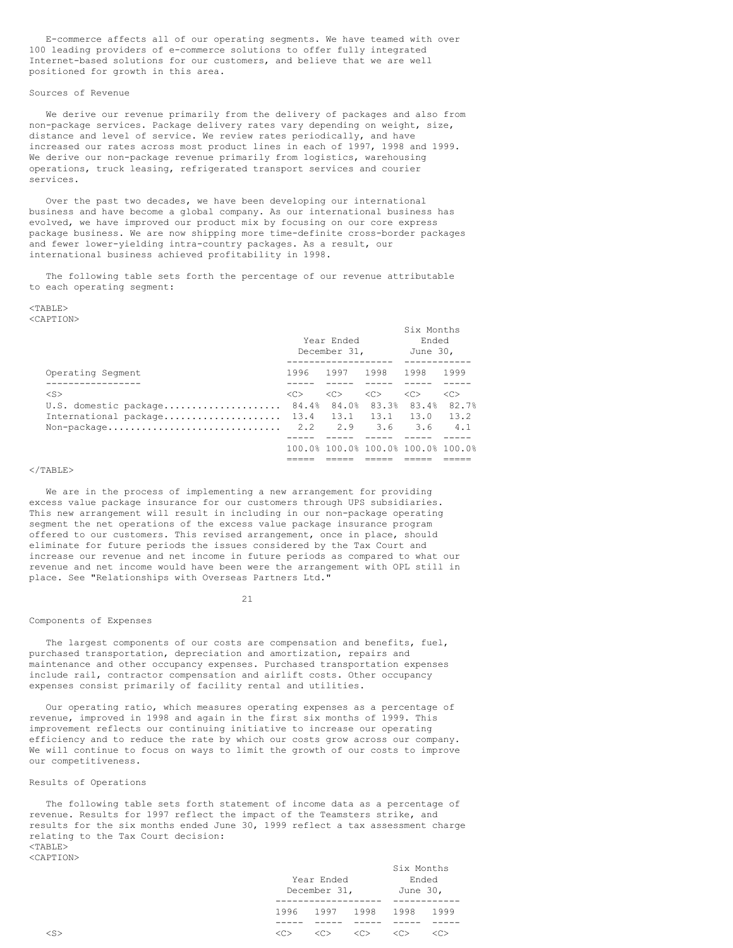E-commerce affects all of our operating segments. We have teamed with over 100 leading providers of e-commerce solutions to offer fully integrated Internet-based solutions for our customers, and believe that we are well positioned for growth in this area.

### Sources of Revenue

We derive our revenue primarily from the delivery of packages and also from non-package services. Package delivery rates vary depending on weight, size, distance and level of service. We review rates periodically, and have increased our rates across most product lines in each of 1997, 1998 and 1999. We derive our non-package revenue primarily from logistics, warehousing operations, truck leasing, refrigerated transport services and courier services.

Over the past two decades, we have been developing our international business and have become a global company. As our international business has evolved, we have improved our product mix by focusing on our core express package business. We are now shipping more time-definite cross-border packages and fewer lower-yielding intra-country packages. As a result, our international business achieved profitability in 1998.

The following table sets forth the percentage of our revenue attributable to each operating segment:

### $<$ TABLE>

<CAPTION>

|                       |                | Year Ended<br>December 31.         | Six Months<br>Ended<br>June 30. |               |               |  |
|-----------------------|----------------|------------------------------------|---------------------------------|---------------|---------------|--|
| Operating Segment     |                | 1996 1997 1998                     |                                 | 1998          | 1999          |  |
|                       |                |                                    |                                 |               |               |  |
| $<$ S>                | $<<$ $\supset$ | $<<$ $>$                           | $<<$ $>>$                       | < <sub></sub> | < <sub></sub> |  |
| U.S. domestic package |                | 84.4% 84.0% 83.3% 83.4%            |                                 |               | 82.7%         |  |
| International package |                | $13.4$ $13.1$ $13.1$ $13.0$        |                                 |               | 13.2          |  |
| Non-package           |                | 2.2 2.9                            | 3.6                             | 3.6           | 4.1           |  |
|                       |                |                                    |                                 |               |               |  |
|                       |                | 100.0% 100.0% 100.0% 100.0% 100.0% |                                 |               |               |  |
|                       |                |                                    |                                 |               |               |  |

### $<$ /TABLE>

We are in the process of implementing a new arrangement for providing excess value package insurance for our customers through UPS subsidiaries. This new arrangement will result in including in our non-package operating segment the net operations of the excess value package insurance program offered to our customers. This revised arrangement, once in place, should eliminate for future periods the issues considered by the Tax Court and increase our revenue and net income in future periods as compared to what our revenue and net income would have been were the arrangement with OPL still in place. See "Relationships with Overseas Partners Ltd."

#### 21

#### Components of Expenses

The largest components of our costs are compensation and benefits, fuel, purchased transportation, depreciation and amortization, repairs and maintenance and other occupancy expenses. Purchased transportation expenses include rail, contractor compensation and airlift costs. Other occupancy expenses consist primarily of facility rental and utilities.

Our operating ratio, which measures operating expenses as a percentage of revenue, improved in 1998 and again in the first six months of 1999. This improvement reflects our continuing initiative to increase our operating efficiency and to reduce the rate by which our costs grow across our company. We will continue to focus on ways to limit the growth of our costs to improve our competitiveness.

### Results of Operations

The following table sets forth statement of income data as a percentage of revenue. Results for 1997 reflect the impact of the Teamsters strike, and results for the six months ended June 30, 1999 reflect a tax assessment charge relating to the Tax Court decision:  $<$ TABLE> <CAPTION>

| Year Ended<br>December 31, |                     |
|----------------------------|---------------------|
|                            |                     |
| 1997 1998                  | 1996 -              |
|                            |                     |
|                            | $\langle C \rangle$ |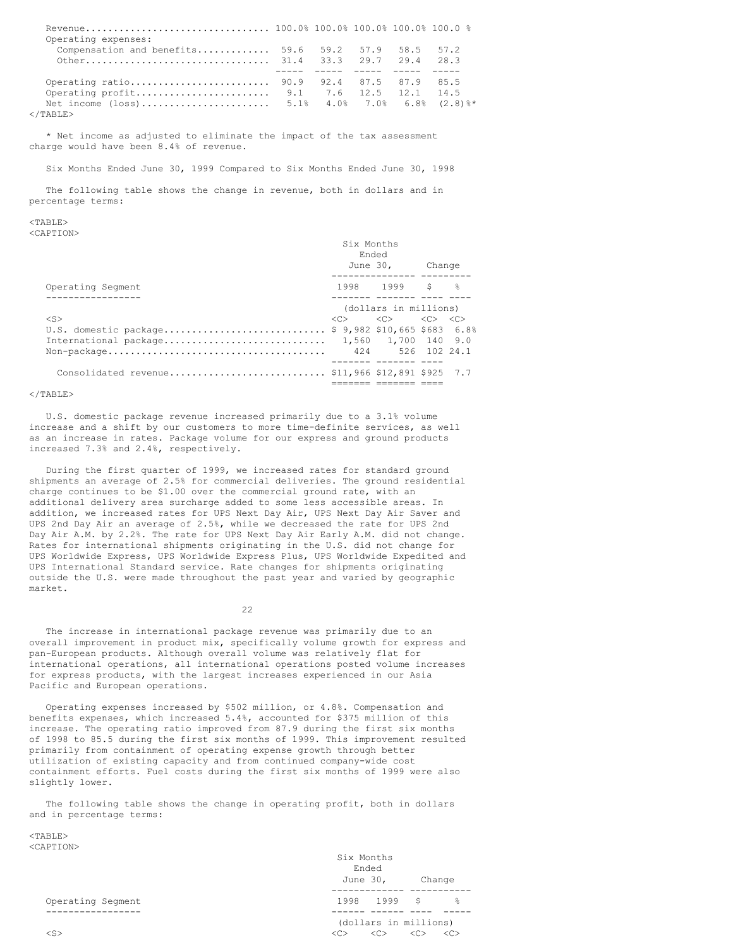| Operating expenses:                                   |  |  |      |
|-------------------------------------------------------|--|--|------|
| Compensation and benefits $59.6$ $59.2$ $57.9$ $58.5$ |  |  | 57.2 |
|                                                       |  |  |      |
|                                                       |  |  |      |
|                                                       |  |  |      |
|                                                       |  |  |      |
|                                                       |  |  |      |
|                                                       |  |  |      |

  |  |  |\* Net income as adjusted to eliminate the impact of the tax assessment charge would have been 8.4% of revenue.

Six Months Ended June 30, 1999 Compared to Six Months Ended June 30, 1998

The following table shows the change in revenue, both in dollars and in percentage terms:

# $<$ TABLE>

<CAPTION>

|                                                    | SIX MONTHS<br>Ended | June 30, Change                                                                 |  |  |
|----------------------------------------------------|---------------------|---------------------------------------------------------------------------------|--|--|
| Operating Segment                                  |                     | -------------- --------<br>1998 1999 \$ ≩                                       |  |  |
|                                                    |                     |                                                                                 |  |  |
|                                                    |                     | (dollars in millions)                                                           |  |  |
| $<$ S>                                             |                     | $\langle C \rangle$ $\langle C \rangle$ $\langle C \rangle$ $\langle C \rangle$ |  |  |
| U.S. domestic package \$ 9,982 \$10,665 \$683 6.8% |                     |                                                                                 |  |  |
| International package 1,560 1,700 140 9.0          |                     |                                                                                 |  |  |
|                                                    |                     |                                                                                 |  |  |
|                                                    |                     |                                                                                 |  |  |
| Consolidated revenue \$11,966 \$12,891 \$925 7.7   |                     |                                                                                 |  |  |
|                                                    |                     |                                                                                 |  |  |

Six Months

### $<$ /TABLE>

U.S. domestic package revenue increased primarily due to a 3.1% volume increase and a shift by our customers to more time-definite services, as well as an increase in rates. Package volume for our express and ground products increased 7.3% and 2.4%, respectively.

During the first quarter of 1999, we increased rates for standard ground shipments an average of 2.5% for commercial deliveries. The ground residential charge continues to be \$1.00 over the commercial ground rate, with an additional delivery area surcharge added to some less accessible areas. In addition, we increased rates for UPS Next Day Air, UPS Next Day Air Saver and UPS 2nd Day Air an average of 2.5%, while we decreased the rate for UPS 2nd Day Air A.M. by 2.2%. The rate for UPS Next Day Air Early A.M. did not change. Rates for international shipments originating in the U.S. did not change for UPS Worldwide Express, UPS Worldwide Express Plus, UPS Worldwide Expedited and UPS International Standard service. Rate changes for shipments originating outside the U.S. were made throughout the past year and varied by geographic market.

22

The increase in international package revenue was primarily due to an overall improvement in product mix, specifically volume growth for express and pan-European products. Although overall volume was relatively flat for international operations, all international operations posted volume increases for express products, with the largest increases experienced in our Asia Pacific and European operations.

Operating expenses increased by \$502 million, or 4.8%. Compensation and benefits expenses, which increased 5.4%, accounted for \$375 million of this increase. The operating ratio improved from 87.9 during the first six months of 1998 to 85.5 during the first six months of 1999. This improvement resulted primarily from containment of operating expense growth through better utilization of existing capacity and from continued company-wide cost containment efforts. Fuel costs during the first six months of 1999 were also slightly lower.

The following table shows the change in operating profit, both in dollars and in percentage terms:

 $<$ TABLE> <CAPTION>

|                   | Six Months<br>Ended                                                       |
|-------------------|---------------------------------------------------------------------------|
|                   | June 30,<br>Change                                                        |
| Operating Segment | 1998 1999 \$<br>- 옹                                                       |
|                   | (dollars in millions)                                                     |
| $<$ S>            | < <sub><br/>&lt;<sub><br/>&lt;<sub><br/>&lt;<sub></sub></sub></sub></sub> |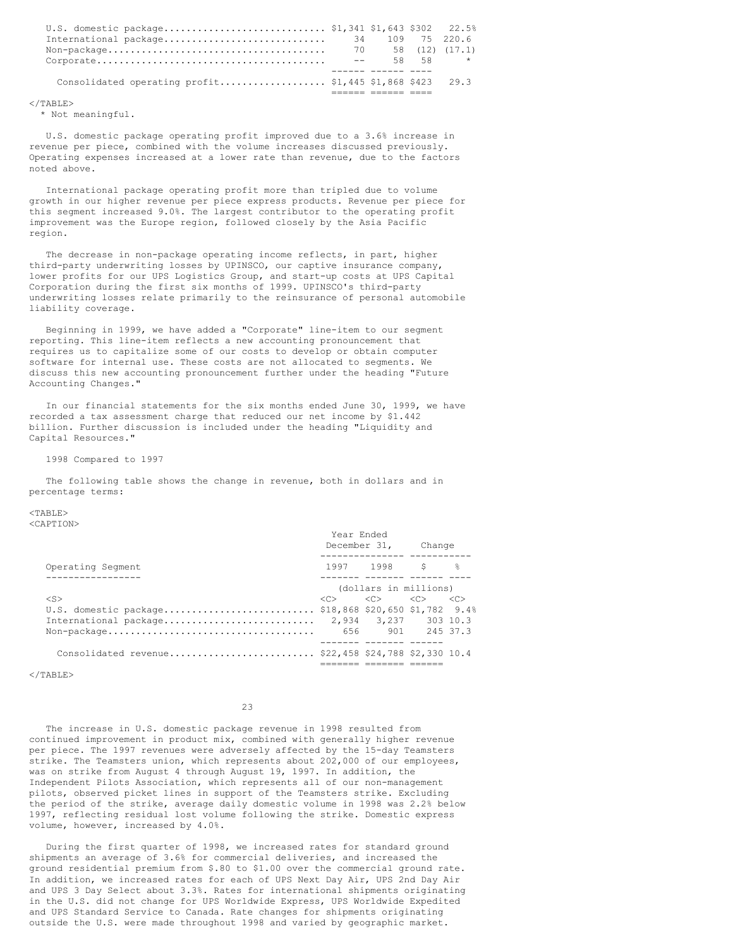| U.S. domestic package \$1,341 \$1,643 \$302 22.5%        |      |  |                     |
|----------------------------------------------------------|------|--|---------------------|
| International package 34 109 75 220.6                    |      |  |                     |
|                                                          |      |  |                     |
|                                                          | $ -$ |  | $58 \t 58 \t \star$ |
|                                                          |      |  |                     |
| Consolidated operating profit \$1,445 \$1,868 \$423 29.3 |      |  |                     |
|                                                          |      |  |                     |

 $<$ /TABLE>

\* Not meaningful.

U.S. domestic package operating profit improved due to a 3.6% increase in revenue per piece, combined with the volume increases discussed previously. Operating expenses increased at a lower rate than revenue, due to the factors noted above.

International package operating profit more than tripled due to volume growth in our higher revenue per piece express products. Revenue per piece for this segment increased 9.0%. The largest contributor to the operating profit improvement was the Europe region, followed closely by the Asia Pacific region.

The decrease in non-package operating income reflects, in part, higher third-party underwriting losses by UPINSCO, our captive insurance company, lower profits for our UPS Logistics Group, and start-up costs at UPS Capital Corporation during the first six months of 1999. UPINSCO's third-party underwriting losses relate primarily to the reinsurance of personal automobile liability coverage.

Beginning in 1999, we have added a "Corporate" line-item to our segment reporting. This line-item reflects a new accounting pronouncement that requires us to capitalize some of our costs to develop or obtain computer software for internal use. These costs are not allocated to segments. We discuss this new accounting pronouncement further under the heading "Future Accounting Changes."

In our financial statements for the six months ended June 30, 1999, we have recorded a tax assessment charge that reduced our net income by \$1.442 billion. Further discussion is included under the heading "Liquidity and Capital Resources."

1998 Compared to 1997

The following table shows the change in revenue, both in dollars and in percentage terms:

 $<$ TABLE> <CAPTION>

|                                                      | Year Ended | December 31,                                                                                   | Change |  |
|------------------------------------------------------|------------|------------------------------------------------------------------------------------------------|--------|--|
| Operating Segment                                    |            | 1997 1998 \$ %                                                                                 |        |  |
|                                                      |            |                                                                                                |        |  |
|                                                      |            | (dollars in millions)                                                                          |        |  |
| $<$ S>                                               |            | $\langle C \rangle \qquad \langle C \rangle \qquad \langle C \rangle \qquad \langle C \rangle$ |        |  |
| U.S. domestic package \$18,868 \$20,650 \$1,782 9.4% |            |                                                                                                |        |  |
| International package                                |            | 2,934 3,237 303 10.3                                                                           |        |  |
|                                                      |            | 656 901 245 37.3                                                                               |        |  |
|                                                      |            |                                                                                                |        |  |
| Consolidated revenue \$22,458 \$24,788 \$2,330 10.4  |            |                                                                                                |        |  |
|                                                      |            |                                                                                                |        |  |

 $\langle$ /TABLE>

 $23$ 

The increase in U.S. domestic package revenue in 1998 resulted from continued improvement in product mix, combined with generally higher revenue per piece. The 1997 revenues were adversely affected by the 15-day Teamsters strike. The Teamsters union, which represents about 202,000 of our employees, was on strike from August 4 through August 19, 1997. In addition, the Independent Pilots Association, which represents all of our non-management pilots, observed picket lines in support of the Teamsters strike. Excluding the period of the strike, average daily domestic volume in 1998 was 2.2% below 1997, reflecting residual lost volume following the strike. Domestic express volume, however, increased by 4.0%.

During the first quarter of 1998, we increased rates for standard ground shipments an average of 3.6% for commercial deliveries, and increased the ground residential premium from \$.80 to \$1.00 over the commercial ground rate. In addition, we increased rates for each of UPS Next Day Air, UPS 2nd Day Air and UPS 3 Day Select about 3.3%. Rates for international shipments originating in the U.S. did not change for UPS Worldwide Express, UPS Worldwide Expedited and UPS Standard Service to Canada. Rate changes for shipments originating outside the U.S. were made throughout 1998 and varied by geographic market.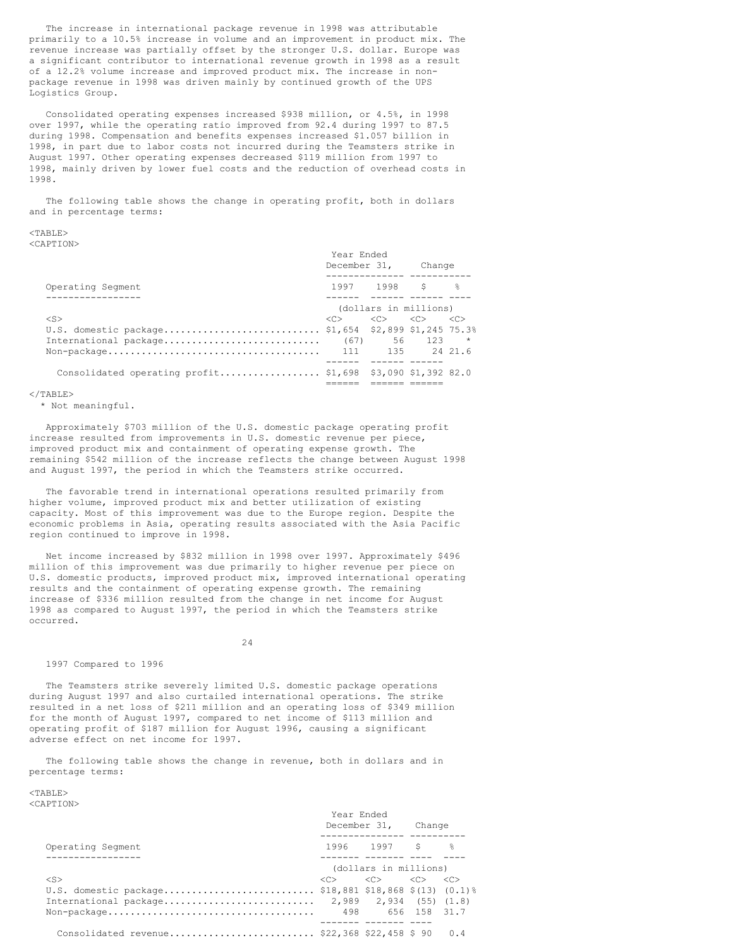The increase in international package revenue in 1998 was attributable primarily to a 10.5% increase in volume and an improvement in product mix. The revenue increase was partially offset by the stronger U.S. dollar. Europe was a significant contributor to international revenue growth in 1998 as a result of a 12.2% volume increase and improved product mix. The increase in nonpackage revenue in 1998 was driven mainly by continued growth of the UPS Logistics Group.

Consolidated operating expenses increased \$938 million, or 4.5%, in 1998 over 1997, while the operating ratio improved from 92.4 during 1997 to 87.5 during 1998. Compensation and benefits expenses increased \$1.057 billion in 1998, in part due to labor costs not incurred during the Teamsters strike in August 1997. Other operating expenses decreased \$119 million from 1997 to 1998, mainly driven by lower fuel costs and the reduction of overhead costs in 1998.

The following table shows the change in operating profit, both in dollars and in percentage terms:

### $<$ TABLE>

<CAPTION>

|                                                            | Year Ended<br>December 31, Change                                                              |                       |  |
|------------------------------------------------------------|------------------------------------------------------------------------------------------------|-----------------------|--|
| Operating Segment                                          |                                                                                                | 1997 1998 \$ %        |  |
|                                                            |                                                                                                | (dollars in millions) |  |
| $<$ S>                                                     | $\langle C \rangle \qquad \langle C \rangle \qquad \langle C \rangle \qquad \langle C \rangle$ |                       |  |
| U.S. domestic package \$1,654 \$2,899 \$1,245 75.3%        |                                                                                                |                       |  |
| International package                                      |                                                                                                | $(67)$ 56 123 *       |  |
|                                                            |                                                                                                |                       |  |
|                                                            |                                                                                                |                       |  |
| Consolidated operating profit \$1,698 \$3,090 \$1,392 82.0 |                                                                                                |                       |  |
|                                                            |                                                                                                |                       |  |

 $<$ /TABLE>

\* Not meaningful.

Approximately \$703 million of the U.S. domestic package operating profit increase resulted from improvements in U.S. domestic revenue per piece, improved product mix and containment of operating expense growth. The remaining \$542 million of the increase reflects the change between August 1998 and August 1997, the period in which the Teamsters strike occurred.

The favorable trend in international operations resulted primarily from higher volume, improved product mix and better utilization of existing capacity. Most of this improvement was due to the Europe region. Despite the economic problems in Asia, operating results associated with the Asia Pacific region continued to improve in 1998.

Net income increased by \$832 million in 1998 over 1997. Approximately \$496 million of this improvement was due primarily to higher revenue per piece on U.S. domestic products, improved product mix, improved international operating results and the containment of operating expense growth. The remaining increase of \$336 million resulted from the change in net income for August 1998 as compared to August 1997, the period in which the Teamsters strike occurred.

24

### 1997 Compared to 1996

The Teamsters strike severely limited U.S. domestic package operations during August 1997 and also curtailed international operations. The strike resulted in a net loss of \$211 million and an operating loss of \$349 million for the month of August 1997, compared to net income of \$113 million and operating profit of \$187 million for August 1996, causing a significant adverse effect on net income for 1997.

The following table shows the change in revenue, both in dollars and in percentage terms:

<TABLE> <CAPTION>

|                                                                                        | Year Ended            | December 31,                                                                    | Change |     |
|----------------------------------------------------------------------------------------|-----------------------|---------------------------------------------------------------------------------|--------|-----|
| Operating Segment                                                                      |                       | 1996 1997 \$ %                                                                  |        |     |
|                                                                                        | (dollars in millions) |                                                                                 |        |     |
| $<$ S>                                                                                 |                       | $\langle C \rangle$ $\langle C \rangle$ $\langle C \rangle$ $\langle C \rangle$ |        |     |
| U.S. domestic package \$18,881 \$18,868 \$(13) (0.1)%                                  |                       |                                                                                 |        |     |
|                                                                                        |                       |                                                                                 |        |     |
| $\text{Non-package} \dots \dots \dots \dots \dots \dots \dots \dots \dots \dots \dots$ |                       | 498 656 158 31.7                                                                |        |     |
|                                                                                        |                       |                                                                                 |        |     |
| Consolidated revenue \$22,368 \$22,458 \$ 90                                           |                       |                                                                                 |        | 0.4 |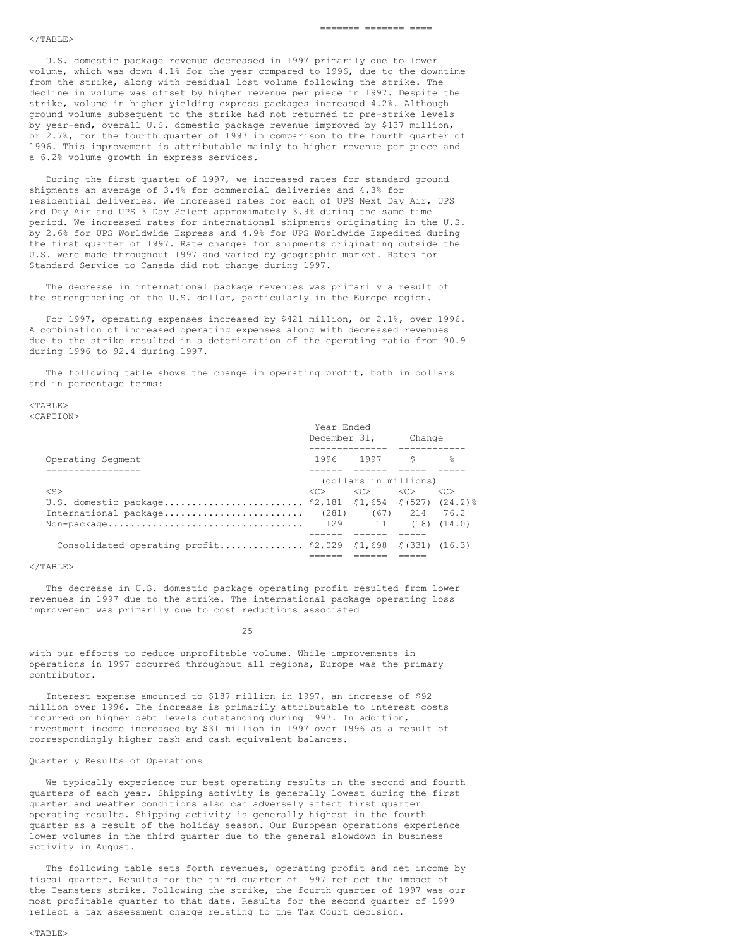#### $\langle$ /TABLE>

U.S. domestic package revenue decreased in 1997 primarily due to lower volume, which was down 4.1% for the year compared to 1996, due to the downtime from the strike, along with residual lost volume following the strike. The decline in volume was offset by higher revenue per piece in 1997. Despite the strike, volume in higher yielding express packages increased 4.2%. Although ground volume subsequent to the strike had not returned to pre-strike levels by year-end, overall U.S. domestic package revenue improved by \$137 million, or 2.7%, for the fourth quarter of 1997 in comparison to the fourth quarter of 1996. This improvement is attributable mainly to higher revenue per piece and a 6.2% volume growth in express services.

During the first quarter of 1997, we increased rates for standard ground shipments an average of 3.4% for commercial deliveries and 4.3% for residential deliveries. We increased rates for each of UPS Next Day Air, UPS 2nd Day Air and UPS 3 Day Select approximately 3.9% during the same time period. We increased rates for international shipments originating in the U.S. by 2.6% for UPS Worldwide Express and 4.9% for UPS Worldwide Expedited during the first quarter of 1997. Rate changes for shipments originating outside the U.S. were made throughout 1997 and varied by geographic market. Rates for Standard Service to Canada did not change during 1997.

The decrease in international package revenues was primarily a result of the strengthening of the U.S. dollar, particularly in the Europe region.

For 1997, operating expenses increased by \$421 million, or 2.1%, over 1996. A combination of increased operating expenses along with decreased revenues due to the strike resulted in a deterioration of the operating ratio from 90.9 during 1996 to 92.4 during 1997.

The following table shows the change in operating profit, both in dollars and in percentage terms:

#### $<$ TABLE> <CAPTION>

|                                                              | December 31,          |                           | Change |                |
|--------------------------------------------------------------|-----------------------|---------------------------|--------|----------------|
|                                                              |                       |                           |        |                |
| Operating Segment                                            |                       | 1996 1997 -               | -S     | $\frac{6}{10}$ |
|                                                              |                       |                           |        |                |
|                                                              | (dollars in millions) |                           |        |                |
| $<$ S>                                                       | $\langle C \rangle$   | $\langle$ C> $\langle$ C> |        | < <sub></sub>  |
| U.S. domestic package \$2,181 \$1,654 \$(527) (24.2)%        |                       |                           |        |                |
| International package (281) $(67)$ 214 76.2                  |                       |                           |        |                |
|                                                              |                       |                           |        |                |
|                                                              |                       |                           |        |                |
| Consolidated operating profit \$2,029 \$1,698 \$(331) (16.3) |                       |                           |        |                |
|                                                              |                       |                           |        |                |

Year Ended

### $\langle$ /TABLE>

The decrease in U.S. domestic package operating profit resulted from lower revenues in 1997 due to the strike. The international package operating loss improvement was primarily due to cost reductions associated

25

with our efforts to reduce unprofitable volume. While improvements in operations in 1997 occurred throughout all regions, Europe was the primary contributor.

Interest expense amounted to \$187 million in 1997, an increase of \$92 million over 1996. The increase is primarily attributable to interest costs incurred on higher debt levels outstanding during 1997. In addition, investment income increased by \$31 million in 1997 over 1996 as a result of correspondingly higher cash and cash equivalent balances.

### Quarterly Results of Operations

We typically experience our best operating results in the second and fourth quarters of each year. Shipping activity is generally lowest during the first quarter and weather conditions also can adversely affect first quarter operating results. Shipping activity is generally highest in the fourth quarter as a result of the holiday season. Our European operations experience lower volumes in the third quarter due to the general slowdown in business activity in August.

The following table sets forth revenues, operating profit and net income by fiscal quarter. Results for the third quarter of 1997 reflect the impact of the Teamsters strike. Following the strike, the fourth quarter of 1997 was our most profitable quarter to that date. Results for the second quarter of 1999 reflect a tax assessment charge relating to the Tax Court decision.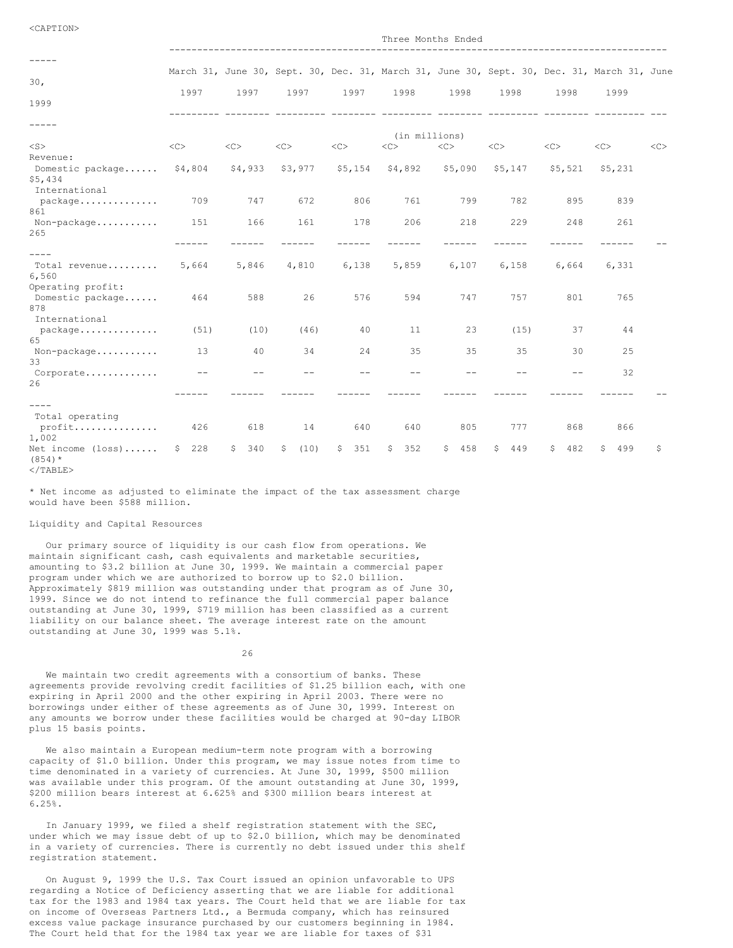| -----                              |          |           |            |           |               |           |            |           |                                                                                            |    |
|------------------------------------|----------|-----------|------------|-----------|---------------|-----------|------------|-----------|--------------------------------------------------------------------------------------------|----|
|                                    |          |           |            |           |               |           |            |           | March 31, June 30, Sept. 30, Dec. 31, March 31, June 30, Sept. 30, Dec. 31, March 31, June |    |
| 30 <sub>1</sub>                    |          |           |            |           |               |           |            |           |                                                                                            |    |
| 1999                               | 1997     | 1997      | 1997       | 1997      | 1998          | 1998      | 1998       | 1998      | 1999                                                                                       |    |
|                                    |          |           |            |           |               |           |            |           |                                                                                            |    |
| -----                              |          |           |            |           |               |           |            |           |                                                                                            |    |
|                                    |          |           |            |           | (in millions) |           |            |           |                                                                                            |    |
| $<$ S $>$                          | <<       | <<        | <<         | <<        | <<>           | <<        | <<>        | <<        | <<                                                                                         | << |
| Revenue:                           |          |           |            |           |               |           |            |           |                                                                                            |    |
| Domestic package \$4,804           |          | \$4,933   | \$3,977    | \$5,154   | \$4,892       | \$5,090   | \$5,147    | \$5,521   | \$5,231                                                                                    |    |
| \$5,434                            |          |           |            |           |               |           |            |           |                                                                                            |    |
| International                      |          |           |            |           |               |           |            |           |                                                                                            |    |
| package                            | 709      | 747       | 672        | 806       | 761           | 799       | 782        | 895       | 839                                                                                        |    |
| 861                                |          |           |            |           |               |           |            |           |                                                                                            |    |
| Non-package<br>265                 | 151      | 166       | 161        | 178       | 206           | 218       | 229        | 248       | 261                                                                                        |    |
|                                    |          |           |            |           |               |           |            |           |                                                                                            |    |
| $- - - -$                          |          |           |            |           |               |           |            |           |                                                                                            |    |
| Total revenue                      | 5,664    | 5,846     | 4,810      | 6,138     | 5,859         | 6,107     | 6,158      | 6,664     | 6,331                                                                                      |    |
| 6,560                              |          |           |            |           |               |           |            |           |                                                                                            |    |
| Operating profit:                  |          |           |            |           |               |           |            |           |                                                                                            |    |
| Domestic package                   | 464      | 588       | 26         | 576       | 594           | 747       | 757        | 801       | 765                                                                                        |    |
| 878                                |          |           |            |           |               |           |            |           |                                                                                            |    |
| International                      |          |           |            |           |               |           |            |           |                                                                                            |    |
| package                            | (51)     | (10)      | (46)       | 40        | 11            | 23        | (15)       | 37        | 44                                                                                         |    |
| 65                                 |          |           |            |           |               |           |            |           |                                                                                            |    |
| Non-package                        | 13       | 40        | 34         | 24        | 35            | 35        | 35         | 30        | 25                                                                                         |    |
| 33                                 | $- -$    | $ -$      | $ -$       | $-$       | $ -$          | $- -$     | $-$        | $- -$     | 32                                                                                         |    |
| Corporate<br>26                    |          |           |            |           |               |           |            |           |                                                                                            |    |
|                                    |          |           |            |           |               |           |            |           |                                                                                            |    |
| $- - - -$                          |          |           |            |           |               |           |            |           |                                                                                            |    |
| Total operating                    |          |           |            |           |               |           |            |           |                                                                                            |    |
| profit                             | 426      | 618       | 14         | 640       | 640           | 805       | 777        | 868       | 866                                                                                        |    |
| 1,002                              |          |           |            |           |               |           |            |           |                                                                                            |    |
| Net income $(\text{loss}) \dots$ . | 228<br>S | S.<br>340 | \$<br>(10) | 351<br>S. | \$352         | 458<br>\$ | 449<br>\$. | S.<br>482 | \$<br>499                                                                                  | Ŝ  |
| $(854)*$                           |          |           |            |           |               |           |            |           |                                                                                            |    |
| $<$ /TABLE>                        |          |           |            |           |               |           |            |           |                                                                                            |    |

Three Months Ended

\* Net income as adjusted to eliminate the impact of the tax assessment charge would have been \$588 million.

### Liquidity and Capital Resources

Our primary source of liquidity is our cash flow from operations. We maintain significant cash, cash equivalents and marketable securities, amounting to \$3.2 billion at June 30, 1999. We maintain a commercial paper program under which we are authorized to borrow up to \$2.0 billion. Approximately \$819 million was outstanding under that program as of June 30, 1999. Since we do not intend to refinance the full commercial paper balance outstanding at June 30, 1999, \$719 million has been classified as a current liability on our balance sheet. The average interest rate on the amount outstanding at June 30, 1999 was 5.1%.

26

We maintain two credit agreements with a consortium of banks. These agreements provide revolving credit facilities of \$1.25 billion each, with one expiring in April 2000 and the other expiring in April 2003. There were no borrowings under either of these agreements as of June 30, 1999. Interest on any amounts we borrow under these facilities would be charged at 90-day LIBOR plus 15 basis points.

We also maintain a European medium-term note program with a borrowing capacity of \$1.0 billion. Under this program, we may issue notes from time to time denominated in a variety of currencies. At June 30, 1999, \$500 million was available under this program. Of the amount outstanding at June 30, 1999, \$200 million bears interest at 6.625% and \$300 million bears interest at 6.25%.

In January 1999, we filed a shelf registration statement with the SEC, under which we may issue debt of up to \$2.0 billion, which may be denominated in a variety of currencies. There is currently no debt issued under this shelf registration statement.

On August 9, 1999 the U.S. Tax Court issued an opinion unfavorable to UPS regarding a Notice of Deficiency asserting that we are liable for additional tax for the 1983 and 1984 tax years. The Court held that we are liable for tax on income of Overseas Partners Ltd., a Bermuda company, which has reinsured excess value package insurance purchased by our customers beginning in 1984. The Court held that for the 1984 tax year we are liable for taxes of \$31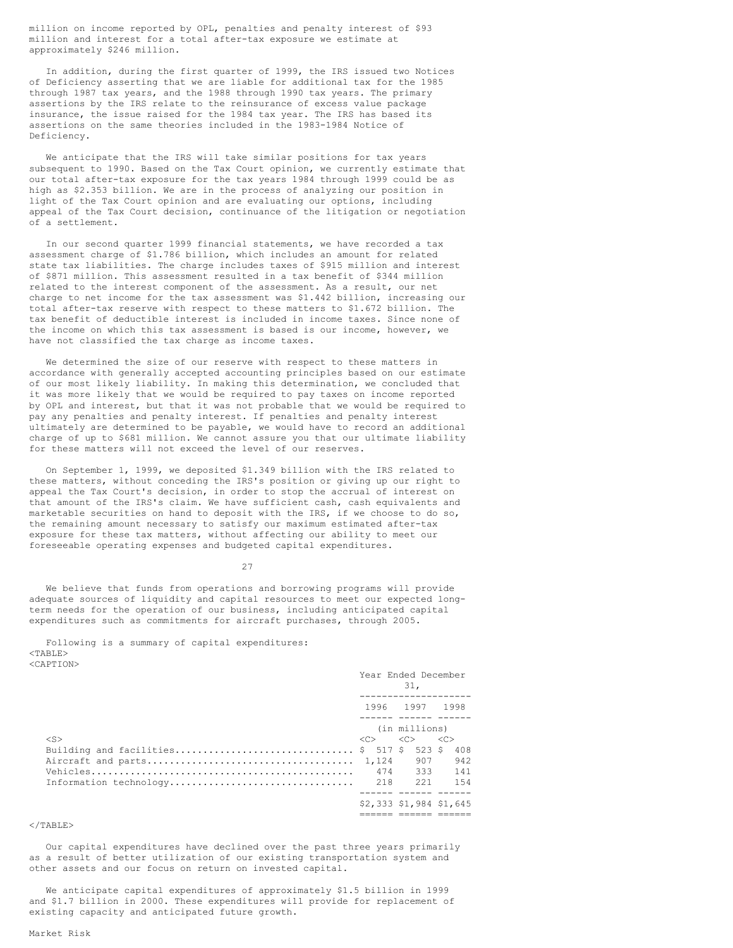million on income reported by OPL, penalties and penalty interest of \$93 million and interest for a total after-tax exposure we estimate at approximately \$246 million.

In addition, during the first quarter of 1999, the IRS issued two Notices of Deficiency asserting that we are liable for additional tax for the 1985 through 1987 tax years, and the 1988 through 1990 tax years. The primary assertions by the IRS relate to the reinsurance of excess value package insurance, the issue raised for the 1984 tax year. The IRS has based its assertions on the same theories included in the 1983-1984 Notice of Deficiency.

We anticipate that the IRS will take similar positions for tax years subsequent to 1990. Based on the Tax Court opinion, we currently estimate that our total after-tax exposure for the tax years 1984 through 1999 could be as high as \$2.353 billion. We are in the process of analyzing our position in light of the Tax Court opinion and are evaluating our options, including appeal of the Tax Court decision, continuance of the litigation or negotiation of a settlement.

In our second quarter 1999 financial statements, we have recorded a tax assessment charge of \$1.786 billion, which includes an amount for related state tax liabilities. The charge includes taxes of \$915 million and interest of \$871 million. This assessment resulted in a tax benefit of \$344 million related to the interest component of the assessment. As a result, our net charge to net income for the tax assessment was \$1.442 billion, increasing our total after-tax reserve with respect to these matters to \$1.672 billion. The tax benefit of deductible interest is included in income taxes. Since none of the income on which this tax assessment is based is our income, however, we have not classified the tax charge as income taxes.

We determined the size of our reserve with respect to these matters in accordance with generally accepted accounting principles based on our estimate of our most likely liability. In making this determination, we concluded that it was more likely that we would be required to pay taxes on income reported by OPL and interest, but that it was not probable that we would be required to pay any penalties and penalty interest. If penalties and penalty interest ultimately are determined to be payable, we would have to record an additional charge of up to \$681 million. We cannot assure you that our ultimate liability for these matters will not exceed the level of our reserves.

On September 1, 1999, we deposited \$1.349 billion with the IRS related to these matters, without conceding the IRS's position or giving up our right to appeal the Tax Court's decision, in order to stop the accrual of interest on that amount of the IRS's claim. We have sufficient cash, cash equivalents and marketable securities on hand to deposit with the IRS, if we choose to do so, the remaining amount necessary to satisfy our maximum estimated after-tax exposure for these tax matters, without affecting our ability to meet our foreseeable operating expenses and budgeted capital expenditures.

27

We believe that funds from operations and borrowing programs will provide adequate sources of liquidity and capital resources to meet our expected longterm needs for the operation of our business, including anticipated capital expenditures such as commitments for aircraft purchases, through 2005.

Following is a summary of capital expenditures:  $<$ TABLE> <CAPTION>

|                                          |               | Year Ended December        |               |
|------------------------------------------|---------------|----------------------------|---------------|
|                                          |               | 1996 1997 1998             |               |
| $<$ S $>$                                | < <sub></sub> | (in millions)<br>$<<$ $>>$ | < <sub></sub> |
| Building and facilities \$ 517 \$ 523 \$ | 1,124         | 907                        | 408<br>942    |
| Information technology                   | 218           | 474 333 141<br>221         | 1.54          |
|                                          |               | \$2,333 \$1,984 \$1,645    |               |
|                                          |               |                            |               |

 $<$ /TABLE>

Our capital expenditures have declined over the past three years primarily as a result of better utilization of our existing transportation system and other assets and our focus on return on invested capital.

We anticipate capital expenditures of approximately \$1.5 billion in 1999 and \$1.7 billion in 2000. These expenditures will provide for replacement of existing capacity and anticipated future growth.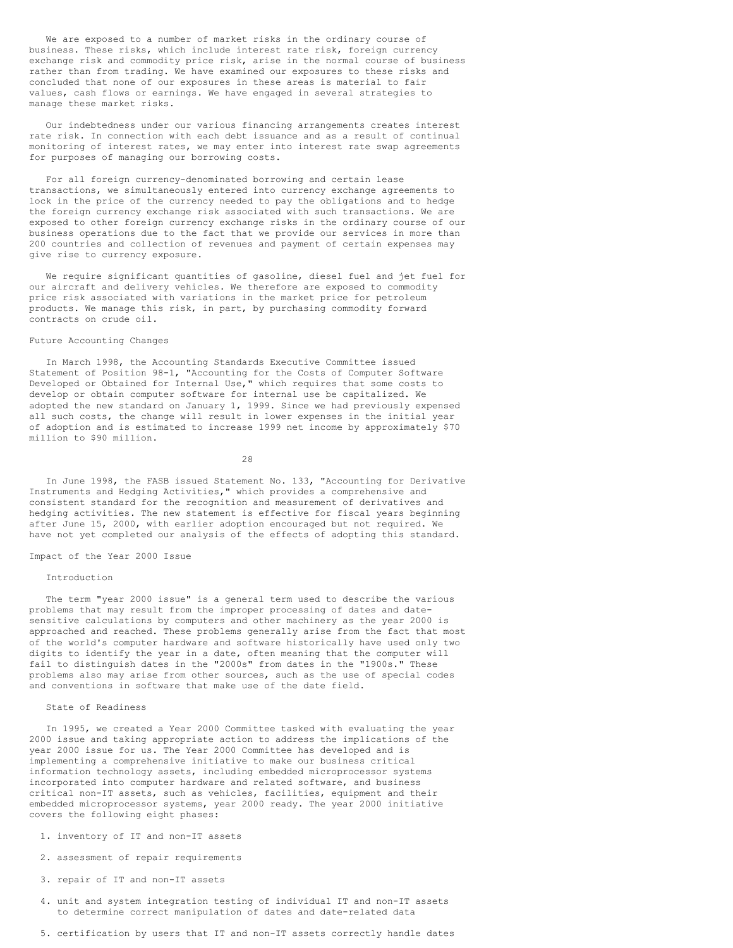We are exposed to a number of market risks in the ordinary course of business. These risks, which include interest rate risk, foreign currency exchange risk and commodity price risk, arise in the normal course of business rather than from trading. We have examined our exposures to these risks and concluded that none of our exposures in these areas is material to fair values, cash flows or earnings. We have engaged in several strategies to manage these market risks.

Our indebtedness under our various financing arrangements creates interest rate risk. In connection with each debt issuance and as a result of continual monitoring of interest rates, we may enter into interest rate swap agreements for purposes of managing our borrowing costs.

For all foreign currency-denominated borrowing and certain lease transactions, we simultaneously entered into currency exchange agreements to lock in the price of the currency needed to pay the obligations and to hedge the foreign currency exchange risk associated with such transactions. We are exposed to other foreign currency exchange risks in the ordinary course of our business operations due to the fact that we provide our services in more than 200 countries and collection of revenues and payment of certain expenses may give rise to currency exposure.

We require significant quantities of gasoline, diesel fuel and jet fuel for our aircraft and delivery vehicles. We therefore are exposed to commodity price risk associated with variations in the market price for petroleum products. We manage this risk, in part, by purchasing commodity forward contracts on crude oil.

# Future Accounting Changes

In March 1998, the Accounting Standards Executive Committee issued Statement of Position 98-1, "Accounting for the Costs of Computer Software Developed or Obtained for Internal Use," which requires that some costs to develop or obtain computer software for internal use be capitalized. We adopted the new standard on January 1, 1999. Since we had previously expensed all such costs, the change will result in lower expenses in the initial year of adoption and is estimated to increase 1999 net income by approximately \$70 million to \$90 million.

28

In June 1998, the FASB issued Statement No. 133, "Accounting for Derivative Instruments and Hedging Activities," which provides a comprehensive and consistent standard for the recognition and measurement of derivatives and hedging activities. The new statement is effective for fiscal years beginning after June 15, 2000, with earlier adoption encouraged but not required. We have not yet completed our analysis of the effects of adopting this standard.

Impact of the Year 2000 Issue

# Introduction

The term "year 2000 issue" is a general term used to describe the various problems that may result from the improper processing of dates and datesensitive calculations by computers and other machinery as the year 2000 is approached and reached. These problems generally arise from the fact that most of the world's computer hardware and software historically have used only two digits to identify the year in a date, often meaning that the computer will fail to distinguish dates in the "2000s" from dates in the "1900s." These problems also may arise from other sources, such as the use of special codes and conventions in software that make use of the date field.

State of Readiness

In 1995, we created a Year 2000 Committee tasked with evaluating the year 2000 issue and taking appropriate action to address the implications of the year 2000 issue for us. The Year 2000 Committee has developed and is implementing a comprehensive initiative to make our business critical information technology assets, including embedded microprocessor systems incorporated into computer hardware and related software, and business critical non-IT assets, such as vehicles, facilities, equipment and their embedded microprocessor systems, year 2000 ready. The year 2000 initiative covers the following eight phases:

- 1. inventory of IT and non-IT assets
- 2. assessment of repair requirements
- 3. repair of IT and non-IT assets
- 4. unit and system integration testing of individual IT and non-IT assets to determine correct manipulation of dates and date-related data
- 5. certification by users that IT and non-IT assets correctly handle dates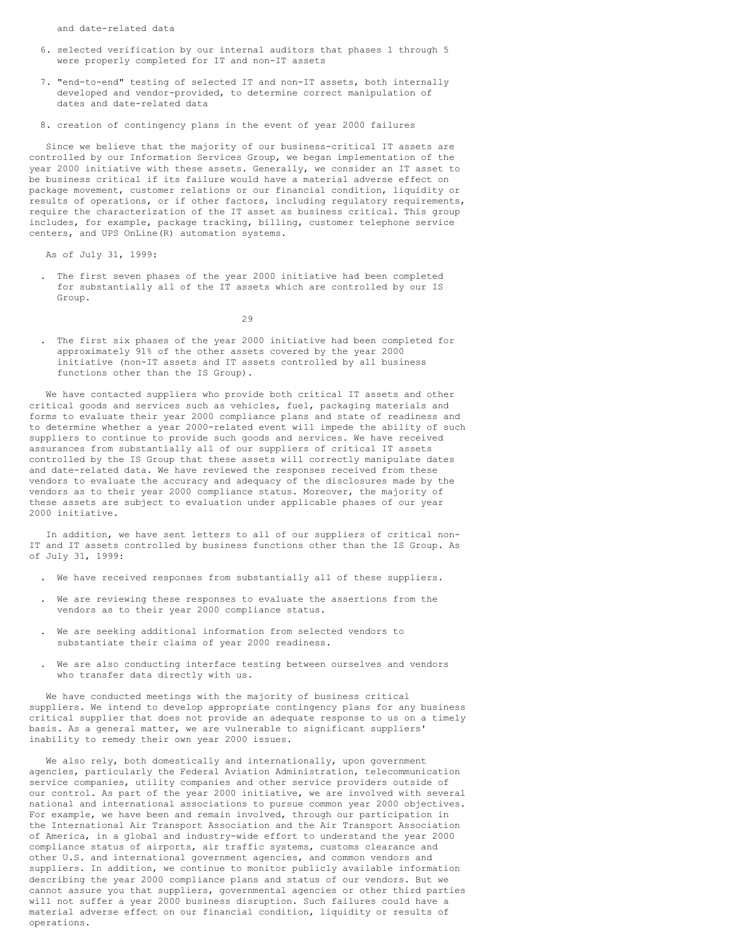and date-related data

- 6. selected verification by our internal auditors that phases 1 through 5 were properly completed for IT and non-IT assets
- 7. "end-to-end" testing of selected IT and non-IT assets, both internally developed and vendor-provided, to determine correct manipulation of dates and date-related data
- 8. creation of contingency plans in the event of year 2000 failures

Since we believe that the majority of our business-critical IT assets are controlled by our Information Services Group, we began implementation of the year 2000 initiative with these assets. Generally, we consider an IT asset to be business critical if its failure would have a material adverse effect on package movement, customer relations or our financial condition, liquidity or results of operations, or if other factors, including regulatory requirements, require the characterization of the IT asset as business critical. This group includes, for example, package tracking, billing, customer telephone service centers, and UPS OnLine(R) automation systems.

As of July 31, 1999:

. The first seven phases of the year 2000 initiative had been completed for substantially all of the IT assets which are controlled by our IS Group.

29

. The first six phases of the year 2000 initiative had been completed for approximately 91% of the other assets covered by the year 2000 initiative (non-IT assets and IT assets controlled by all business functions other than the IS Group).

We have contacted suppliers who provide both critical IT assets and other critical goods and services such as vehicles, fuel, packaging materials and forms to evaluate their year 2000 compliance plans and state of readiness and to determine whether a year 2000-related event will impede the ability of such suppliers to continue to provide such goods and services. We have received assurances from substantially all of our suppliers of critical IT assets controlled by the IS Group that these assets will correctly manipulate dates and date-related data. We have reviewed the responses received from these vendors to evaluate the accuracy and adequacy of the disclosures made by the vendors as to their year 2000 compliance status. Moreover, the majority of these assets are subject to evaluation under applicable phases of our year 2000 initiative.

In addition, we have sent letters to all of our suppliers of critical non-IT and IT assets controlled by business functions other than the IS Group. As of July 31, 1999:

- . We have received responses from substantially all of these suppliers.
- We are reviewing these responses to evaluate the assertions from the vendors as to their year 2000 compliance status.
- . We are seeking additional information from selected vendors to substantiate their claims of year 2000 readiness.
- . We are also conducting interface testing between ourselves and vendors who transfer data directly with us.

We have conducted meetings with the majority of business critical suppliers. We intend to develop appropriate contingency plans for any business critical supplier that does not provide an adequate response to us on a timely basis. As a general matter, we are vulnerable to significant suppliers' inability to remedy their own year 2000 issues.

We also rely, both domestically and internationally, upon government agencies, particularly the Federal Aviation Administration, telecommunication service companies, utility companies and other service providers outside of our control. As part of the year 2000 initiative, we are involved with several national and international associations to pursue common year 2000 objectives. For example, we have been and remain involved, through our participation in the International Air Transport Association and the Air Transport Association of America, in a global and industry-wide effort to understand the year 2000 compliance status of airports, air traffic systems, customs clearance and other U.S. and international government agencies, and common vendors and suppliers. In addition, we continue to monitor publicly available information describing the year 2000 compliance plans and status of our vendors. But we cannot assure you that suppliers, governmental agencies or other third parties will not suffer a year 2000 business disruption. Such failures could have a material adverse effect on our financial condition, liquidity or results of operations.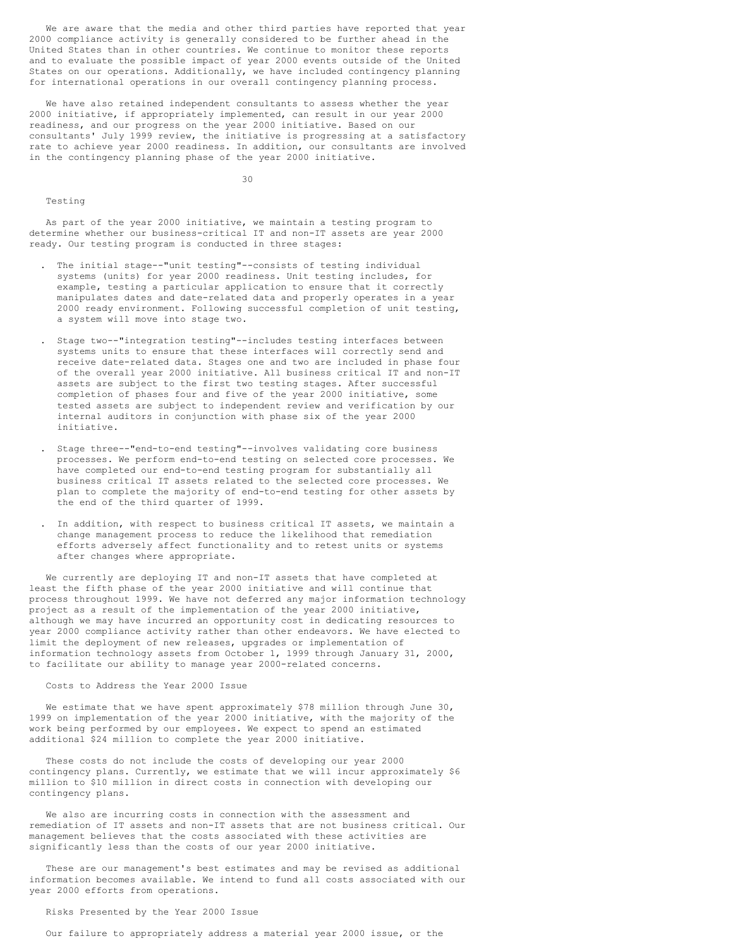We are aware that the media and other third parties have reported that year 2000 compliance activity is generally considered to be further ahead in the United States than in other countries. We continue to monitor these reports and to evaluate the possible impact of year 2000 events outside of the United States on our operations. Additionally, we have included contingency planning for international operations in our overall contingency planning process.

We have also retained independent consultants to assess whether the year 2000 initiative, if appropriately implemented, can result in our year 2000 readiness, and our progress on the year 2000 initiative. Based on our consultants' July 1999 review, the initiative is progressing at a satisfactory rate to achieve year 2000 readiness. In addition, our consultants are involved in the contingency planning phase of the year 2000 initiative.

30

#### Testing

As part of the year 2000 initiative, we maintain a testing program to determine whether our business-critical IT and non-IT assets are year 2000 ready. Our testing program is conducted in three stages:

- . The initial stage--"unit testing"--consists of testing individual systems (units) for year 2000 readiness. Unit testing includes, for example, testing a particular application to ensure that it correctly manipulates dates and date-related data and properly operates in a year 2000 ready environment. Following successful completion of unit testing, a system will move into stage two.
- . Stage two--"integration testing"--includes testing interfaces between systems units to ensure that these interfaces will correctly send and receive date-related data. Stages one and two are included in phase four of the overall year 2000 initiative. All business critical IT and non-IT assets are subject to the first two testing stages. After successful completion of phases four and five of the year 2000 initiative, some tested assets are subject to independent review and verification by our internal auditors in conjunction with phase six of the year 2000 initiative.
- . Stage three--"end-to-end testing"--involves validating core business processes. We perform end-to-end testing on selected core processes. We have completed our end-to-end testing program for substantially all business critical IT assets related to the selected core processes. We plan to complete the majority of end-to-end testing for other assets by the end of the third quarter of 1999.
- . In addition, with respect to business critical IT assets, we maintain a change management process to reduce the likelihood that remediation efforts adversely affect functionality and to retest units or systems after changes where appropriate.

We currently are deploying IT and non-IT assets that have completed at least the fifth phase of the year 2000 initiative and will continue that process throughout 1999. We have not deferred any major information technology project as a result of the implementation of the year 2000 initiative, although we may have incurred an opportunity cost in dedicating resources to year 2000 compliance activity rather than other endeavors. We have elected to limit the deployment of new releases, upgrades or implementation of information technology assets from October 1, 1999 through January 31, 2000, to facilitate our ability to manage year 2000-related concerns.

# Costs to Address the Year 2000 Issue

We estimate that we have spent approximately \$78 million through June 30, 1999 on implementation of the year 2000 initiative, with the majority of the work being performed by our employees. We expect to spend an estimated additional \$24 million to complete the year 2000 initiative.

These costs do not include the costs of developing our year 2000 contingency plans. Currently, we estimate that we will incur approximately \$6 million to \$10 million in direct costs in connection with developing our contingency plans.

We also are incurring costs in connection with the assessment and remediation of IT assets and non-IT assets that are not business critical. Our management believes that the costs associated with these activities are significantly less than the costs of our year 2000 initiative.

These are our management's best estimates and may be revised as additional information becomes available. We intend to fund all costs associated with our year 2000 efforts from operations.

### Risks Presented by the Year 2000 Issue

Our failure to appropriately address a material year 2000 issue, or the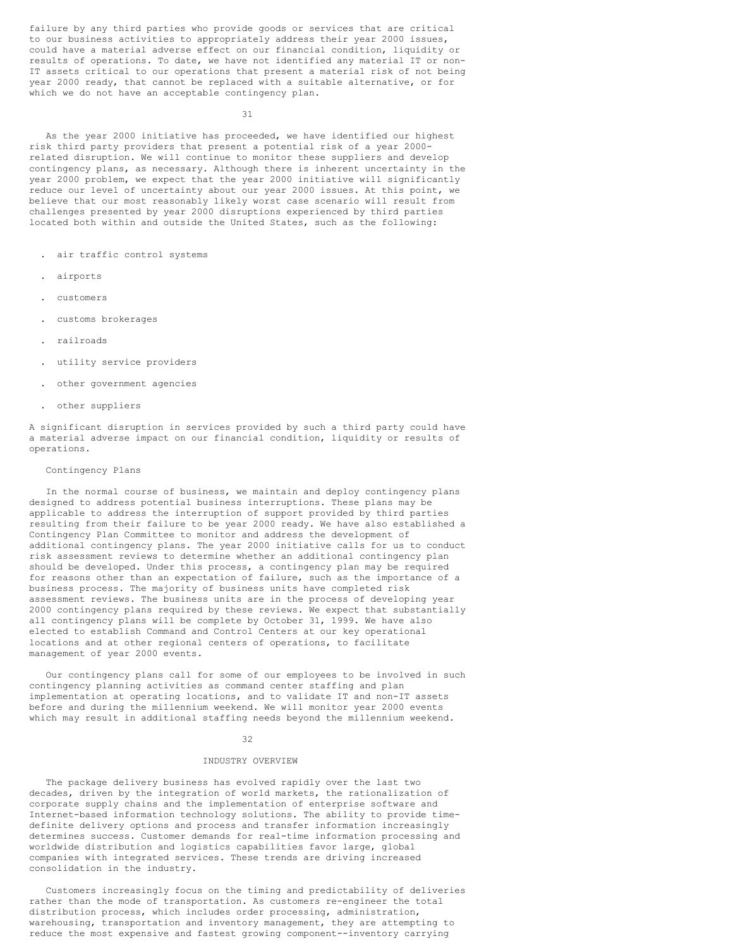failure by any third parties who provide goods or services that are critical to our business activities to appropriately address their year 2000 issues, could have a material adverse effect on our financial condition, liquidity or results of operations. To date, we have not identified any material IT or non-IT assets critical to our operations that present a material risk of not being year 2000 ready, that cannot be replaced with a suitable alternative, or for which we do not have an acceptable contingency plan.

31

As the year 2000 initiative has proceeded, we have identified our highest risk third party providers that present a potential risk of a year 2000 related disruption. We will continue to monitor these suppliers and develop contingency plans, as necessary. Although there is inherent uncertainty in the year 2000 problem, we expect that the year 2000 initiative will significantly reduce our level of uncertainty about our year 2000 issues. At this point, we believe that our most reasonably likely worst case scenario will result from challenges presented by year 2000 disruptions experienced by third parties located both within and outside the United States, such as the following:

- . air traffic control systems
- . airports
- . customers
- . customs brokerages
- . railroads
- . utility service providers
- . other government agencies
- . other suppliers

A significant disruption in services provided by such a third party could have a material adverse impact on our financial condition, liquidity or results of operations.

#### Contingency Plans

In the normal course of business, we maintain and deploy contingency plans designed to address potential business interruptions. These plans may be applicable to address the interruption of support provided by third parties resulting from their failure to be year 2000 ready. We have also established a Contingency Plan Committee to monitor and address the development of additional contingency plans. The year 2000 initiative calls for us to conduct risk assessment reviews to determine whether an additional contingency plan should be developed. Under this process, a contingency plan may be required for reasons other than an expectation of failure, such as the importance of a business process. The majority of business units have completed risk assessment reviews. The business units are in the process of developing year 2000 contingency plans required by these reviews. We expect that substantially all contingency plans will be complete by October 31, 1999. We have also elected to establish Command and Control Centers at our key operational locations and at other regional centers of operations, to facilitate management of year 2000 events.

Our contingency plans call for some of our employees to be involved in such contingency planning activities as command center staffing and plan implementation at operating locations, and to validate IT and non-IT assets before and during the millennium weekend. We will monitor year 2000 events which may result in additional staffing needs beyond the millennium weekend.

#### 32

#### INDUSTRY OVERVIEW

The package delivery business has evolved rapidly over the last two decades, driven by the integration of world markets, the rationalization of corporate supply chains and the implementation of enterprise software and Internet-based information technology solutions. The ability to provide timedefinite delivery options and process and transfer information increasingly determines success. Customer demands for real-time information processing and worldwide distribution and logistics capabilities favor large, global companies with integrated services. These trends are driving increased consolidation in the industry.

Customers increasingly focus on the timing and predictability of deliveries rather than the mode of transportation. As customers re-engineer the total distribution process, which includes order processing, administration, warehousing, transportation and inventory management, they are attempting to reduce the most expensive and fastest growing component--inventory carrying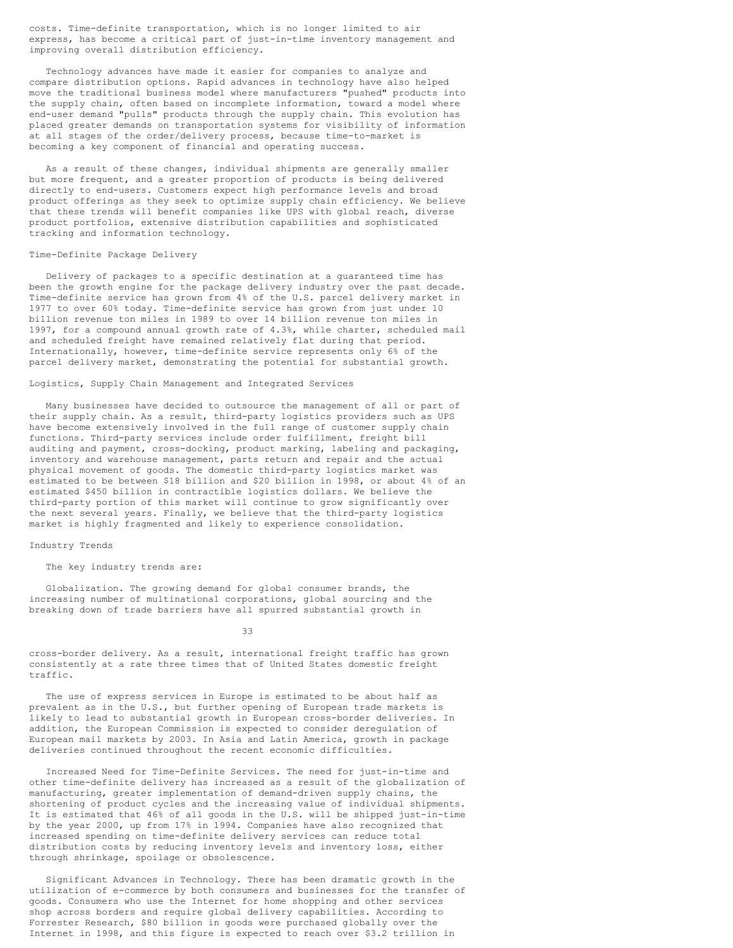costs. Time-definite transportation, which is no longer limited to air express, has become a critical part of just-in-time inventory management and improving overall distribution efficiency.

Technology advances have made it easier for companies to analyze and compare distribution options. Rapid advances in technology have also helped move the traditional business model where manufacturers "pushed" products into the supply chain, often based on incomplete information, toward a model where end-user demand "pulls" products through the supply chain. This evolution has placed greater demands on transportation systems for visibility of information at all stages of the order/delivery process, because time-to-market is becoming a key component of financial and operating success.

As a result of these changes, individual shipments are generally smaller but more frequent, and a greater proportion of products is being delivered directly to end-users. Customers expect high performance levels and broad product offerings as they seek to optimize supply chain efficiency. We believe that these trends will benefit companies like UPS with global reach, diverse product portfolios, extensive distribution capabilities and sophisticated tracking and information technology.

### Time-Definite Package Delivery

Delivery of packages to a specific destination at a guaranteed time has been the growth engine for the package delivery industry over the past decade. Time-definite service has grown from 4% of the U.S. parcel delivery market in 1977 to over 60% today. Time-definite service has grown from just under 10 billion revenue ton miles in 1989 to over 14 billion revenue ton miles in 1997, for a compound annual growth rate of 4.3%, while charter, scheduled mail and scheduled freight have remained relatively flat during that period. Internationally, however, time-definite service represents only 6% of the parcel delivery market, demonstrating the potential for substantial growth.

### Logistics, Supply Chain Management and Integrated Services

Many businesses have decided to outsource the management of all or part of their supply chain. As a result, third-party logistics providers such as UPS have become extensively involved in the full range of customer supply chain functions. Third-party services include order fulfillment, freight bill auditing and payment, cross-docking, product marking, labeling and packaging, inventory and warehouse management, parts return and repair and the actual physical movement of goods. The domestic third-party logistics market was estimated to be between \$18 billion and \$20 billion in 1998, or about 4% of an estimated \$450 billion in contractible logistics dollars. We believe the third-party portion of this market will continue to grow significantly over the next several years. Finally, we believe that the third-party logistics market is highly fragmented and likely to experience consolidation.

### Industry Trends

# The key industry trends are:

Globalization. The growing demand for global consumer brands, the increasing number of multinational corporations, global sourcing and the breaking down of trade barriers have all spurred substantial growth in

33

cross-border delivery. As a result, international freight traffic has grown consistently at a rate three times that of United States domestic freight traffic.

The use of express services in Europe is estimated to be about half as prevalent as in the U.S., but further opening of European trade markets is likely to lead to substantial growth in European cross-border deliveries. In addition, the European Commission is expected to consider deregulation of European mail markets by 2003. In Asia and Latin America, growth in package deliveries continued throughout the recent economic difficulties.

Increased Need for Time-Definite Services. The need for just-in-time and other time-definite delivery has increased as a result of the globalization of manufacturing, greater implementation of demand-driven supply chains, the shortening of product cycles and the increasing value of individual shipments. It is estimated that 46% of all goods in the U.S. will be shipped just-in-time by the year 2000, up from 17% in 1994. Companies have also recognized that increased spending on time-definite delivery services can reduce total distribution costs by reducing inventory levels and inventory loss, either through shrinkage, spoilage or obsolescence.

Significant Advances in Technology. There has been dramatic growth in the utilization of e-commerce by both consumers and businesses for the transfer of goods. Consumers who use the Internet for home shopping and other services shop across borders and require global delivery capabilities. According to Forrester Research, \$80 billion in goods were purchased globally over the Internet in 1998, and this figure is expected to reach over \$3.2 trillion in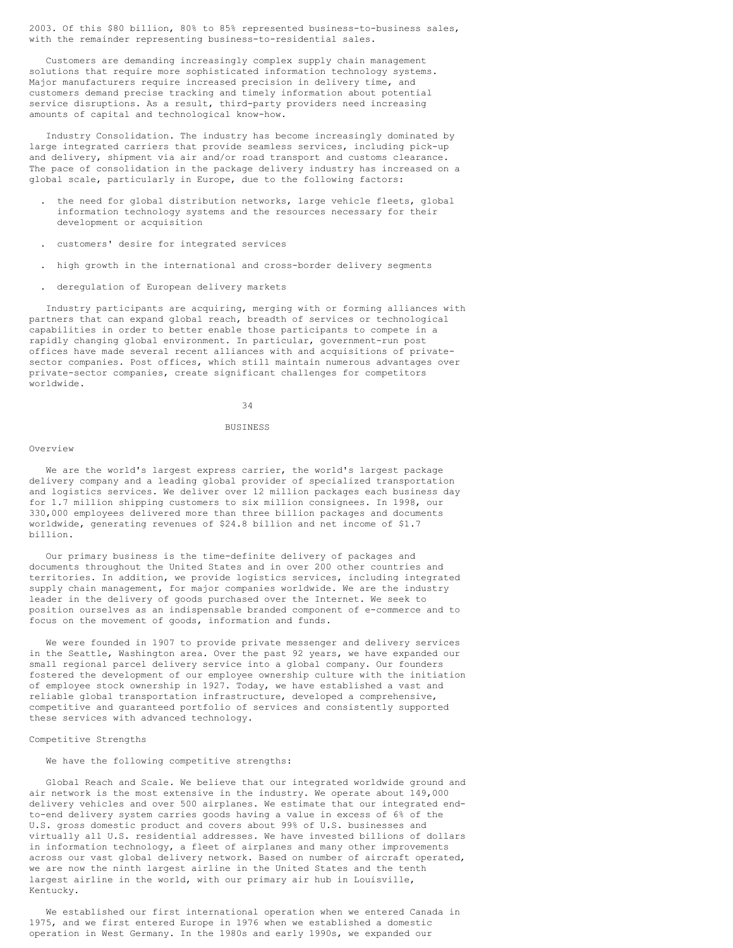2003. Of this \$80 billion, 80% to 85% represented business-to-business sales, with the remainder representing business-to-residential sales.

Customers are demanding increasingly complex supply chain management solutions that require more sophisticated information technology systems. Major manufacturers require increased precision in delivery time, and customers demand precise tracking and timely information about potential service disruptions. As a result, third-party providers need increasing amounts of capital and technological know-how.

Industry Consolidation. The industry has become increasingly dominated by large integrated carriers that provide seamless services, including pick-up and delivery, shipment via air and/or road transport and customs clearance. The pace of consolidation in the package delivery industry has increased on a global scale, particularly in Europe, due to the following factors:

- . the need for global distribution networks, large vehicle fleets, global information technology systems and the resources necessary for their development or acquisition
- . customers' desire for integrated services
- . high growth in the international and cross-border delivery segments
- . deregulation of European delivery markets

Industry participants are acquiring, merging with or forming alliances with partners that can expand global reach, breadth of services or technological capabilities in order to better enable those participants to compete in a rapidly changing global environment. In particular, government-run post offices have made several recent alliances with and acquisitions of privatesector companies. Post offices, which still maintain numerous advantages over private-sector companies, create significant challenges for competitors worldwide.

34

#### **BUSINESS**

#### Overview

We are the world's largest express carrier, the world's largest package delivery company and a leading global provider of specialized transportation and logistics services. We deliver over 12 million packages each business day for 1.7 million shipping customers to six million consignees. In 1998, our 330,000 employees delivered more than three billion packages and documents worldwide, generating revenues of \$24.8 billion and net income of \$1.7 billion.

Our primary business is the time-definite delivery of packages and documents throughout the United States and in over 200 other countries and territories. In addition, we provide logistics services, including integrated supply chain management, for major companies worldwide. We are the industry leader in the delivery of goods purchased over the Internet. We seek to position ourselves as an indispensable branded component of e-commerce and to focus on the movement of goods, information and funds.

We were founded in 1907 to provide private messenger and delivery services in the Seattle, Washington area. Over the past 92 years, we have expanded our small regional parcel delivery service into a global company. Our founders fostered the development of our employee ownership culture with the initiation of employee stock ownership in 1927. Today, we have established a vast and reliable global transportation infrastructure, developed a comprehensive, competitive and guaranteed portfolio of services and consistently supported these services with advanced technology.

# Competitive Strengths

### We have the following competitive strengths:

Global Reach and Scale. We believe that our integrated worldwide ground and air network is the most extensive in the industry. We operate about 149,000 delivery vehicles and over 500 airplanes. We estimate that our integrated endto-end delivery system carries goods having a value in excess of 6% of the U.S. gross domestic product and covers about 99% of U.S. businesses and virtually all U.S. residential addresses. We have invested billions of dollars in information technology, a fleet of airplanes and many other improvements across our vast global delivery network. Based on number of aircraft operated, we are now the ninth largest airline in the United States and the tenth largest airline in the world, with our primary air hub in Louisville, Kentucky.

We established our first international operation when we entered Canada in 1975, and we first entered Europe in 1976 when we established a domestic operation in West Germany. In the 1980s and early 1990s, we expanded our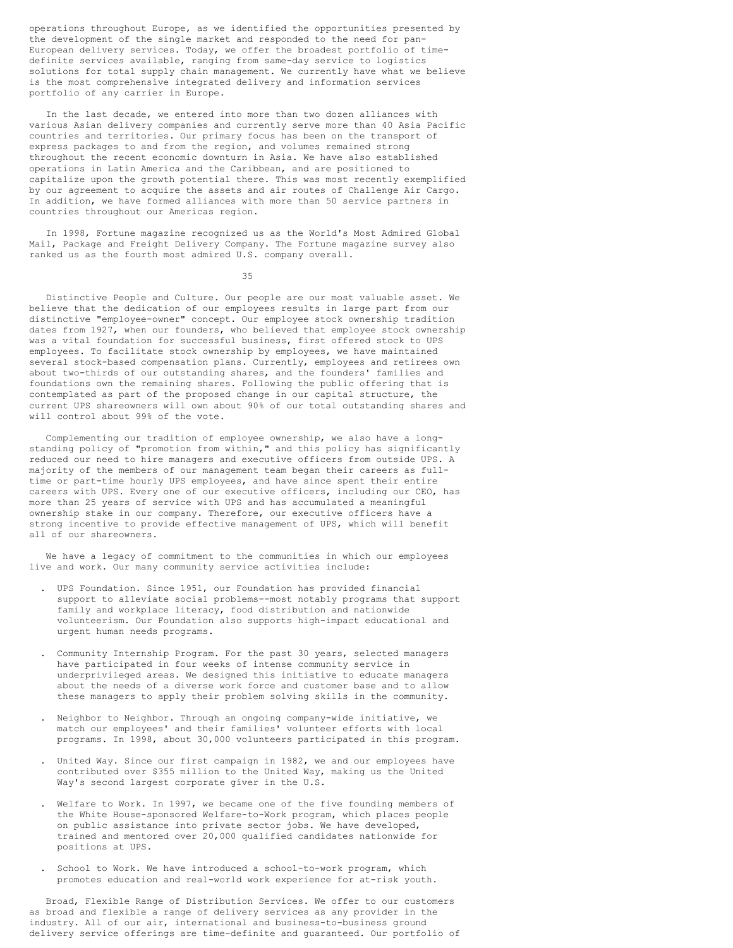operations throughout Europe, as we identified the opportunities presented by the development of the single market and responded to the need for pan-European delivery services. Today, we offer the broadest portfolio of timedefinite services available, ranging from same-day service to logistics solutions for total supply chain management. We currently have what we believe is the most comprehensive integrated delivery and information services portfolio of any carrier in Europe.

In the last decade, we entered into more than two dozen alliances with various Asian delivery companies and currently serve more than 40 Asia Pacific countries and territories. Our primary focus has been on the transport of express packages to and from the region, and volumes remained strong throughout the recent economic downturn in Asia. We have also established operations in Latin America and the Caribbean, and are positioned to capitalize upon the growth potential there. This was most recently exemplified by our agreement to acquire the assets and air routes of Challenge Air Cargo. In addition, we have formed alliances with more than 50 service partners in countries throughout our Americas region.

In 1998, Fortune magazine recognized us as the World's Most Admired Global Mail, Package and Freight Delivery Company. The Fortune magazine survey also ranked us as the fourth most admired U.S. company overall.

35

Distinctive People and Culture. Our people are our most valuable asset. We believe that the dedication of our employees results in large part from our distinctive "employee-owner" concept. Our employee stock ownership tradition dates from 1927, when our founders, who believed that employee stock ownership was a vital foundation for successful business, first offered stock to UPS employees. To facilitate stock ownership by employees, we have maintained several stock-based compensation plans. Currently, employees and retirees own about two-thirds of our outstanding shares, and the founders' families and foundations own the remaining shares. Following the public offering that is contemplated as part of the proposed change in our capital structure, the current UPS shareowners will own about 90% of our total outstanding shares and will control about 99% of the vote.

Complementing our tradition of employee ownership, we also have a longstanding policy of "promotion from within," and this policy has significantly reduced our need to hire managers and executive officers from outside UPS. A majority of the members of our management team began their careers as fulltime or part-time hourly UPS employees, and have since spent their entire careers with UPS. Every one of our executive officers, including our CEO, has more than 25 years of service with UPS and has accumulated a meaningful ownership stake in our company. Therefore, our executive officers have a strong incentive to provide effective management of UPS, which will benefit all of our shareowners.

We have a legacy of commitment to the communities in which our employees live and work. Our many community service activities include:

- . UPS Foundation. Since 1951, our Foundation has provided financial support to alleviate social problems--most notably programs that support family and workplace literacy, food distribution and nationwide volunteerism. Our Foundation also supports high-impact educational and urgent human needs programs.
- . Community Internship Program. For the past 30 years, selected managers have participated in four weeks of intense community service in underprivileged areas. We designed this initiative to educate managers about the needs of a diverse work force and customer base and to allow these managers to apply their problem solving skills in the community.
- . Neighbor to Neighbor. Through an ongoing company-wide initiative, we match our employees' and their families' volunteer efforts with local programs. In 1998, about 30,000 volunteers participated in this program.
- . United Way. Since our first campaign in 1982, we and our employees have contributed over \$355 million to the United Way, making us the United Way's second largest corporate giver in the U.S.
- Welfare to Work. In 1997, we became one of the five founding members of the White House-sponsored Welfare-to-Work program, which places people on public assistance into private sector jobs. We have developed, trained and mentored over 20,000 qualified candidates nationwide for positions at UPS.
- . School to Work. We have introduced a school-to-work program, which promotes education and real-world work experience for at-risk youth.

Broad, Flexible Range of Distribution Services. We offer to our customers as broad and flexible a range of delivery services as any provider in the industry. All of our air, international and business-to-business ground delivery service offerings are time-definite and guaranteed. Our portfolio of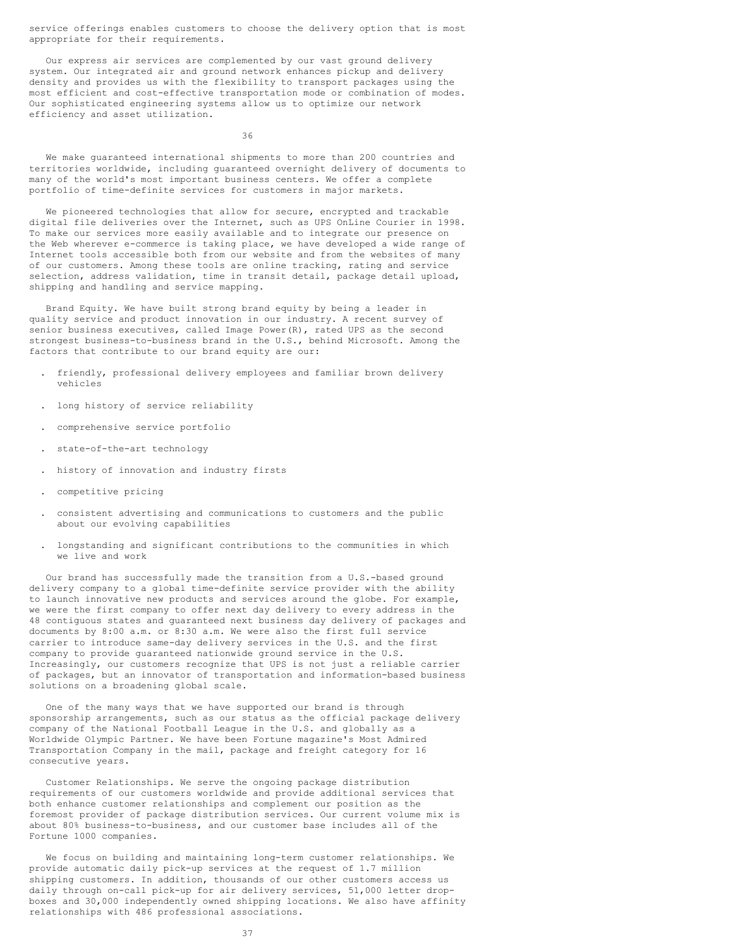service offerings enables customers to choose the delivery option that is most appropriate for their requirements.

Our express air services are complemented by our vast ground delivery system. Our integrated air and ground network enhances pickup and delivery density and provides us with the flexibility to transport packages using the most efficient and cost-effective transportation mode or combination of modes. Our sophisticated engineering systems allow us to optimize our network efficiency and asset utilization.

36

We make guaranteed international shipments to more than 200 countries and territories worldwide, including guaranteed overnight delivery of documents to many of the world's most important business centers. We offer a complete portfolio of time-definite services for customers in major markets.

We pioneered technologies that allow for secure, encrypted and trackable digital file deliveries over the Internet, such as UPS OnLine Courier in 1998. To make our services more easily available and to integrate our presence on the Web wherever e-commerce is taking place, we have developed a wide range of Internet tools accessible both from our website and from the websites of many of our customers. Among these tools are online tracking, rating and service selection, address validation, time in transit detail, package detail upload, shipping and handling and service mapping.

Brand Equity. We have built strong brand equity by being a leader in quality service and product innovation in our industry. A recent survey of senior business executives, called Image Power(R), rated UPS as the second strongest business-to-business brand in the U.S., behind Microsoft. Among the factors that contribute to our brand equity are our:

- . friendly, professional delivery employees and familiar brown delivery vehicles
- . long history of service reliability
- . comprehensive service portfolio
- . state-of-the-art technology
- . history of innovation and industry firsts
- . competitive pricing
- . consistent advertising and communications to customers and the public about our evolving capabilities
- . longstanding and significant contributions to the communities in which we live and work

Our brand has successfully made the transition from a U.S.-based ground delivery company to a global time-definite service provider with the ability to launch innovative new products and services around the globe. For example, we were the first company to offer next day delivery to every address in the 48 contiguous states and guaranteed next business day delivery of packages and documents by 8:00 a.m. or 8:30 a.m. We were also the first full service carrier to introduce same-day delivery services in the U.S. and the first company to provide guaranteed nationwide ground service in the U.S. Increasingly, our customers recognize that UPS is not just a reliable carrier of packages, but an innovator of transportation and information-based business solutions on a broadening global scale.

One of the many ways that we have supported our brand is through sponsorship arrangements, such as our status as the official package delivery company of the National Football League in the U.S. and globally as a Worldwide Olympic Partner. We have been Fortune magazine's Most Admired Transportation Company in the mail, package and freight category for 16 consecutive years.

Customer Relationships. We serve the ongoing package distribution requirements of our customers worldwide and provide additional services that both enhance customer relationships and complement our position as the foremost provider of package distribution services. Our current volume mix is about 80% business-to-business, and our customer base includes all of the Fortune 1000 companies.

We focus on building and maintaining long-term customer relationships. We provide automatic daily pick-up services at the request of 1.7 million shipping customers. In addition, thousands of our other customers access us daily through on-call pick-up for air delivery services, 51,000 letter dropboxes and 30,000 independently owned shipping locations. We also have affinity relationships with 486 professional associations.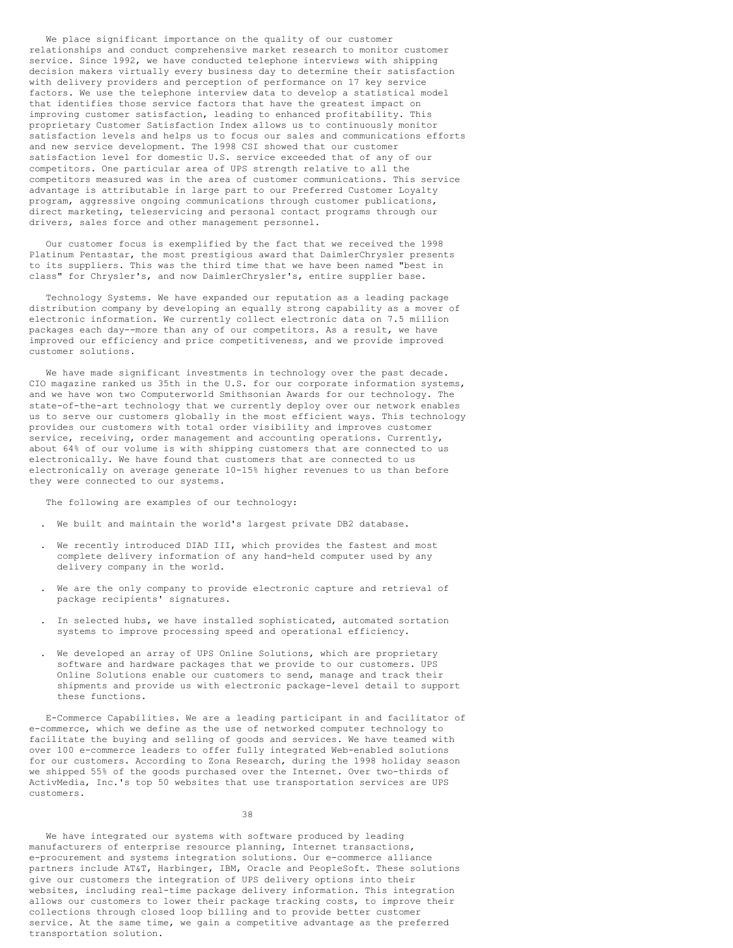We place significant importance on the quality of our customer relationships and conduct comprehensive market research to monitor customer service. Since 1992, we have conducted telephone interviews with shipping decision makers virtually every business day to determine their satisfaction with delivery providers and perception of performance on 17 key service factors. We use the telephone interview data to develop a statistical model that identifies those service factors that have the greatest impact on improving customer satisfaction, leading to enhanced profitability. This proprietary Customer Satisfaction Index allows us to continuously monitor satisfaction levels and helps us to focus our sales and communications efforts and new service development. The 1998 CSI showed that our customer satisfaction level for domestic U.S. service exceeded that of any of our competitors. One particular area of UPS strength relative to all the competitors measured was in the area of customer communications. This service advantage is attributable in large part to our Preferred Customer Loyalty program, aggressive ongoing communications through customer publications, direct marketing, teleservicing and personal contact programs through our drivers, sales force and other management personnel.

Our customer focus is exemplified by the fact that we received the 1998 Platinum Pentastar, the most prestigious award that DaimlerChrysler presents to its suppliers. This was the third time that we have been named "best in class" for Chrysler's, and now DaimlerChrysler's, entire supplier base.

Technology Systems. We have expanded our reputation as a leading package distribution company by developing an equally strong capability as a mover of electronic information. We currently collect electronic data on 7.5 million packages each day--more than any of our competitors. As a result, we have improved our efficiency and price competitiveness, and we provide improved customer solutions.

We have made significant investments in technology over the past decade. CIO magazine ranked us 35th in the U.S. for our corporate information systems, and we have won two Computerworld Smithsonian Awards for our technology. The state-of-the-art technology that we currently deploy over our network enables us to serve our customers globally in the most efficient ways. This technology provides our customers with total order visibility and improves customer service, receiving, order management and accounting operations. Currently, about 64% of our volume is with shipping customers that are connected to us electronically. We have found that customers that are connected to us electronically on average generate 10-15% higher revenues to us than before they were connected to our systems.

The following are examples of our technology:

- . We built and maintain the world's largest private DB2 database.
- . We recently introduced DIAD III, which provides the fastest and most complete delivery information of any hand-held computer used by any delivery company in the world.
- . We are the only company to provide electronic capture and retrieval of package recipients' signatures.
- . In selected hubs, we have installed sophisticated, automated sortation systems to improve processing speed and operational efficiency.
- . We developed an array of UPS Online Solutions, which are proprietary software and hardware packages that we provide to our customers. UPS Online Solutions enable our customers to send, manage and track their shipments and provide us with electronic package-level detail to support these functions.

E-Commerce Capabilities. We are a leading participant in and facilitator of e-commerce, which we define as the use of networked computer technology to facilitate the buying and selling of goods and services. We have teamed with over 100 e-commerce leaders to offer fully integrated Web-enabled solutions for our customers. According to Zona Research, during the 1998 holiday season we shipped 55% of the goods purchased over the Internet. Over two-thirds of ActivMedia, Inc.'s top 50 websites that use transportation services are UPS customers.

38

We have integrated our systems with software produced by leading manufacturers of enterprise resource planning, Internet transactions, e-procurement and systems integration solutions. Our e-commerce alliance partners include AT&T, Harbinger, IBM, Oracle and PeopleSoft. These solutions give our customers the integration of UPS delivery options into their websites, including real-time package delivery information. This integration allows our customers to lower their package tracking costs, to improve their collections through closed loop billing and to provide better customer service. At the same time, we gain a competitive advantage as the preferred transportation solution.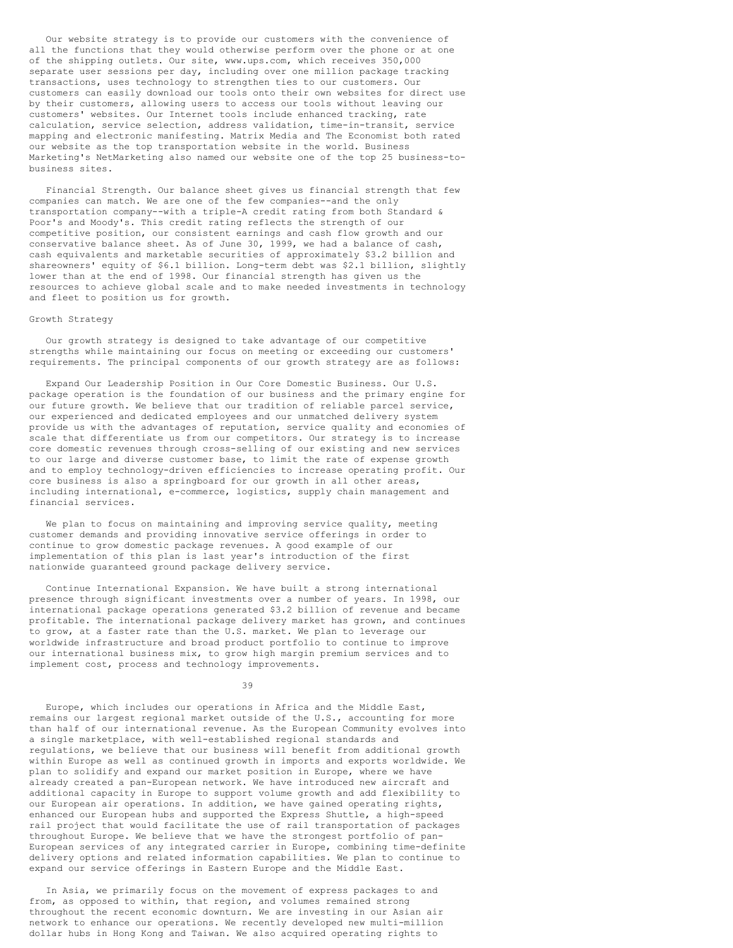Our website strategy is to provide our customers with the convenience of all the functions that they would otherwise perform over the phone or at one of the shipping outlets. Our site, www.ups.com, which receives 350,000 separate user sessions per day, including over one million package tracking transactions, uses technology to strengthen ties to our customers. Our customers can easily download our tools onto their own websites for direct use by their customers, allowing users to access our tools without leaving our customers' websites. Our Internet tools include enhanced tracking, rate calculation, service selection, address validation, time-in-transit, service mapping and electronic manifesting. Matrix Media and The Economist both rated our website as the top transportation website in the world. Business Marketing's NetMarketing also named our website one of the top 25 business-tobusiness sites.

Financial Strength. Our balance sheet gives us financial strength that few companies can match. We are one of the few companies--and the only transportation company--with a triple-A credit rating from both Standard & Poor's and Moody's. This credit rating reflects the strength of our competitive position, our consistent earnings and cash flow growth and our conservative balance sheet. As of June 30, 1999, we had a balance of cash, cash equivalents and marketable securities of approximately \$3.2 billion and shareowners' equity of \$6.1 billion. Long-term debt was \$2.1 billion, slightly lower than at the end of 1998. Our financial strength has given us the resources to achieve global scale and to make needed investments in technology and fleet to position us for growth.

### Growth Strategy

Our growth strategy is designed to take advantage of our competitive strengths while maintaining our focus on meeting or exceeding our customers' requirements. The principal components of our growth strategy are as follows:

Expand Our Leadership Position in Our Core Domestic Business. Our U.S. package operation is the foundation of our business and the primary engine for our future growth. We believe that our tradition of reliable parcel service, our experienced and dedicated employees and our unmatched delivery system provide us with the advantages of reputation, service quality and economies of scale that differentiate us from our competitors. Our strategy is to increase core domestic revenues through cross-selling of our existing and new services to our large and diverse customer base, to limit the rate of expense growth and to employ technology-driven efficiencies to increase operating profit. Our core business is also a springboard for our growth in all other areas, including international, e-commerce, logistics, supply chain management and financial services.

We plan to focus on maintaining and improving service quality, meeting customer demands and providing innovative service offerings in order to continue to grow domestic package revenues. A good example of our implementation of this plan is last year's introduction of the first nationwide guaranteed ground package delivery service.

Continue International Expansion. We have built a strong international presence through significant investments over a number of years. In 1998, our international package operations generated \$3.2 billion of revenue and became profitable. The international package delivery market has grown, and continues to grow, at a faster rate than the U.S. market. We plan to leverage our worldwide infrastructure and broad product portfolio to continue to improve our international business mix, to grow high margin premium services and to implement cost, process and technology improvements.

39

Europe, which includes our operations in Africa and the Middle East, remains our largest regional market outside of the U.S., accounting for more than half of our international revenue. As the European Community evolves into a single marketplace, with well-established regional standards and regulations, we believe that our business will benefit from additional growth within Europe as well as continued growth in imports and exports worldwide. We plan to solidify and expand our market position in Europe, where we have already created a pan-European network. We have introduced new aircraft and additional capacity in Europe to support volume growth and add flexibility to our European air operations. In addition, we have gained operating rights, enhanced our European hubs and supported the Express Shuttle, a high-speed rail project that would facilitate the use of rail transportation of packages throughout Europe. We believe that we have the strongest portfolio of pan-European services of any integrated carrier in Europe, combining time-definite delivery options and related information capabilities. We plan to continue to expand our service offerings in Eastern Europe and the Middle East.

In Asia, we primarily focus on the movement of express packages to and from, as opposed to within, that region, and volumes remained strong throughout the recent economic downturn. We are investing in our Asian air network to enhance our operations. We recently developed new multi-million dollar hubs in Hong Kong and Taiwan. We also acquired operating rights to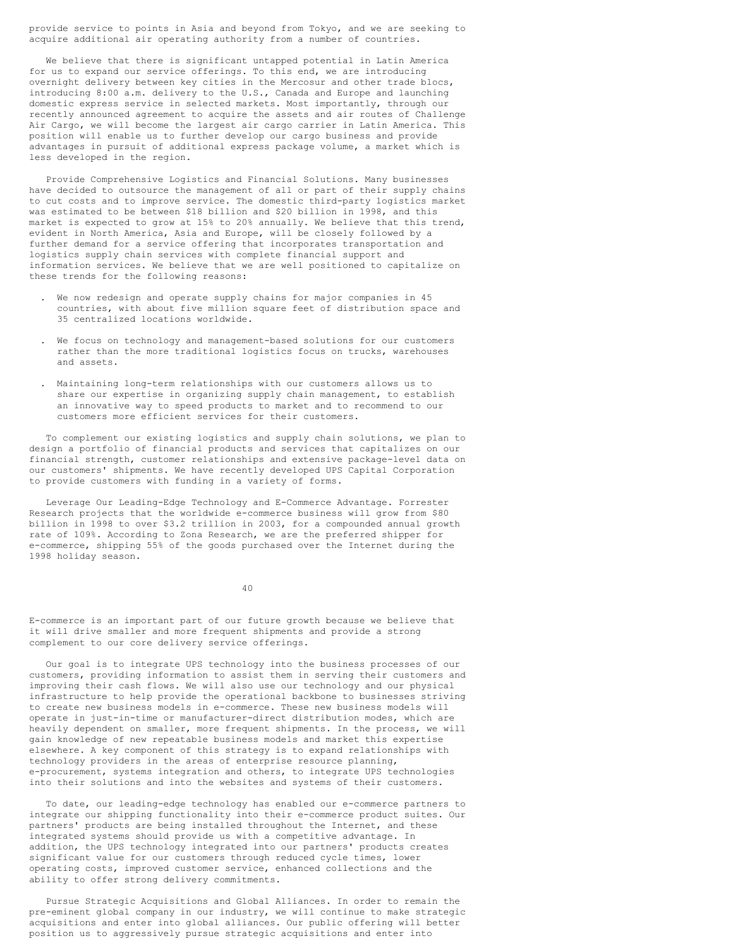provide service to points in Asia and beyond from Tokyo, and we are seeking to acquire additional air operating authority from a number of countries.

We believe that there is significant untapped potential in Latin America for us to expand our service offerings. To this end, we are introducing overnight delivery between key cities in the Mercosur and other trade blocs, introducing 8:00 a.m. delivery to the U.S., Canada and Europe and launching domestic express service in selected markets. Most importantly, through our recently announced agreement to acquire the assets and air routes of Challenge Air Cargo, we will become the largest air cargo carrier in Latin America. This position will enable us to further develop our cargo business and provide advantages in pursuit of additional express package volume, a market which is less developed in the region.

Provide Comprehensive Logistics and Financial Solutions. Many businesses have decided to outsource the management of all or part of their supply chains to cut costs and to improve service. The domestic third-party logistics market was estimated to be between \$18 billion and \$20 billion in 1998, and this market is expected to grow at 15% to 20% annually. We believe that this trend, evident in North America, Asia and Europe, will be closely followed by a further demand for a service offering that incorporates transportation and logistics supply chain services with complete financial support and information services. We believe that we are well positioned to capitalize on these trends for the following reasons:

- We now redesign and operate supply chains for major companies in 45 countries, with about five million square feet of distribution space and 35 centralized locations worldwide.
- We focus on technology and management-based solutions for our customers rather than the more traditional logistics focus on trucks, warehouses and assets.
- . Maintaining long-term relationships with our customers allows us to share our expertise in organizing supply chain management, to establish an innovative way to speed products to market and to recommend to our customers more efficient services for their customers.

To complement our existing logistics and supply chain solutions, we plan to design a portfolio of financial products and services that capitalizes on our financial strength, customer relationships and extensive package-level data on our customers' shipments. We have recently developed UPS Capital Corporation to provide customers with funding in a variety of forms.

Leverage Our Leading-Edge Technology and E-Commerce Advantage. Forrester Research projects that the worldwide e-commerce business will grow from \$80 billion in 1998 to over \$3.2 trillion in 2003, for a compounded annual growth rate of 109%. According to Zona Research, we are the preferred shipper for e-commerce, shipping 55% of the goods purchased over the Internet during the 1998 holiday season.

40

E-commerce is an important part of our future growth because we believe that it will drive smaller and more frequent shipments and provide a strong complement to our core delivery service offerings.

Our goal is to integrate UPS technology into the business processes of our customers, providing information to assist them in serving their customers and improving their cash flows. We will also use our technology and our physical infrastructure to help provide the operational backbone to businesses striving to create new business models in e-commerce. These new business models will operate in just-in-time or manufacturer-direct distribution modes, which are heavily dependent on smaller, more frequent shipments. In the process, we will gain knowledge of new repeatable business models and market this expertise elsewhere. A key component of this strategy is to expand relationships with technology providers in the areas of enterprise resource planning, e-procurement, systems integration and others, to integrate UPS technologies into their solutions and into the websites and systems of their customers.

To date, our leading-edge technology has enabled our e-commerce partners to integrate our shipping functionality into their e-commerce product suites. Our partners' products are being installed throughout the Internet, and these integrated systems should provide us with a competitive advantage. In addition, the UPS technology integrated into our partners' products creates significant value for our customers through reduced cycle times, lower operating costs, improved customer service, enhanced collections and the ability to offer strong delivery commitments.

Pursue Strategic Acquisitions and Global Alliances. In order to remain the pre-eminent global company in our industry, we will continue to make strategic acquisitions and enter into global alliances. Our public offering will better position us to aggressively pursue strategic acquisitions and enter into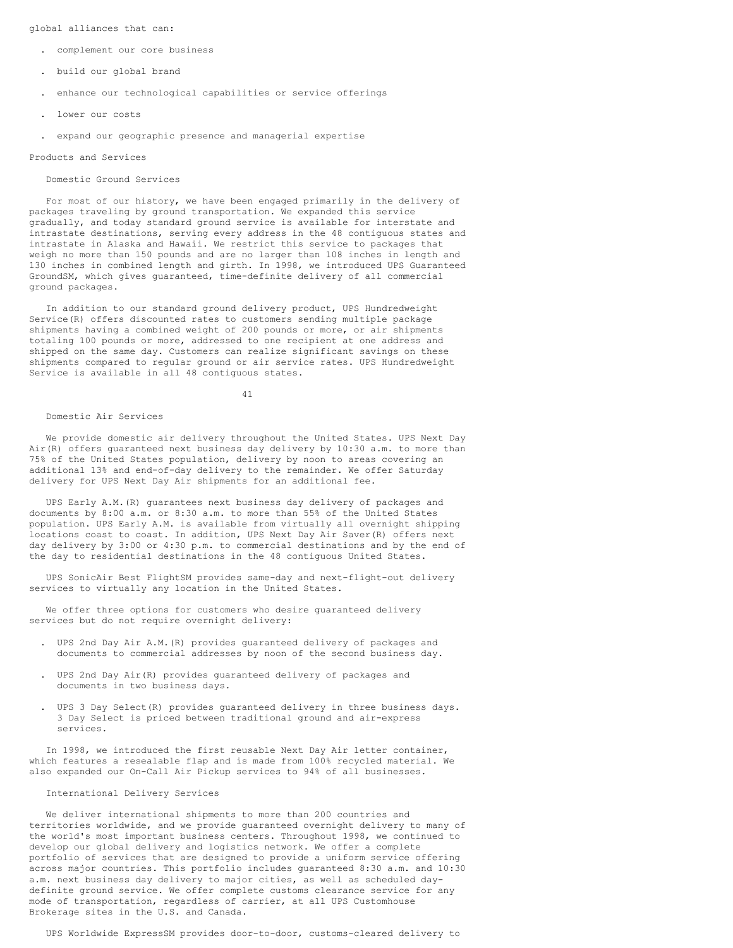global alliances that can:

- . complement our core business
- . build our global brand
- . enhance our technological capabilities or service offerings
- . lower our costs
- . expand our geographic presence and managerial expertise

#### Products and Services

### Domestic Ground Services

For most of our history, we have been engaged primarily in the delivery of packages traveling by ground transportation. We expanded this service gradually, and today standard ground service is available for interstate and intrastate destinations, serving every address in the 48 contiguous states and intrastate in Alaska and Hawaii. We restrict this service to packages that weigh no more than 150 pounds and are no larger than 108 inches in length and 130 inches in combined length and girth. In 1998, we introduced UPS Guaranteed GroundSM, which gives guaranteed, time-definite delivery of all commercial ground packages.

In addition to our standard ground delivery product, UPS Hundredweight Service(R) offers discounted rates to customers sending multiple package shipments having a combined weight of 200 pounds or more, or air shipments totaling 100 pounds or more, addressed to one recipient at one address and shipped on the same day. Customers can realize significant savings on these shipments compared to regular ground or air service rates. UPS Hundredweight Service is available in all 48 contiguous states.

41

#### Domestic Air Services

We provide domestic air delivery throughout the United States. UPS Next Day Air(R) offers guaranteed next business day delivery by 10:30 a.m. to more than 75% of the United States population, delivery by noon to areas covering an additional 13% and end-of-day delivery to the remainder. We offer Saturday delivery for UPS Next Day Air shipments for an additional fee.

UPS Early A.M.(R) guarantees next business day delivery of packages and documents by 8:00 a.m. or 8:30 a.m. to more than 55% of the United States population. UPS Early A.M. is available from virtually all overnight shipping locations coast to coast. In addition, UPS Next Day Air Saver(R) offers next day delivery by 3:00 or 4:30 p.m. to commercial destinations and by the end of the day to residential destinations in the 48 contiguous United States.

UPS SonicAir Best FlightSM provides same-day and next-flight-out delivery services to virtually any location in the United States.

We offer three options for customers who desire guaranteed delivery services but do not require overnight delivery:

- . UPS 2nd Day Air A.M.(R) provides guaranteed delivery of packages and documents to commercial addresses by noon of the second business day.
- . UPS 2nd Day Air(R) provides guaranteed delivery of packages and documents in two business days.
- . UPS 3 Day Select(R) provides guaranteed delivery in three business days. 3 Day Select is priced between traditional ground and air-express services.

In 1998, we introduced the first reusable Next Day Air letter container, which features a resealable flap and is made from 100% recycled material. We also expanded our On-Call Air Pickup services to 94% of all businesses.

# International Delivery Services

We deliver international shipments to more than 200 countries and territories worldwide, and we provide guaranteed overnight delivery to many of the world's most important business centers. Throughout 1998, we continued to develop our global delivery and logistics network. We offer a complete portfolio of services that are designed to provide a uniform service offering across major countries. This portfolio includes guaranteed 8:30 a.m. and 10:30 a.m. next business day delivery to major cities, as well as scheduled daydefinite ground service. We offer complete customs clearance service for any mode of transportation, regardless of carrier, at all UPS Customhouse Brokerage sites in the U.S. and Canada.

UPS Worldwide ExpressSM provides door-to-door, customs-cleared delivery to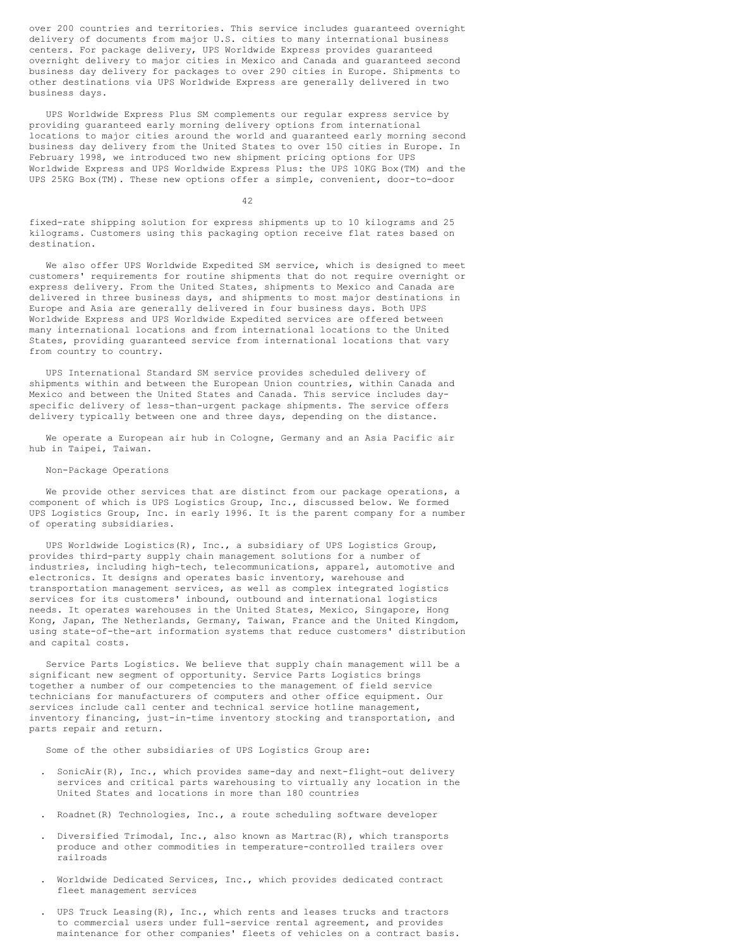over 200 countries and territories. This service includes guaranteed overnight delivery of documents from major U.S. cities to many international business centers. For package delivery, UPS Worldwide Express provides guaranteed overnight delivery to major cities in Mexico and Canada and guaranteed second business day delivery for packages to over 290 cities in Europe. Shipments to other destinations via UPS Worldwide Express are generally delivered in two business days.

UPS Worldwide Express Plus SM complements our regular express service by providing guaranteed early morning delivery options from international locations to major cities around the world and guaranteed early morning second business day delivery from the United States to over 150 cities in Europe. In February 1998, we introduced two new shipment pricing options for UPS Worldwide Express and UPS Worldwide Express Plus: the UPS 10KG Box(TM) and the UPS 25KG Box(TM). These new options offer a simple, convenient, door-to-door

42

fixed-rate shipping solution for express shipments up to 10 kilograms and 25 kilograms. Customers using this packaging option receive flat rates based on destination.

We also offer UPS Worldwide Expedited SM service, which is designed to meet customers' requirements for routine shipments that do not require overnight or express delivery. From the United States, shipments to Mexico and Canada are delivered in three business days, and shipments to most major destinations in Europe and Asia are generally delivered in four business days. Both UPS Worldwide Express and UPS Worldwide Expedited services are offered between many international locations and from international locations to the United States, providing guaranteed service from international locations that vary from country to country.

UPS International Standard SM service provides scheduled delivery of shipments within and between the European Union countries, within Canada and Mexico and between the United States and Canada. This service includes dayspecific delivery of less-than-urgent package shipments. The service offers delivery typically between one and three days, depending on the distance.

We operate a European air hub in Cologne, Germany and an Asia Pacific air hub in Taipei, Taiwan.

### Non-Package Operations

We provide other services that are distinct from our package operations, a component of which is UPS Logistics Group, Inc., discussed below. We formed UPS Logistics Group, Inc. in early 1996. It is the parent company for a number of operating subsidiaries.

UPS Worldwide Logistics(R), Inc., a subsidiary of UPS Logistics Group, provides third-party supply chain management solutions for a number of industries, including high-tech, telecommunications, apparel, automotive and electronics. It designs and operates basic inventory, warehouse and transportation management services, as well as complex integrated logistics services for its customers' inbound, outbound and international logistics needs. It operates warehouses in the United States, Mexico, Singapore, Hong Kong, Japan, The Netherlands, Germany, Taiwan, France and the United Kingdom, using state-of-the-art information systems that reduce customers' distribution and capital costs.

Service Parts Logistics. We believe that supply chain management will be a significant new segment of opportunity. Service Parts Logistics brings together a number of our competencies to the management of field service technicians for manufacturers of computers and other office equipment. Our services include call center and technical service hotline management, inventory financing, just-in-time inventory stocking and transportation, and parts repair and return.

Some of the other subsidiaries of UPS Logistics Group are:

- . SonicAir(R), Inc., which provides same-day and next-flight-out delivery services and critical parts warehousing to virtually any location in the United States and locations in more than 180 countries
- . Roadnet(R) Technologies, Inc., a route scheduling software developer
- . Diversified Trimodal, Inc., also known as Martrac(R), which transports produce and other commodities in temperature-controlled trailers over railroads
- . Worldwide Dedicated Services, Inc., which provides dedicated contract fleet management services
- . UPS Truck Leasing(R), Inc., which rents and leases trucks and tractors to commercial users under full-service rental agreement, and provides maintenance for other companies' fleets of vehicles on a contract basis.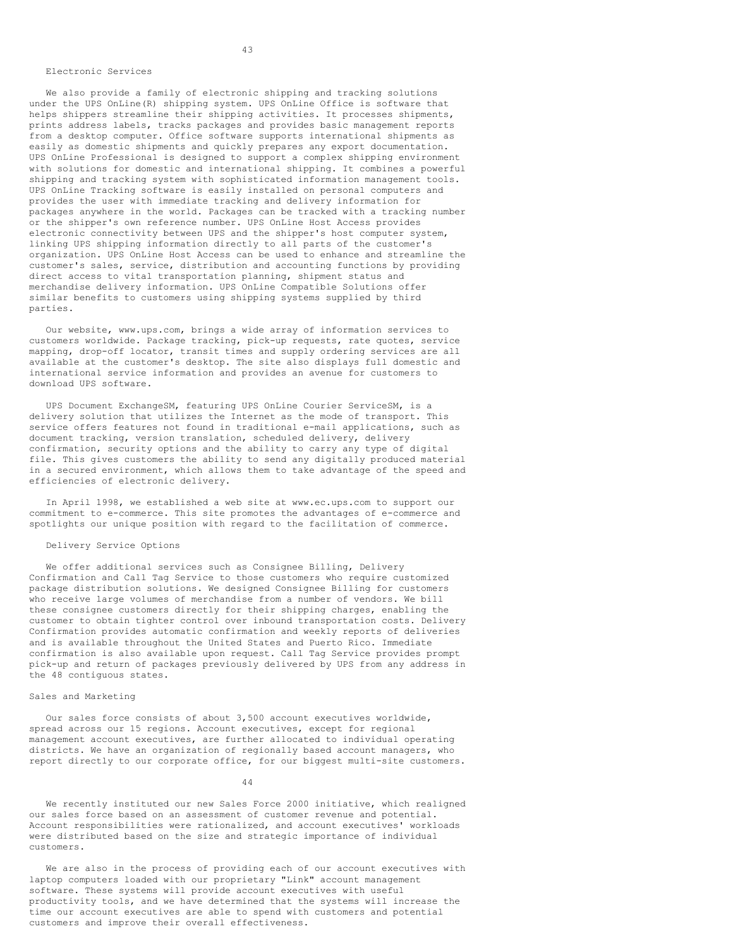#### Electronic Services

We also provide a family of electronic shipping and tracking solutions under the UPS OnLine(R) shipping system. UPS OnLine Office is software that helps shippers streamline their shipping activities. It processes shipments, prints address labels, tracks packages and provides basic management reports from a desktop computer. Office software supports international shipments as easily as domestic shipments and quickly prepares any export documentation. UPS OnLine Professional is designed to support a complex shipping environment with solutions for domestic and international shipping. It combines a powerful shipping and tracking system with sophisticated information management tools. UPS OnLine Tracking software is easily installed on personal computers and provides the user with immediate tracking and delivery information for packages anywhere in the world. Packages can be tracked with a tracking number or the shipper's own reference number. UPS OnLine Host Access provides electronic connectivity between UPS and the shipper's host computer system, linking UPS shipping information directly to all parts of the customer's organization. UPS OnLine Host Access can be used to enhance and streamline the customer's sales, service, distribution and accounting functions by providing direct access to vital transportation planning, shipment status and merchandise delivery information. UPS OnLine Compatible Solutions offer similar benefits to customers using shipping systems supplied by third parties.

Our website, www.ups.com, brings a wide array of information services to customers worldwide. Package tracking, pick-up requests, rate quotes, service mapping, drop-off locator, transit times and supply ordering services are all available at the customer's desktop. The site also displays full domestic and international service information and provides an avenue for customers to download UPS software.

UPS Document ExchangeSM, featuring UPS OnLine Courier ServiceSM, is a delivery solution that utilizes the Internet as the mode of transport. This service offers features not found in traditional e-mail applications, such as document tracking, version translation, scheduled delivery, delivery confirmation, security options and the ability to carry any type of digital file. This gives customers the ability to send any digitally produced material in a secured environment, which allows them to take advantage of the speed and efficiencies of electronic delivery.

In April 1998, we established a web site at www.ec.ups.com to support our commitment to e-commerce. This site promotes the advantages of e-commerce and spotlights our unique position with regard to the facilitation of commerce.

### Delivery Service Options

We offer additional services such as Consignee Billing, Delivery Confirmation and Call Tag Service to those customers who require customized package distribution solutions. We designed Consignee Billing for customers who receive large volumes of merchandise from a number of vendors. We bill these consignee customers directly for their shipping charges, enabling the customer to obtain tighter control over inbound transportation costs. Delivery Confirmation provides automatic confirmation and weekly reports of deliveries and is available throughout the United States and Puerto Rico. Immediate confirmation is also available upon request. Call Tag Service provides prompt pick-up and return of packages previously delivered by UPS from any address in the 48 contiguous states.

# Sales and Marketing

Our sales force consists of about 3,500 account executives worldwide, spread across our 15 regions. Account executives, except for regional management account executives, are further allocated to individual operating districts. We have an organization of regionally based account managers, who report directly to our corporate office, for our biggest multi-site customers.

44

We recently instituted our new Sales Force 2000 initiative, which realigned our sales force based on an assessment of customer revenue and potential. Account responsibilities were rationalized, and account executives' workloads were distributed based on the size and strategic importance of individual customers.

We are also in the process of providing each of our account executives with laptop computers loaded with our proprietary "Link" account management software. These systems will provide account executives with useful productivity tools, and we have determined that the systems will increase the time our account executives are able to spend with customers and potential customers and improve their overall effectiveness.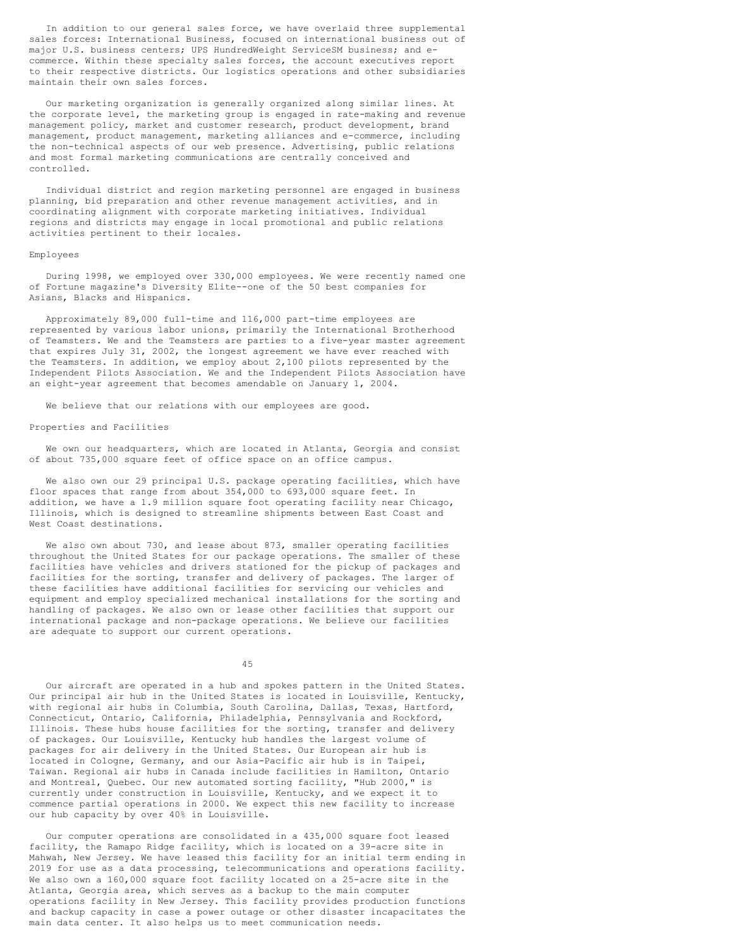In addition to our general sales force, we have overlaid three supplemental sales forces: International Business, focused on international business out of major U.S. business centers; UPS HundredWeight ServiceSM business; and ecommerce. Within these specialty sales forces, the account executives report to their respective districts. Our logistics operations and other subsidiaries maintain their own sales forces.

Our marketing organization is generally organized along similar lines. At the corporate level, the marketing group is engaged in rate-making and revenue management policy, market and customer research, product development, brand management, product management, marketing alliances and e-commerce, including the non-technical aspects of our web presence. Advertising, public relations and most formal marketing communications are centrally conceived and controlled.

Individual district and region marketing personnel are engaged in business planning, bid preparation and other revenue management activities, and in coordinating alignment with corporate marketing initiatives. Individual regions and districts may engage in local promotional and public relations activities pertinent to their locales.

### Employees

During 1998, we employed over 330,000 employees. We were recently named one of Fortune magazine's Diversity Elite--one of the 50 best companies for Asians, Blacks and Hispanics.

Approximately 89,000 full-time and 116,000 part-time employees are represented by various labor unions, primarily the International Brotherhood of Teamsters. We and the Teamsters are parties to a five-year master agreement that expires July 31, 2002, the longest agreement we have ever reached with the Teamsters. In addition, we employ about 2,100 pilots represented by the Independent Pilots Association. We and the Independent Pilots Association have an eight-year agreement that becomes amendable on January 1, 2004.

We believe that our relations with our employees are good.

# Properties and Facilities

We own our headquarters, which are located in Atlanta, Georgia and consist of about 735,000 square feet of office space on an office campus.

We also own our 29 principal U.S. package operating facilities, which have floor spaces that range from about 354,000 to 693,000 square feet. In addition, we have a 1.9 million square foot operating facility near Chicago, Illinois, which is designed to streamline shipments between East Coast and West Coast destinations.

We also own about 730, and lease about 873, smaller operating facilities throughout the United States for our package operations. The smaller of these facilities have vehicles and drivers stationed for the pickup of packages and facilities for the sorting, transfer and delivery of packages. The larger of these facilities have additional facilities for servicing our vehicles and equipment and employ specialized mechanical installations for the sorting and handling of packages. We also own or lease other facilities that support our international package and non-package operations. We believe our facilities are adequate to support our current operations.

45

Our aircraft are operated in a hub and spokes pattern in the United States. Our principal air hub in the United States is located in Louisville, Kentucky, with regional air hubs in Columbia, South Carolina, Dallas, Texas, Hartford, Connecticut, Ontario, California, Philadelphia, Pennsylvania and Rockford, Illinois. These hubs house facilities for the sorting, transfer and delivery of packages. Our Louisville, Kentucky hub handles the largest volume of packages for air delivery in the United States. Our European air hub is located in Cologne, Germany, and our Asia-Pacific air hub is in Taipei, Taiwan. Regional air hubs in Canada include facilities in Hamilton, Ontario and Montreal, Quebec. Our new automated sorting facility, "Hub 2000," is currently under construction in Louisville, Kentucky, and we expect it to commence partial operations in 2000. We expect this new facility to increase our hub capacity by over 40% in Louisville.

Our computer operations are consolidated in a 435,000 square foot leased facility, the Ramapo Ridge facility, which is located on a 39-acre site in Mahwah, New Jersey. We have leased this facility for an initial term ending in 2019 for use as a data processing, telecommunications and operations facility. We also own a 160,000 square foot facility located on a 25-acre site in the Atlanta, Georgia area, which serves as a backup to the main computer operations facility in New Jersey. This facility provides production functions and backup capacity in case a power outage or other disaster incapacitates the main data center. It also helps us to meet communication needs.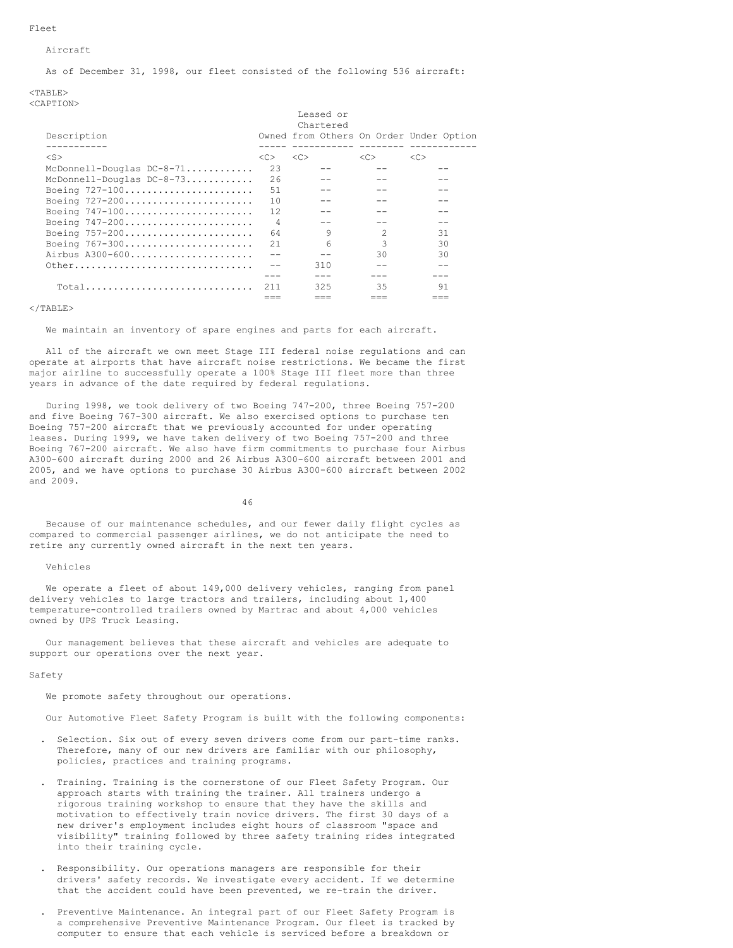### Fleet

# Aircraft

As of December 31, 1998, our fleet consisted of the following 536 aircraft:

### $<$ TABLE> <CAPTION>

|                             | Leased or      |            |                |                                         |  |  |
|-----------------------------|----------------|------------|----------------|-----------------------------------------|--|--|
|                             |                | Chartered  |                |                                         |  |  |
| Description                 |                |            |                | Owned from Others On Order Under Option |  |  |
|                             |                | ---------- |                |                                         |  |  |
| $<$ S $>$                   | < <sub></sub>  | <<         | <<             | <<                                      |  |  |
| McDonnell-Douglas $DC-8-71$ | 23             |            |                |                                         |  |  |
| McDonnell-Douglas DC-8-73   | 26             |            |                |                                         |  |  |
| Boeing 727-100              | .51            |            |                |                                         |  |  |
| Boeing 727-200              | 10             |            |                |                                         |  |  |
| Boeing $747-100$            | 12.            |            |                |                                         |  |  |
| Boeing 747-200              | $\overline{4}$ |            |                |                                         |  |  |
| Boeing 757-200              | 64             | 9          | $\mathfrak{D}$ | 31                                      |  |  |
| Boeing 767-300              | 21             | 6          | 3              | 30                                      |  |  |
| Airbus A300-600             |                | --         | 30             | 30                                      |  |  |
| Other                       | $-$            | 310        |                |                                         |  |  |
|                             |                |            |                |                                         |  |  |
| $Total$                     | 211            | 325        | 35             | 91                                      |  |  |
|                             |                |            |                |                                         |  |  |

### $\langle$ /TABLE>

### We maintain an inventory of spare engines and parts for each aircraft.

All of the aircraft we own meet Stage III federal noise regulations and can operate at airports that have aircraft noise restrictions. We became the first major airline to successfully operate a 100% Stage III fleet more than three years in advance of the date required by federal regulations.

During 1998, we took delivery of two Boeing 747-200, three Boeing 757-200 and five Boeing 767-300 aircraft. We also exercised options to purchase ten Boeing 757-200 aircraft that we previously accounted for under operating leases. During 1999, we have taken delivery of two Boeing 757-200 and three Boeing 767-200 aircraft. We also have firm commitments to purchase four Airbus A300-600 aircraft during 2000 and 26 Airbus A300-600 aircraft between 2001 and 2005, and we have options to purchase 30 Airbus A300-600 aircraft between 2002 and 2009.

46

Because of our maintenance schedules, and our fewer daily flight cycles as compared to commercial passenger airlines, we do not anticipate the need to retire any currently owned aircraft in the next ten years.

### Vehicles

We operate a fleet of about 149,000 delivery vehicles, ranging from panel delivery vehicles to large tractors and trailers, including about 1,400 temperature-controlled trailers owned by Martrac and about 4,000 vehicles owned by UPS Truck Leasing.

Our management believes that these aircraft and vehicles are adequate to support our operations over the next year.

#### Safety

We promote safety throughout our operations.

Our Automotive Fleet Safety Program is built with the following components:

- . Selection. Six out of every seven drivers come from our part-time ranks. Therefore, many of our new drivers are familiar with our philosophy, policies, practices and training programs.
- . Training. Training is the cornerstone of our Fleet Safety Program. Our approach starts with training the trainer. All trainers undergo a rigorous training workshop to ensure that they have the skills and motivation to effectively train novice drivers. The first 30 days of a new driver's employment includes eight hours of classroom "space and visibility" training followed by three safety training rides integrated into their training cycle.
- . Responsibility. Our operations managers are responsible for their drivers' safety records. We investigate every accident. If we determine that the accident could have been prevented, we re-train the driver.
- . Preventive Maintenance. An integral part of our Fleet Safety Program is a comprehensive Preventive Maintenance Program. Our fleet is tracked by computer to ensure that each vehicle is serviced before a breakdown or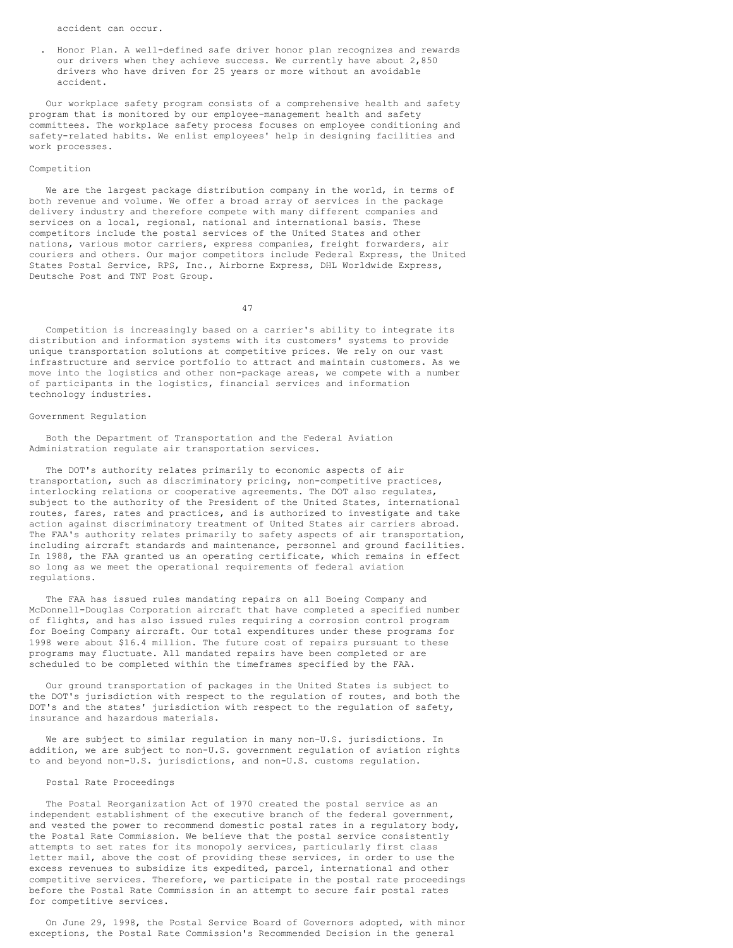accident can occur.

. Honor Plan. A well-defined safe driver honor plan recognizes and rewards our drivers when they achieve success. We currently have about 2,850 drivers who have driven for 25 years or more without an avoidable accident.

Our workplace safety program consists of a comprehensive health and safety program that is monitored by our employee-management health and safety committees. The workplace safety process focuses on employee conditioning and safety-related habits. We enlist employees' help in designing facilities and work processes.

# Competition

We are the largest package distribution company in the world, in terms of both revenue and volume. We offer a broad array of services in the package delivery industry and therefore compete with many different companies and services on a local, regional, national and international basis. These competitors include the postal services of the United States and other nations, various motor carriers, express companies, freight forwarders, air couriers and others. Our major competitors include Federal Express, the United States Postal Service, RPS, Inc., Airborne Express, DHL Worldwide Express, Deutsche Post and TNT Post Group.

47

Competition is increasingly based on a carrier's ability to integrate its distribution and information systems with its customers' systems to provide unique transportation solutions at competitive prices. We rely on our vast infrastructure and service portfolio to attract and maintain customers. As we move into the logistics and other non-package areas, we compete with a number of participants in the logistics, financial services and information technology industries.

## Government Regulation

Both the Department of Transportation and the Federal Aviation Administration regulate air transportation services.

The DOT's authority relates primarily to economic aspects of air transportation, such as discriminatory pricing, non-competitive practices, interlocking relations or cooperative agreements. The DOT also regulates, subject to the authority of the President of the United States, international routes, fares, rates and practices, and is authorized to investigate and take action against discriminatory treatment of United States air carriers abroad. The FAA's authority relates primarily to safety aspects of air transportation, including aircraft standards and maintenance, personnel and ground facilities. In 1988, the FAA granted us an operating certificate, which remains in effect so long as we meet the operational requirements of federal aviation regulations.

The FAA has issued rules mandating repairs on all Boeing Company and McDonnell-Douglas Corporation aircraft that have completed a specified number of flights, and has also issued rules requiring a corrosion control program for Boeing Company aircraft. Our total expenditures under these programs for 1998 were about \$16.4 million. The future cost of repairs pursuant to these programs may fluctuate. All mandated repairs have been completed or are scheduled to be completed within the timeframes specified by the FAA.

Our ground transportation of packages in the United States is subject to the DOT's jurisdiction with respect to the regulation of routes, and both the DOT's and the states' jurisdiction with respect to the regulation of safety, insurance and hazardous materials.

We are subject to similar regulation in many non-U.S. jurisdictions. In addition, we are subject to non-U.S. government regulation of aviation rights to and beyond non-U.S. jurisdictions, and non-U.S. customs regulation.

# Postal Rate Proceedings

The Postal Reorganization Act of 1970 created the postal service as an independent establishment of the executive branch of the federal government, and vested the power to recommend domestic postal rates in a regulatory body, the Postal Rate Commission. We believe that the postal service consistently attempts to set rates for its monopoly services, particularly first class letter mail, above the cost of providing these services, in order to use the excess revenues to subsidize its expedited, parcel, international and other competitive services. Therefore, we participate in the postal rate proceedings before the Postal Rate Commission in an attempt to secure fair postal rates for competitive services.

On June 29, 1998, the Postal Service Board of Governors adopted, with minor exceptions, the Postal Rate Commission's Recommended Decision in the general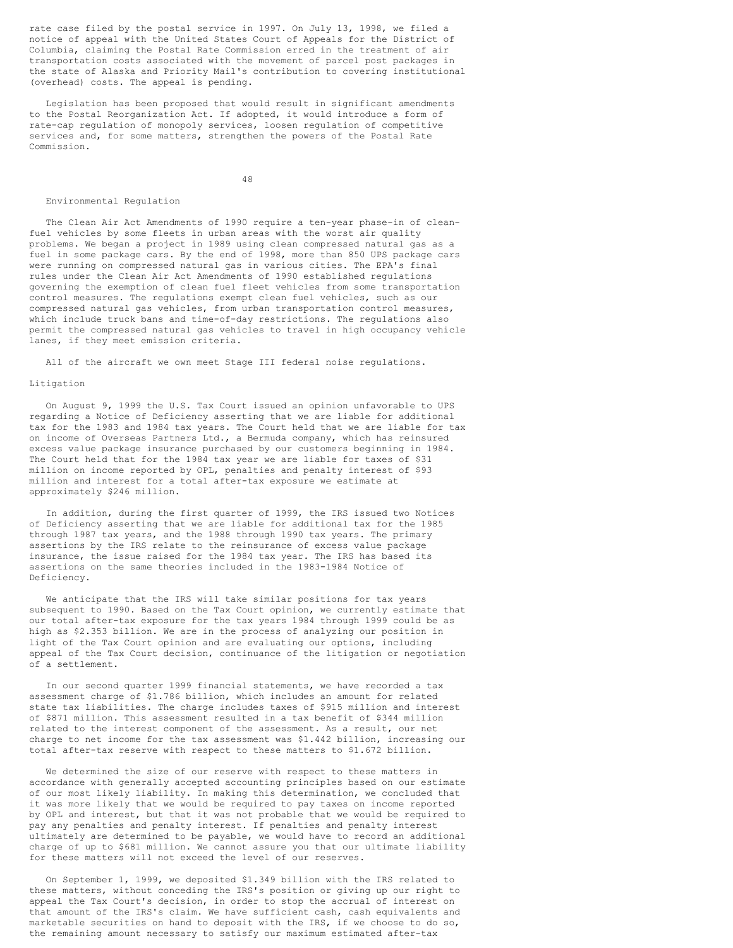rate case filed by the postal service in 1997. On July 13, 1998, we filed a notice of appeal with the United States Court of Appeals for the District of Columbia, claiming the Postal Rate Commission erred in the treatment of air transportation costs associated with the movement of parcel post packages in the state of Alaska and Priority Mail's contribution to covering institutional (overhead) costs. The appeal is pending.

Legislation has been proposed that would result in significant amendments to the Postal Reorganization Act. If adopted, it would introduce a form of rate-cap regulation of monopoly services, loosen regulation of competitive services and, for some matters, strengthen the powers of the Postal Rate Commission.

48

#### Environmental Regulation

The Clean Air Act Amendments of 1990 require a ten-year phase-in of cleanfuel vehicles by some fleets in urban areas with the worst air quality problems. We began a project in 1989 using clean compressed natural gas as a fuel in some package cars. By the end of 1998, more than 850 UPS package cars were running on compressed natural gas in various cities. The EPA's final rules under the Clean Air Act Amendments of 1990 established regulations governing the exemption of clean fuel fleet vehicles from some transportation control measures. The regulations exempt clean fuel vehicles, such as our compressed natural gas vehicles, from urban transportation control measures, which include truck bans and time-of-day restrictions. The regulations also permit the compressed natural gas vehicles to travel in high occupancy vehicle lanes, if they meet emission criteria.

All of the aircraft we own meet Stage III federal noise regulations.

#### Litigation

On August 9, 1999 the U.S. Tax Court issued an opinion unfavorable to UPS regarding a Notice of Deficiency asserting that we are liable for additional tax for the 1983 and 1984 tax years. The Court held that we are liable for tax on income of Overseas Partners Ltd., a Bermuda company, which has reinsured excess value package insurance purchased by our customers beginning in 1984. The Court held that for the 1984 tax year we are liable for taxes of \$31 million on income reported by OPL, penalties and penalty interest of \$93 million and interest for a total after-tax exposure we estimate at approximately \$246 million.

In addition, during the first quarter of 1999, the IRS issued two Notices of Deficiency asserting that we are liable for additional tax for the 1985 through 1987 tax years, and the 1988 through 1990 tax years. The primary assertions by the IRS relate to the reinsurance of excess value package insurance, the issue raised for the 1984 tax year. The IRS has based its assertions on the same theories included in the 1983-1984 Notice of Deficiency.

We anticipate that the IRS will take similar positions for tax years subsequent to 1990. Based on the Tax Court opinion, we currently estimate that our total after-tax exposure for the tax years 1984 through 1999 could be as high as \$2.353 billion. We are in the process of analyzing our position in light of the Tax Court opinion and are evaluating our options, including appeal of the Tax Court decision, continuance of the litigation or negotiation of a settlement.

In our second quarter 1999 financial statements, we have recorded a tax assessment charge of \$1.786 billion, which includes an amount for related state tax liabilities. The charge includes taxes of \$915 million and interest of \$871 million. This assessment resulted in a tax benefit of \$344 million related to the interest component of the assessment. As a result, our net charge to net income for the tax assessment was \$1.442 billion, increasing our total after-tax reserve with respect to these matters to \$1.672 billion.

We determined the size of our reserve with respect to these matters in accordance with generally accepted accounting principles based on our estimate of our most likely liability. In making this determination, we concluded that it was more likely that we would be required to pay taxes on income reported by OPL and interest, but that it was not probable that we would be required to pay any penalties and penalty interest. If penalties and penalty interest ultimately are determined to be payable, we would have to record an additional charge of up to \$681 million. We cannot assure you that our ultimate liability for these matters will not exceed the level of our reserves.

On September 1, 1999, we deposited \$1.349 billion with the IRS related to these matters, without conceding the IRS's position or giving up our right to appeal the Tax Court's decision, in order to stop the accrual of interest on that amount of the IRS's claim. We have sufficient cash, cash equivalents and marketable securities on hand to deposit with the IRS, if we choose to do so, the remaining amount necessary to satisfy our maximum estimated after-tax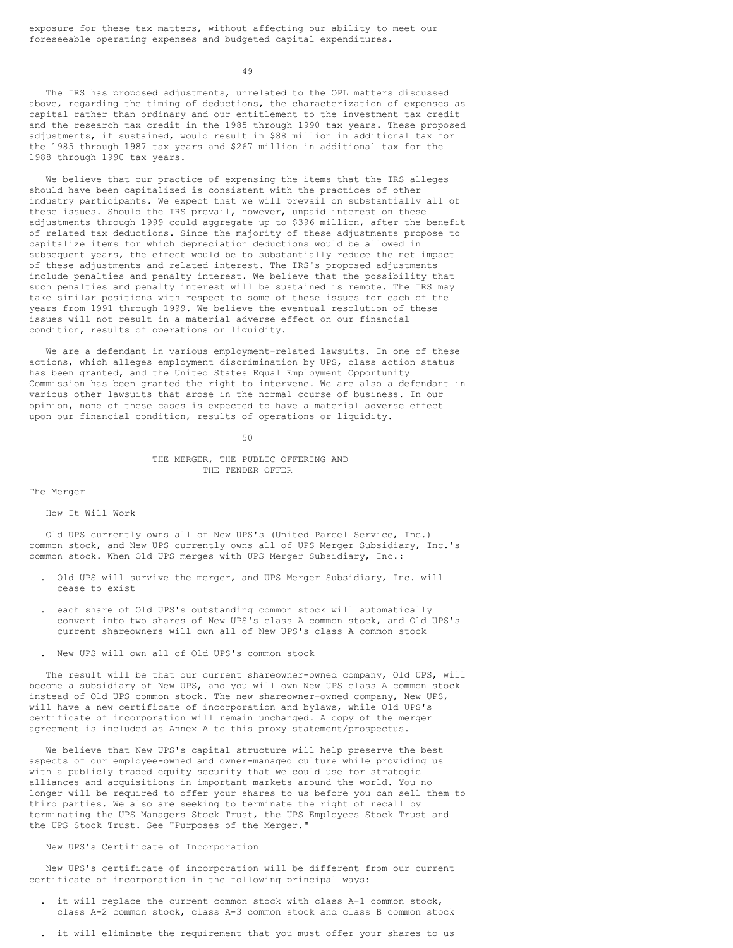49

The IRS has proposed adjustments, unrelated to the OPL matters discussed above, regarding the timing of deductions, the characterization of expenses as capital rather than ordinary and our entitlement to the investment tax credit and the research tax credit in the 1985 through 1990 tax years. These proposed adjustments, if sustained, would result in \$88 million in additional tax for the 1985 through 1987 tax years and \$267 million in additional tax for the 1988 through 1990 tax years.

We believe that our practice of expensing the items that the IRS alleges should have been capitalized is consistent with the practices of other industry participants. We expect that we will prevail on substantially all of these issues. Should the IRS prevail, however, unpaid interest on these adjustments through 1999 could aggregate up to \$396 million, after the benefit of related tax deductions. Since the majority of these adjustments propose to capitalize items for which depreciation deductions would be allowed in subsequent years, the effect would be to substantially reduce the net impact of these adjustments and related interest. The IRS's proposed adjustments include penalties and penalty interest. We believe that the possibility that such penalties and penalty interest will be sustained is remote. The IRS may take similar positions with respect to some of these issues for each of the years from 1991 through 1999. We believe the eventual resolution of these issues will not result in a material adverse effect on our financial condition, results of operations or liquidity.

We are a defendant in various employment-related lawsuits. In one of these actions, which alleges employment discrimination by UPS, class action status has been granted, and the United States Equal Employment Opportunity Commission has been granted the right to intervene. We are also a defendant in various other lawsuits that arose in the normal course of business. In our opinion, none of these cases is expected to have a material adverse effect upon our financial condition, results of operations or liquidity.

50

## THE MERGER, THE PUBLIC OFFERING AND THE TENDER OFFER

### The Merger

# How It Will Work

Old UPS currently owns all of New UPS's (United Parcel Service, Inc.) common stock, and New UPS currently owns all of UPS Merger Subsidiary, Inc.'s common stock. When Old UPS merges with UPS Merger Subsidiary, Inc.:

- . Old UPS will survive the merger, and UPS Merger Subsidiary, Inc. will cease to exist
- . each share of Old UPS's outstanding common stock will automatically convert into two shares of New UPS's class A common stock, and Old UPS's current shareowners will own all of New UPS's class A common stock
- . New UPS will own all of Old UPS's common stock

The result will be that our current shareowner-owned company, Old UPS, will become a subsidiary of New UPS, and you will own New UPS class A common stock instead of Old UPS common stock. The new shareowner-owned company, New UPS, will have a new certificate of incorporation and bylaws, while Old UPS's certificate of incorporation will remain unchanged. A copy of the merger agreement is included as Annex A to this proxy statement/prospectus.

We believe that New UPS's capital structure will help preserve the best aspects of our employee-owned and owner-managed culture while providing us with a publicly traded equity security that we could use for strategic alliances and acquisitions in important markets around the world. You no longer will be required to offer your shares to us before you can sell them to third parties. We also are seeking to terminate the right of recall by terminating the UPS Managers Stock Trust, the UPS Employees Stock Trust and the UPS Stock Trust. See "Purposes of the Merger."

# New UPS's Certificate of Incorporation

New UPS's certificate of incorporation will be different from our current certificate of incorporation in the following principal ways:

- . it will replace the current common stock with class A-1 common stock, class A-2 common stock, class A-3 common stock and class B common stock
- . it will eliminate the requirement that you must offer your shares to us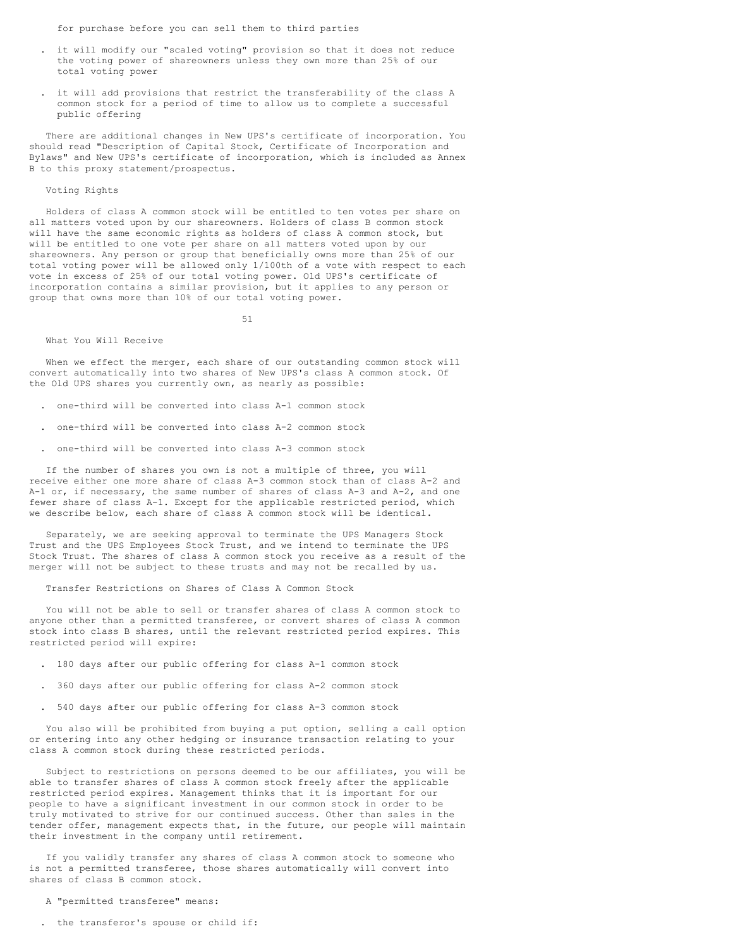for purchase before you can sell them to third parties

- . it will modify our "scaled voting" provision so that it does not reduce the voting power of shareowners unless they own more than 25% of our total voting power
- . it will add provisions that restrict the transferability of the class A common stock for a period of time to allow us to complete a successful public offering

There are additional changes in New UPS's certificate of incorporation. You should read "Description of Capital Stock, Certificate of Incorporation and Bylaws" and New UPS's certificate of incorporation, which is included as Annex B to this proxy statement/prospectus.

## Voting Rights

Holders of class A common stock will be entitled to ten votes per share on all matters voted upon by our shareowners. Holders of class B common stock will have the same economic rights as holders of class A common stock, but will be entitled to one vote per share on all matters voted upon by our shareowners. Any person or group that beneficially owns more than 25% of our total voting power will be allowed only 1/100th of a vote with respect to each vote in excess of 25% of our total voting power. Old UPS's certificate of incorporation contains a similar provision, but it applies to any person or group that owns more than 10% of our total voting power.

51

### What You Will Receive

When we effect the merger, each share of our outstanding common stock will convert automatically into two shares of New UPS's class A common stock. Of the Old UPS shares you currently own, as nearly as possible:

- . one-third will be converted into class A-1 common stock
- . one-third will be converted into class A-2 common stock
- . one-third will be converted into class A-3 common stock

If the number of shares you own is not a multiple of three, you will receive either one more share of class A-3 common stock than of class A-2 and  $A-1$  or, if necessary, the same number of shares of class  $A-3$  and  $A-2$ , and one fewer share of class A-1. Except for the applicable restricted period, which we describe below, each share of class A common stock will be identical.

Separately, we are seeking approval to terminate the UPS Managers Stock Trust and the UPS Employees Stock Trust, and we intend to terminate the UPS Stock Trust. The shares of class A common stock you receive as a result of the merger will not be subject to these trusts and may not be recalled by us.

Transfer Restrictions on Shares of Class A Common Stock

You will not be able to sell or transfer shares of class A common stock to anyone other than a permitted transferee, or convert shares of class A common stock into class B shares, until the relevant restricted period expires. This restricted period will expire:

- . 180 days after our public offering for class A-1 common stock
- . 360 days after our public offering for class A-2 common stock
- . 540 days after our public offering for class A-3 common stock

You also will be prohibited from buying a put option, selling a call option or entering into any other hedging or insurance transaction relating to your class A common stock during these restricted periods.

Subject to restrictions on persons deemed to be our affiliates, you will be able to transfer shares of class A common stock freely after the applicable restricted period expires. Management thinks that it is important for our people to have a significant investment in our common stock in order to be truly motivated to strive for our continued success. Other than sales in the tender offer, management expects that, in the future, our people will maintain their investment in the company until retirement.

If you validly transfer any shares of class A common stock to someone who is not a permitted transferee, those shares automatically will convert into shares of class B common stock.

A "permitted transferee" means:

. the transferor's spouse or child if: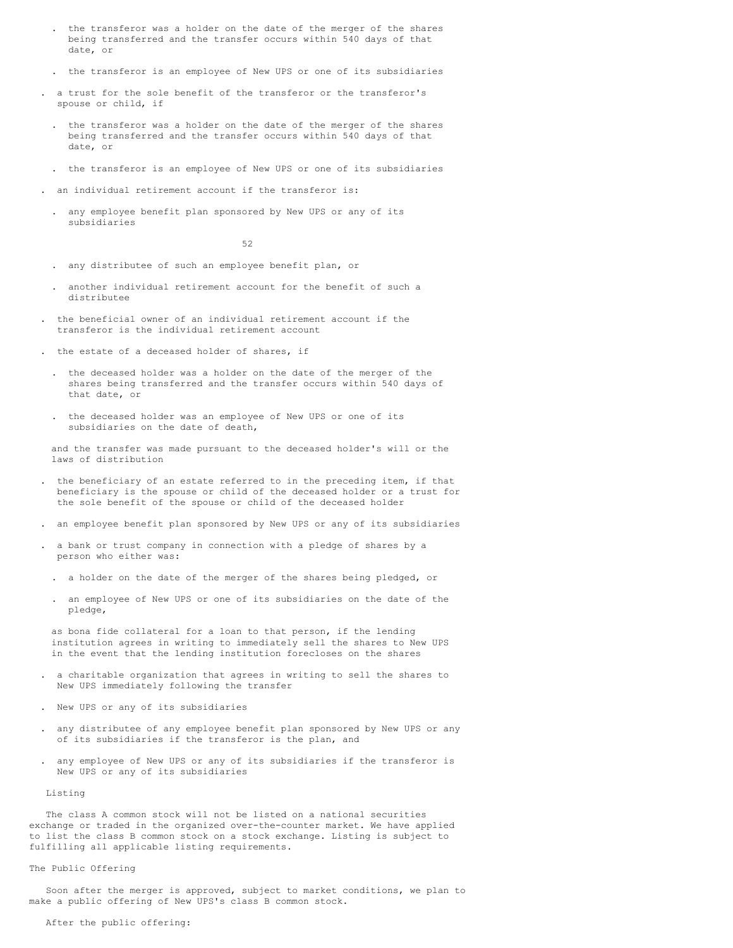- . the transferor was a holder on the date of the merger of the shares being transferred and the transfer occurs within 540 days of that date, or
- . the transferor is an employee of New UPS or one of its subsidiaries
- . a trust for the sole benefit of the transferor or the transferor's spouse or child, if
- . the transferor was a holder on the date of the merger of the shares being transferred and the transfer occurs within 540 days of that date, or
- . the transferor is an employee of New UPS or one of its subsidiaries
- an individual retirement account if the transferor is:
- . any employee benefit plan sponsored by New UPS or any of its subsidiaries

52

- . any distributee of such an employee benefit plan, or
- . another individual retirement account for the benefit of such a distributee
- . the beneficial owner of an individual retirement account if the transferor is the individual retirement account
- . the estate of a deceased holder of shares, if
	- . the deceased holder was a holder on the date of the merger of the shares being transferred and the transfer occurs within 540 days of that date, or
	- . the deceased holder was an employee of New UPS or one of its subsidiaries on the date of death,

and the transfer was made pursuant to the deceased holder's will or the laws of distribution

- . the beneficiary of an estate referred to in the preceding item, if that beneficiary is the spouse or child of the deceased holder or a trust for the sole benefit of the spouse or child of the deceased holder
- . an employee benefit plan sponsored by New UPS or any of its subsidiaries
- . a bank or trust company in connection with a pledge of shares by a person who either was:
	- . a holder on the date of the merger of the shares being pledged, or
	- . an employee of New UPS or one of its subsidiaries on the date of the pledge,

as bona fide collateral for a loan to that person, if the lending institution agrees in writing to immediately sell the shares to New UPS in the event that the lending institution forecloses on the shares

- . a charitable organization that agrees in writing to sell the shares to New UPS immediately following the transfer
- . New UPS or any of its subsidiaries
- . any distributee of any employee benefit plan sponsored by New UPS or any of its subsidiaries if the transferor is the plan, and
- . any employee of New UPS or any of its subsidiaries if the transferor is New UPS or any of its subsidiaries

Listing

The class A common stock will not be listed on a national securities exchange or traded in the organized over-the-counter market. We have applied to list the class B common stock on a stock exchange. Listing is subject to fulfilling all applicable listing requirements.

# The Public Offering

Soon after the merger is approved, subject to market conditions, we plan to make a public offering of New UPS's class B common stock.

## After the public offering: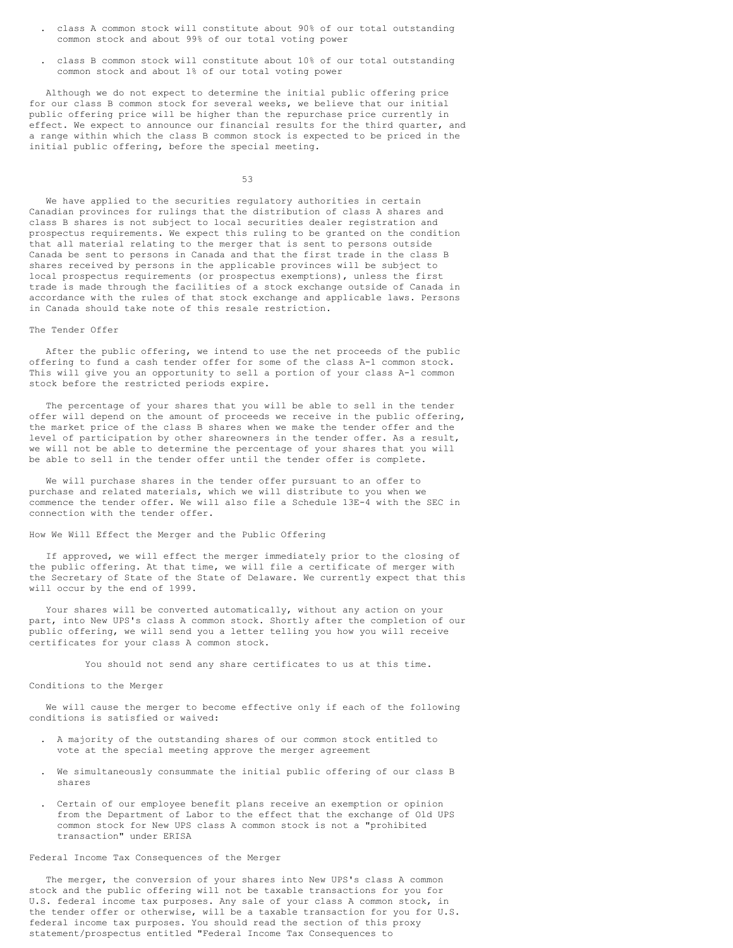- . class A common stock will constitute about 90% of our total outstanding common stock and about 99% of our total voting power
- . class B common stock will constitute about 10% of our total outstanding common stock and about 1% of our total voting power

Although we do not expect to determine the initial public offering price for our class B common stock for several weeks, we believe that our initial public offering price will be higher than the repurchase price currently in effect. We expect to announce our financial results for the third quarter, and a range within which the class B common stock is expected to be priced in the initial public offering, before the special meeting.

53

We have applied to the securities regulatory authorities in certain Canadian provinces for rulings that the distribution of class A shares and class B shares is not subject to local securities dealer registration and prospectus requirements. We expect this ruling to be granted on the condition that all material relating to the merger that is sent to persons outside Canada be sent to persons in Canada and that the first trade in the class B shares received by persons in the applicable provinces will be subject to local prospectus requirements (or prospectus exemptions), unless the first trade is made through the facilities of a stock exchange outside of Canada in accordance with the rules of that stock exchange and applicable laws. Persons in Canada should take note of this resale restriction.

#### The Tender Offer

After the public offering, we intend to use the net proceeds of the public offering to fund a cash tender offer for some of the class A-1 common stock. This will give you an opportunity to sell a portion of your class A-1 common stock before the restricted periods expire.

The percentage of your shares that you will be able to sell in the tender offer will depend on the amount of proceeds we receive in the public offering, the market price of the class B shares when we make the tender offer and the level of participation by other shareowners in the tender offer. As a result, we will not be able to determine the percentage of your shares that you will be able to sell in the tender offer until the tender offer is complete.

We will purchase shares in the tender offer pursuant to an offer to purchase and related materials, which we will distribute to you when we commence the tender offer. We will also file a Schedule 13E-4 with the SEC in connection with the tender offer.

# How We Will Effect the Merger and the Public Offering

If approved, we will effect the merger immediately prior to the closing of the public offering. At that time, we will file a certificate of merger with the Secretary of State of the State of Delaware. We currently expect that this will occur by the end of 1999.

Your shares will be converted automatically, without any action on your part, into New UPS's class A common stock. Shortly after the completion of our public offering, we will send you a letter telling you how you will receive certificates for your class A common stock.

You should not send any share certificates to us at this time.

### Conditions to the Merger

We will cause the merger to become effective only if each of the following conditions is satisfied or waived:

- . A majority of the outstanding shares of our common stock entitled to vote at the special meeting approve the merger agreement
- . We simultaneously consummate the initial public offering of our class B shares
- . Certain of our employee benefit plans receive an exemption or opinion from the Department of Labor to the effect that the exchange of Old UPS common stock for New UPS class A common stock is not a "prohibited transaction" under ERISA

### Federal Income Tax Consequences of the Merger

The merger, the conversion of your shares into New UPS's class A common stock and the public offering will not be taxable transactions for you for U.S. federal income tax purposes. Any sale of your class A common stock, in the tender offer or otherwise, will be a taxable transaction for you for U.S. federal income tax purposes. You should read the section of this proxy statement/prospectus entitled "Federal Income Tax Consequences to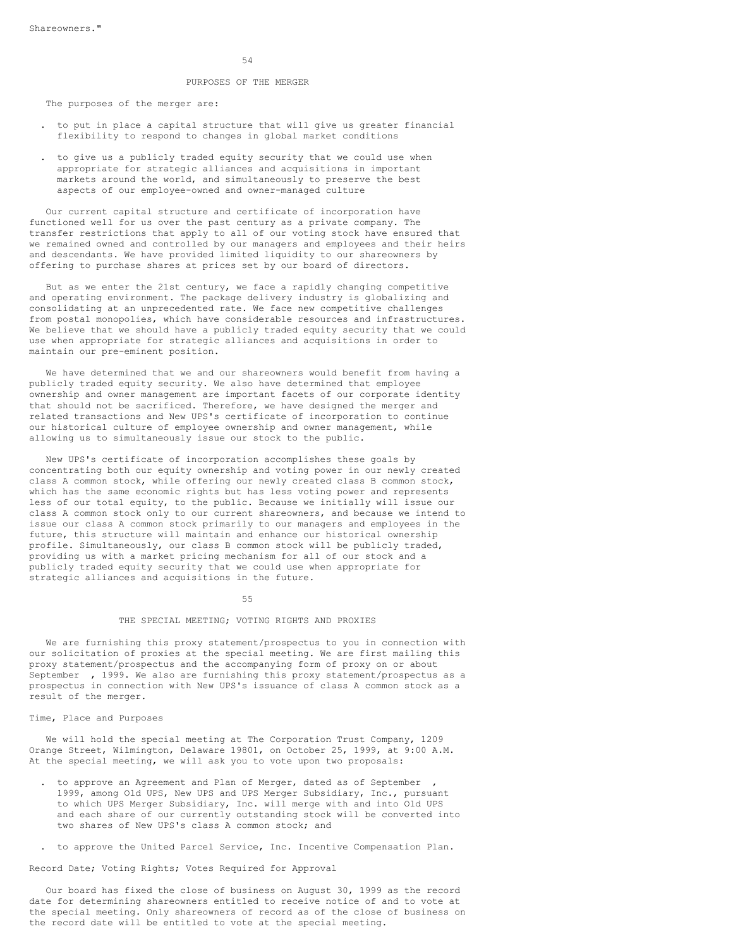#### PURPOSES OF THE MERGER

The purposes of the merger are:

- . to put in place a capital structure that will give us greater financial flexibility to respond to changes in global market conditions
- . to give us a publicly traded equity security that we could use when appropriate for strategic alliances and acquisitions in important markets around the world, and simultaneously to preserve the best aspects of our employee-owned and owner-managed culture

Our current capital structure and certificate of incorporation have functioned well for us over the past century as a private company. The transfer restrictions that apply to all of our voting stock have ensured that we remained owned and controlled by our managers and employees and their heirs and descendants. We have provided limited liquidity to our shareowners by offering to purchase shares at prices set by our board of directors.

But as we enter the 21st century, we face a rapidly changing competitive and operating environment. The package delivery industry is globalizing and consolidating at an unprecedented rate. We face new competitive challenges from postal monopolies, which have considerable resources and infrastructures. We believe that we should have a publicly traded equity security that we could use when appropriate for strategic alliances and acquisitions in order to maintain our pre-eminent position.

We have determined that we and our shareowners would benefit from having a publicly traded equity security. We also have determined that employee ownership and owner management are important facets of our corporate identity that should not be sacrificed. Therefore, we have designed the merger and related transactions and New UPS's certificate of incorporation to continue our historical culture of employee ownership and owner management, while allowing us to simultaneously issue our stock to the public.

New UPS's certificate of incorporation accomplishes these goals by concentrating both our equity ownership and voting power in our newly created class A common stock, while offering our newly created class B common stock, which has the same economic rights but has less voting power and represents less of our total equity, to the public. Because we initially will issue our class A common stock only to our current shareowners, and because we intend to issue our class A common stock primarily to our managers and employees in the future, this structure will maintain and enhance our historical ownership profile. Simultaneously, our class B common stock will be publicly traded, providing us with a market pricing mechanism for all of our stock and a publicly traded equity security that we could use when appropriate for strategic alliances and acquisitions in the future.

#### 55

### THE SPECIAL MEETING; VOTING RIGHTS AND PROXIES

We are furnishing this proxy statement/prospectus to you in connection with our solicitation of proxies at the special meeting. We are first mailing this proxy statement/prospectus and the accompanying form of proxy on or about September , 1999. We also are furnishing this proxy statement/prospectus as a prospectus in connection with New UPS's issuance of class A common stock as a result of the merger.

## Time, Place and Purposes

We will hold the special meeting at The Corporation Trust Company, 1209 Orange Street, Wilmington, Delaware 19801, on October 25, 1999, at 9:00 A.M. At the special meeting, we will ask you to vote upon two proposals:

- to approve an Agreement and Plan of Merger, dated as of September 1999, among Old UPS, New UPS and UPS Merger Subsidiary, Inc., pursuant to which UPS Merger Subsidiary, Inc. will merge with and into Old UPS and each share of our currently outstanding stock will be converted into two shares of New UPS's class A common stock; and
- . to approve the United Parcel Service, Inc. Incentive Compensation Plan.

Record Date; Voting Rights; Votes Required for Approval

Our board has fixed the close of business on August 30, 1999 as the record date for determining shareowners entitled to receive notice of and to vote at the special meeting. Only shareowners of record as of the close of business on the record date will be entitled to vote at the special meeting.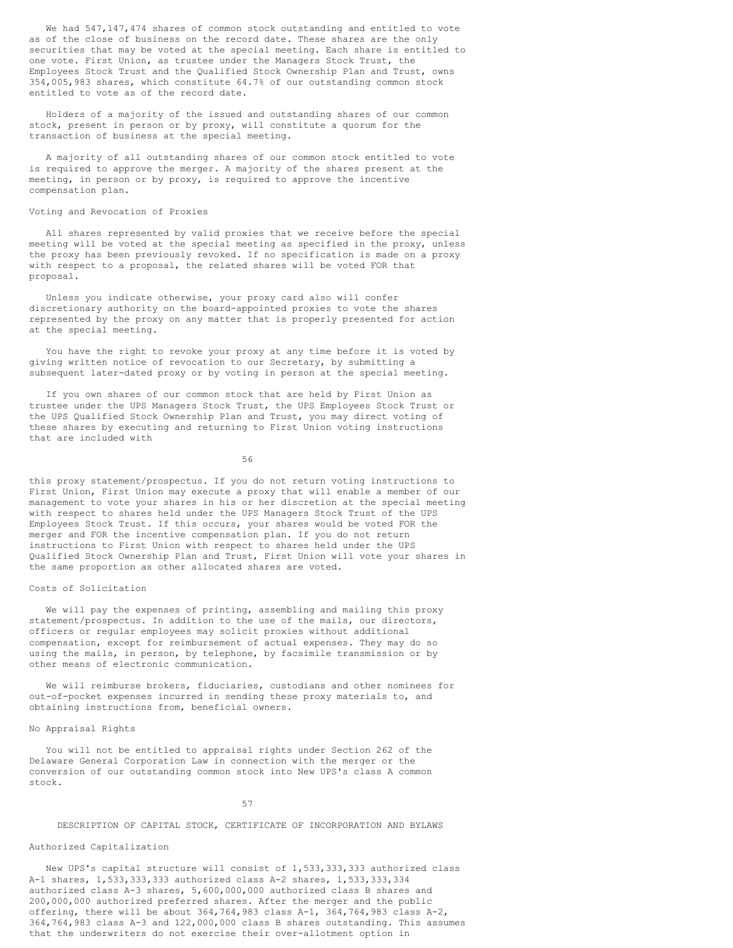We had 547, 147, 474 shares of common stock outstanding and entitled to vote as of the close of business on the record date. These shares are the only securities that may be voted at the special meeting. Each share is entitled to one vote. First Union, as trustee under the Managers Stock Trust, the Employees Stock Trust and the Qualified Stock Ownership Plan and Trust, owns 354,005,983 shares, which constitute 64.7% of our outstanding common stock entitled to vote as of the record date.

Holders of a majority of the issued and outstanding shares of our common stock, present in person or by proxy, will constitute a quorum for the transaction of business at the special meeting.

A majority of all outstanding shares of our common stock entitled to vote is required to approve the merger. A majority of the shares present at the meeting, in person or by proxy, is required to approve the incentive compensation plan.

# Voting and Revocation of Proxies

All shares represented by valid proxies that we receive before the special meeting will be voted at the special meeting as specified in the proxy, unless the proxy has been previously revoked. If no specification is made on a proxy with respect to a proposal, the related shares will be voted FOR that proposal.

Unless you indicate otherwise, your proxy card also will confer discretionary authority on the board-appointed proxies to vote the shares represented by the proxy on any matter that is properly presented for action at the special meeting.

You have the right to revoke your proxy at any time before it is voted by giving written notice of revocation to our Secretary, by submitting a subsequent later-dated proxy or by voting in person at the special meeting.

If you own shares of our common stock that are held by First Union as trustee under the UPS Managers Stock Trust, the UPS Employees Stock Trust or the UPS Qualified Stock Ownership Plan and Trust, you may direct voting of these shares by executing and returning to First Union voting instructions that are included with

56

this proxy statement/prospectus. If you do not return voting instructions to First Union, First Union may execute a proxy that will enable a member of our management to vote your shares in his or her discretion at the special meeting with respect to shares held under the UPS Managers Stock Trust of the UPS Employees Stock Trust. If this occurs, your shares would be voted FOR the merger and FOR the incentive compensation plan. If you do not return instructions to First Union with respect to shares held under the UPS Qualified Stock Ownership Plan and Trust, First Union will vote your shares in the same proportion as other allocated shares are voted.

# Costs of Solicitation

We will pay the expenses of printing, assembling and mailing this proxy statement/prospectus. In addition to the use of the mails, our directors, officers or regular employees may solicit proxies without additional compensation, except for reimbursement of actual expenses. They may do so using the mails, in person, by telephone, by facsimile transmission or by other means of electronic communication.

We will reimburse brokers, fiduciaries, custodians and other nominees for out-of-pocket expenses incurred in sending these proxy materials to, and obtaining instructions from, beneficial owners.

### No Appraisal Rights

You will not be entitled to appraisal rights under Section 262 of the Delaware General Corporation Law in connection with the merger or the conversion of our outstanding common stock into New UPS's class A common stock.

57

DESCRIPTION OF CAPITAL STOCK, CERTIFICATE OF INCORPORATION AND BYLAWS

# Authorized Capitalization

New UPS's capital structure will consist of 1,533,333,333 authorized class A-1 shares, 1,533,333,333 authorized class A-2 shares, 1,533,333,334 authorized class A-3 shares, 5,600,000,000 authorized class B shares and 200,000,000 authorized preferred shares. After the merger and the public offering, there will be about 364,764,983 class A-1, 364,764,983 class A-2, 364,764,983 class A-3 and 122,000,000 class B shares outstanding. This assumes that the underwriters do not exercise their over-allotment option in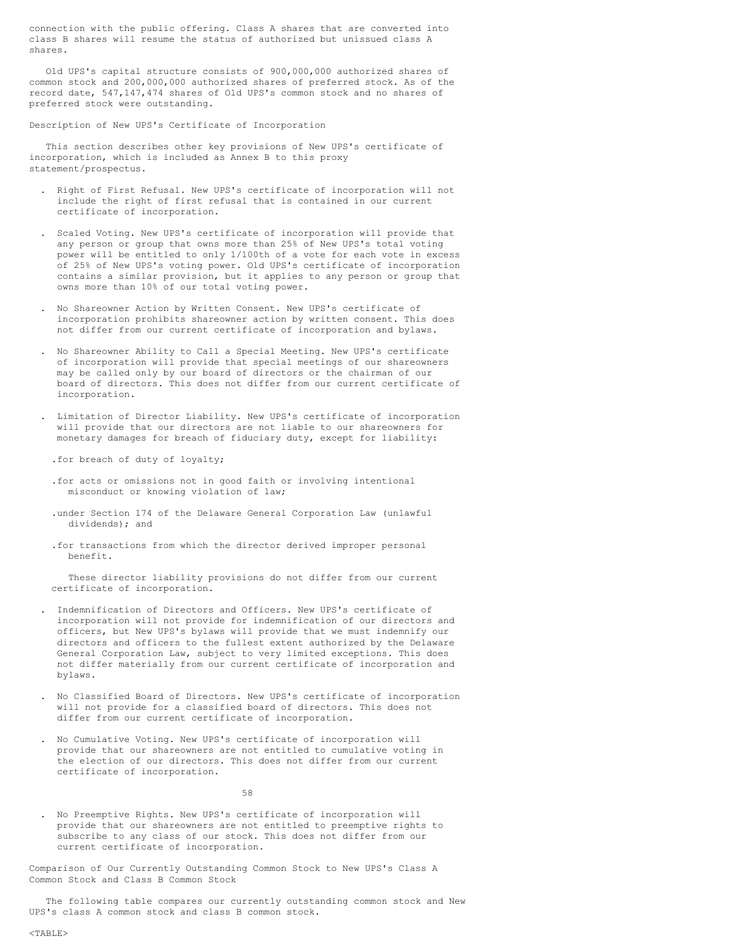connection with the public offering. Class A shares that are converted into class B shares will resume the status of authorized but unissued class A shares.

Old UPS's capital structure consists of 900,000,000 authorized shares of common stock and 200,000,000 authorized shares of preferred stock. As of the record date, 547,147,474 shares of Old UPS's common stock and no shares of preferred stock were outstanding.

Description of New UPS's Certificate of Incorporation

This section describes other key provisions of New UPS's certificate of incorporation, which is included as Annex B to this proxy statement/prospectus.

- . Right of First Refusal. New UPS's certificate of incorporation will not include the right of first refusal that is contained in our current certificate of incorporation.
- . Scaled Voting. New UPS's certificate of incorporation will provide that any person or group that owns more than 25% of New UPS's total voting power will be entitled to only 1/100th of a vote for each vote in excess of 25% of New UPS's voting power. Old UPS's certificate of incorporation contains a similar provision, but it applies to any person or group that owns more than 10% of our total voting power.
- . No Shareowner Action by Written Consent. New UPS's certificate of incorporation prohibits shareowner action by written consent. This does not differ from our current certificate of incorporation and bylaws.
- . No Shareowner Ability to Call a Special Meeting. New UPS's certificate of incorporation will provide that special meetings of our shareowners may be called only by our board of directors or the chairman of our board of directors. This does not differ from our current certificate of incorporation.
- . Limitation of Director Liability. New UPS's certificate of incorporation will provide that our directors are not liable to our shareowners for monetary damages for breach of fiduciary duty, except for liability:

.for breach of duty of loyalty;

- .for acts or omissions not in good faith or involving intentional misconduct or knowing violation of law;
- .under Section 174 of the Delaware General Corporation Law (unlawful dividends); and
- .for transactions from which the director derived improper personal benefit.

These director liability provisions do not differ from our current certificate of incorporation.

- . Indemnification of Directors and Officers. New UPS's certificate of incorporation will not provide for indemnification of our directors and officers, but New UPS's bylaws will provide that we must indemnify our directors and officers to the fullest extent authorized by the Delaware General Corporation Law, subject to very limited exceptions. This does not differ materially from our current certificate of incorporation and bylaws.
- . No Classified Board of Directors. New UPS's certificate of incorporation will not provide for a classified board of directors. This does not differ from our current certificate of incorporation.
- . No Cumulative Voting. New UPS's certificate of incorporation will provide that our shareowners are not entitled to cumulative voting in the election of our directors. This does not differ from our current certificate of incorporation.

58

. No Preemptive Rights. New UPS's certificate of incorporation will provide that our shareowners are not entitled to preemptive rights to subscribe to any class of our stock. This does not differ from our current certificate of incorporation.

Comparison of Our Currently Outstanding Common Stock to New UPS's Class A Common Stock and Class B Common Stock

The following table compares our currently outstanding common stock and New UPS's class A common stock and class B common stock.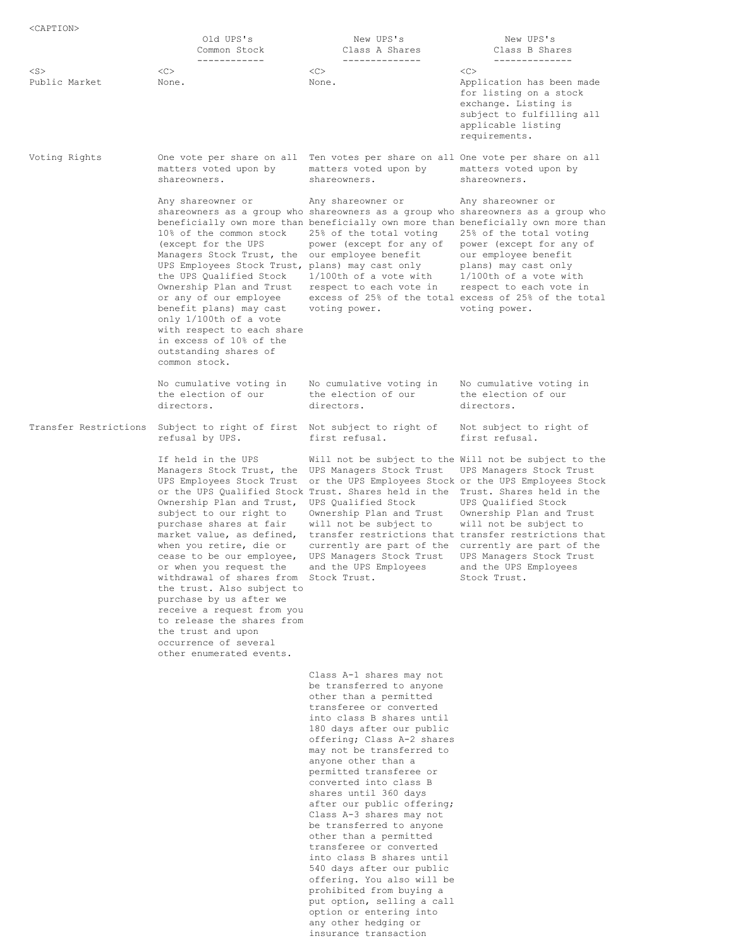|                            | Old UPS's<br>Common Stock<br>------------                                                                                                                                                                                                                                                                                                                                                                                                                                                                                 | New UPS's<br>Class A Shares<br>--------------                                                                                                                                                                                                                                                                                                                                                                                                                                                                                                                                                                                                               | New UPS's<br>Class B Shares<br>--------------                                                                                                                                                                                                                                                                                                                                                                   |
|----------------------------|---------------------------------------------------------------------------------------------------------------------------------------------------------------------------------------------------------------------------------------------------------------------------------------------------------------------------------------------------------------------------------------------------------------------------------------------------------------------------------------------------------------------------|-------------------------------------------------------------------------------------------------------------------------------------------------------------------------------------------------------------------------------------------------------------------------------------------------------------------------------------------------------------------------------------------------------------------------------------------------------------------------------------------------------------------------------------------------------------------------------------------------------------------------------------------------------------|-----------------------------------------------------------------------------------------------------------------------------------------------------------------------------------------------------------------------------------------------------------------------------------------------------------------------------------------------------------------------------------------------------------------|
| $<$ S $>$<br>Public Market | <<<br>None.                                                                                                                                                                                                                                                                                                                                                                                                                                                                                                               | <<><br>None.                                                                                                                                                                                                                                                                                                                                                                                                                                                                                                                                                                                                                                                | < <sub><br/>Application has been made<br/>for listing on a stock<br/>exchange. Listing is<br/>subject to fulfilling all<br/>applicable listing<br/>requirements.</sub>                                                                                                                                                                                                                                          |
| Voting Rights              | matters voted upon by<br>shareowners.                                                                                                                                                                                                                                                                                                                                                                                                                                                                                     | One vote per share on all Ten votes per share on all One vote per share on all<br>matters voted upon by<br>shareowners.                                                                                                                                                                                                                                                                                                                                                                                                                                                                                                                                     | matters voted upon by<br>shareowners.                                                                                                                                                                                                                                                                                                                                                                           |
|                            | Any shareowner or<br>10% of the common stock<br>(except for the UPS<br>Managers Stock Trust, the<br>UPS Employees Stock Trust, plans) may cast only<br>the UPS Qualified Stock<br>Ownership Plan and Trust<br>or any of our employee<br>benefit plans) may cast<br>only 1/100th of a vote<br>with respect to each share<br>in excess of 10% of the<br>outstanding shares of<br>common stock.                                                                                                                              | Any shareowner or<br>shareowners as a group who shareowners as a group who shareowners as a group who<br>beneficially own more than beneficially own more than beneficially own more than<br>25% of the total voting<br>power (except for any of<br>our employee benefit<br>1/100th of a vote with<br>respect to each vote in<br>voting power.                                                                                                                                                                                                                                                                                                              | Any shareowner or<br>25% of the total voting<br>power (except for any of<br>our employee benefit<br>plans) may cast only<br>$1/100$ th of a vote with<br>respect to each vote in<br>excess of 25% of the total excess of 25% of the total<br>voting power.                                                                                                                                                      |
|                            | No cumulative voting in<br>the election of our<br>directors.                                                                                                                                                                                                                                                                                                                                                                                                                                                              | No cumulative voting in<br>the election of our<br>directors.                                                                                                                                                                                                                                                                                                                                                                                                                                                                                                                                                                                                | No cumulative voting in<br>the election of our<br>directors.                                                                                                                                                                                                                                                                                                                                                    |
| Transfer Restrictions      | Subject to right of first Not subject to right of<br>refusal by UPS.                                                                                                                                                                                                                                                                                                                                                                                                                                                      | first refusal.                                                                                                                                                                                                                                                                                                                                                                                                                                                                                                                                                                                                                                              | Not subject to right of<br>first refusal.                                                                                                                                                                                                                                                                                                                                                                       |
|                            | If held in the UPS<br>Managers Stock Trust, the<br>UPS Employees Stock Trust<br>Ownership Plan and Trust,<br>subject to our right to<br>purchase shares at fair<br>market value, as defined,<br>when you retire, die or<br>cease to be our employee,<br>or when you request the<br>withdrawal of shares from Stock Trust.<br>the trust. Also subject to<br>purchase by us after we<br>receive a request from you<br>to release the shares from<br>the trust and upon<br>occurrence of several<br>other enumerated events. | UPS Managers Stock Trust<br>or the UPS Qualified Stock Trust. Shares held in the<br>UPS Oualified Stock<br>Ownership Plan and Trust<br>will not be subject to<br>currently are part of the<br>UPS Managers Stock Trust<br>and the UPS Employees                                                                                                                                                                                                                                                                                                                                                                                                             | Will not be subject to the Will not be subject to the<br>UPS Managers Stock Trust<br>or the UPS Employees Stock or the UPS Employees Stock<br>Trust. Shares held in the<br>UPS Qualified Stock<br>Ownership Plan and Trust<br>will not be subject to<br>transfer restrictions that transfer restrictions that<br>currently are part of the<br>UPS Managers Stock Trust<br>and the UPS Employees<br>Stock Trust. |
|                            |                                                                                                                                                                                                                                                                                                                                                                                                                                                                                                                           | Class A-1 shares may not<br>be transferred to anyone<br>other than a permitted<br>transferee or converted<br>into class B shares until<br>180 days after our public<br>offering; Class A-2 shares<br>may not be transferred to<br>anyone other than a<br>permitted transferee or<br>converted into class B<br>shares until 360 days<br>after our public offering;<br>Class A-3 shares may not<br>be transferred to anyone<br>other than a permitted<br>transferee or converted<br>into class B shares until<br>540 days after our public<br>offering. You also will be<br>prohibited from buying a<br>put option, selling a call<br>option or entering into |                                                                                                                                                                                                                                                                                                                                                                                                                 |

any other hedging or insurance transaction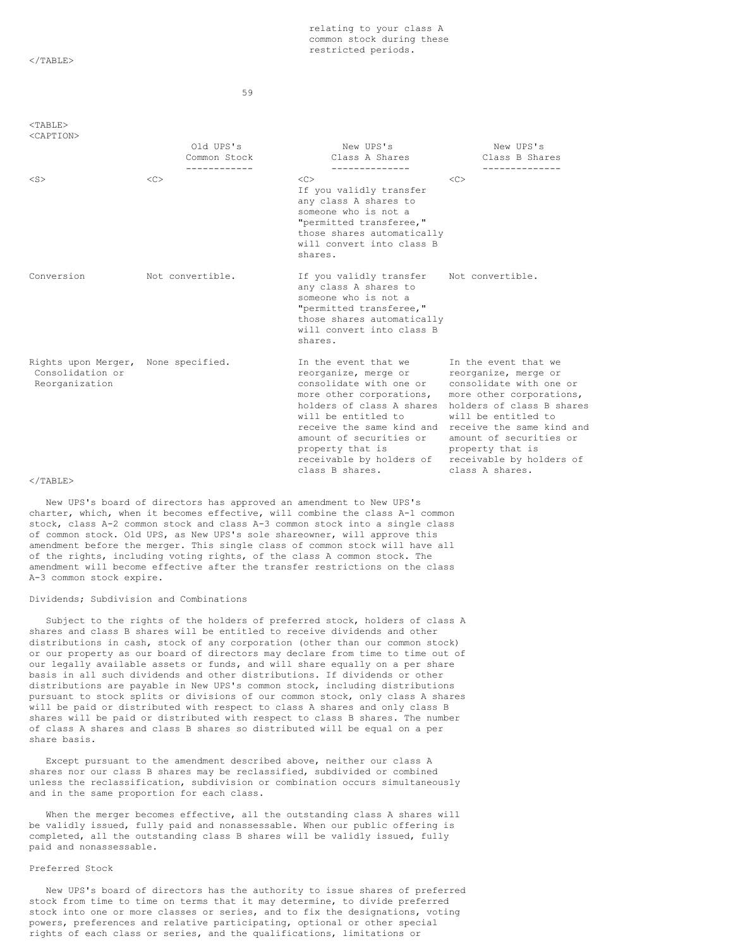$<$ /TABLE>

59

 $<$ TABLE>

| <caption></caption>                                                       |                                           |                                                                                                                                                                                                                                                                                    |                                                                                                                                                                                                                                                                                    |
|---------------------------------------------------------------------------|-------------------------------------------|------------------------------------------------------------------------------------------------------------------------------------------------------------------------------------------------------------------------------------------------------------------------------------|------------------------------------------------------------------------------------------------------------------------------------------------------------------------------------------------------------------------------------------------------------------------------------|
|                                                                           | Old UPS's<br>Common Stock<br>------------ | New UPS's<br>Class A Shares<br>--------------                                                                                                                                                                                                                                      | New UPS's<br>Class B Shares<br>--------------                                                                                                                                                                                                                                      |
| $<$ S $>$                                                                 | <<                                        | <<><br>If you validly transfer<br>any class A shares to<br>someone who is not a<br>"permitted transferee,"<br>those shares automatically<br>will convert into class B<br>shares.                                                                                                   | < <sub></sub>                                                                                                                                                                                                                                                                      |
| Conversion                                                                | Not convertible.                          | If you validly transfer Not convertible.<br>any class A shares to<br>someone who is not a<br>"permitted transferee,"<br>those shares automatically<br>will convert into class B<br>shares.                                                                                         |                                                                                                                                                                                                                                                                                    |
| Rights upon Merger, None specified.<br>Consolidation or<br>Reorganization |                                           | In the event that we<br>reorganize, merge or<br>consolidate with one or<br>more other corporations,<br>holders of class A shares<br>will be entitled to<br>receive the same kind and<br>amount of securities or<br>property that is<br>receivable by holders of<br>class B shares. | In the event that we<br>reorganize, merge or<br>consolidate with one or<br>more other corporations,<br>holders of class B shares<br>will be entitled to<br>receive the same kind and<br>amount of securities or<br>property that is<br>receivable by holders of<br>class A shares. |

 $<$ /TABLE>

New UPS's board of directors has approved an amendment to New UPS's charter, which, when it becomes effective, will combine the class A-1 common stock, class A-2 common stock and class A-3 common stock into a single class of common stock. Old UPS, as New UPS's sole shareowner, will approve this amendment before the merger. This single class of common stock will have all of the rights, including voting rights, of the class A common stock. The amendment will become effective after the transfer restrictions on the class A-3 common stock expire.

### Dividends; Subdivision and Combinations

Subject to the rights of the holders of preferred stock, holders of class A shares and class B shares will be entitled to receive dividends and other distributions in cash, stock of any corporation (other than our common stock) or our property as our board of directors may declare from time to time out of our legally available assets or funds, and will share equally on a per share basis in all such dividends and other distributions. If dividends or other distributions are payable in New UPS's common stock, including distributions pursuant to stock splits or divisions of our common stock, only class A shares will be paid or distributed with respect to class A shares and only class B shares will be paid or distributed with respect to class B shares. The number of class A shares and class B shares so distributed will be equal on a per share basis.

Except pursuant to the amendment described above, neither our class A shares nor our class B shares may be reclassified, subdivided or combined unless the reclassification, subdivision or combination occurs simultaneously and in the same proportion for each class.

When the merger becomes effective, all the outstanding class A shares will be validly issued, fully paid and nonassessable. When our public offering is completed, all the outstanding class B shares will be validly issued, fully paid and nonassessable.

# Preferred Stock

New UPS's board of directors has the authority to issue shares of preferred stock from time to time on terms that it may determine, to divide preferred stock into one or more classes or series, and to fix the designations, voting powers, preferences and relative participating, optional or other special rights of each class or series, and the qualifications, limitations or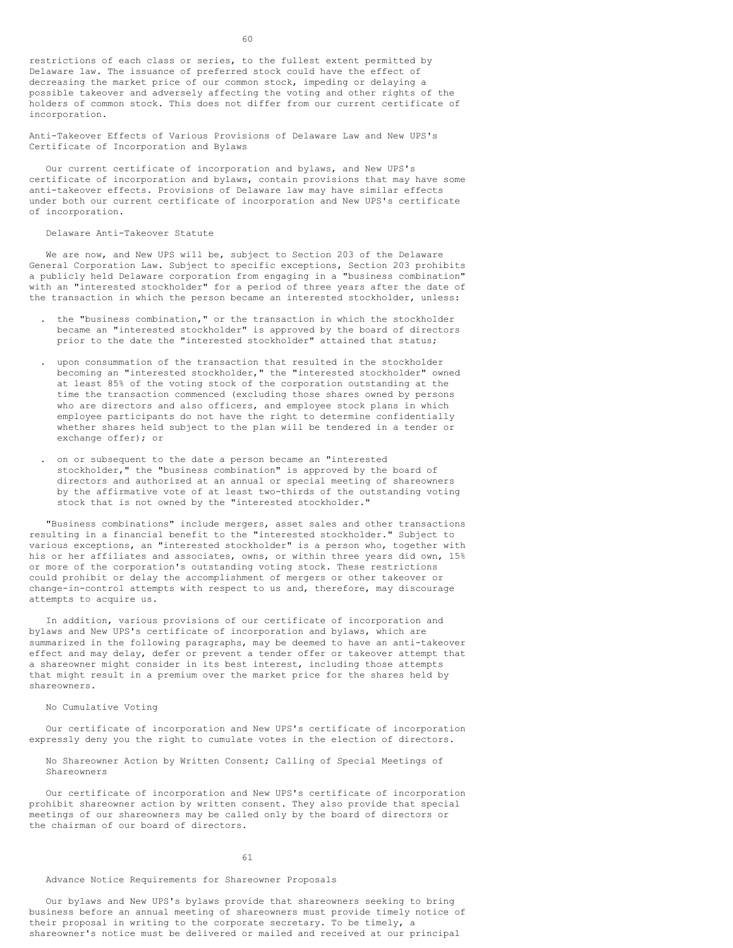restrictions of each class or series, to the fullest extent permitted by Delaware law. The issuance of preferred stock could have the effect of decreasing the market price of our common stock, impeding or delaying a possible takeover and adversely affecting the voting and other rights of the holders of common stock. This does not differ from our current certificate of incorporation.

Anti-Takeover Effects of Various Provisions of Delaware Law and New UPS's Certificate of Incorporation and Bylaws

Our current certificate of incorporation and bylaws, and New UPS's certificate of incorporation and bylaws, contain provisions that may have some anti-takeover effects. Provisions of Delaware law may have similar effects under both our current certificate of incorporation and New UPS's certificate of incorporation.

Delaware Anti-Takeover Statute

We are now, and New UPS will be, subject to Section 203 of the Delaware General Corporation Law. Subject to specific exceptions, Section 203 prohibits a publicly held Delaware corporation from engaging in a "business combination" with an "interested stockholder" for a period of three years after the date of the transaction in which the person became an interested stockholder, unless:

- . the "business combination," or the transaction in which the stockholder became an "interested stockholder" is approved by the board of directors prior to the date the "interested stockholder" attained that status;
- . upon consummation of the transaction that resulted in the stockholder becoming an "interested stockholder," the "interested stockholder" owned at least 85% of the voting stock of the corporation outstanding at the time the transaction commenced (excluding those shares owned by persons who are directors and also officers, and employee stock plans in which employee participants do not have the right to determine confidentially whether shares held subject to the plan will be tendered in a tender or exchange offer); or
- . on or subsequent to the date a person became an "interested stockholder," the "business combination" is approved by the board of directors and authorized at an annual or special meeting of shareowners by the affirmative vote of at least two-thirds of the outstanding voting stock that is not owned by the "interested stockholder."

"Business combinations" include mergers, asset sales and other transactions resulting in a financial benefit to the "interested stockholder." Subject to various exceptions, an "interested stockholder" is a person who, together with his or her affiliates and associates, owns, or within three years did own, 15% or more of the corporation's outstanding voting stock. These restrictions could prohibit or delay the accomplishment of mergers or other takeover or change-in-control attempts with respect to us and, therefore, may discourage attempts to acquire us.

In addition, various provisions of our certificate of incorporation and bylaws and New UPS's certificate of incorporation and bylaws, which are summarized in the following paragraphs, may be deemed to have an anti-takeover effect and may delay, defer or prevent a tender offer or takeover attempt that a shareowner might consider in its best interest, including those attempts that might result in a premium over the market price for the shares held by shareowners.

### No Cumulative Voting

Our certificate of incorporation and New UPS's certificate of incorporation expressly deny you the right to cumulate votes in the election of directors.

No Shareowner Action by Written Consent; Calling of Special Meetings of Shareowners

Our certificate of incorporation and New UPS's certificate of incorporation prohibit shareowner action by written consent. They also provide that special meetings of our shareowners may be called only by the board of directors or the chairman of our board of directors.

#### 61

### Advance Notice Requirements for Shareowner Proposals

Our bylaws and New UPS's bylaws provide that shareowners seeking to bring business before an annual meeting of shareowners must provide timely notice of their proposal in writing to the corporate secretary. To be timely, a shareowner's notice must be delivered or mailed and received at our principal

 $60$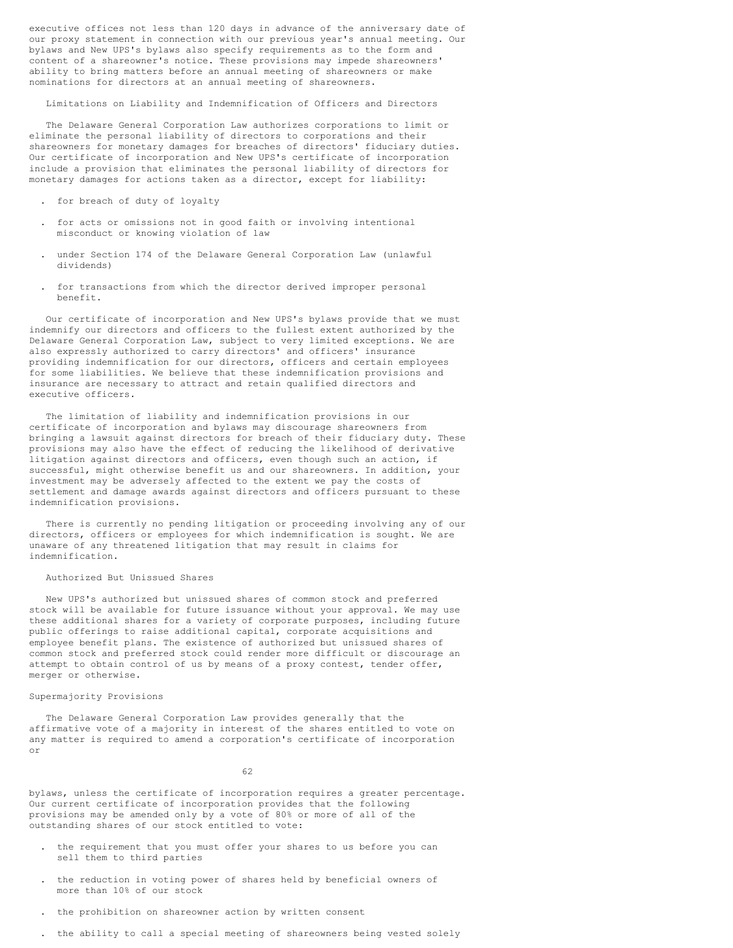executive offices not less than 120 days in advance of the anniversary date of our proxy statement in connection with our previous year's annual meeting. Our bylaws and New UPS's bylaws also specify requirements as to the form and content of a shareowner's notice. These provisions may impede shareowners' ability to bring matters before an annual meeting of shareowners or make nominations for directors at an annual meeting of shareowners.

Limitations on Liability and Indemnification of Officers and Directors

The Delaware General Corporation Law authorizes corporations to limit or eliminate the personal liability of directors to corporations and their shareowners for monetary damages for breaches of directors' fiduciary duties. Our certificate of incorporation and New UPS's certificate of incorporation include a provision that eliminates the personal liability of directors for monetary damages for actions taken as a director, except for liability:

- . for breach of duty of loyalty
- . for acts or omissions not in good faith or involving intentional misconduct or knowing violation of law
- . under Section 174 of the Delaware General Corporation Law (unlawful dividends)
- . for transactions from which the director derived improper personal benefit.

Our certificate of incorporation and New UPS's bylaws provide that we must indemnify our directors and officers to the fullest extent authorized by the Delaware General Corporation Law, subject to very limited exceptions. We are also expressly authorized to carry directors' and officers' insurance providing indemnification for our directors, officers and certain employees for some liabilities. We believe that these indemnification provisions and insurance are necessary to attract and retain qualified directors and executive officers.

The limitation of liability and indemnification provisions in our certificate of incorporation and bylaws may discourage shareowners from bringing a lawsuit against directors for breach of their fiduciary duty. These provisions may also have the effect of reducing the likelihood of derivative litigation against directors and officers, even though such an action, if successful, might otherwise benefit us and our shareowners. In addition, your investment may be adversely affected to the extent we pay the costs of settlement and damage awards against directors and officers pursuant to these indemnification provisions.

There is currently no pending litigation or proceeding involving any of our directors, officers or employees for which indemnification is sought. We are unaware of any threatened litigation that may result in claims for indemnification.

# Authorized But Unissued Shares

New UPS's authorized but unissued shares of common stock and preferred stock will be available for future issuance without your approval. We may use these additional shares for a variety of corporate purposes, including future public offerings to raise additional capital, corporate acquisitions and employee benefit plans. The existence of authorized but unissued shares of common stock and preferred stock could render more difficult or discourage an attempt to obtain control of us by means of a proxy contest, tender offer, merger or otherwise.

# Supermajority Provisions

The Delaware General Corporation Law provides generally that the affirmative vote of a majority in interest of the shares entitled to vote on any matter is required to amend a corporation's certificate of incorporation or

62

bylaws, unless the certificate of incorporation requires a greater percentage. Our current certificate of incorporation provides that the following provisions may be amended only by a vote of 80% or more of all of the outstanding shares of our stock entitled to vote:

- . the requirement that you must offer your shares to us before you can sell them to third parties
- . the reduction in voting power of shares held by beneficial owners of more than 10% of our stock
- . the prohibition on shareowner action by written consent
- . the ability to call a special meeting of shareowners being vested solely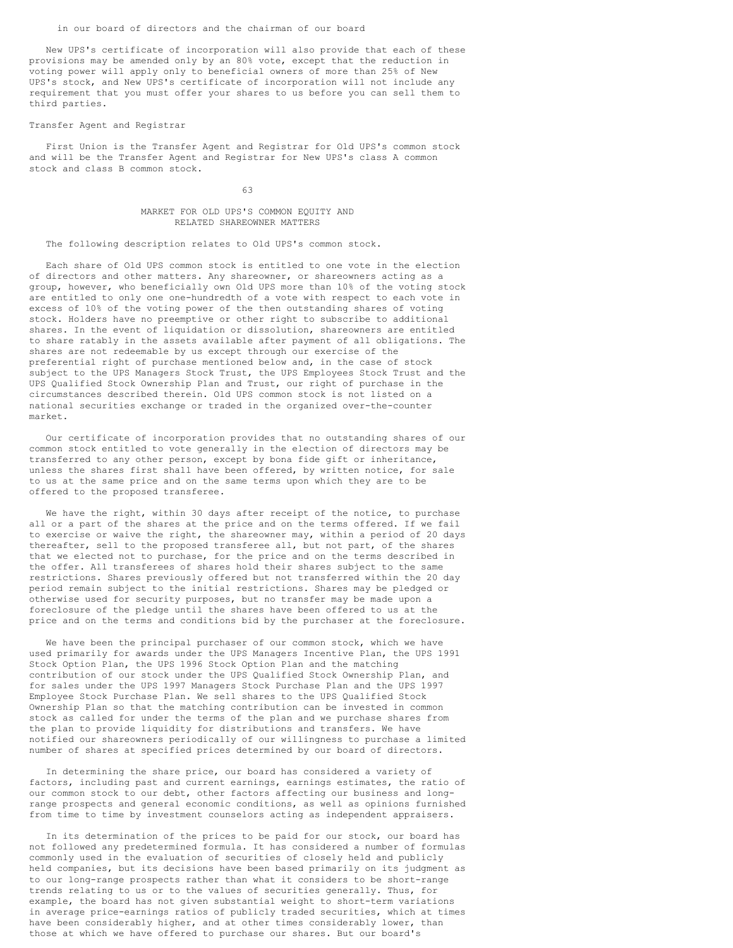### in our board of directors and the chairman of our board

New UPS's certificate of incorporation will also provide that each of these provisions may be amended only by an 80% vote, except that the reduction in voting power will apply only to beneficial owners of more than 25% of New UPS's stock, and New UPS's certificate of incorporation will not include any requirement that you must offer your shares to us before you can sell them to third parties.

### Transfer Agent and Registrar

First Union is the Transfer Agent and Registrar for Old UPS's common stock and will be the Transfer Agent and Registrar for New UPS's class A common stock and class B common stock.

# 63

# MARKET FOR OLD UPS'S COMMON EQUITY AND RELATED SHAREOWNER MATTERS

# The following description relates to Old UPS's common stock.

Each share of Old UPS common stock is entitled to one vote in the election of directors and other matters. Any shareowner, or shareowners acting as a group, however, who beneficially own Old UPS more than 10% of the voting stock are entitled to only one one-hundredth of a vote with respect to each vote in excess of 10% of the voting power of the then outstanding shares of voting stock. Holders have no preemptive or other right to subscribe to additional shares. In the event of liquidation or dissolution, shareowners are entitled to share ratably in the assets available after payment of all obligations. The shares are not redeemable by us except through our exercise of the preferential right of purchase mentioned below and, in the case of stock subject to the UPS Managers Stock Trust, the UPS Employees Stock Trust and the UPS Qualified Stock Ownership Plan and Trust, our right of purchase in the circumstances described therein. Old UPS common stock is not listed on a national securities exchange or traded in the organized over-the-counter market.

Our certificate of incorporation provides that no outstanding shares of our common stock entitled to vote generally in the election of directors may be transferred to any other person, except by bona fide gift or inheritance, unless the shares first shall have been offered, by written notice, for sale to us at the same price and on the same terms upon which they are to be offered to the proposed transferee.

We have the right, within 30 days after receipt of the notice, to purchase all or a part of the shares at the price and on the terms offered. If we fail to exercise or waive the right, the shareowner may, within a period of 20 days thereafter, sell to the proposed transferee all, but not part, of the shares that we elected not to purchase, for the price and on the terms described in the offer. All transferees of shares hold their shares subject to the same restrictions. Shares previously offered but not transferred within the 20 day period remain subject to the initial restrictions. Shares may be pledged or otherwise used for security purposes, but no transfer may be made upon a foreclosure of the pledge until the shares have been offered to us at the price and on the terms and conditions bid by the purchaser at the foreclosure.

We have been the principal purchaser of our common stock, which we have used primarily for awards under the UPS Managers Incentive Plan, the UPS 1991 Stock Option Plan, the UPS 1996 Stock Option Plan and the matching contribution of our stock under the UPS Qualified Stock Ownership Plan, and for sales under the UPS 1997 Managers Stock Purchase Plan and the UPS 1997 Employee Stock Purchase Plan. We sell shares to the UPS Qualified Stock Ownership Plan so that the matching contribution can be invested in common stock as called for under the terms of the plan and we purchase shares from the plan to provide liquidity for distributions and transfers. We have notified our shareowners periodically of our willingness to purchase a limited number of shares at specified prices determined by our board of directors.

In determining the share price, our board has considered a variety of factors, including past and current earnings, earnings estimates, the ratio of our common stock to our debt, other factors affecting our business and longrange prospects and general economic conditions, as well as opinions furnished from time to time by investment counselors acting as independent appraisers.

In its determination of the prices to be paid for our stock, our board has not followed any predetermined formula. It has considered a number of formulas commonly used in the evaluation of securities of closely held and publicly held companies, but its decisions have been based primarily on its judgment as to our long-range prospects rather than what it considers to be short-range trends relating to us or to the values of securities generally. Thus, for example, the board has not given substantial weight to short-term variations in average price-earnings ratios of publicly traded securities, which at times have been considerably higher, and at other times considerably lower, than those at which we have offered to purchase our shares. But our board's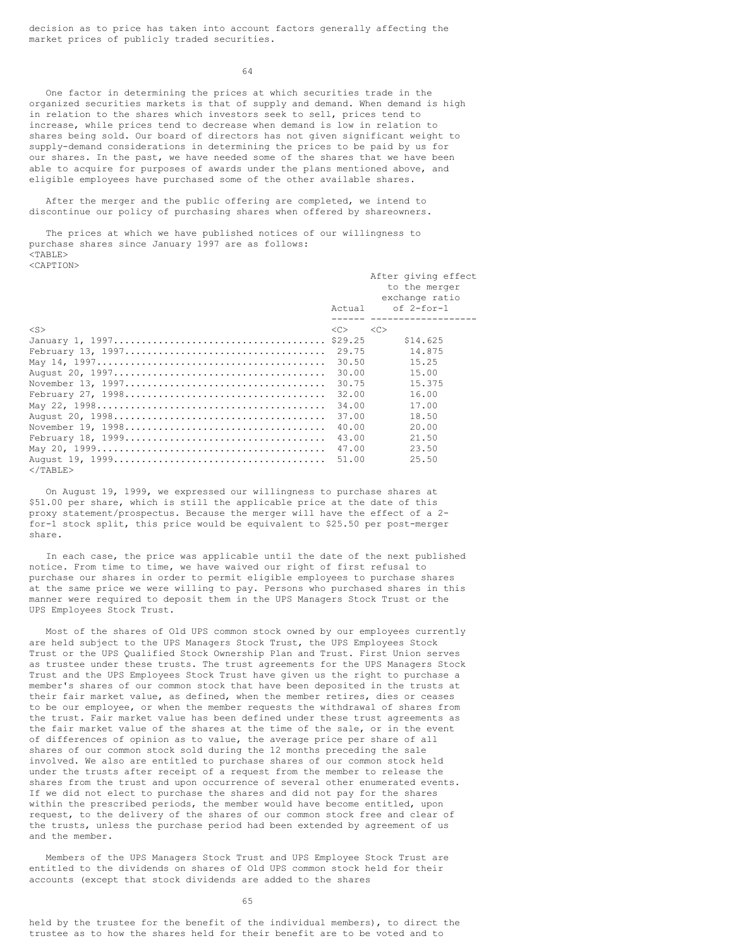decision as to price has taken into account factors generally affecting the market prices of publicly traded securities.

 $64$ 

One factor in determining the prices at which securities trade in the organized securities markets is that of supply and demand. When demand is high in relation to the shares which investors seek to sell, prices tend to increase, while prices tend to decrease when demand is low in relation to shares being sold. Our board of directors has not given significant weight to supply-demand considerations in determining the prices to be paid by us for our shares. In the past, we have needed some of the shares that we have been able to acquire for purposes of awards under the plans mentioned above, and eligible employees have purchased some of the other available shares.

After the merger and the public offering are completed, we intend to discontinue our policy of purchasing shares when offered by shareowners.

The prices at which we have published notices of our willingness to purchase shares since January 1997 are as follows:  $<$ TABLE $>$ <CAPTION>

|                   |               | After giving effect |
|-------------------|---------------|---------------------|
|                   |               | to the merger       |
|                   |               | exchange ratio      |
|                   | Actual        | of 2-for-1          |
|                   |               |                     |
| $<$ S $>$         | < <sub></sub> | <<                  |
|                   |               | \$14.625            |
|                   | 29.75         | 14.875              |
|                   | 30.50         | 15.25               |
|                   | 30.00         | 15.00               |
|                   | 30.75         | 15.375              |
|                   | 32.00         | 16.00               |
|                   | 34.00         | 17.00               |
|                   | 37.00         | 18.50               |
|                   | 40.00         | 20.00               |
|                   | 43.00         | 21.50               |
|                   | 47.00         | 23.50               |
|                   | 51.00         | 25.50               |
| $\langle$ /TABLE> |               |                     |

On August 19, 1999, we expressed our willingness to purchase shares at \$51.00 per share, which is still the applicable price at the date of this proxy statement/prospectus. Because the merger will have the effect of a 2 for-1 stock split, this price would be equivalent to \$25.50 per post-merger share.

In each case, the price was applicable until the date of the next published notice. From time to time, we have waived our right of first refusal to purchase our shares in order to permit eligible employees to purchase shares at the same price we were willing to pay. Persons who purchased shares in this manner were required to deposit them in the UPS Managers Stock Trust or the UPS Employees Stock Trust.

Most of the shares of Old UPS common stock owned by our employees currently are held subject to the UPS Managers Stock Trust, the UPS Employees Stock Trust or the UPS Qualified Stock Ownership Plan and Trust. First Union serves as trustee under these trusts. The trust agreements for the UPS Managers Stock Trust and the UPS Employees Stock Trust have given us the right to purchase a member's shares of our common stock that have been deposited in the trusts at their fair market value, as defined, when the member retires, dies or ceases to be our employee, or when the member requests the withdrawal of shares from the trust. Fair market value has been defined under these trust agreements as the fair market value of the shares at the time of the sale, or in the event of differences of opinion as to value, the average price per share of all shares of our common stock sold during the 12 months preceding the sale involved. We also are entitled to purchase shares of our common stock held under the trusts after receipt of a request from the member to release the shares from the trust and upon occurrence of several other enumerated events. If we did not elect to purchase the shares and did not pay for the shares within the prescribed periods, the member would have become entitled, upon request, to the delivery of the shares of our common stock free and clear of the trusts, unless the purchase period had been extended by agreement of us and the member.

Members of the UPS Managers Stock Trust and UPS Employee Stock Trust are entitled to the dividends on shares of Old UPS common stock held for their accounts (except that stock dividends are added to the shares

65

held by the trustee for the benefit of the individual members), to direct the trustee as to how the shares held for their benefit are to be voted and to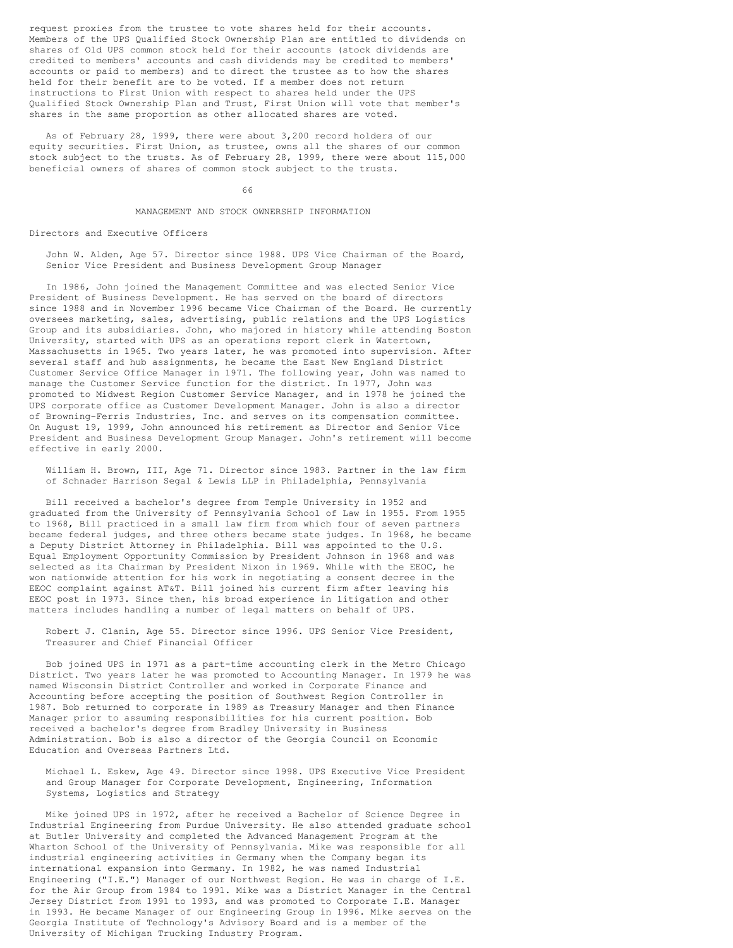request proxies from the trustee to vote shares held for their accounts. Members of the UPS Qualified Stock Ownership Plan are entitled to dividends on shares of Old UPS common stock held for their accounts (stock dividends are credited to members' accounts and cash dividends may be credited to members' accounts or paid to members) and to direct the trustee as to how the shares held for their benefit are to be voted. If a member does not return instructions to First Union with respect to shares held under the UPS Qualified Stock Ownership Plan and Trust, First Union will vote that member's shares in the same proportion as other allocated shares are voted.

As of February 28, 1999, there were about 3,200 record holders of our equity securities. First Union, as trustee, owns all the shares of our common stock subject to the trusts. As of February 28, 1999, there were about 115,000 beneficial owners of shares of common stock subject to the trusts.

66

# MANAGEMENT AND STOCK OWNERSHIP INFORMATION

Directors and Executive Officers

John W. Alden, Age 57. Director since 1988. UPS Vice Chairman of the Board, Senior Vice President and Business Development Group Manager

In 1986, John joined the Management Committee and was elected Senior Vice President of Business Development. He has served on the board of directors since 1988 and in November 1996 became Vice Chairman of the Board. He currently oversees marketing, sales, advertising, public relations and the UPS Logistics Group and its subsidiaries. John, who majored in history while attending Boston University, started with UPS as an operations report clerk in Watertown, Massachusetts in 1965. Two years later, he was promoted into supervision. After several staff and hub assignments, he became the East New England District Customer Service Office Manager in 1971. The following year, John was named to manage the Customer Service function for the district. In 1977, John was promoted to Midwest Region Customer Service Manager, and in 1978 he joined the UPS corporate office as Customer Development Manager. John is also a director of Browning-Ferris Industries, Inc. and serves on its compensation committee. On August 19, 1999, John announced his retirement as Director and Senior Vice President and Business Development Group Manager. John's retirement will become effective in early 2000.

William H. Brown, III, Age 71. Director since 1983. Partner in the law firm of Schnader Harrison Segal & Lewis LLP in Philadelphia, Pennsylvania

Bill received a bachelor's degree from Temple University in 1952 and graduated from the University of Pennsylvania School of Law in 1955. From 1955 to 1968, Bill practiced in a small law firm from which four of seven partners became federal judges, and three others became state judges. In 1968, he became a Deputy District Attorney in Philadelphia. Bill was appointed to the U.S. Equal Employment Opportunity Commission by President Johnson in 1968 and was selected as its Chairman by President Nixon in 1969. While with the EEOC, he won nationwide attention for his work in negotiating a consent decree in the EEOC complaint against AT&T. Bill joined his current firm after leaving his EEOC post in 1973. Since then, his broad experience in litigation and other matters includes handling a number of legal matters on behalf of UPS.

Robert J. Clanin, Age 55. Director since 1996. UPS Senior Vice President, Treasurer and Chief Financial Officer

Bob joined UPS in 1971 as a part-time accounting clerk in the Metro Chicago District. Two years later he was promoted to Accounting Manager. In 1979 he was named Wisconsin District Controller and worked in Corporate Finance and Accounting before accepting the position of Southwest Region Controller in 1987. Bob returned to corporate in 1989 as Treasury Manager and then Finance Manager prior to assuming responsibilities for his current position. Bob received a bachelor's degree from Bradley University in Business Administration. Bob is also a director of the Georgia Council on Economic Education and Overseas Partners Ltd.

Michael L. Eskew, Age 49. Director since 1998. UPS Executive Vice President and Group Manager for Corporate Development, Engineering, Information Systems, Logistics and Strategy

Mike joined UPS in 1972, after he received a Bachelor of Science Degree in Industrial Engineering from Purdue University. He also attended graduate school at Butler University and completed the Advanced Management Program at the Wharton School of the University of Pennsylvania. Mike was responsible for all industrial engineering activities in Germany when the Company began its international expansion into Germany. In 1982, he was named Industrial Engineering ("I.E.") Manager of our Northwest Region. He was in charge of I.E. for the Air Group from 1984 to 1991. Mike was a District Manager in the Central Jersey District from 1991 to 1993, and was promoted to Corporate I.E. Manager in 1993. He became Manager of our Engineering Group in 1996. Mike serves on the Georgia Institute of Technology's Advisory Board and is a member of the University of Michigan Trucking Industry Program.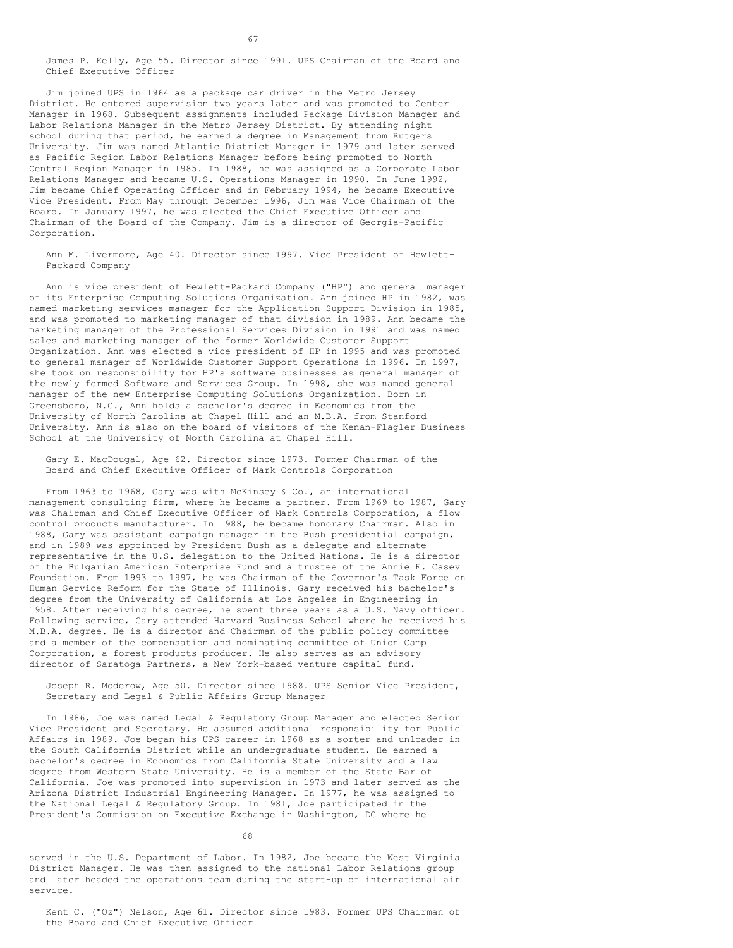James P. Kelly, Age 55. Director since 1991. UPS Chairman of the Board and Chief Executive Officer

Jim joined UPS in 1964 as a package car driver in the Metro Jersey District. He entered supervision two years later and was promoted to Center Manager in 1968. Subsequent assignments included Package Division Manager and Labor Relations Manager in the Metro Jersey District. By attending night school during that period, he earned a degree in Management from Rutgers University. Jim was named Atlantic District Manager in 1979 and later served as Pacific Region Labor Relations Manager before being promoted to North Central Region Manager in 1985. In 1988, he was assigned as a Corporate Labor Relations Manager and became U.S. Operations Manager in 1990. In June 1992, Jim became Chief Operating Officer and in February 1994, he became Executive Vice President. From May through December 1996, Jim was Vice Chairman of the Board. In January 1997, he was elected the Chief Executive Officer and Chairman of the Board of the Company. Jim is a director of Georgia-Pacific Corporation.

Ann M. Livermore, Age 40. Director since 1997. Vice President of Hewlett-Packard Company

Ann is vice president of Hewlett-Packard Company ("HP") and general manager of its Enterprise Computing Solutions Organization. Ann joined HP in 1982, was named marketing services manager for the Application Support Division in 1985, and was promoted to marketing manager of that division in 1989. Ann became the marketing manager of the Professional Services Division in 1991 and was named sales and marketing manager of the former Worldwide Customer Support Organization. Ann was elected a vice president of HP in 1995 and was promoted to general manager of Worldwide Customer Support Operations in 1996. In 1997, she took on responsibility for HP's software businesses as general manager of the newly formed Software and Services Group. In 1998, she was named general manager of the new Enterprise Computing Solutions Organization. Born in Greensboro, N.C., Ann holds a bachelor's degree in Economics from the University of North Carolina at Chapel Hill and an M.B.A. from Stanford University. Ann is also on the board of visitors of the Kenan-Flagler Business School at the University of North Carolina at Chapel Hill.

Gary E. MacDougal, Age 62. Director since 1973. Former Chairman of the Board and Chief Executive Officer of Mark Controls Corporation

From 1963 to 1968, Gary was with McKinsey & Co., an international management consulting firm, where he became a partner. From 1969 to 1987, Gary was Chairman and Chief Executive Officer of Mark Controls Corporation, a flow control products manufacturer. In 1988, he became honorary Chairman. Also in 1988, Gary was assistant campaign manager in the Bush presidential campaign, and in 1989 was appointed by President Bush as a delegate and alternate representative in the U.S. delegation to the United Nations. He is a director of the Bulgarian American Enterprise Fund and a trustee of the Annie E. Casey Foundation. From 1993 to 1997, he was Chairman of the Governor's Task Force on Human Service Reform for the State of Illinois. Gary received his bachelor's degree from the University of California at Los Angeles in Engineering in 1958. After receiving his degree, he spent three years as a U.S. Navy officer. Following service, Gary attended Harvard Business School where he received his M.B.A. degree. He is a director and Chairman of the public policy committee and a member of the compensation and nominating committee of Union Camp Corporation, a forest products producer. He also serves as an advisory director of Saratoga Partners, a New York-based venture capital fund.

Joseph R. Moderow, Age 50. Director since 1988. UPS Senior Vice President, Secretary and Legal & Public Affairs Group Manager

In 1986, Joe was named Legal & Regulatory Group Manager and elected Senior Vice President and Secretary. He assumed additional responsibility for Public Affairs in 1989. Joe began his UPS career in 1968 as a sorter and unloader in the South California District while an undergraduate student. He earned a bachelor's degree in Economics from California State University and a law degree from Western State University. He is a member of the State Bar of California. Joe was promoted into supervision in 1973 and later served as the Arizona District Industrial Engineering Manager. In 1977, he was assigned to the National Legal & Regulatory Group. In 1981, Joe participated in the President's Commission on Executive Exchange in Washington, DC where he

68

served in the U.S. Department of Labor. In 1982, Joe became the West Virginia District Manager. He was then assigned to the national Labor Relations group and later headed the operations team during the start-up of international air service.

Kent C. ("Oz") Nelson, Age 61. Director since 1983. Former UPS Chairman of the Board and Chief Executive Officer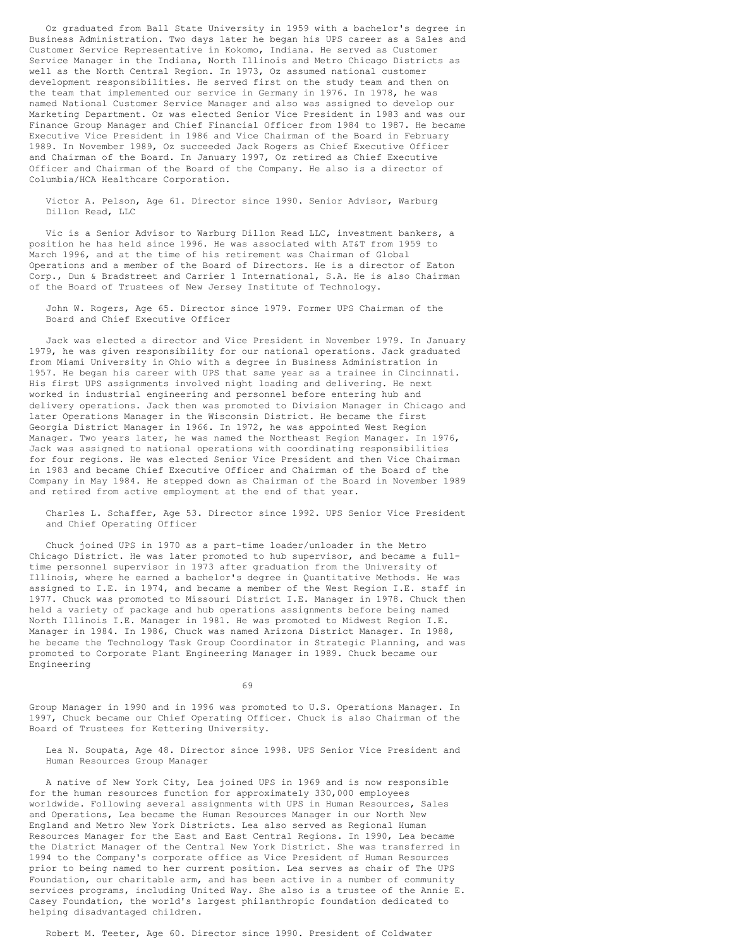Oz graduated from Ball State University in 1959 with a bachelor's degree in Business Administration. Two days later he began his UPS career as a Sales and Customer Service Representative in Kokomo, Indiana. He served as Customer Service Manager in the Indiana, North Illinois and Metro Chicago Districts as well as the North Central Region. In 1973, Oz assumed national customer development responsibilities. He served first on the study team and then on the team that implemented our service in Germany in 1976. In 1978, he was named National Customer Service Manager and also was assigned to develop our Marketing Department. Oz was elected Senior Vice President in 1983 and was our Finance Group Manager and Chief Financial Officer from 1984 to 1987. He became Executive Vice President in 1986 and Vice Chairman of the Board in February 1989. In November 1989, Oz succeeded Jack Rogers as Chief Executive Officer and Chairman of the Board. In January 1997, Oz retired as Chief Executive Officer and Chairman of the Board of the Company. He also is a director of Columbia/HCA Healthcare Corporation.

Victor A. Pelson, Age 61. Director since 1990. Senior Advisor, Warburg Dillon Read, LLC

Vic is a Senior Advisor to Warburg Dillon Read LLC, investment bankers, a position he has held since 1996. He was associated with AT&T from 1959 to March 1996, and at the time of his retirement was Chairman of Global Operations and a member of the Board of Directors. He is a director of Eaton Corp., Dun & Bradstreet and Carrier 1 International, S.A. He is also Chairman of the Board of Trustees of New Jersey Institute of Technology.

John W. Rogers, Age 65. Director since 1979. Former UPS Chairman of the Board and Chief Executive Officer

Jack was elected a director and Vice President in November 1979. In January 1979, he was given responsibility for our national operations. Jack graduated from Miami University in Ohio with a degree in Business Administration in 1957. He began his career with UPS that same year as a trainee in Cincinnati. His first UPS assignments involved night loading and delivering. He next worked in industrial engineering and personnel before entering hub and delivery operations. Jack then was promoted to Division Manager in Chicago and later Operations Manager in the Wisconsin District. He became the first Georgia District Manager in 1966. In 1972, he was appointed West Region Manager. Two years later, he was named the Northeast Region Manager. In 1976, Jack was assigned to national operations with coordinating responsibilities for four regions. He was elected Senior Vice President and then Vice Chairman in 1983 and became Chief Executive Officer and Chairman of the Board of the Company in May 1984. He stepped down as Chairman of the Board in November 1989 and retired from active employment at the end of that year.

Charles L. Schaffer, Age 53. Director since 1992. UPS Senior Vice President and Chief Operating Officer

Chuck joined UPS in 1970 as a part-time loader/unloader in the Metro Chicago District. He was later promoted to hub supervisor, and became a fulltime personnel supervisor in 1973 after graduation from the University of Illinois, where he earned a bachelor's degree in Quantitative Methods. He was assigned to I.E. in 1974, and became a member of the West Region I.E. staff in 1977. Chuck was promoted to Missouri District I.E. Manager in 1978. Chuck then held a variety of package and hub operations assignments before being named North Illinois I.E. Manager in 1981. He was promoted to Midwest Region I.E. Manager in 1984. In 1986, Chuck was named Arizona District Manager. In 1988, he became the Technology Task Group Coordinator in Strategic Planning, and was promoted to Corporate Plant Engineering Manager in 1989. Chuck became our Engineering

69

Group Manager in 1990 and in 1996 was promoted to U.S. Operations Manager. In 1997, Chuck became our Chief Operating Officer. Chuck is also Chairman of the Board of Trustees for Kettering University.

Lea N. Soupata, Age 48. Director since 1998. UPS Senior Vice President and Human Resources Group Manager

A native of New York City, Lea joined UPS in 1969 and is now responsible for the human resources function for approximately 330,000 employees worldwide. Following several assignments with UPS in Human Resources, Sales and Operations, Lea became the Human Resources Manager in our North New England and Metro New York Districts. Lea also served as Regional Human Resources Manager for the East and East Central Regions. In 1990, Lea became the District Manager of the Central New York District. She was transferred in 1994 to the Company's corporate office as Vice President of Human Resources prior to being named to her current position. Lea serves as chair of The UPS Foundation, our charitable arm, and has been active in a number of community services programs, including United Way. She also is a trustee of the Annie E. Casey Foundation, the world's largest philanthropic foundation dedicated to helping disadvantaged children.

Robert M. Teeter, Age 60. Director since 1990. President of Coldwater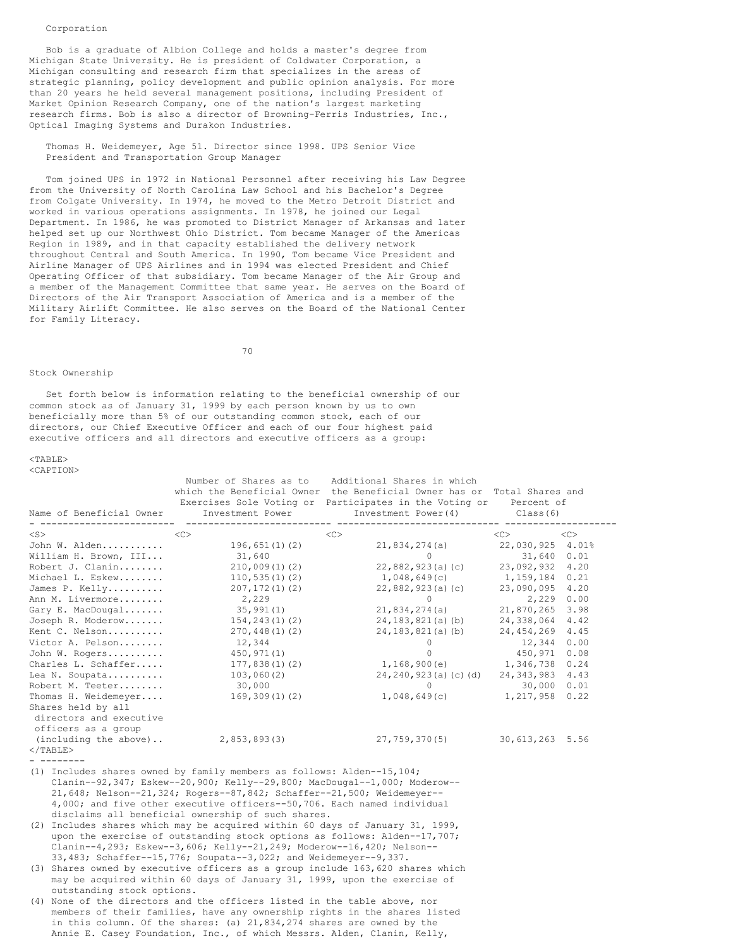### Corporation

Bob is a graduate of Albion College and holds a master's degree from Michigan State University. He is president of Coldwater Corporation, a Michigan consulting and research firm that specializes in the areas of strategic planning, policy development and public opinion analysis. For more than 20 years he held several management positions, including President of Market Opinion Research Company, one of the nation's largest marketing research firms. Bob is also a director of Browning-Ferris Industries, Inc., Optical Imaging Systems and Durakon Industries.

Thomas H. Weidemeyer, Age 51. Director since 1998. UPS Senior Vice President and Transportation Group Manager

Tom joined UPS in 1972 in National Personnel after receiving his Law Degree from the University of North Carolina Law School and his Bachelor's Degree from Colgate University. In 1974, he moved to the Metro Detroit District and worked in various operations assignments. In 1978, he joined our Legal Department. In 1986, he was promoted to District Manager of Arkansas and later helped set up our Northwest Ohio District. Tom became Manager of the Americas Region in 1989, and in that capacity established the delivery network throughout Central and South America. In 1990, Tom became Vice President and Airline Manager of UPS Airlines and in 1994 was elected President and Chief Operating Officer of that subsidiary. Tom became Manager of the Air Group and a member of the Management Committee that same year. He serves on the Board of Directors of the Air Transport Association of America and is a member of the Military Airlift Committee. He also serves on the Board of the National Center for Family Literacy.

70

# Stock Ownership

Set forth below is information relating to the beneficial ownership of our common stock as of January 31, 1999 by each person known by us to own beneficially more than 5% of our outstanding common stock, each of our directors, our Chief Executive Officer and each of our four highest paid executive officers and all directors and executive officers as a group:

 $<$ TABLE>

| <caption></caption>                        |                                                                                                                                                                                                                                                                                                                                                                                                                                                                                                                                                                                                                                                                                                                                                                 |                                                                                                                                                                                                                                 |                  |      |
|--------------------------------------------|-----------------------------------------------------------------------------------------------------------------------------------------------------------------------------------------------------------------------------------------------------------------------------------------------------------------------------------------------------------------------------------------------------------------------------------------------------------------------------------------------------------------------------------------------------------------------------------------------------------------------------------------------------------------------------------------------------------------------------------------------------------------|---------------------------------------------------------------------------------------------------------------------------------------------------------------------------------------------------------------------------------|------------------|------|
|                                            | Number of Shares as to<br>Name of Beneficial Owner Investment Power                                                                                                                                                                                                                                                                                                                                                                                                                                                                                                                                                                                                                                                                                             | Additional Shares in which<br>which the Beneficial Owner the Beneficial Owner has or Total Shares and<br>Exercises Sole Voting or Participates in the Voting or Percent of<br>Investment Power(4) Class(6)<br>----------- ----- |                  |      |
| $<$ S $>$                                  |                                                                                                                                                                                                                                                                                                                                                                                                                                                                                                                                                                                                                                                                                                                                                                 | <<>                                                                                                                                                                                                                             | <<>              | <<   |
| John W. Alden                              | 196,651(1)(2)                                                                                                                                                                                                                                                                                                                                                                                                                                                                                                                                                                                                                                                                                                                                                   | 21,834,274(a)                                                                                                                                                                                                                   | 22,030,925 4.01% |      |
| William H. Brown, III                      | 31,640                                                                                                                                                                                                                                                                                                                                                                                                                                                                                                                                                                                                                                                                                                                                                          | $\circ$                                                                                                                                                                                                                         | 31,640 0.01      |      |
| Robert J. Clanin                           | 210,009(1)(2)                                                                                                                                                                                                                                                                                                                                                                                                                                                                                                                                                                                                                                                                                                                                                   | $22,882,923(a)$ (c)                                                                                                                                                                                                             | 23,092,932 4.20  |      |
| Michael L. Eskew                           | 110, 535(1)(2)                                                                                                                                                                                                                                                                                                                                                                                                                                                                                                                                                                                                                                                                                                                                                  | 1,048,649(c)                                                                                                                                                                                                                    | 1,159,184        | 0.21 |
| James P. Kelly                             | 207, 172(1)(2)                                                                                                                                                                                                                                                                                                                                                                                                                                                                                                                                                                                                                                                                                                                                                  | 22,882,923(a)(c)                                                                                                                                                                                                                | 23,090,095       | 4.20 |
| Ann M. Livermore                           | 2,229                                                                                                                                                                                                                                                                                                                                                                                                                                                                                                                                                                                                                                                                                                                                                           | $\circ$                                                                                                                                                                                                                         | 2,229 0.00       |      |
| Gary E. MacDougal                          | 35,991(1)                                                                                                                                                                                                                                                                                                                                                                                                                                                                                                                                                                                                                                                                                                                                                       | 21,834,274(a)                                                                                                                                                                                                                   | 21,870,265       | 3.98 |
| Joseph R. Moderow                          | 154,243(1)(2)                                                                                                                                                                                                                                                                                                                                                                                                                                                                                                                                                                                                                                                                                                                                                   | 24, 183, 821 (a) (b)                                                                                                                                                                                                            | 24,338,064       | 4.42 |
| Kent C. Nelson                             | 270, 448(1)(2)                                                                                                                                                                                                                                                                                                                                                                                                                                                                                                                                                                                                                                                                                                                                                  | 24,183,821(a)(b)                                                                                                                                                                                                                | 24,454,269       | 4.45 |
| Victor A. Pelson                           | 12,344                                                                                                                                                                                                                                                                                                                                                                                                                                                                                                                                                                                                                                                                                                                                                          | $\circ$                                                                                                                                                                                                                         | 12,344           | 0.00 |
| John W. Rogers                             | 450, 971(1)                                                                                                                                                                                                                                                                                                                                                                                                                                                                                                                                                                                                                                                                                                                                                     | $\Omega$                                                                                                                                                                                                                        | 450,971          | 0.08 |
| Charles L. Schaffer                        | 177,838(1)(2)                                                                                                                                                                                                                                                                                                                                                                                                                                                                                                                                                                                                                                                                                                                                                   | 1, 168, 900 (e) 1, 346, 738                                                                                                                                                                                                     |                  | 0.24 |
| Lea N. Soupata                             | 103,060(2)                                                                                                                                                                                                                                                                                                                                                                                                                                                                                                                                                                                                                                                                                                                                                      | 24,240,923(a)(c)(d)                                                                                                                                                                                                             | 24, 343, 983     | 4.43 |
| Robert M. Teeter                           | 30,000                                                                                                                                                                                                                                                                                                                                                                                                                                                                                                                                                                                                                                                                                                                                                          | $0 \qquad \qquad$                                                                                                                                                                                                               | 30,000           | 0.01 |
| Thomas H. Weidemeyer<br>Shares held by all | 169,309(1)(2)                                                                                                                                                                                                                                                                                                                                                                                                                                                                                                                                                                                                                                                                                                                                                   | 1,048,649(c) 1,217,958                                                                                                                                                                                                          |                  | 0.22 |
| directors and executive                    |                                                                                                                                                                                                                                                                                                                                                                                                                                                                                                                                                                                                                                                                                                                                                                 |                                                                                                                                                                                                                                 |                  |      |
| officers as a group                        |                                                                                                                                                                                                                                                                                                                                                                                                                                                                                                                                                                                                                                                                                                                                                                 |                                                                                                                                                                                                                                 |                  |      |
| (including the above)<br>$<$ /TABLE>       | 2,853,893(3)                                                                                                                                                                                                                                                                                                                                                                                                                                                                                                                                                                                                                                                                                                                                                    | 27,759,370(5)                                                                                                                                                                                                                   | 30,613,263 5.56  |      |
|                                            | (1) Includes shares owned by family members as follows: Alden--15, $104$ ;<br>Clanin--92,347; Eskew--20,900; Kelly--29,800; MacDougal--1,000; Moderow--<br>21,648; Nelson--21,324; Rogers--87,842; Schaffer--21,500; Weidemeyer--<br>4,000; and five other executive officers--50,706. Each named individual<br>disclaims all beneficial ownership of such shares.<br>(2) Includes shares which may be acquired within 60 days of January 31, 1999,<br>upon the exercise of outstanding stock options as follows: Alden--17,707;<br>Clanin--4,293; Eskew--3,606; Kelly--21,249; Moderow--16,420; Nelson--<br>33,483; Schaffer--15,776; Soupata--3,022; and Weidemeyer--9,337.<br>(3) Shares owned by executive officers as a group include 163,620 shares which |                                                                                                                                                                                                                                 |                  |      |

may be acquired within 60 days of January 31, 1999, upon the exercise of outstanding stock options.

(4) None of the directors and the officers listed in the table above, nor members of their families, have any ownership rights in the shares listed in this column. Of the shares: (a) 21,834,274 shares are owned by the Annie E. Casey Foundation, Inc., of which Messrs. Alden, Clanin, Kelly,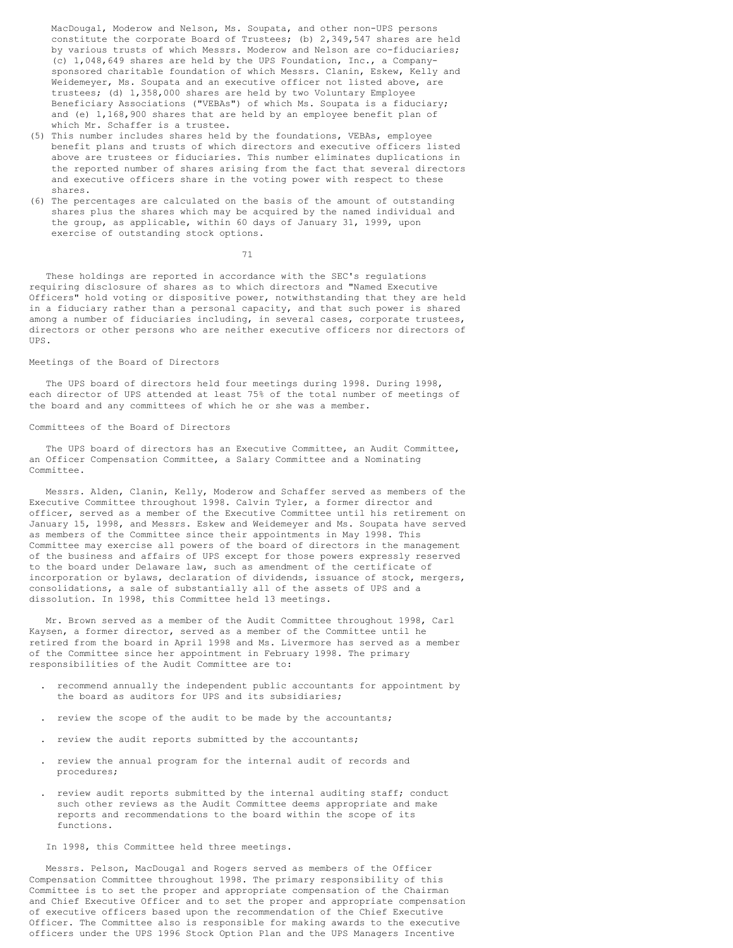MacDougal, Moderow and Nelson, Ms. Soupata, and other non-UPS persons constitute the corporate Board of Trustees; (b) 2,349,547 shares are held by various trusts of which Messrs. Moderow and Nelson are co-fiduciaries; (c) 1,048,649 shares are held by the UPS Foundation, Inc., a Companysponsored charitable foundation of which Messrs. Clanin, Eskew, Kelly and Weidemeyer, Ms. Soupata and an executive officer not listed above, are trustees; (d) 1,358,000 shares are held by two Voluntary Employee Beneficiary Associations ("VEBAs") of which Ms. Soupata is a fiduciary; and (e) 1,168,900 shares that are held by an employee benefit plan of which Mr. Schaffer is a trustee.

- (5) This number includes shares held by the foundations, VEBAs, employee benefit plans and trusts of which directors and executive officers listed above are trustees or fiduciaries. This number eliminates duplications in the reported number of shares arising from the fact that several directors and executive officers share in the voting power with respect to these shares.
- (6) The percentages are calculated on the basis of the amount of outstanding shares plus the shares which may be acquired by the named individual and the group, as applicable, within 60 days of January 31, 1999, upon exercise of outstanding stock options.

71

These holdings are reported in accordance with the SEC's regulations requiring disclosure of shares as to which directors and "Named Executive Officers" hold voting or dispositive power, notwithstanding that they are held in a fiduciary rather than a personal capacity, and that such power is shared among a number of fiduciaries including, in several cases, corporate trustees, directors or other persons who are neither executive officers nor directors of UPS.

### Meetings of the Board of Directors

The UPS board of directors held four meetings during 1998. During 1998, each director of UPS attended at least 75% of the total number of meetings of the board and any committees of which he or she was a member.

# Committees of the Board of Directors

The UPS board of directors has an Executive Committee, an Audit Committee, an Officer Compensation Committee, a Salary Committee and a Nominating Committee.

Messrs. Alden, Clanin, Kelly, Moderow and Schaffer served as members of the Executive Committee throughout 1998. Calvin Tyler, a former director and officer, served as a member of the Executive Committee until his retirement on January 15, 1998, and Messrs. Eskew and Weidemeyer and Ms. Soupata have served as members of the Committee since their appointments in May 1998. This Committee may exercise all powers of the board of directors in the management of the business and affairs of UPS except for those powers expressly reserved to the board under Delaware law, such as amendment of the certificate of incorporation or bylaws, declaration of dividends, issuance of stock, mergers, consolidations, a sale of substantially all of the assets of UPS and a dissolution. In 1998, this Committee held 13 meetings.

Mr. Brown served as a member of the Audit Committee throughout 1998, Carl Kaysen, a former director, served as a member of the Committee until he retired from the board in April 1998 and Ms. Livermore has served as a member of the Committee since her appointment in February 1998. The primary responsibilities of the Audit Committee are to:

- . recommend annually the independent public accountants for appointment by the board as auditors for UPS and its subsidiaries;
- . review the scope of the audit to be made by the accountants;
- . review the audit reports submitted by the accountants;
- . review the annual program for the internal audit of records and procedures;
- . review audit reports submitted by the internal auditing staff; conduct such other reviews as the Audit Committee deems appropriate and make reports and recommendations to the board within the scope of its functions.

In 1998, this Committee held three meetings.

Messrs. Pelson, MacDougal and Rogers served as members of the Officer Compensation Committee throughout 1998. The primary responsibility of this Committee is to set the proper and appropriate compensation of the Chairman and Chief Executive Officer and to set the proper and appropriate compensation of executive officers based upon the recommendation of the Chief Executive Officer. The Committee also is responsible for making awards to the executive officers under the UPS 1996 Stock Option Plan and the UPS Managers Incentive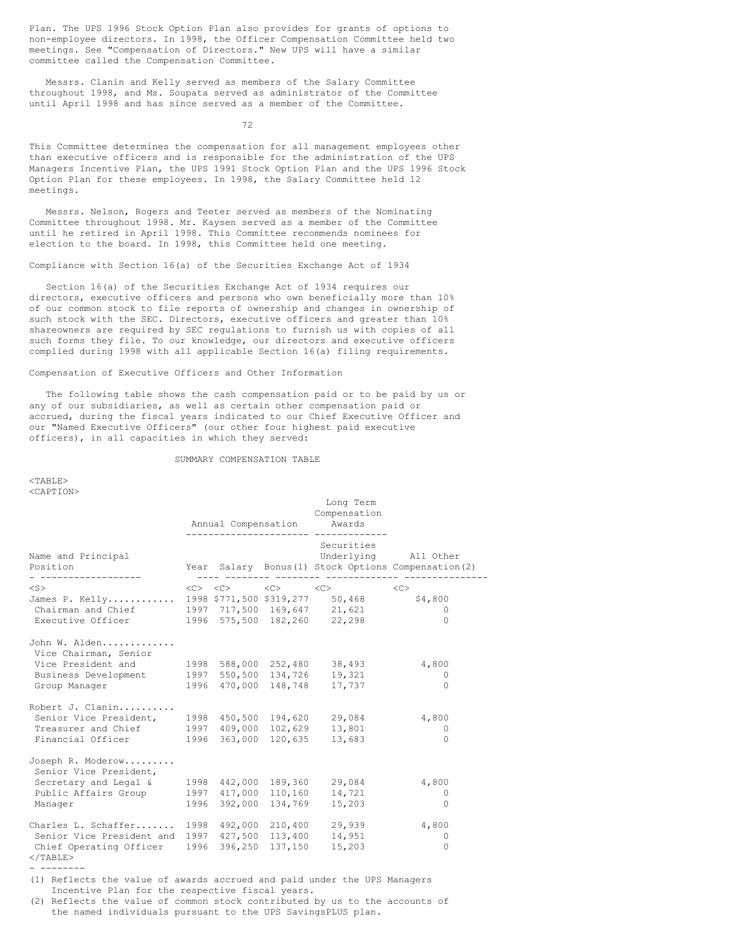Plan. The UPS 1996 Stock Option Plan also provides for grants of options to non-employee directors. In 1998, the Officer Compensation Committee held two meetings. See "Compensation of Directors." New UPS will have a similar committee called the Compensation Committee.

Messrs. Clanin and Kelly served as members of the Salary Committee throughout 1998, and Ms. Soupata served as administrator of the Committee until April 1998 and has since served as a member of the Committee.

72

This Committee determines the compensation for all management employees other than executive officers and is responsible for the administration of the UPS Managers Incentive Plan, the UPS 1991 Stock Option Plan and the UPS 1996 Stock Option Plan for these employees. In 1998, the Salary Committee held 12 meetings.

Messrs. Nelson, Rogers and Teeter served as members of the Nominating Committee throughout 1998. Mr. Kaysen served as a member of the Committee until he retired in April 1998. This Committee recommends nominees for election to the board. In 1998, this Committee held one meeting.

Compliance with Section 16(a) of the Securities Exchange Act of 1934

Section 16(a) of the Securities Exchange Act of 1934 requires our directors, executive officers and persons who own beneficially more than 10% of our common stock to file reports of ownership and changes in ownership of such stock with the SEC. Directors, executive officers and greater than 10% shareowners are required by SEC regulations to furnish us with copies of all such forms they file. To our knowledge, our directors and executive officers complied during 1998 with all applicable Section 16(a) filing requirements.

# Compensation of Executive Officers and Other Information

The following table shows the cash compensation paid or to be paid by us or any of our subsidiaries, as well as certain other compensation paid or accrued, during the fiscal years indicated to our Chief Executive Officer and our "Named Executive Officers" (our other four highest paid executive officers), in all capacities in which they served:

# SUMMARY COMPENSATION TABLE

<TABLE> <CAPTION>

|                                                                                                                                                 |      |         | Annual Compensation                                                             | Long Term<br>Compensation<br>Awards |                                                                              |
|-------------------------------------------------------------------------------------------------------------------------------------------------|------|---------|---------------------------------------------------------------------------------|-------------------------------------|------------------------------------------------------------------------------|
| Name and Principal<br>Position<br>- -----------------                                                                                           |      |         |                                                                                 | Securities                          | Underlying All Other<br>Year Salary Bonus (1) Stock Options Compensation (2) |
| $<$ S $>$<br>James P. Kelly 1998 \$771,500 \$319,277 50,468<br>Chairman and Chief 1997 717,500 169,647 21,621<br>Executive Officer              |      |         | $\langle C \rangle$ $\langle C \rangle$ $\langle C \rangle$ $\langle C \rangle$ | 1996 575,500 182,260 22,298         | <<<br>\$4,800<br>$\Omega$<br>$\bigcap$                                       |
| John W. Alden<br>Vice Chairman, Senior<br>Vice President and<br>Business Development 1997 550,500 134,726<br>Group Manager                      |      |         | 1998 588,000 252,480<br>1996 470,000 148,748                                    | 38,493<br>19,321<br>17,737          | 4,800<br>$\circ$<br>$\Omega$                                                 |
| Robert J. Clanin<br>Senior Vice President,<br>Treasurer and Chief<br>Financial Officer                                                          |      |         | 1998 450,500 194,620<br>1997 409,000 102,629<br>1996 363,000 120,635            | 29,084<br>13,801<br>13,683          | 4,800<br>$\circ$<br>$\Omega$                                                 |
| Joseph R. Moderow<br>Senior Vice President,<br>Secretary and Legal &<br>Public Affairs Group<br>Manager                                         | 1997 |         | 1998 442,000 189,360<br>417,000 110,160<br>1996 392,000 134,769                 | 29,084<br>14,721<br>15,203          | 4,800<br>0<br>$\Omega$                                                       |
| Charles L. Schaffer 1998 492,000 210,400<br>Senior Vice President and 1997 427,500 113,400<br>Chief Operating Officer 1996<br>$\langle$ /TABLE> |      | 396,250 | 137,150                                                                         | 29,939<br>14,951<br>15,203          | 4,800<br>0<br>$\Omega$                                                       |

(1) Reflects the value of awards accrued and paid under the UPS Managers Incentive Plan for the respective fiscal years.

(2) Reflects the value of common stock contributed by us to the accounts of the named individuals pursuant to the UPS SavingsPLUS plan.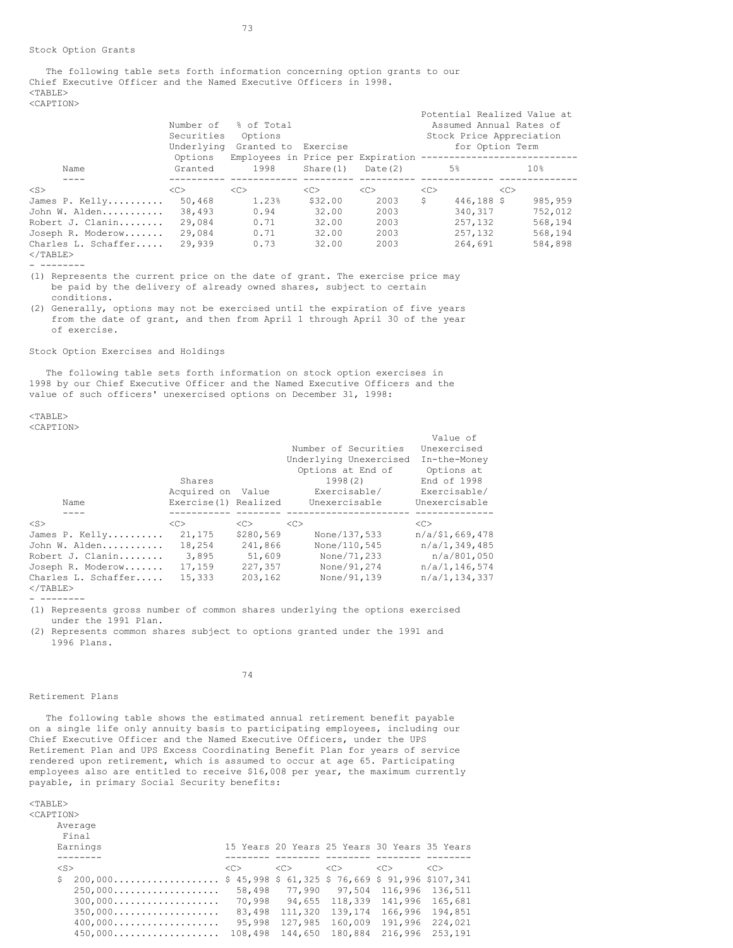The following table sets forth information concerning option grants to our Chief Executive Officer and the Named Executive Officers in 1998.  $<$ TABLE $>$ <CAPTION>

|                                    | Number of<br>Securities<br>Underlying | % of Total<br>Options<br>Granted to                      | Exercise  |         | Potential Realized Value at<br>Assumed Annual Rates of<br>Stock Price Appreciation<br>for Option Term |            |          |
|------------------------------------|---------------------------------------|----------------------------------------------------------|-----------|---------|-------------------------------------------------------------------------------------------------------|------------|----------|
| Name                               | Options<br>Granted                    | Employees in Price per Expiration --------------<br>1998 | Share (1) | Date(2) |                                                                                                       | .5%        | 10%      |
| $<$ S $>$                          | < <sub></sub>                         | <<                                                       | <<        | <<      | <<                                                                                                    | <<         |          |
| James P. Kelly                     | 50,468                                | 1.23%                                                    | \$32.00   | 2003    | \$                                                                                                    | 446,188 \$ | 985, 959 |
| John W. Alden                      | 38,493                                | 0.94                                                     | 32.00     | 2003    |                                                                                                       | 340, 317   | 752,012  |
| Robert J. Clanin                   | 29,084                                | 0.71                                                     | 32.00     | 2003    |                                                                                                       | 257, 132   | 568,194  |
| Joseph R. Moderow                  | 29,084                                | 0.71                                                     | 32.00     | 2003    |                                                                                                       | 257, 132   | 568,194  |
| Charles L. Schaffer<br>$<$ /TABLE> | 29,939                                | 0.73                                                     | 32.00     | 2003    |                                                                                                       | 264,691    | 584,898  |

- --------

(1) Represents the current price on the date of grant. The exercise price may be paid by the delivery of already owned shares, subject to certain conditions.

(2) Generally, options may not be exercised until the expiration of five years from the date of grant, and then from April 1 through April 30 of the year of exercise.

Stock Option Exercises and Holdings

The following table sets forth information on stock option exercises in 1998 by our Chief Executive Officer and the Named Executive Officers and the value of such officers' unexercised options on December 31, 1998:

<TABLE> <CAPTION>

|                     |                      |               |                        | Value of           |
|---------------------|----------------------|---------------|------------------------|--------------------|
|                     |                      |               | Number of Securities   | Unexercised        |
|                     |                      |               | Underlying Unexercised | In-the-Money       |
|                     |                      |               | Options at End of      | Options at         |
|                     | Shares               |               | 1998(2)                | End of 1998        |
|                     | Acquired on          | Value         | Exercisable/           | Exercisable/       |
| Name                | Exercise(1) Realized |               | Unexercisable          | Unexercisable      |
|                     |                      |               |                        |                    |
| $<$ S $>$           | < <sub></sub>        | < <sub></sub> | <<                     | <<                 |
| James P. Kelly      | 21,175               | \$280,569     | None/137,533           | $n/a$ /\$1,669,478 |
| John W. Alden       | 18,254               | 241,866       | None/110.545           | n/a/1,349,485      |
| Robert J. Clanin    | 3,895                | 51,609        | None/71,233            | n/a/801,050        |
| Joseph R. Moderow   | 17,159               | 227,357       | None/91,274            | n/a/1,146,574      |
| Charles L. Schaffer | 15,333               | 203,162       | None/91,139            | n/a/1,134,337      |
| $\langle$ /TABLE>   |                      |               |                        |                    |

- --------

(1) Represents gross number of common shares underlying the options exercised under the 1991 Plan.

74

(2) Represents common shares subject to options granted under the 1991 and 1996 Plans.

#### Retirement Plans

The following table shows the estimated annual retirement benefit payable on a single life only annuity basis to participating employees, including our Chief Executive Officer and the Named Executive Officers, under the UPS Retirement Plan and UPS Excess Coordinating Benefit Plan for years of service rendered upon retirement, which is assumed to occur at age 65. Participating employees also are entitled to receive \$16,008 per year, the maximum currently payable, in primary Social Security benefits:

| в.<br>А,                  |
|---------------------------|
| ו יוי<br>$\left( \right)$ |

| <b>FIIV/IV</b>                               |          |                      |          |                                                |               |
|----------------------------------------------|----------|----------------------|----------|------------------------------------------------|---------------|
| Average<br>Final                             |          |                      |          |                                                |               |
| Earnings                                     |          |                      |          | 15 Years 20 Years 25 Years 30 Years 35 Years   |               |
|                                              |          |                      |          |                                                |               |
| $<$ S $>$                                    | $<<$ $>$ | $<<$ $>$             | $<<$ $>$ | < <sub></sub>                                  | < <sub></sub> |
| \$<br>200,000                                |          |                      |          | $$45,998$ \$61,325 \$76,669 \$91,996 \$107,341 |               |
| $250,000$                                    |          | 58,498 77,990 97,504 |          | 116,996                                        | 136,511       |
| $300,000$                                    | 70,998   | 94,655               | 118,339  | 141,996                                        | 165,681       |
| $350,000$                                    | 83,498   | 111,320              | 139,174  | 166,996                                        | 194,851       |
| $400,000 \ldots \ldots \ldots \ldots \ldots$ | 95,998   | 127,985              | 160,009  | 191,996                                        | 224,021       |
| $450,000$                                    | 108,498  | 144,650              | 180,884  | 216,996                                        | 253,191       |
|                                              |          |                      |          |                                                |               |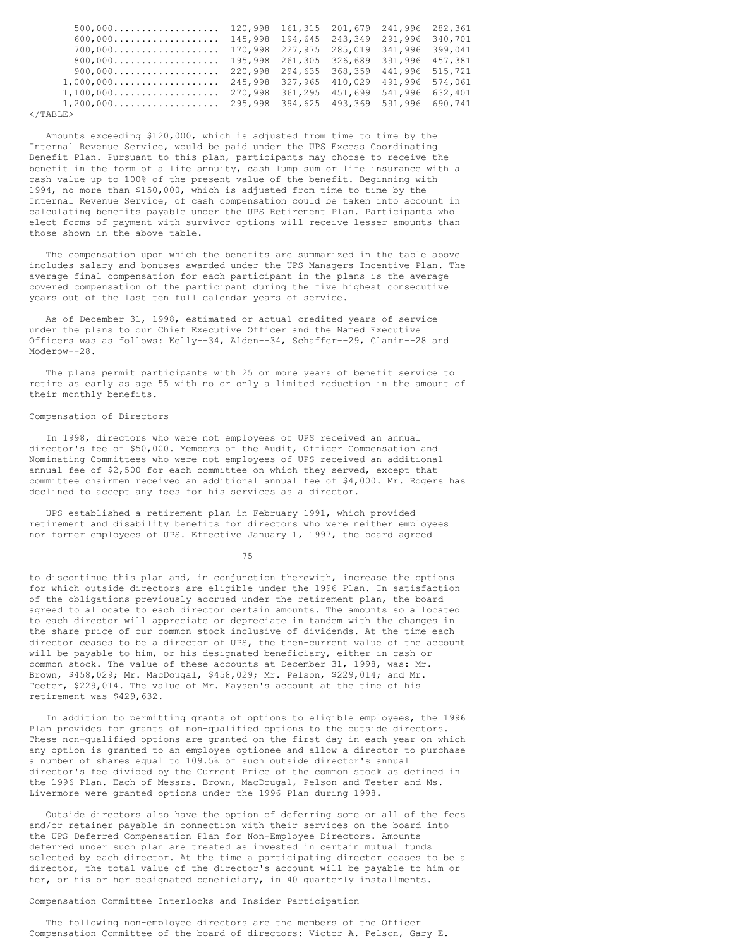| $500,000 \ldots \ldots \ldots \ldots \ldots \ldots$<br>$600,000$<br>700,000<br>$800,000\ldots\ldots\ldots\ldots\ldots\ldots\ldots$<br>900,000<br>$1,000,000$<br>$1, 100, 000 \ldots \ldots \ldots \ldots \ldots \ldots$<br>$1, 200, 000 \ldots \ldots \ldots \ldots \ldots 295, 998$ | 120,998<br>145,998<br>170,998<br>195,998<br>220,998<br>245,998<br>270,998 | 227,975 285,019<br>361,295 | 161,315 201,679 241,996<br>194.645 243.349<br>261,305 326,689 391,996<br>327,965 410,029<br>451.699<br>394,625 493,369 591,996 | 291,996<br>341,996<br>294,635 368,359 441,996<br>491.996<br>541,996 | 282,361<br>340,701<br>399.041<br>457,381<br>515,721<br>574,061<br>632,401<br>690.741 |
|--------------------------------------------------------------------------------------------------------------------------------------------------------------------------------------------------------------------------------------------------------------------------------------|---------------------------------------------------------------------------|----------------------------|--------------------------------------------------------------------------------------------------------------------------------|---------------------------------------------------------------------|--------------------------------------------------------------------------------------|
| $\langle$ /TABLE $\rangle$                                                                                                                                                                                                                                                           |                                                                           |                            |                                                                                                                                |                                                                     |                                                                                      |

Amounts exceeding \$120,000, which is adjusted from time to time by the Internal Revenue Service, would be paid under the UPS Excess Coordinating Benefit Plan. Pursuant to this plan, participants may choose to receive the benefit in the form of a life annuity, cash lump sum or life insurance with a cash value up to 100% of the present value of the benefit. Beginning with 1994, no more than \$150,000, which is adjusted from time to time by the Internal Revenue Service, of cash compensation could be taken into account in calculating benefits payable under the UPS Retirement Plan. Participants who elect forms of payment with survivor options will receive lesser amounts than those shown in the above table.

The compensation upon which the benefits are summarized in the table above includes salary and bonuses awarded under the UPS Managers Incentive Plan. The average final compensation for each participant in the plans is the average covered compensation of the participant during the five highest consecutive years out of the last ten full calendar years of service.

As of December 31, 1998, estimated or actual credited years of service under the plans to our Chief Executive Officer and the Named Executive Officers was as follows: Kelly--34, Alden--34, Schaffer--29, Clanin--28 and Moderow--28.

The plans permit participants with 25 or more years of benefit service to retire as early as age 55 with no or only a limited reduction in the amount of their monthly benefits.

### Compensation of Directors

In 1998, directors who were not employees of UPS received an annual director's fee of \$50,000. Members of the Audit, Officer Compensation and Nominating Committees who were not employees of UPS received an additional annual fee of \$2,500 for each committee on which they served, except that committee chairmen received an additional annual fee of \$4,000. Mr. Rogers has declined to accept any fees for his services as a director.

UPS established a retirement plan in February 1991, which provided retirement and disability benefits for directors who were neither employees nor former employees of UPS. Effective January 1, 1997, the board agreed

75

to discontinue this plan and, in conjunction therewith, increase the options for which outside directors are eligible under the 1996 Plan. In satisfaction of the obligations previously accrued under the retirement plan, the board agreed to allocate to each director certain amounts. The amounts so allocated to each director will appreciate or depreciate in tandem with the changes in the share price of our common stock inclusive of dividends. At the time each director ceases to be a director of UPS, the then-current value of the account will be payable to him, or his designated beneficiary, either in cash or common stock. The value of these accounts at December 31, 1998, was: Mr. Brown, \$458,029; Mr. MacDougal, \$458,029; Mr. Pelson, \$229,014; and Mr. Teeter, \$229,014. The value of Mr. Kaysen's account at the time of his retirement was \$429,632.

In addition to permitting grants of options to eligible employees, the 1996 Plan provides for grants of non-qualified options to the outside directors. These non-qualified options are granted on the first day in each year on which any option is granted to an employee optionee and allow a director to purchase a number of shares equal to 109.5% of such outside director's annual director's fee divided by the Current Price of the common stock as defined in the 1996 Plan. Each of Messrs. Brown, MacDougal, Pelson and Teeter and Ms. Livermore were granted options under the 1996 Plan during 1998.

Outside directors also have the option of deferring some or all of the fees and/or retainer payable in connection with their services on the board into the UPS Deferred Compensation Plan for Non-Employee Directors. Amounts deferred under such plan are treated as invested in certain mutual funds selected by each director. At the time a participating director ceases to be a director, the total value of the director's account will be payable to him or her, or his or her designated beneficiary, in 40 quarterly installments.

# Compensation Committee Interlocks and Insider Participation

The following non-employee directors are the members of the Officer Compensation Committee of the board of directors: Victor A. Pelson, Gary E.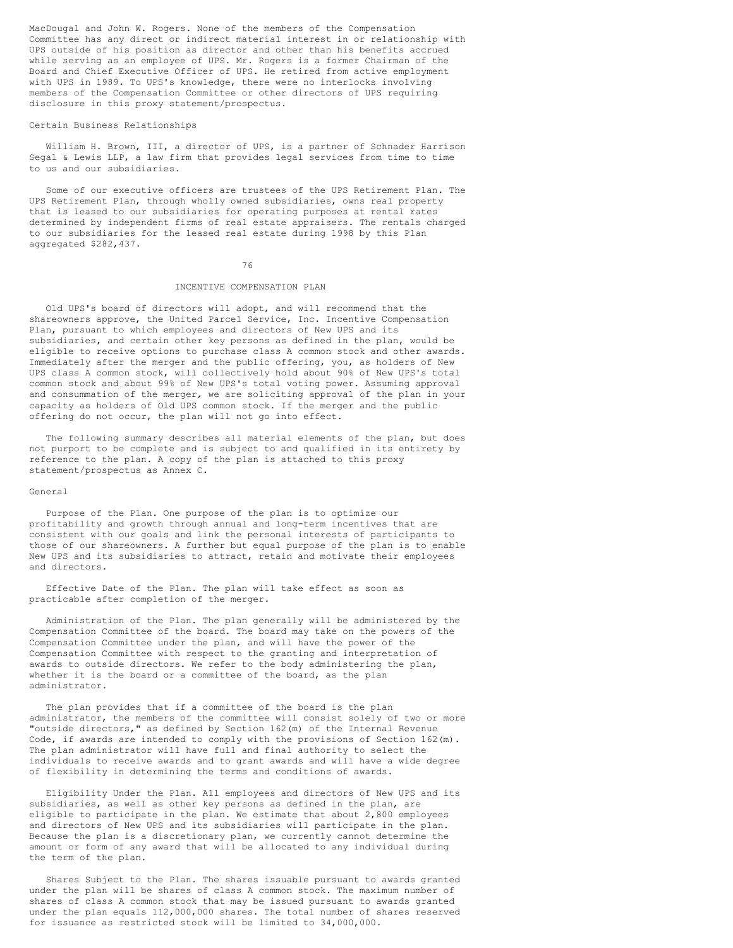MacDougal and John W. Rogers. None of the members of the Compensation Committee has any direct or indirect material interest in or relationship with UPS outside of his position as director and other than his benefits accrued while serving as an employee of UPS. Mr. Rogers is a former Chairman of the Board and Chief Executive Officer of UPS. He retired from active employment with UPS in 1989. To UPS's knowledge, there were no interlocks involving members of the Compensation Committee or other directors of UPS requiring disclosure in this proxy statement/prospectus.

### Certain Business Relationships

William H. Brown, III, a director of UPS, is a partner of Schnader Harrison Segal & Lewis LLP, a law firm that provides legal services from time to time to us and our subsidiaries.

Some of our executive officers are trustees of the UPS Retirement Plan. The UPS Retirement Plan, through wholly owned subsidiaries, owns real property that is leased to our subsidiaries for operating purposes at rental rates determined by independent firms of real estate appraisers. The rentals charged to our subsidiaries for the leased real estate during 1998 by this Plan aggregated \$282,437.

### 76

### INCENTIVE COMPENSATION PLAN

Old UPS's board of directors will adopt, and will recommend that the shareowners approve, the United Parcel Service, Inc. Incentive Compensation Plan, pursuant to which employees and directors of New UPS and its subsidiaries, and certain other key persons as defined in the plan, would be eligible to receive options to purchase class A common stock and other awards. Immediately after the merger and the public offering, you, as holders of New UPS class A common stock, will collectively hold about 90% of New UPS's total common stock and about 99% of New UPS's total voting power. Assuming approval and consummation of the merger, we are soliciting approval of the plan in your capacity as holders of Old UPS common stock. If the merger and the public offering do not occur, the plan will not go into effect.

The following summary describes all material elements of the plan, but does not purport to be complete and is subject to and qualified in its entirety by reference to the plan. A copy of the plan is attached to this proxy statement/prospectus as Annex C.

### General

Purpose of the Plan. One purpose of the plan is to optimize our profitability and growth through annual and long-term incentives that are consistent with our goals and link the personal interests of participants to those of our shareowners. A further but equal purpose of the plan is to enable New UPS and its subsidiaries to attract, retain and motivate their employees and directors.

Effective Date of the Plan. The plan will take effect as soon as practicable after completion of the merger.

Administration of the Plan. The plan generally will be administered by the Compensation Committee of the board. The board may take on the powers of the Compensation Committee under the plan, and will have the power of the Compensation Committee with respect to the granting and interpretation of awards to outside directors. We refer to the body administering the plan, whether it is the board or a committee of the board, as the plan administrator.

The plan provides that if a committee of the board is the plan administrator, the members of the committee will consist solely of two or more "outside directors," as defined by Section 162(m) of the Internal Revenue Code, if awards are intended to comply with the provisions of Section 162(m). The plan administrator will have full and final authority to select the individuals to receive awards and to grant awards and will have a wide degree of flexibility in determining the terms and conditions of awards.

Eligibility Under the Plan. All employees and directors of New UPS and its subsidiaries, as well as other key persons as defined in the plan, are eligible to participate in the plan. We estimate that about 2,800 employees and directors of New UPS and its subsidiaries will participate in the plan. Because the plan is a discretionary plan, we currently cannot determine the amount or form of any award that will be allocated to any individual during the term of the plan.

Shares Subject to the Plan. The shares issuable pursuant to awards granted under the plan will be shares of class A common stock. The maximum number of shares of class A common stock that may be issued pursuant to awards granted under the plan equals 112,000,000 shares. The total number of shares reserved for issuance as restricted stock will be limited to 34,000,000.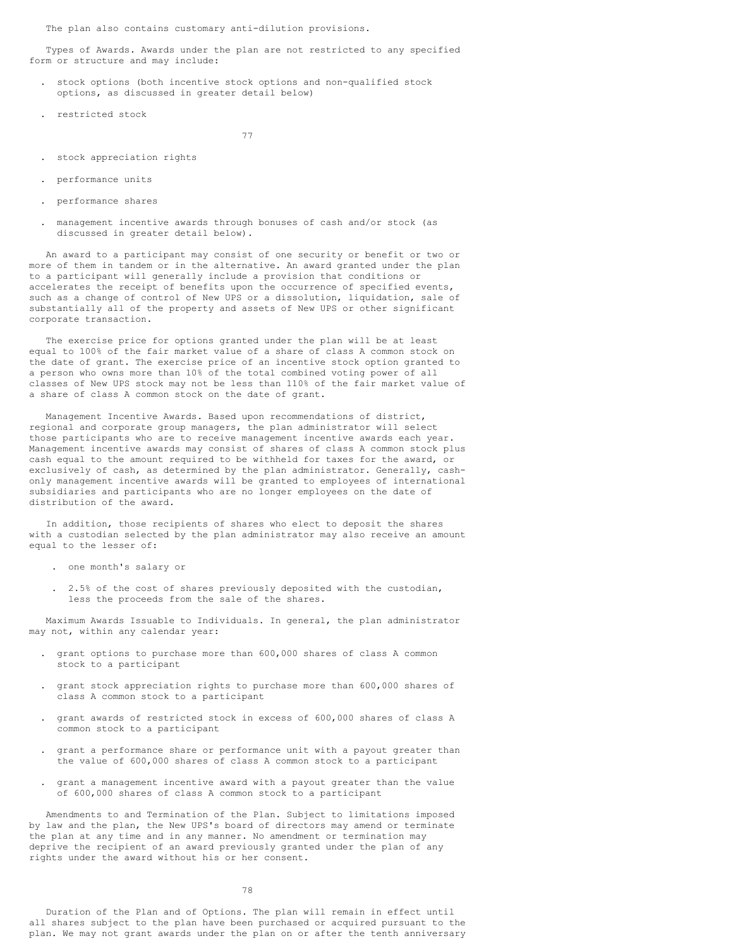The plan also contains customary anti-dilution provisions.

Types of Awards. Awards under the plan are not restricted to any specified form or structure and may include:

- . stock options (both incentive stock options and non-qualified stock options, as discussed in greater detail below)
- . restricted stock

77

- . stock appreciation rights
- . performance units
- . performance shares
- . management incentive awards through bonuses of cash and/or stock (as discussed in greater detail below).

An award to a participant may consist of one security or benefit or two or more of them in tandem or in the alternative. An award granted under the plan to a participant will generally include a provision that conditions or accelerates the receipt of benefits upon the occurrence of specified events, such as a change of control of New UPS or a dissolution, liquidation, sale of substantially all of the property and assets of New UPS or other significant corporate transaction.

The exercise price for options granted under the plan will be at least equal to 100% of the fair market value of a share of class A common stock on the date of grant. The exercise price of an incentive stock option granted to a person who owns more than 10% of the total combined voting power of all classes of New UPS stock may not be less than 110% of the fair market value of a share of class A common stock on the date of grant.

Management Incentive Awards. Based upon recommendations of district, regional and corporate group managers, the plan administrator will select those participants who are to receive management incentive awards each year. Management incentive awards may consist of shares of class A common stock plus cash equal to the amount required to be withheld for taxes for the award, or exclusively of cash, as determined by the plan administrator. Generally, cashonly management incentive awards will be granted to employees of international subsidiaries and participants who are no longer employees on the date of distribution of the award.

In addition, those recipients of shares who elect to deposit the shares with a custodian selected by the plan administrator may also receive an amount equal to the lesser of:

- . one month's salary or
- . 2.5% of the cost of shares previously deposited with the custodian, less the proceeds from the sale of the shares.

Maximum Awards Issuable to Individuals. In general, the plan administrator may not, within any calendar year:

- . grant options to purchase more than 600,000 shares of class A common stock to a participant
- . grant stock appreciation rights to purchase more than 600,000 shares of class A common stock to a participant
- . grant awards of restricted stock in excess of 600,000 shares of class A common stock to a participant
- . grant a performance share or performance unit with a payout greater than the value of 600,000 shares of class A common stock to a participant
- . grant a management incentive award with a payout greater than the value of 600,000 shares of class A common stock to a participant

Amendments to and Termination of the Plan. Subject to limitations imposed by law and the plan, the New UPS's board of directors may amend or terminate the plan at any time and in any manner. No amendment or termination may deprive the recipient of an award previously granted under the plan of any rights under the award without his or her consent.

78

Duration of the Plan and of Options. The plan will remain in effect until all shares subject to the plan have been purchased or acquired pursuant to the plan. We may not grant awards under the plan on or after the tenth anniversary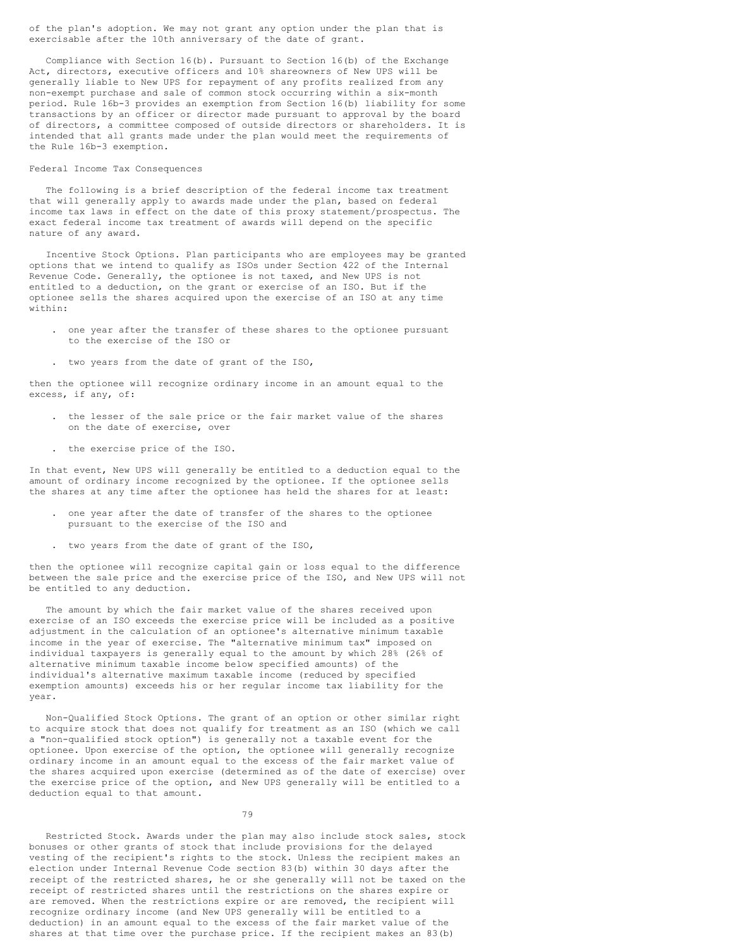of the plan's adoption. We may not grant any option under the plan that is exercisable after the 10th anniversary of the date of grant.

Compliance with Section  $16(b)$ . Pursuant to Section  $16(b)$  of the Exchange Act, directors, executive officers and 10% shareowners of New UPS will be generally liable to New UPS for repayment of any profits realized from any non-exempt purchase and sale of common stock occurring within a six-month period. Rule 16b-3 provides an exemption from Section 16(b) liability for some transactions by an officer or director made pursuant to approval by the board of directors, a committee composed of outside directors or shareholders. It is intended that all grants made under the plan would meet the requirements of the Rule 16b-3 exemption.

# Federal Income Tax Consequences

The following is a brief description of the federal income tax treatment that will generally apply to awards made under the plan, based on federal income tax laws in effect on the date of this proxy statement/prospectus. The exact federal income tax treatment of awards will depend on the specific nature of any award.

Incentive Stock Options. Plan participants who are employees may be granted options that we intend to qualify as ISOs under Section 422 of the Internal Revenue Code. Generally, the optionee is not taxed, and New UPS is not entitled to a deduction, on the grant or exercise of an ISO. But if the optionee sells the shares acquired upon the exercise of an ISO at any time within:

- . one year after the transfer of these shares to the optionee pursuant to the exercise of the ISO or
- . two years from the date of grant of the ISO,

then the optionee will recognize ordinary income in an amount equal to the excess, if any, of:

- . the lesser of the sale price or the fair market value of the shares on the date of exercise, over
- . the exercise price of the ISO.

In that event, New UPS will generally be entitled to a deduction equal to the amount of ordinary income recognized by the optionee. If the optionee sells the shares at any time after the optionee has held the shares for at least:

- . one year after the date of transfer of the shares to the optionee pursuant to the exercise of the ISO and
- . two years from the date of grant of the ISO,

then the optionee will recognize capital gain or loss equal to the difference between the sale price and the exercise price of the ISO, and New UPS will not be entitled to any deduction.

The amount by which the fair market value of the shares received upon exercise of an ISO exceeds the exercise price will be included as a positive adjustment in the calculation of an optionee's alternative minimum taxable income in the year of exercise. The "alternative minimum tax" imposed on individual taxpayers is generally equal to the amount by which 28% (26% of alternative minimum taxable income below specified amounts) of the individual's alternative maximum taxable income (reduced by specified exemption amounts) exceeds his or her regular income tax liability for the year.

Non-Qualified Stock Options. The grant of an option or other similar right to acquire stock that does not qualify for treatment as an ISO (which we call a "non-qualified stock option") is generally not a taxable event for the optionee. Upon exercise of the option, the optionee will generally recognize ordinary income in an amount equal to the excess of the fair market value of the shares acquired upon exercise (determined as of the date of exercise) over the exercise price of the option, and New UPS generally will be entitled to a deduction equal to that amount.

79

Restricted Stock. Awards under the plan may also include stock sales, stock bonuses or other grants of stock that include provisions for the delayed vesting of the recipient's rights to the stock. Unless the recipient makes an election under Internal Revenue Code section 83(b) within 30 days after the receipt of the restricted shares, he or she generally will not be taxed on the receipt of restricted shares until the restrictions on the shares expire or are removed. When the restrictions expire or are removed, the recipient will recognize ordinary income (and New UPS generally will be entitled to a deduction) in an amount equal to the excess of the fair market value of the shares at that time over the purchase price. If the recipient makes an 83(b)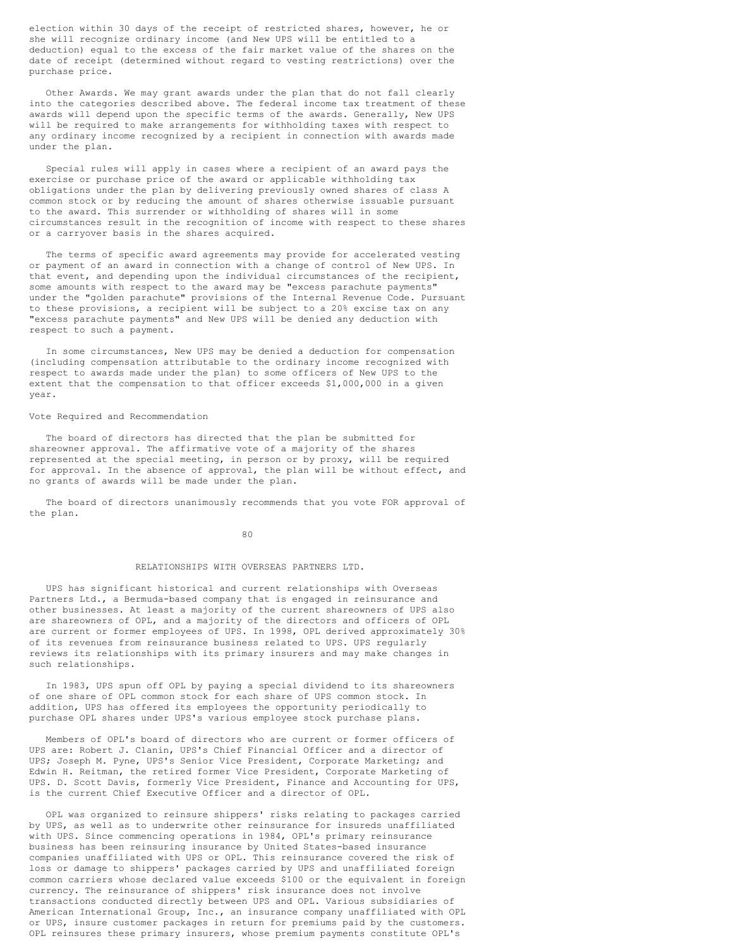election within 30 days of the receipt of restricted shares, however, he or she will recognize ordinary income (and New UPS will be entitled to a deduction) equal to the excess of the fair market value of the shares on the date of receipt (determined without regard to vesting restrictions) over the purchase price.

Other Awards. We may grant awards under the plan that do not fall clearly into the categories described above. The federal income tax treatment of these awards will depend upon the specific terms of the awards. Generally, New UPS will be required to make arrangements for withholding taxes with respect to any ordinary income recognized by a recipient in connection with awards made under the plan.

Special rules will apply in cases where a recipient of an award pays the exercise or purchase price of the award or applicable withholding tax obligations under the plan by delivering previously owned shares of class A common stock or by reducing the amount of shares otherwise issuable pursuant to the award. This surrender or withholding of shares will in some circumstances result in the recognition of income with respect to these shares or a carryover basis in the shares acquired.

The terms of specific award agreements may provide for accelerated vesting or payment of an award in connection with a change of control of New UPS. In that event, and depending upon the individual circumstances of the recipient, some amounts with respect to the award may be "excess parachute payments" under the "golden parachute" provisions of the Internal Revenue Code. Pursuant to these provisions, a recipient will be subject to a 20% excise tax on any "excess parachute payments" and New UPS will be denied any deduction with respect to such a payment.

In some circumstances, New UPS may be denied a deduction for compensation (including compensation attributable to the ordinary income recognized with respect to awards made under the plan) to some officers of New UPS to the extent that the compensation to that officer exceeds \$1,000,000 in a given year.

### Vote Required and Recommendation

The board of directors has directed that the plan be submitted for shareowner approval. The affirmative vote of a majority of the shares represented at the special meeting, in person or by proxy, will be required for approval. In the absence of approval, the plan will be without effect, and no grants of awards will be made under the plan.

The board of directors unanimously recommends that you vote FOR approval of the plan.

80

### RELATIONSHIPS WITH OVERSEAS PARTNERS LTD.

UPS has significant historical and current relationships with Overseas Partners Ltd., a Bermuda-based company that is engaged in reinsurance and other businesses. At least a majority of the current shareowners of UPS also are shareowners of OPL, and a majority of the directors and officers of OPL are current or former employees of UPS. In 1998, OPL derived approximately 30% of its revenues from reinsurance business related to UPS. UPS regularly reviews its relationships with its primary insurers and may make changes in such relationships.

In 1983, UPS spun off OPL by paying a special dividend to its shareowners of one share of OPL common stock for each share of UPS common stock. In addition, UPS has offered its employees the opportunity periodically to purchase OPL shares under UPS's various employee stock purchase plans.

Members of OPL's board of directors who are current or former officers of UPS are: Robert J. Clanin, UPS's Chief Financial Officer and a director of UPS; Joseph M. Pyne, UPS's Senior Vice President, Corporate Marketing; and Edwin H. Reitman, the retired former Vice President, Corporate Marketing of UPS. D. Scott Davis, formerly Vice President, Finance and Accounting for UPS, is the current Chief Executive Officer and a director of OPL.

OPL was organized to reinsure shippers' risks relating to packages carried by UPS, as well as to underwrite other reinsurance for insureds unaffiliated with UPS. Since commencing operations in 1984, OPL's primary reinsurance business has been reinsuring insurance by United States-based insurance companies unaffiliated with UPS or OPL. This reinsurance covered the risk of loss or damage to shippers' packages carried by UPS and unaffiliated foreign common carriers whose declared value exceeds \$100 or the equivalent in foreign currency. The reinsurance of shippers' risk insurance does not involve transactions conducted directly between UPS and OPL. Various subsidiaries of American International Group, Inc., an insurance company unaffiliated with OPL or UPS, insure customer packages in return for premiums paid by the customers. OPL reinsures these primary insurers, whose premium payments constitute OPL's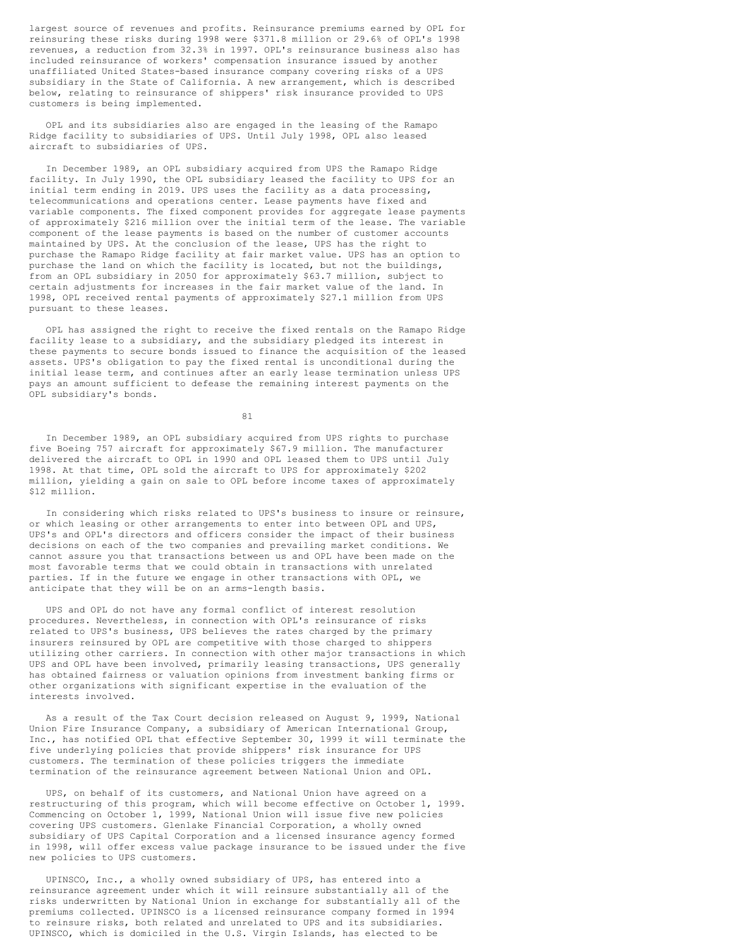largest source of revenues and profits. Reinsurance premiums earned by OPL for reinsuring these risks during 1998 were \$371.8 million or 29.6% of OPL's 1998 revenues, a reduction from 32.3% in 1997. OPL's reinsurance business also has included reinsurance of workers' compensation insurance issued by another unaffiliated United States-based insurance company covering risks of a UPS subsidiary in the State of California. A new arrangement, which is described below, relating to reinsurance of shippers' risk insurance provided to UPS customers is being implemented.

OPL and its subsidiaries also are engaged in the leasing of the Ramapo Ridge facility to subsidiaries of UPS. Until July 1998, OPL also leased aircraft to subsidiaries of UPS.

In December 1989, an OPL subsidiary acquired from UPS the Ramapo Ridge facility. In July 1990, the OPL subsidiary leased the facility to UPS for an initial term ending in 2019. UPS uses the facility as a data processing, telecommunications and operations center. Lease payments have fixed and variable components. The fixed component provides for aggregate lease payments of approximately \$216 million over the initial term of the lease. The variable component of the lease payments is based on the number of customer accounts maintained by UPS. At the conclusion of the lease, UPS has the right to purchase the Ramapo Ridge facility at fair market value. UPS has an option to purchase the land on which the facility is located, but not the buildings, from an OPL subsidiary in 2050 for approximately \$63.7 million, subject to certain adjustments for increases in the fair market value of the land. In 1998, OPL received rental payments of approximately \$27.1 million from UPS pursuant to these leases.

OPL has assigned the right to receive the fixed rentals on the Ramapo Ridge facility lease to a subsidiary, and the subsidiary pledged its interest in these payments to secure bonds issued to finance the acquisition of the leased assets. UPS's obligation to pay the fixed rental is unconditional during the initial lease term, and continues after an early lease termination unless UPS pays an amount sufficient to defease the remaining interest payments on the OPL subsidiary's bonds.

81

In December 1989, an OPL subsidiary acquired from UPS rights to purchase five Boeing 757 aircraft for approximately \$67.9 million. The manufacturer delivered the aircraft to OPL in 1990 and OPL leased them to UPS until July 1998. At that time, OPL sold the aircraft to UPS for approximately \$202 million, yielding a gain on sale to OPL before income taxes of approximately \$12 million.

In considering which risks related to UPS's business to insure or reinsure, or which leasing or other arrangements to enter into between OPL and UPS, UPS's and OPL's directors and officers consider the impact of their business decisions on each of the two companies and prevailing market conditions. We cannot assure you that transactions between us and OPL have been made on the most favorable terms that we could obtain in transactions with unrelated parties. If in the future we engage in other transactions with OPL, we anticipate that they will be on an arms-length basis.

UPS and OPL do not have any formal conflict of interest resolution procedures. Nevertheless, in connection with OPL's reinsurance of risks related to UPS's business, UPS believes the rates charged by the primary insurers reinsured by OPL are competitive with those charged to shippers utilizing other carriers. In connection with other major transactions in which UPS and OPL have been involved, primarily leasing transactions, UPS generally has obtained fairness or valuation opinions from investment banking firms or other organizations with significant expertise in the evaluation of the interests involved.

As a result of the Tax Court decision released on August 9, 1999, National Union Fire Insurance Company, a subsidiary of American International Group, Inc., has notified OPL that effective September 30, 1999 it will terminate the five underlying policies that provide shippers' risk insurance for UPS customers. The termination of these policies triggers the immediate termination of the reinsurance agreement between National Union and OPL.

UPS, on behalf of its customers, and National Union have agreed on a restructuring of this program, which will become effective on October 1, 1999. Commencing on October 1, 1999, National Union will issue five new policies covering UPS customers. Glenlake Financial Corporation, a wholly owned subsidiary of UPS Capital Corporation and a licensed insurance agency formed in 1998, will offer excess value package insurance to be issued under the five new policies to UPS customers.

UPINSCO, Inc., a wholly owned subsidiary of UPS, has entered into a reinsurance agreement under which it will reinsure substantially all of the risks underwritten by National Union in exchange for substantially all of the premiums collected. UPINSCO is a licensed reinsurance company formed in 1994 to reinsure risks, both related and unrelated to UPS and its subsidiaries. UPINSCO, which is domiciled in the U.S. Virgin Islands, has elected to be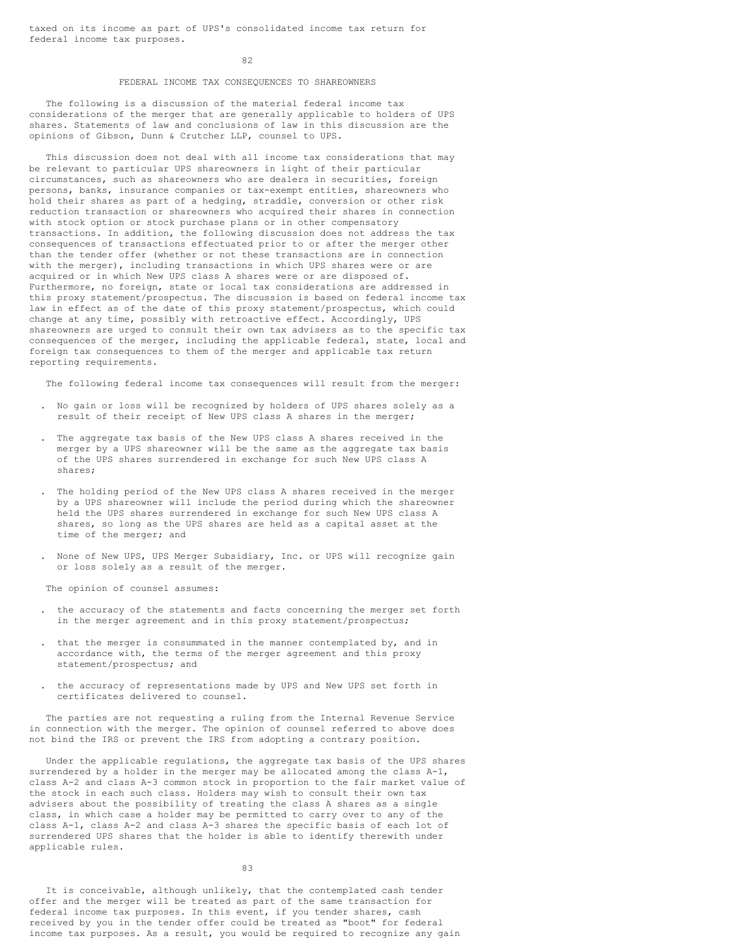taxed on its income as part of UPS's consolidated income tax return for federal income tax purposes.

82

#### FEDERAL INCOME TAX CONSEQUENCES TO SHAREOWNERS

The following is a discussion of the material federal income tax considerations of the merger that are generally applicable to holders of UPS shares. Statements of law and conclusions of law in this discussion are the opinions of Gibson, Dunn & Crutcher LLP, counsel to UPS.

This discussion does not deal with all income tax considerations that may be relevant to particular UPS shareowners in light of their particular circumstances, such as shareowners who are dealers in securities, foreign persons, banks, insurance companies or tax-exempt entities, shareowners who hold their shares as part of a hedging, straddle, conversion or other risk reduction transaction or shareowners who acquired their shares in connection with stock option or stock purchase plans or in other compensatory transactions. In addition, the following discussion does not address the tax consequences of transactions effectuated prior to or after the merger other than the tender offer (whether or not these transactions are in connection with the merger), including transactions in which UPS shares were or are acquired or in which New UPS class A shares were or are disposed of. Furthermore, no foreign, state or local tax considerations are addressed in this proxy statement/prospectus. The discussion is based on federal income tax law in effect as of the date of this proxy statement/prospectus, which could change at any time, possibly with retroactive effect. Accordingly, UPS shareowners are urged to consult their own tax advisers as to the specific tax consequences of the merger, including the applicable federal, state, local and foreign tax consequences to them of the merger and applicable tax return reporting requirements.

The following federal income tax consequences will result from the merger:

- . No gain or loss will be recognized by holders of UPS shares solely as a result of their receipt of New UPS class A shares in the merger;
- . The aggregate tax basis of the New UPS class A shares received in the merger by a UPS shareowner will be the same as the aggregate tax basis of the UPS shares surrendered in exchange for such New UPS class A shares;
- . The holding period of the New UPS class A shares received in the merger by a UPS shareowner will include the period during which the shareowner held the UPS shares surrendered in exchange for such New UPS class A shares, so long as the UPS shares are held as a capital asset at the time of the merger; and
- . None of New UPS, UPS Merger Subsidiary, Inc. or UPS will recognize gain or loss solely as a result of the merger.

The opinion of counsel assumes:

- . the accuracy of the statements and facts concerning the merger set forth in the merger agreement and in this proxy statement/prospectus;
- that the merger is consummated in the manner contemplated by, and in accordance with, the terms of the merger agreement and this proxy statement/prospectus; and
- . the accuracy of representations made by UPS and New UPS set forth in certificates delivered to counsel.

The parties are not requesting a ruling from the Internal Revenue Service in connection with the merger. The opinion of counsel referred to above does not bind the IRS or prevent the IRS from adopting a contrary position.

Under the applicable regulations, the aggregate tax basis of the UPS shares surrendered by a holder in the merger may be allocated among the class A-1, class A-2 and class A-3 common stock in proportion to the fair market value of the stock in each such class. Holders may wish to consult their own tax advisers about the possibility of treating the class A shares as a single class, in which case a holder may be permitted to carry over to any of the class A-1, class A-2 and class A-3 shares the specific basis of each lot of surrendered UPS shares that the holder is able to identify therewith under applicable rules.

83

It is conceivable, although unlikely, that the contemplated cash tender offer and the merger will be treated as part of the same transaction for federal income tax purposes. In this event, if you tender shares, cash received by you in the tender offer could be treated as "boot" for federal income tax purposes. As a result, you would be required to recognize any gain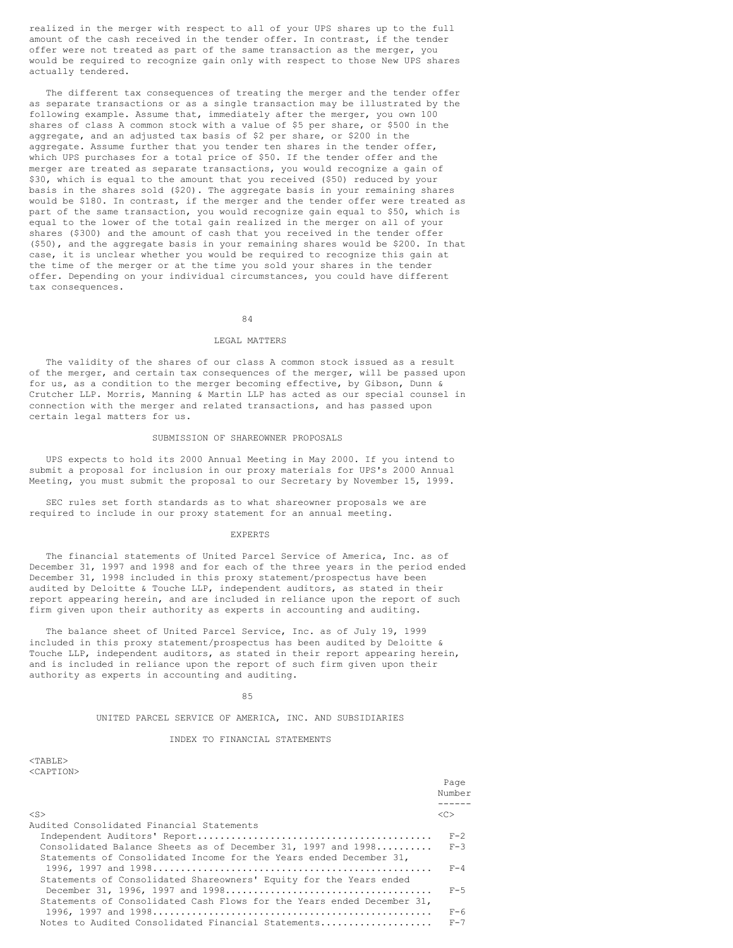realized in the merger with respect to all of your UPS shares up to the full amount of the cash received in the tender offer. In contrast, if the tender offer were not treated as part of the same transaction as the merger, you would be required to recognize gain only with respect to those New UPS shares actually tendered.

The different tax consequences of treating the merger and the tender offer as separate transactions or as a single transaction may be illustrated by the following example. Assume that, immediately after the merger, you own 100 shares of class A common stock with a value of \$5 per share, or \$500 in the aggregate, and an adjusted tax basis of \$2 per share, or \$200 in the aggregate. Assume further that you tender ten shares in the tender offer, which UPS purchases for a total price of \$50. If the tender offer and the merger are treated as separate transactions, you would recognize a gain of \$30, which is equal to the amount that you received (\$50) reduced by your basis in the shares sold (\$20). The aggregate basis in your remaining shares would be \$180. In contrast, if the merger and the tender offer were treated as part of the same transaction, you would recognize gain equal to \$50, which is equal to the lower of the total gain realized in the merger on all of your shares (\$300) and the amount of cash that you received in the tender offer (\$50), and the aggregate basis in your remaining shares would be \$200. In that case, it is unclear whether you would be required to recognize this gain at the time of the merger or at the time you sold your shares in the tender offer. Depending on your individual circumstances, you could have different tax consequences.

#### 84

# LEGAL MATTERS

The validity of the shares of our class A common stock issued as a result of the merger, and certain tax consequences of the merger, will be passed upon for us, as a condition to the merger becoming effective, by Gibson, Dunn & Crutcher LLP. Morris, Manning & Martin LLP has acted as our special counsel in connection with the merger and related transactions, and has passed upon certain legal matters for us.

#### SUBMISSION OF SHAREOWNER PROPOSALS

UPS expects to hold its 2000 Annual Meeting in May 2000. If you intend to submit a proposal for inclusion in our proxy materials for UPS's 2000 Annual Meeting, you must submit the proposal to our Secretary by November 15, 1999.

SEC rules set forth standards as to what shareowner proposals we are required to include in our proxy statement for an annual meeting.

### EXPERTS

The financial statements of United Parcel Service of America, Inc. as of December 31, 1997 and 1998 and for each of the three years in the period ended December 31, 1998 included in this proxy statement/prospectus have been audited by Deloitte & Touche LLP, independent auditors, as stated in their report appearing herein, and are included in reliance upon the report of such firm given upon their authority as experts in accounting and auditing.

The balance sheet of United Parcel Service, Inc. as of July 19, 1999 included in this proxy statement/prospectus has been audited by Deloitte  $\alpha$ Touche LLP, independent auditors, as stated in their report appearing herein, and is included in reliance upon the report of such firm given upon their authority as experts in accounting and auditing.

85

## UNITED PARCEL SERVICE OF AMERICA, INC. AND SUBSIDIARIES

#### INDEX TO FINANCIAL STATEMENTS

| I'ARL<br>r |  |
|------------|--|
| CAPTIC     |  |

|                                                                        | Page<br>Number      |
|------------------------------------------------------------------------|---------------------|
| $<$ S $>$                                                              | $\langle C \rangle$ |
| Audited Consolidated Financial Statements                              |                     |
|                                                                        | $F - 2$             |
| Consolidated Balance Sheets as of December 31, 1997 and $1998$         | $F - 3$             |
| Statements of Consolidated Income for the Years ended December 31,     |                     |
|                                                                        | $F - 4$             |
| Statements of Consolidated Shareowners' Equity for the Years ended     |                     |
|                                                                        | $F - 5$             |
| Statements of Consolidated Cash Flows for the Years ended December 31, |                     |
|                                                                        | $F - 6$             |
| Notes to Audited Consolidated Financial Statements                     | $F - 7$             |
|                                                                        |                     |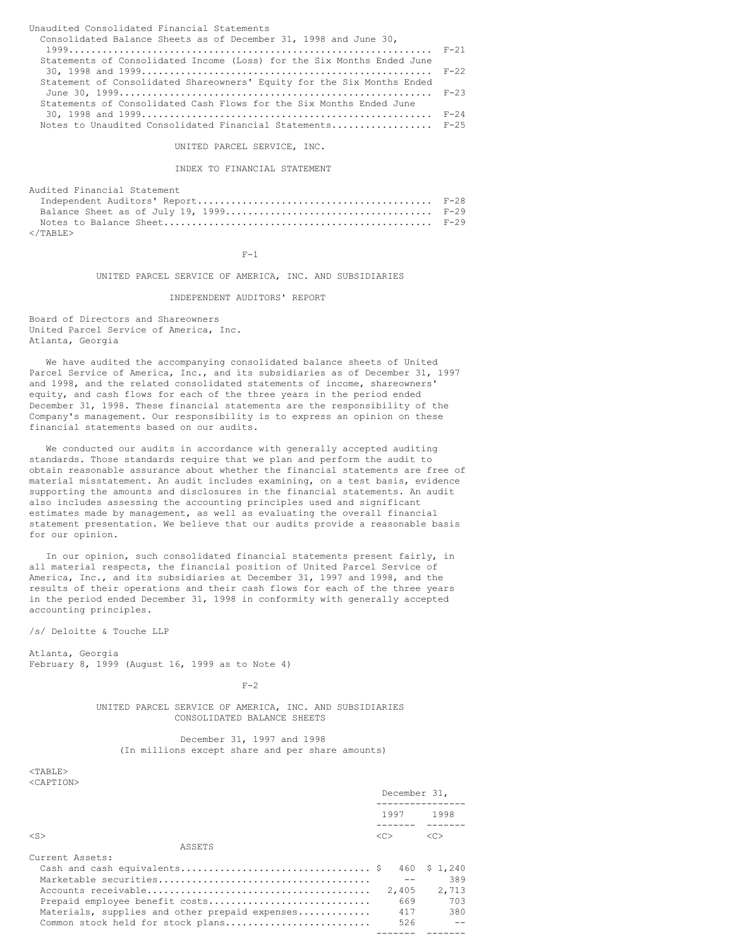| Unaudited Consolidated Financial Statements                            |  |
|------------------------------------------------------------------------|--|
| Consolidated Balance Sheets as of December 31, 1998 and June 30,       |  |
|                                                                        |  |
| Statements of Consolidated Income (Loss) for the Six Months Ended June |  |
|                                                                        |  |
| Statement of Consolidated Shareowners' Equity for the Six Months Ended |  |
|                                                                        |  |
| Statements of Consolidated Cash Flows for the Six Months Ended June    |  |
|                                                                        |  |
| Notes to Unaudited Consolidated Financial Statements F-25              |  |

UNITED PARCEL SERVICE, INC.

INDEX TO FINANCIAL STATEMENT

| Audited Financial Statement |  |
|-----------------------------|--|
|                             |  |
|                             |  |
|                             |  |
| $\langle$ /TABLE>           |  |

 $F-1$ 

UNITED PARCEL SERVICE OF AMERICA, INC. AND SUBSIDIARIES

INDEPENDENT AUDITORS' REPORT

Board of Directors and Shareowners United Parcel Service of America, Inc. Atlanta, Georgia

We have audited the accompanying consolidated balance sheets of United Parcel Service of America, Inc., and its subsidiaries as of December 31, 1997 and 1998, and the related consolidated statements of income, shareowners' equity, and cash flows for each of the three years in the period ended December 31, 1998. These financial statements are the responsibility of the Company's management. Our responsibility is to express an opinion on these financial statements based on our audits.

We conducted our audits in accordance with generally accepted auditing standards. Those standards require that we plan and perform the audit to obtain reasonable assurance about whether the financial statements are free of material misstatement. An audit includes examining, on a test basis, evidence supporting the amounts and disclosures in the financial statements. An audit also includes assessing the accounting principles used and significant estimates made by management, as well as evaluating the overall financial statement presentation. We believe that our audits provide a reasonable basis for our opinion.

In our opinion, such consolidated financial statements present fairly, in all material respects, the financial position of United Parcel Service of America, Inc., and its subsidiaries at December 31, 1997 and 1998, and the results of their operations and their cash flows for each of the three years in the period ended December 31, 1998 in conformity with generally accepted accounting principles.

/s/ Deloitte & Touche LLP

Atlanta, Georgia February 8, 1999 (August 16, 1999 as to Note 4)

 $F-2$ 

UNITED PARCEL SERVICE OF AMERICA, INC. AND SUBSIDIARIES CONSOLIDATED BALANCE SHEETS

December 31, 1997 and 1998 (In millions except share and per share amounts)

<TABLE> <CAPTION>

|                                                | December 31,  |               |
|------------------------------------------------|---------------|---------------|
|                                                | 1997          | 1998          |
| $<$ S $>$                                      | < <sub></sub> | < <sub></sub> |
| ASSETS                                         |               |               |
| Current Assets:                                |               |               |
|                                                |               | 460 \$1.240   |
|                                                |               | 389           |
|                                                | 2,405         | 2,713         |
| Prepaid employee benefit costs                 | 669           | 703           |
| Materials, supplies and other prepaid expenses | 417           | 380           |
| Common stock held for stock plans              | 526           |               |
|                                                |               |               |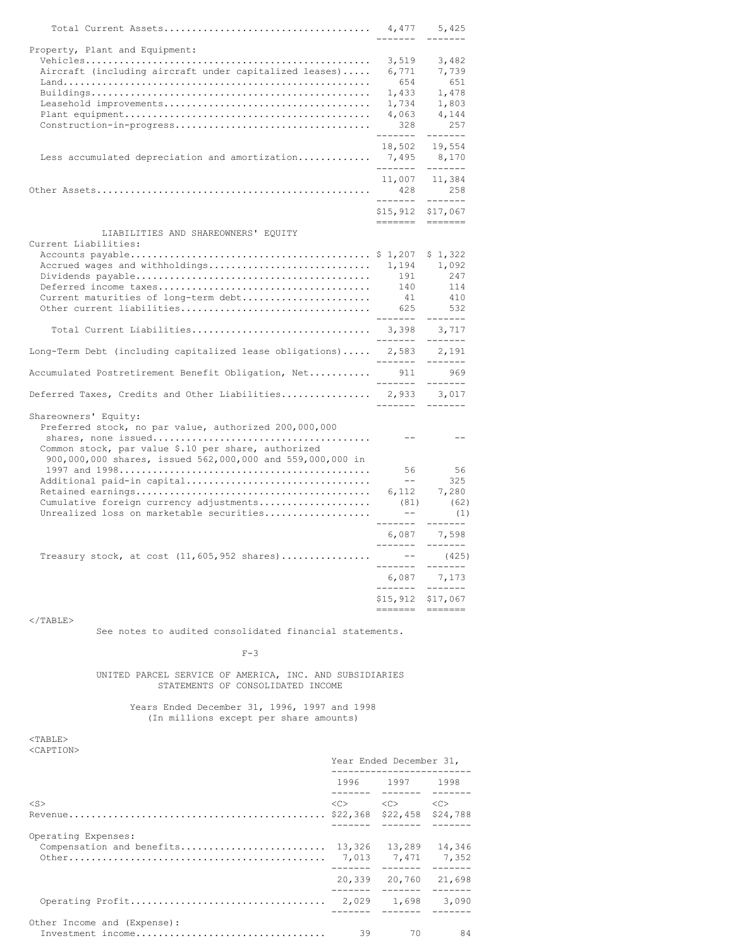|                                                                                                                                      | 4,477<br>--------                            | 5,425<br>-------                                                                                            |
|--------------------------------------------------------------------------------------------------------------------------------------|----------------------------------------------|-------------------------------------------------------------------------------------------------------------|
| Property, Plant and Equipment:                                                                                                       |                                              |                                                                                                             |
| Aircraft (including aircraft under capitalized leases)                                                                               | 3,519<br>6,771<br>654                        | 3,482<br>7,739<br>651                                                                                       |
|                                                                                                                                      | 1,433<br>1,734<br>4,063                      | 1,478<br>1,803<br>4,144                                                                                     |
|                                                                                                                                      | 328<br>-------                               | 257<br>-------                                                                                              |
| Less accumulated depreciation and amortization                                                                                       | 18,502<br>7,495<br>--------                  | 19,554<br>8,170<br>-------                                                                                  |
|                                                                                                                                      | 11,007<br>428                                | 11,384<br>258                                                                                               |
|                                                                                                                                      | --------<br>\$15,912 \$17,067                | -------                                                                                                     |
| LIABILITIES AND SHAREOWNERS' EQUITY<br>Current Liabilities:                                                                          |                                              |                                                                                                             |
| Accrued wages and withholdings<br>Current maturities of long-term debt                                                               | 1,194<br>191<br>140<br>41<br>625<br>-------- | \$1,322<br>1,092<br>247<br>114<br>410<br>532<br>$- - - - - - -$                                             |
| Total Current Liabilities 3,398 3,717                                                                                                | ------- -------                              |                                                                                                             |
| Long-Term Debt (including capitalized lease obligations) 2,583                                                                       | --------                                     | 2,191<br>--------                                                                                           |
| Accumulated Postretirement Benefit Obligation, Net                                                                                   | 911<br>________                              | 969<br>-------                                                                                              |
| Deferred Taxes, Credits and Other Liabilities                                                                                        |                                              | 2,933 3,017                                                                                                 |
| Shareowners' Equity:<br>Preferred stock, no par value, authorized 200,000,000<br>Common stock, par value \$.10 per share, authorized | $- -$                                        | $- -$                                                                                                       |
| 900,000,000 shares, issued 562,000,000 and 559,000,000 in<br>Additional paid-in capital                                              | 56<br>$- -$                                  | 56<br>325                                                                                                   |
| Cumulative foreign currency adjustments<br>Unrealized loss on marketable securities                                                  | 6,112<br>(81)<br>$ -$                        | 7,280<br>(62)<br>(1)                                                                                        |
|                                                                                                                                      | --------<br>6,087                            | --------<br>7,598                                                                                           |
| Treasury stock, at cost $(11, 605, 952 \text{ shares}) \dots \dots \dots \dots$                                                      | --------<br>$- - -$                          | $- - - - - - -$<br>(425)                                                                                    |
|                                                                                                                                      | ---------                                    | -------<br>6,087 7,173                                                                                      |
|                                                                                                                                      | --------<br>=======                          | $$15, 912$ $$17, 067$<br>$\qquad \qquad \doteq\qquad \qquad \doteq\qquad \qquad \doteq\qquad \qquad \qquad$ |
|                                                                                                                                      |                                              |                                                                                                             |

# $\rm <$  /TABLE>

See notes to audited consolidated financial statements.

### $F-3$

# UNITED PARCEL SERVICE OF AMERICA, INC. AND SUBSIDIARIES STATEMENTS OF CONSOLIDATED INCOME

# Years Ended December 31, 1996, 1997 and 1998 (In millions except per share amounts)

### <TABLE> <CAPTION>

|                                                  | Year Ended December 31,               |                                         |                 |  |
|--------------------------------------------------|---------------------------------------|-----------------------------------------|-----------------|--|
|                                                  |                                       | 1996 1997                               | 1998            |  |
| $<$ S $>$                                        |                                       | $\langle C \rangle$ $\langle C \rangle$ | <<><br>\$24,788 |  |
| Operating Expenses:<br>Compensation and benefits | 13,326<br>13,289<br>7,013 7,471 7,352 |                                         | 14.346          |  |
|                                                  | 20,339                                | 20.760                                  | 21,698          |  |
|                                                  |                                       |                                         | 3,090           |  |
| Other Income and (Expense):<br>Investment income | 39                                    | 70                                      | 84              |  |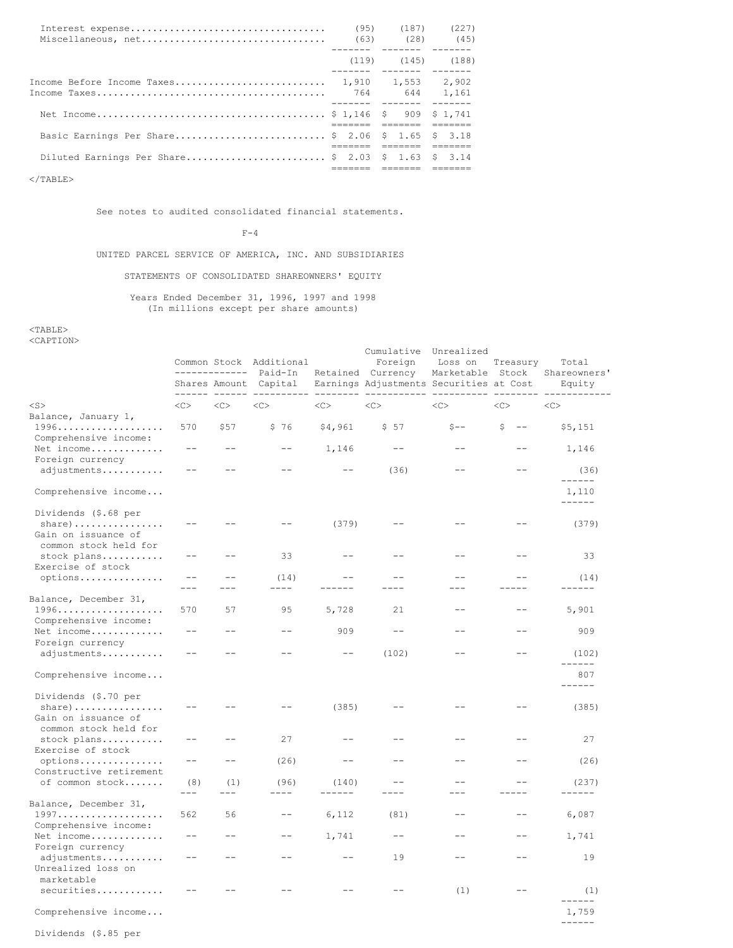|                                                    | $(95)$ $(187)$ $(227)$  |  |
|----------------------------------------------------|-------------------------|--|
|                                                    | $(119)$ $(145)$ $(188)$ |  |
|                                                    |                         |  |
|                                                    |                         |  |
| Basic Earnings Per Share \$ 2.06 \$ 1.65 \$ 3.18   |                         |  |
| Diluted Earnings Per Share \$ 2.03 \$ 1.63 \$ 3.14 |                         |  |

 $<$ /TABLE>

See notes to audited consolidated financial statements.

 $F-4$ 

# UNITED PARCEL SERVICE OF AMERICA, INC. AND SUBSIDIARIES

STATEMENTS OF CONSOLIDATED SHAREOWNERS' EQUITY

### Years Ended December 31, 1996, 1997 and 1998 (In millions except per share amounts)

 $<$ TABLE> <CAPTION>

Common Stock Additional Foreign Loss on Treasury Total ------------- Paid-In Retained Currency Marketable Stock Shareowners' Shares Amount Capital Earnings Adjustments Securities at Cost Equity ------ ------ ---------- -------- ----------- ---------- -------- ------------ <S> <C> <C> <C> <C> <C> <C> <C> <C> Balance, January 1, 1996................... 570 \$57 \$ 76 \$4,961 \$ 57 \$-- \$ -- \$5,151 Comprehensive income: Net income............. -- -- -- 1,146 -- -- -- 1,146 Foreign currency adjustments............ -- -- -- -- -- (36) -- -- (36) ------ Comprehensive income... 1,110 ------ Dividends (\$.68 per share)................ -- -- -- (379) -- -- -- (379) Gain on issuance of common stock held for stock plans............ -- -- 33 -- -- -- -- -- -- 33 Exercise of stock options............... -- -- (14) -- -- -- -- (14) --- --- ---- ------ ---- --- ----- ------ Balance, December 31, 1996................... 570 57 95 5,728 21 -- -- 5,901 Comprehensive income: Net income............. -- -- -- 909 -- -- -- 909 Foreign currency adjustments............ -- -- -- -- -- (102) -- -- (102) ------ Comprehensive income... 807 ------ Dividends (\$.70 per share)................ -- -- -- (385) -- -- -- (385) Gain on issuance of common stock held for stock plans........... -- -- -- 27 -- -- -- -- -- -- -- 27 Exercise of stock options................ -- -- (26) -- -- -- -- -- (26) Constructive retirement of common stock....... (8) (1) (96) (140) -- -- -- (237) --- --- ---- ------ ---- --- ----- ------ Balance, December 31, 1997................... 562 56 -- 6,112 (81) -- -- 6,087 Comprehensive income: Net income............. -- -- -- 1,741 -- -- -- 1,741 Foreign currency adjustments............ -- -- -- -- -- 19 -- -- 19 Unrealized loss on marketable  $securities \dots \dots \dots \dots \qquad \qquad \text{---} \qquad \qquad \text{---} \qquad \qquad \text{---} \qquad \qquad \text{---} \qquad \qquad \text{---} \qquad \qquad \text{---} \qquad \qquad \text{---} \qquad \qquad \text{---} \qquad \qquad \text{---} \qquad \qquad \text{---} \qquad \qquad \text{---} \qquad \qquad \text{---} \qquad \qquad \text{---} \qquad \qquad \text{---} \qquad \qquad \text{---} \qquad \qquad \text{---} \qquad \qquad \text{---} \qquad \qquad \text{---} \qquad \qquad \text{---} \$  $-$ ------<br>1,759 Comprehensive income... ------ Dividends (\$.85 per

Cumulative Unrealized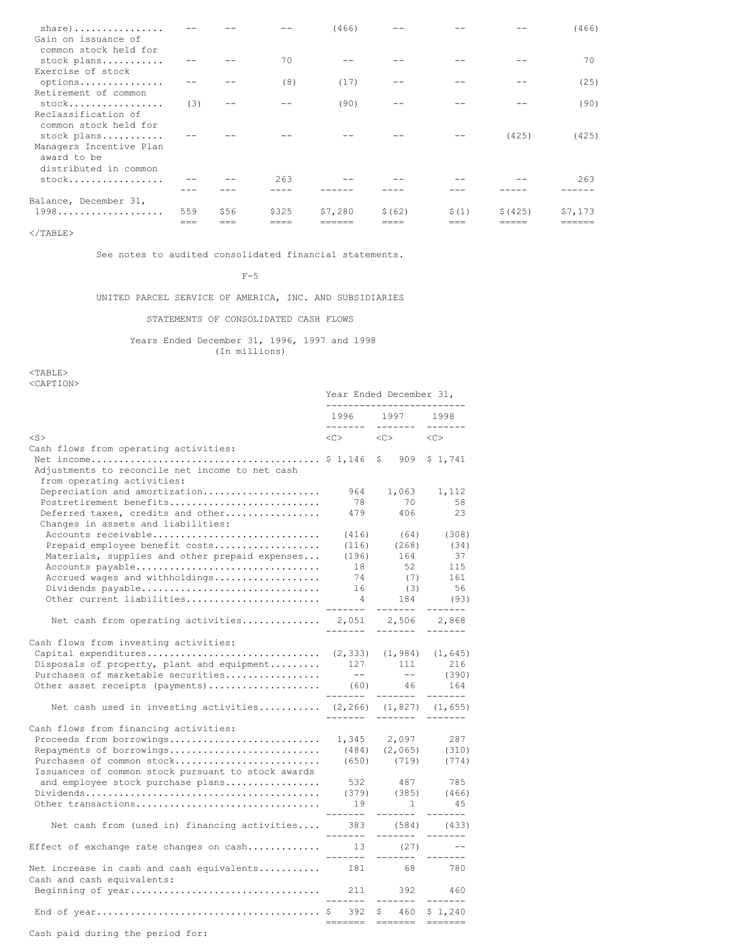| $share)$<br>Gain on issuance of                                                |     |      |       | (466)   |         |       |          | (466)   |
|--------------------------------------------------------------------------------|-----|------|-------|---------|---------|-------|----------|---------|
| common stock held for<br>stock plans                                           |     |      | 70    |         |         |       |          | 70      |
| Exercise of stock                                                              |     |      |       |         |         |       |          |         |
| options<br>Retirement of common                                                |     |      | (8)   | (17)    |         |       |          | (25)    |
| $stock$                                                                        | (3) |      |       | (90)    |         |       |          | (90)    |
| Reclassification of<br>common stock held for                                   |     |      |       |         |         |       | (425)    | (425)   |
| stock plans<br>Managers Incentive Plan<br>award to be<br>distributed in common |     |      |       |         |         |       |          |         |
| $stock$                                                                        |     |      | 263   |         |         |       |          | 263     |
|                                                                                |     |      |       |         |         |       |          |         |
| Balance, December 31,                                                          |     |      |       |         |         |       |          |         |
| $1998 \ldots \ldots \ldots \ldots$                                             | 559 | \$56 | \$325 | \$7,280 | \$ (62) | \$(1) | \$ (425) | \$7,173 |
|                                                                                | === |      |       |         |         | ===   |          |         |

 $<$ /TABLE>

See notes to audited consolidated financial statements.

 $F-5$ 

# UNITED PARCEL SERVICE OF AMERICA, INC. AND SUBSIDIARIES

STATEMENTS OF CONSOLIDATED CASH FLOWS

Years Ended December 31, 1996, 1997 and 1998 (In millions)

<TABLE> <CAPTION>

|                                                                                | Year Ended December 31,<br>---------------------- |                                                             |                                    |  |
|--------------------------------------------------------------------------------|---------------------------------------------------|-------------------------------------------------------------|------------------------------------|--|
|                                                                                | -------                                           | 1996 1997 1998<br>$- - - - - - -$                           | $- - - - - - -$                    |  |
| $<$ S $>$                                                                      |                                                   | $\langle C \rangle$ $\langle C \rangle$ $\langle C \rangle$ |                                    |  |
| Cash flows from operating activities:                                          |                                                   |                                                             |                                    |  |
| Adjustments to reconcile net income to net cash<br>from operating activities:  |                                                   |                                                             | \$1,741                            |  |
| Depreciation and amortization                                                  | 964                                               | 1,063                                                       | 1,112                              |  |
| Postretirement benefits                                                        | 78                                                | 70                                                          | 58                                 |  |
| Deferred taxes, credits and other<br>Changes in assets and liabilities:        | 479                                               | 406                                                         | 23                                 |  |
| Accounts receivable                                                            | (416)                                             | (64)                                                        | (308)                              |  |
| Prepaid employee benefit costs                                                 | (116)                                             | (268)                                                       | (34)                               |  |
| Materials, supplies and other prepaid expenses                                 | (196)                                             | 164                                                         | 37                                 |  |
| Accounts payable                                                               | 18                                                | 52                                                          | 115                                |  |
| Accrued wages and withholdings                                                 | 74                                                | (7)                                                         | 161                                |  |
| Dividends payable                                                              | 16                                                | (3)                                                         | 56                                 |  |
| Other current liabilities                                                      |                                                   |                                                             | 184 (93)                           |  |
| Net cash from operating activities 2,051 2,506 2,868                           | -------<br>--------                               | --------<br>--------                                        | $- - - - - - -$<br>$- - - - - - -$ |  |
|                                                                                |                                                   |                                                             |                                    |  |
| Cash flows from investing activities:                                          |                                                   |                                                             |                                    |  |
|                                                                                |                                                   |                                                             |                                    |  |
| Disposals of property, plant and equipment $127$ 111                           |                                                   |                                                             | 216<br>$\frac{111}{1}$ (390)       |  |
| Purchases of marketable securities                                             | $\sim$ $  \sim$                                   |                                                             |                                    |  |
| Other asset receipts (payments) (60) 46                                        |                                                   |                                                             | 164                                |  |
| Net cash used in investing activities $(2,266)$ $(1,827)$ $(1,655)$            |                                                   |                                                             |                                    |  |
| Cash flows from financing activities:                                          |                                                   |                                                             |                                    |  |
|                                                                                |                                                   |                                                             |                                    |  |
| Repayments of borrowings                                                       |                                                   |                                                             |                                    |  |
| Purchases of common stock                                                      |                                                   | (484) (2,065) (310)<br>(650) (719) (774)                    |                                    |  |
| Issuances of common stock pursuant to stock awards                             |                                                   |                                                             |                                    |  |
| and employee stock purchase plans                                              |                                                   | 532 487 785                                                 |                                    |  |
|                                                                                |                                                   | $(379)$ $(385)$                                             | (466)                              |  |
| Other transactions                                                             | 19<br>-------                                     | $\sim$ 1<br>-------                                         | 45<br>$- - - - - - -$              |  |
| Net cash from (used in) financing activities 383 (584) (433)                   | -------                                           | -------                                                     | $- - - - - - -$                    |  |
| Effect of exchange rate changes on cash                                        | 13                                                | (27)<br>------- ------- -------                             | $ -$                               |  |
| Net increase in cash and cash equivalents 181 68<br>Cash and cash equivalents: |                                                   |                                                             | 780                                |  |
|                                                                                | -------                                           | --------                                                    | 460<br>-------                     |  |
|                                                                                | 392                                               | \$ 460<br>====<br>$= - -$                                   | \$1,240                            |  |

Cash paid during the period for: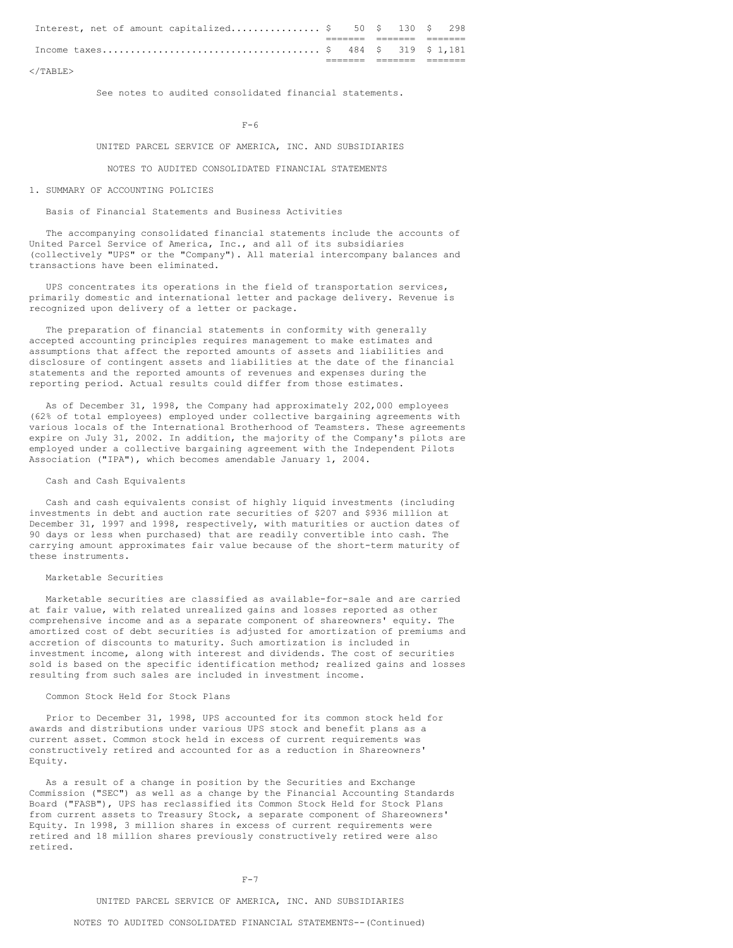|  |  | Interest, net of amount capitalized \$ 50 \$ 130 \$ 298 |  |  |  |
|--|--|---------------------------------------------------------|--|--|--|
|  |  |                                                         |  |  |  |
|  |  |                                                         |  |  |  |
|  |  |                                                         |  |  |  |

 $\langle$ /TABLE>

See notes to audited consolidated financial statements.

 $F - 6$ 

#### UNITED PARCEL SERVICE OF AMERICA, INC. AND SUBSIDIARIES

NOTES TO AUDITED CONSOLIDATED FINANCIAL STATEMENTS

#### 1. SUMMARY OF ACCOUNTING POLICIES

#### Basis of Financial Statements and Business Activities

The accompanying consolidated financial statements include the accounts of United Parcel Service of America, Inc., and all of its subsidiaries (collectively "UPS" or the "Company"). All material intercompany balances and transactions have been eliminated.

UPS concentrates its operations in the field of transportation services, primarily domestic and international letter and package delivery. Revenue is recognized upon delivery of a letter or package.

The preparation of financial statements in conformity with generally accepted accounting principles requires management to make estimates and assumptions that affect the reported amounts of assets and liabilities and disclosure of contingent assets and liabilities at the date of the financial statements and the reported amounts of revenues and expenses during the reporting period. Actual results could differ from those estimates.

As of December 31, 1998, the Company had approximately 202,000 employees (62% of total employees) employed under collective bargaining agreements with various locals of the International Brotherhood of Teamsters. These agreements expire on July 31, 2002. In addition, the majority of the Company's pilots are employed under a collective bargaining agreement with the Independent Pilots Association ("IPA"), which becomes amendable January 1, 2004.

#### Cash and Cash Equivalents

Cash and cash equivalents consist of highly liquid investments (including investments in debt and auction rate securities of \$207 and \$936 million at December 31, 1997 and 1998, respectively, with maturities or auction dates of 90 days or less when purchased) that are readily convertible into cash. The carrying amount approximates fair value because of the short-term maturity of these instruments.

### Marketable Securities

Marketable securities are classified as available-for-sale and are carried at fair value, with related unrealized gains and losses reported as other comprehensive income and as a separate component of shareowners' equity. The amortized cost of debt securities is adjusted for amortization of premiums and accretion of discounts to maturity. Such amortization is included in investment income, along with interest and dividends. The cost of securities sold is based on the specific identification method; realized gains and losses resulting from such sales are included in investment income.

# Common Stock Held for Stock Plans

Prior to December 31, 1998, UPS accounted for its common stock held for awards and distributions under various UPS stock and benefit plans as a current asset. Common stock held in excess of current requirements was constructively retired and accounted for as a reduction in Shareowners' Equity.

As a result of a change in position by the Securities and Exchange Commission ("SEC") as well as a change by the Financial Accounting Standards Board ("FASB"), UPS has reclassified its Common Stock Held for Stock Plans from current assets to Treasury Stock, a separate component of Shareowners' Equity. In 1998, 3 million shares in excess of current requirements were retired and 18 million shares previously constructively retired were also retired.

#### $F-7$

#### UNITED PARCEL SERVICE OF AMERICA, INC. AND SUBSIDIARIES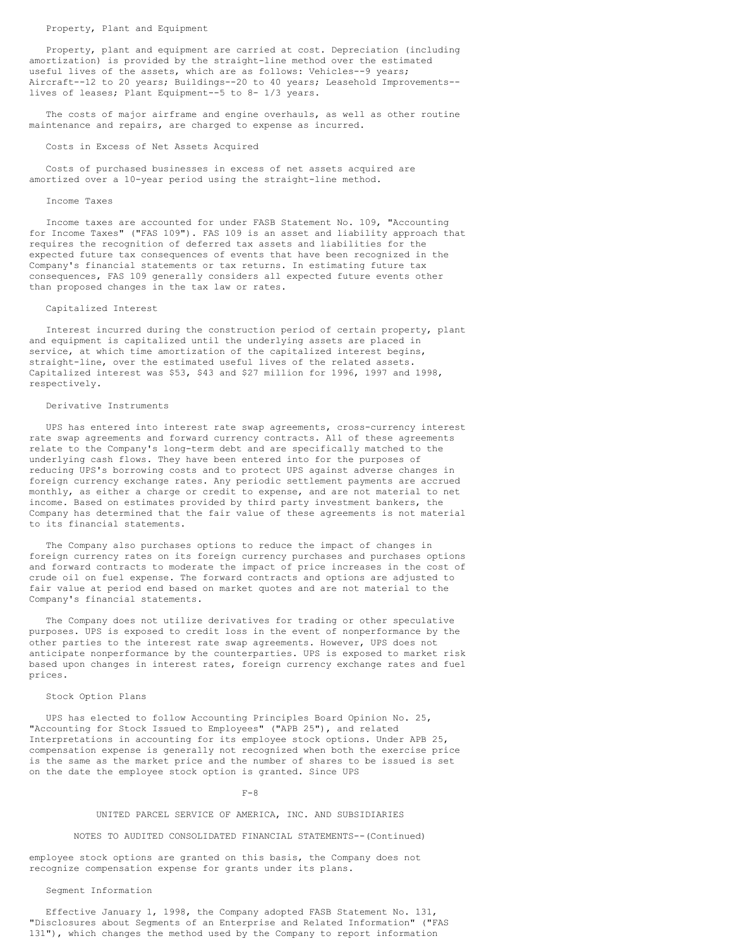Property, plant and equipment are carried at cost. Depreciation (including amortization) is provided by the straight-line method over the estimated useful lives of the assets, which are as follows: Vehicles--9 years; Aircraft--12 to 20 years; Buildings--20 to 40 years; Leasehold Improvements- lives of leases; Plant Equipment--5 to 8- 1/3 years.

The costs of major airframe and engine overhauls, as well as other routine maintenance and repairs, are charged to expense as incurred.

### Costs in Excess of Net Assets Acquired

Costs of purchased businesses in excess of net assets acquired are amortized over a 10-year period using the straight-line method.

#### Income Taxes

Income taxes are accounted for under FASB Statement No. 109, "Accounting for Income Taxes" ("FAS 109"). FAS 109 is an asset and liability approach that requires the recognition of deferred tax assets and liabilities for the expected future tax consequences of events that have been recognized in the Company's financial statements or tax returns. In estimating future tax consequences, FAS 109 generally considers all expected future events other than proposed changes in the tax law or rates.

#### Capitalized Interest

Interest incurred during the construction period of certain property, plant and equipment is capitalized until the underlying assets are placed in service, at which time amortization of the capitalized interest begins, straight-line, over the estimated useful lives of the related assets. Capitalized interest was \$53, \$43 and \$27 million for 1996, 1997 and 1998, respectively.

#### Derivative Instruments

UPS has entered into interest rate swap agreements, cross-currency interest rate swap agreements and forward currency contracts. All of these agreements relate to the Company's long-term debt and are specifically matched to the underlying cash flows. They have been entered into for the purposes of reducing UPS's borrowing costs and to protect UPS against adverse changes in foreign currency exchange rates. Any periodic settlement payments are accrued monthly, as either a charge or credit to expense, and are not material to net income. Based on estimates provided by third party investment bankers, the Company has determined that the fair value of these agreements is not material to its financial statements.

The Company also purchases options to reduce the impact of changes in foreign currency rates on its foreign currency purchases and purchases options and forward contracts to moderate the impact of price increases in the cost of crude oil on fuel expense. The forward contracts and options are adjusted to fair value at period end based on market quotes and are not material to the Company's financial statements.

The Company does not utilize derivatives for trading or other speculative purposes. UPS is exposed to credit loss in the event of nonperformance by the other parties to the interest rate swap agreements. However, UPS does not anticipate nonperformance by the counterparties. UPS is exposed to market risk based upon changes in interest rates, foreign currency exchange rates and fuel prices.

# Stock Option Plans

UPS has elected to follow Accounting Principles Board Opinion No. 25, "Accounting for Stock Issued to Employees" ("APB 25"), and related Interpretations in accounting for its employee stock options. Under APB 25, compensation expense is generally not recognized when both the exercise price is the same as the market price and the number of shares to be issued is set on the date the employee stock option is granted. Since UPS

#### $F-8$

### UNITED PARCEL SERVICE OF AMERICA, INC. AND SUBSIDIARIES

#### NOTES TO AUDITED CONSOLIDATED FINANCIAL STATEMENTS--(Continued)

employee stock options are granted on this basis, the Company does not recognize compensation expense for grants under its plans.

### Segment Information

Effective January 1, 1998, the Company adopted FASB Statement No. 131, "Disclosures about Segments of an Enterprise and Related Information" ("FAS 131"), which changes the method used by the Company to report information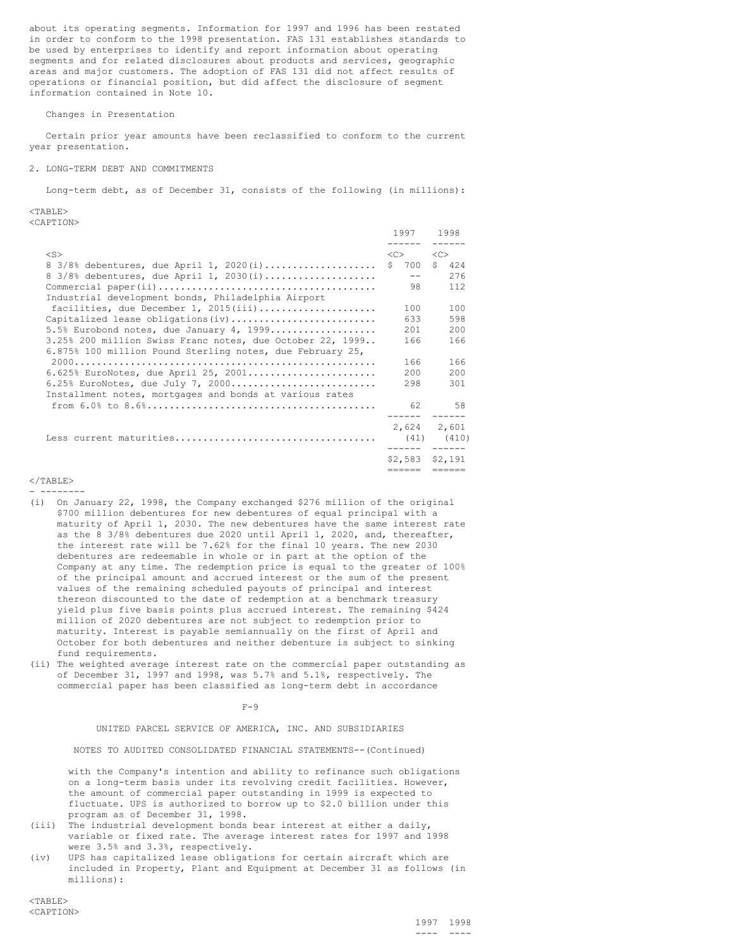about its operating segments. Information for 1997 and 1996 has been restated in order to conform to the 1998 presentation. FAS 131 establishes standards to be used by enterprises to identify and report information about operating segments and for related disclosures about products and services, geographic areas and major customers. The adoption of FAS 131 did not affect results of operations or financial position, but did affect the disclosure of segment information contained in Note 10.

### Changes in Presentation

Certain prior year amounts have been reclassified to conform to the current year presentation.

#### 2. LONG-TERM DEBT AND COMMITMENTS

Long-term debt, as of December 31, consists of the following (in millions):

<TABLE> <CAPTION>

|                                                           | 1997     | 1998              |
|-----------------------------------------------------------|----------|-------------------|
| $<$ S $>$                                                 | $<<$ $>$ | <<                |
| $8\,3/8\$ debentures, due April 1, 2020(i)                | \$ 700   | \$424             |
| $8\,3/8\$ debentures, due April 1, 2030(i)                | $- -$    | 276               |
|                                                           | 98       | 112               |
| Industrial development bonds, Philadelphia Airport        |          |                   |
| facilities, due December 1, 2015(iii)                     | 100      | 100               |
| Capitalized lease obligations (iv)                        | 633      | 598               |
| $5.5\$ Eurobond notes, due January 4, 1999                | 201      | 200               |
| 3.25% 200 million Swiss Franc notes, due October 22, 1999 | 166      | 166               |
| 6.875% 100 million Pound Sterling notes, due February 25, |          |                   |
|                                                           | 166      | 166               |
| $6.625$ % EuroNotes, due April 25, 2001                   | 200      | 200               |
| $6.25$ % EuroNotes, due July 7, 2000                      | 298      | 301               |
| Installment notes, mortgages and bonds at various rates   |          |                   |
|                                                           | 62       | 58                |
|                                                           | 2,624    | 2,601             |
|                                                           |          | $(41)$ $(410)$    |
|                                                           |          |                   |
|                                                           |          | $$2,583$ $$2,191$ |
|                                                           | ======   | ======            |

#### $<$ /TABLE> - --------

- (i) On January 22, 1998, the Company exchanged \$276 million of the original \$700 million debentures for new debentures of equal principal with a maturity of April 1, 2030. The new debentures have the same interest rate as the 8 3/8% debentures due 2020 until April 1, 2020, and, thereafter, the interest rate will be 7.62% for the final 10 years. The new 2030 debentures are redeemable in whole or in part at the option of the Company at any time. The redemption price is equal to the greater of 100% of the principal amount and accrued interest or the sum of the present values of the remaining scheduled payouts of principal and interest thereon discounted to the date of redemption at a benchmark treasury yield plus five basis points plus accrued interest. The remaining \$424 million of 2020 debentures are not subject to redemption prior to maturity. Interest is payable semiannually on the first of April and October for both debentures and neither debenture is subject to sinking fund requirements.
- (ii) The weighted average interest rate on the commercial paper outstanding as of December 31, 1997 and 1998, was 5.7% and 5.1%, respectively. The commercial paper has been classified as long-term debt in accordance

 $F-9$ 

UNITED PARCEL SERVICE OF AMERICA, INC. AND SUBSIDIARIES

NOTES TO AUDITED CONSOLIDATED FINANCIAL STATEMENTS--(Continued)

with the Company's intention and ability to refinance such obligations on a long-term basis under its revolving credit facilities. However, the amount of commercial paper outstanding in 1999 is expected to fluctuate. UPS is authorized to borrow up to \$2.0 billion under this program as of December 31, 1998.

- (iii) The industrial development bonds bear interest at either a daily, variable or fixed rate. The average interest rates for 1997 and 1998 were 3.5% and 3.3%, respectively.
- (iv) UPS has capitalized lease obligations for certain aircraft which are included in Property, Plant and Equipment at December 31 as follows (in millions):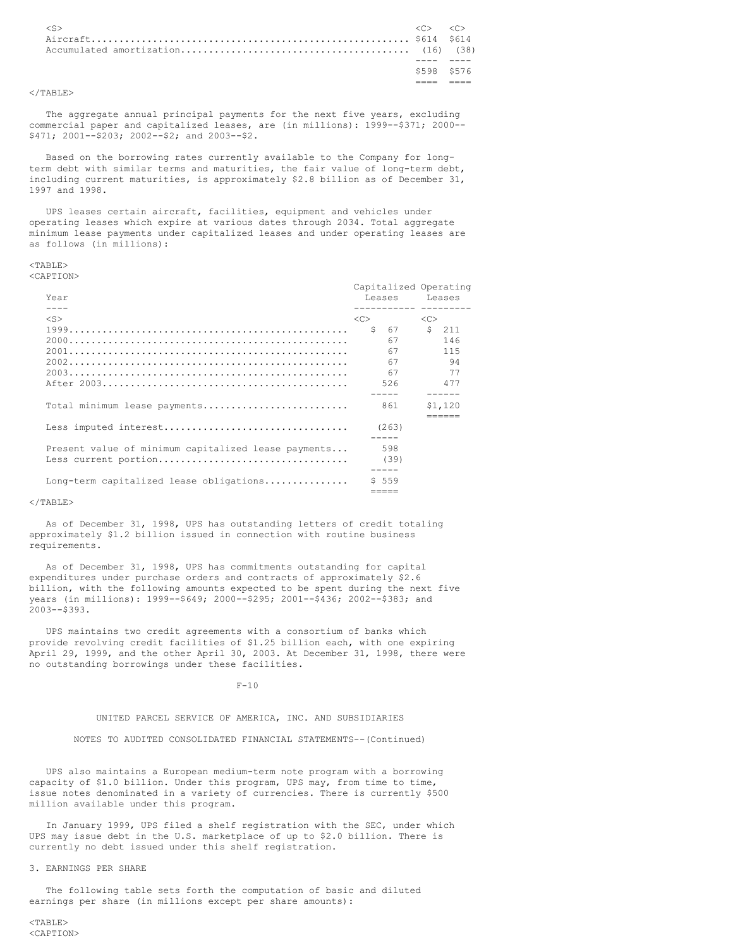| $\langle S \rangle$ | $\langle C \rangle$ $\langle C \rangle$ |  |
|---------------------|-----------------------------------------|--|
|                     | \$598 \$576                             |  |

### $\langle$ /TABLE>

The aggregate annual principal payments for the next five years, excluding commercial paper and capitalized leases, are (in millions): 1999--\$371; 2000--\$471; 2001--\$203; 2002--\$2; and 2003--\$2.

Based on the borrowing rates currently available to the Company for longterm debt with similar terms and maturities, the fair value of long-term debt, including current maturities, is approximately \$2.8 billion as of December 31, 1997 and 1998.

UPS leases certain aircraft, facilities, equipment and vehicles under operating leases which expire at various dates through 2034. Total aggregate minimum lease payments under capitalized leases and under operating leases are as follows (in millions):

# <TABLE>

<CAPTION>

| Year<br>$- - - -$                                   | Capitalized Operating<br>Leases Leases<br>----------- --------- |            |
|-----------------------------------------------------|-----------------------------------------------------------------|------------|
| $<$ S $>$                                           | <<>                                                             | <<         |
|                                                     | $S$ 67                                                          | \$211      |
|                                                     | 67<br>67                                                        | 146<br>115 |
|                                                     | 67                                                              | - 94       |
|                                                     | 67                                                              | 77         |
|                                                     | 526                                                             | 477        |
| Total minimum lease payments                        | 861                                                             | \$1,120    |
|                                                     | (263)                                                           |            |
| Present value of minimum capitalized lease payments | 598<br>(39)                                                     |            |
| Long-term capitalized lease obligations             | \$559                                                           |            |

#### $<$ /TABLE>

As of December 31, 1998, UPS has outstanding letters of credit totaling approximately \$1.2 billion issued in connection with routine business requirements.

As of December 31, 1998, UPS has commitments outstanding for capital expenditures under purchase orders and contracts of approximately \$2.6 billion, with the following amounts expected to be spent during the next five years (in millions): 1999--\$649; 2000--\$295; 2001--\$436; 2002--\$383; and 2003--\$393.

UPS maintains two credit agreements with a consortium of banks which provide revolving credit facilities of \$1.25 billion each, with one expiring April 29, 1999, and the other April 30, 2003. At December 31, 1998, there were no outstanding borrowings under these facilities.

F-10

#### UNITED PARCEL SERVICE OF AMERICA, INC. AND SUBSIDIARIES

NOTES TO AUDITED CONSOLIDATED FINANCIAL STATEMENTS--(Continued)

UPS also maintains a European medium-term note program with a borrowing capacity of \$1.0 billion. Under this program, UPS may, from time to time, issue notes denominated in a variety of currencies. There is currently \$500 million available under this program.

In January 1999, UPS filed a shelf registration with the SEC, under which UPS may issue debt in the U.S. marketplace of up to \$2.0 billion. There is currently no debt issued under this shelf registration.

### 3. EARNINGS PER SHARE

The following table sets forth the computation of basic and diluted earnings per share (in millions except per share amounts):

<TABLE> <CAPTION>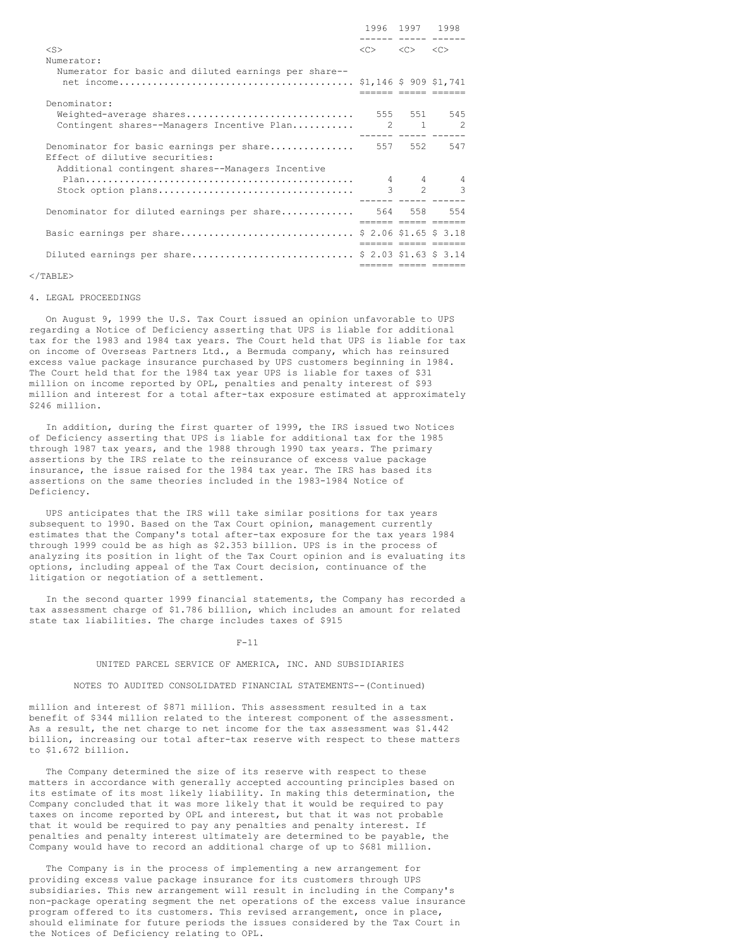|                                                                                                                                        |                                                             | 1996 1997 1998<br>. |                        |
|----------------------------------------------------------------------------------------------------------------------------------------|-------------------------------------------------------------|---------------------|------------------------|
| $<$ S><br>Numerator:                                                                                                                   | $\langle C \rangle$ $\langle C \rangle$ $\langle C \rangle$ |                     |                        |
| Numerator for basic and diluted earnings per share--                                                                                   |                                                             |                     |                        |
| Denominator:<br>Weighted-average shares<br>Contingent shares--Managers Incentive Plan 2 1 2                                            | 555 551 545                                                 |                     |                        |
| Denominator for basic earnings per share 557 552<br>Effect of dilutive securities:<br>Additional contingent shares--Managers Incentive |                                                             |                     | 547                    |
| Stock option plans                                                                                                                     |                                                             |                     | 4 4 4<br>$3 \t 2 \t 3$ |
| Denominator for diluted earnings per share 564 558 554                                                                                 |                                                             |                     | essa assas assasa      |
| Basic earnings per share \$ 2.06 \$1.65 \$ 3.18                                                                                        |                                                             |                     |                        |
| Diluted earnings per share \$ 2.03 \$1.63 \$ 3.14                                                                                      |                                                             |                     | eesses eesse eesses    |

### $\langle$ /TABLE>

### 4. LEGAL PROCEEDINGS

On August 9, 1999 the U.S. Tax Court issued an opinion unfavorable to UPS regarding a Notice of Deficiency asserting that UPS is liable for additional tax for the 1983 and 1984 tax years. The Court held that UPS is liable for tax on income of Overseas Partners Ltd., a Bermuda company, which has reinsured excess value package insurance purchased by UPS customers beginning in 1984. The Court held that for the 1984 tax year UPS is liable for taxes of \$31 million on income reported by OPL, penalties and penalty interest of \$93 million and interest for a total after-tax exposure estimated at approximately \$246 million.

In addition, during the first quarter of 1999, the IRS issued two Notices of Deficiency asserting that UPS is liable for additional tax for the 1985 through 1987 tax years, and the 1988 through 1990 tax years. The primary assertions by the IRS relate to the reinsurance of excess value package insurance, the issue raised for the 1984 tax year. The IRS has based its assertions on the same theories included in the 1983-1984 Notice of Deficiency.

UPS anticipates that the IRS will take similar positions for tax years subsequent to 1990. Based on the Tax Court opinion, management currently estimates that the Company's total after-tax exposure for the tax years 1984 through 1999 could be as high as \$2.353 billion. UPS is in the process of analyzing its position in light of the Tax Court opinion and is evaluating its options, including appeal of the Tax Court decision, continuance of the litigation or negotiation of a settlement.

In the second quarter 1999 financial statements, the Company has recorded a tax assessment charge of \$1.786 billion, which includes an amount for related state tax liabilities. The charge includes taxes of \$915

#### F-11

#### UNITED PARCEL SERVICE OF AMERICA, INC. AND SUBSIDIARIES

#### NOTES TO AUDITED CONSOLIDATED FINANCIAL STATEMENTS--(Continued)

million and interest of \$871 million. This assessment resulted in a tax benefit of \$344 million related to the interest component of the assessment. As a result, the net charge to net income for the tax assessment was \$1.442 billion, increasing our total after-tax reserve with respect to these matters to \$1.672 billion.

The Company determined the size of its reserve with respect to these matters in accordance with generally accepted accounting principles based on its estimate of its most likely liability. In making this determination, the Company concluded that it was more likely that it would be required to pay taxes on income reported by OPL and interest, but that it was not probable that it would be required to pay any penalties and penalty interest. If penalties and penalty interest ultimately are determined to be payable, the Company would have to record an additional charge of up to \$681 million.

The Company is in the process of implementing a new arrangement for providing excess value package insurance for its customers through UPS subsidiaries. This new arrangement will result in including in the Company's non-package operating segment the net operations of the excess value insurance program offered to its customers. This revised arrangement, once in place, should eliminate for future periods the issues considered by the Tax Court in the Notices of Deficiency relating to OPL.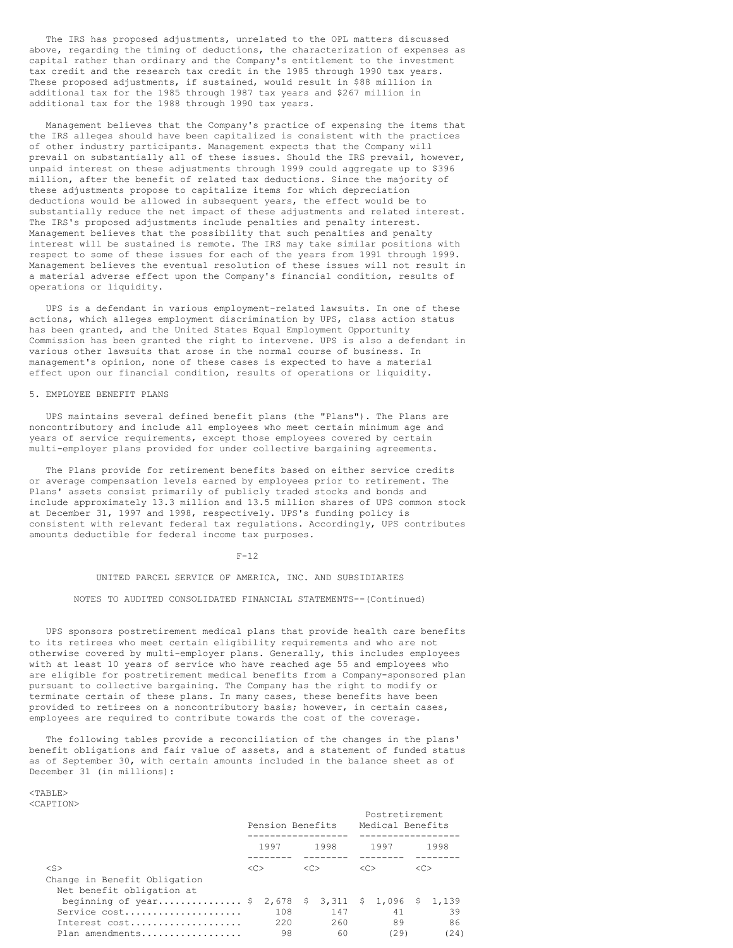The IRS has proposed adjustments, unrelated to the OPL matters discussed above, regarding the timing of deductions, the characterization of expenses as capital rather than ordinary and the Company's entitlement to the investment tax credit and the research tax credit in the 1985 through 1990 tax years. These proposed adjustments, if sustained, would result in \$88 million in additional tax for the 1985 through 1987 tax years and \$267 million in additional tax for the 1988 through 1990 tax years.

Management believes that the Company's practice of expensing the items that the IRS alleges should have been capitalized is consistent with the practices of other industry participants. Management expects that the Company will prevail on substantially all of these issues. Should the IRS prevail, however, unpaid interest on these adjustments through 1999 could aggregate up to \$396 million, after the benefit of related tax deductions. Since the majority of these adjustments propose to capitalize items for which depreciation deductions would be allowed in subsequent years, the effect would be to substantially reduce the net impact of these adjustments and related interest. The IRS's proposed adjustments include penalties and penalty interest. Management believes that the possibility that such penalties and penalty interest will be sustained is remote. The IRS may take similar positions with respect to some of these issues for each of the years from 1991 through 1999. Management believes the eventual resolution of these issues will not result in a material adverse effect upon the Company's financial condition, results of operations or liquidity.

UPS is a defendant in various employment-related lawsuits. In one of these actions, which alleges employment discrimination by UPS, class action status has been granted, and the United States Equal Employment Opportunity Commission has been granted the right to intervene. UPS is also a defendant in various other lawsuits that arose in the normal course of business. In management's opinion, none of these cases is expected to have a material effect upon our financial condition, results of operations or liquidity.

### 5. EMPLOYEE BENEFIT PLANS

UPS maintains several defined benefit plans (the "Plans"). The Plans are noncontributory and include all employees who meet certain minimum age and years of service requirements, except those employees covered by certain multi-employer plans provided for under collective bargaining agreements.

The Plans provide for retirement benefits based on either service credits or average compensation levels earned by employees prior to retirement. The Plans' assets consist primarily of publicly traded stocks and bonds and include approximately 13.3 million and 13.5 million shares of UPS common stock at December 31, 1997 and 1998, respectively. UPS's funding policy is consistent with relevant federal tax regulations. Accordingly, UPS contributes amounts deductible for federal income tax purposes.

#### $F-12$

# UNITED PARCEL SERVICE OF AMERICA, INC. AND SUBSIDIARIES

#### NOTES TO AUDITED CONSOLIDATED FINANCIAL STATEMENTS--(Continued)

UPS sponsors postretirement medical plans that provide health care benefits to its retirees who meet certain eligibility requirements and who are not otherwise covered by multi-employer plans. Generally, this includes employees with at least 10 years of service who have reached age 55 and employees who are eligible for postretirement medical benefits from a Company-sponsored plan pursuant to collective bargaining. The Company has the right to modify or terminate certain of these plans. In many cases, these benefits have been provided to retirees on a noncontributory basis; however, in certain cases, employees are required to contribute towards the cost of the coverage.

The following tables provide a reconciliation of the changes in the plans' benefit obligations and fair value of assets, and a statement of funded status as of September 30, with certain amounts included in the balance sheet as of December 31 (in millions):

#### <TABLE> <CAPTION>

|                                                                          | Pension Benefits |                  |               |                                                      |  | Postretirement<br>Medical Benefits |         |                  |
|--------------------------------------------------------------------------|------------------|------------------|---------------|------------------------------------------------------|--|------------------------------------|---------|------------------|
|                                                                          |                  | 1997             |               | 1998                                                 |  | 1997                               |         | 1998             |
| $<$ S><br>Change in Benefit Obligation<br>Net benefit obligation at      | < <sub></sub>    |                  | < <sub></sub> |                                                      |  |                                    | <c></c> |                  |
| beginning of year \$<br>Service cost<br>Interest cost<br>Plan amendments |                  | 108<br>220<br>98 |               | 2,678 \$ 3,311 \$ 1,096 \$ 1,139<br>147<br>260<br>60 |  | 41<br>89<br>(29)                   |         | 39<br>86<br>(24) |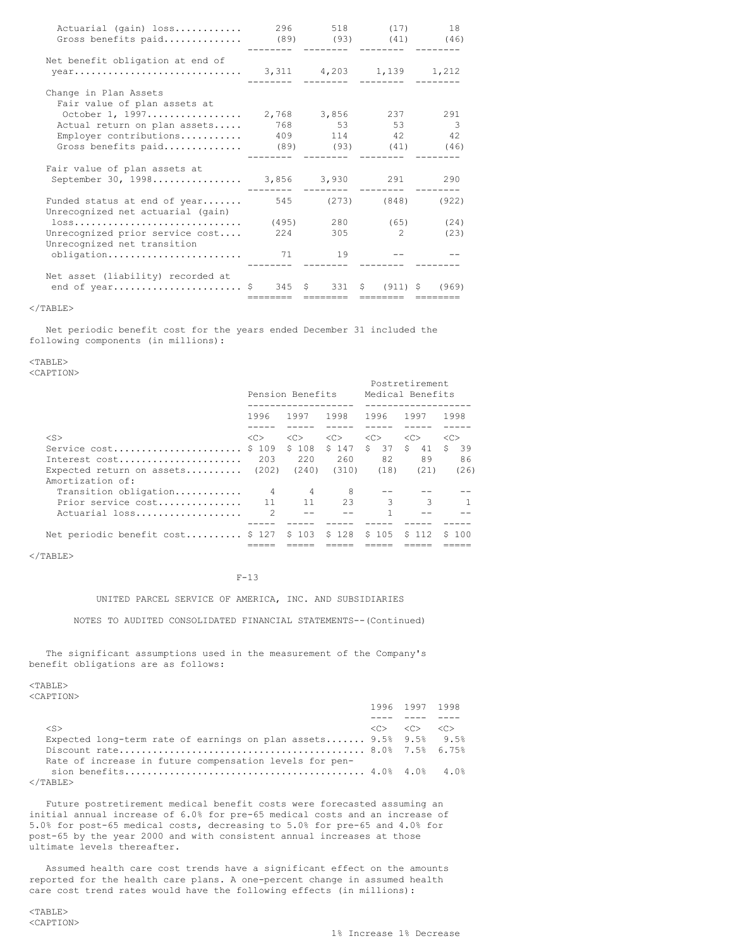| Actuarial (gain) loss<br>Gross benefits paid                       | 296   | --------        | 518 (17)<br>$(89)$ $(93)$ $(41)$ $(46)$<br>-------- | 18                       |
|--------------------------------------------------------------------|-------|-----------------|-----------------------------------------------------|--------------------------|
| Net benefit obligation at end of                                   |       |                 |                                                     |                          |
|                                                                    |       | ---------       | ---------                                           |                          |
| Change in Plan Assets<br>Fair value of plan assets at              |       |                 |                                                     |                          |
| October 1, 1997                                                    |       | 2,768 3,856 237 |                                                     | 291                      |
| Actual return on plan assets                                       |       | 768 53          | 53                                                  | $\overline{\phantom{a}}$ |
| Employer contributions                                             |       | 409 114         | 42                                                  | 42                       |
| Gross benefits paid                                                |       |                 | $(89)$ $(93)$ $(41)$                                | (46)                     |
| Fair value of plan assets at<br>September 30, 1998 3,856 3,930 291 |       |                 | ---------<br>---------                              | 290                      |
| Funded status at end of year<br>Unrecognized net actuarial (gain)  | 545   | (273)           | (848)                                               | (922)                    |
| 10SS                                                               |       |                 | $(495)$ 280 (65)                                    | (24)                     |
| Unrecognized prior service cost<br>Unrecognized net transition     | 2.2.4 | 305             | $\mathcal{L}$                                       | (23)                     |
| obligation                                                         | 71    | 19              |                                                     |                          |
| Net asset (liability) recorded at<br>end of year \$ 345 \$ 331     |       | ========        | $(911)$ \$<br>S.<br>========                        | (969)                    |

 $<$ /TABLE>

Net periodic benefit cost for the years ended December 31 included the following components (in millions):

 $<$ TABLE $>$ 

<CAPTION>

|                                   |               | Pension Benefits |               | Postretirement<br>Medical Benefits |               |               |  |
|-----------------------------------|---------------|------------------|---------------|------------------------------------|---------------|---------------|--|
|                                   | 1996          | 1997             | 1998          | 1996                               | 1997          | 1998          |  |
|                                   |               |                  |               |                                    |               |               |  |
| $<$ S $>$                         | < <sub></sub> | < <sub></sub>    | < <sub></sub> | < <sub></sub>                      | < <sub></sub> | < <sub></sub> |  |
| Service cost                      | \$109         | \$108            | \$147         | $\mathsf{S}^-$<br>37               | \$<br>41      | Ŝ.<br>39      |  |
| Interest cost                     | 203           | 220              | 260           | 82                                 | 89            | 86            |  |
| Expected return on assets $(202)$ |               | (240)            | (310)         | (18)                               | (21)          | (26)          |  |
| Amortization of:                  |               |                  |               |                                    |               |               |  |
| Transition obligation             | 4             | 4                | -8            |                                    |               |               |  |
| Prior service cost                |               | 11               | 23            | 3                                  | 3             |               |  |
| Actuarial loss                    | $\mathcal{P}$ |                  |               |                                    |               |               |  |
|                                   |               |                  |               |                                    |               |               |  |
| Net periodic benefit cost \$ 127  |               | \$103            | \$128         | \$105                              | S 112         | S 100         |  |
|                                   |               |                  |               |                                    |               |               |  |

 $<$ /TABLE $>$ 

# F-13

UNITED PARCEL SERVICE OF AMERICA, INC. AND SUBSIDIARIES

NOTES TO AUDITED CONSOLIDATED FINANCIAL STATEMENTS--(Continued)

The significant assumptions used in the measurement of the Company's benefit obligations are as follows:

<TABLE> <CAPTION>

|                                                                   | 1996 1997 1998                                              |  |
|-------------------------------------------------------------------|-------------------------------------------------------------|--|
|                                                                   |                                                             |  |
| $<$ S $>$                                                         | $\langle C \rangle$ $\langle C \rangle$ $\langle C \rangle$ |  |
| Expected long-term rate of earnings on plan assets 9.5% 9.5% 9.5% |                                                             |  |
|                                                                   |                                                             |  |
| Rate of increase in future compensation levels for pen-           |                                                             |  |
|                                                                   |                                                             |  |
| $\langle$ /TABLE $\rangle$                                        |                                                             |  |

Future postretirement medical benefit costs were forecasted assuming an initial annual increase of 6.0% for pre-65 medical costs and an increase of 5.0% for post-65 medical costs, decreasing to 5.0% for pre-65 and 4.0% for post-65 by the year 2000 and with consistent annual increases at those ultimate levels thereafter.

Assumed health care cost trends have a significant effect on the amounts reported for the health care plans. A one-percent change in assumed health care cost trend rates would have the following effects (in millions):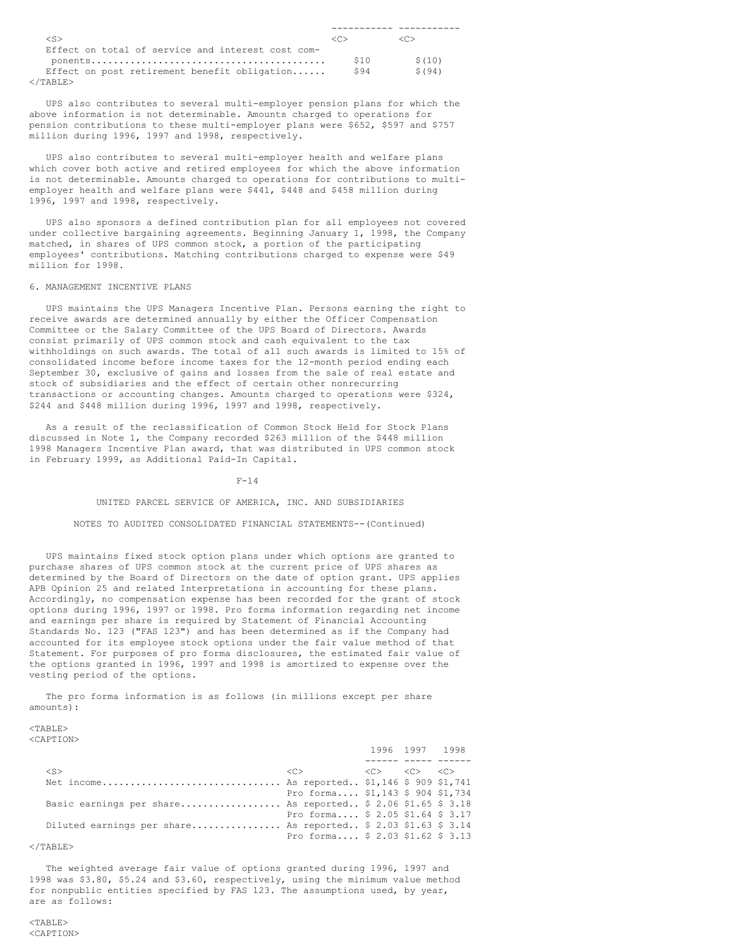| <s></s>                                           |     | <冖>   |
|---------------------------------------------------|-----|-------|
| Effect on total of service and interest cost com- |     |       |
|                                                   | S10 | S(10) |
| Effect on post retirement benefit obligation      | S94 | S(94) |
|                                                   |     |       |

  |  |UPS also contributes to several multi-employer pension plans for which the above information is not determinable. Amounts charged to operations for pension contributions to these multi-employer plans were \$652, \$597 and \$757 million during 1996, 1997 and 1998, respectively.

UPS also contributes to several multi-employer health and welfare plans which cover both active and retired employees for which the above information is not determinable. Amounts charged to operations for contributions to multiemployer health and welfare plans were \$441, \$448 and \$458 million during 1996, 1997 and 1998, respectively.

UPS also sponsors a defined contribution plan for all employees not covered under collective bargaining agreements. Beginning January 1, 1998, the Company matched, in shares of UPS common stock, a portion of the participating employees' contributions. Matching contributions charged to expense were \$49 million for 1998.

#### 6. MANAGEMENT INCENTIVE PLANS

UPS maintains the UPS Managers Incentive Plan. Persons earning the right to receive awards are determined annually by either the Officer Compensation Committee or the Salary Committee of the UPS Board of Directors. Awards consist primarily of UPS common stock and cash equivalent to the tax withholdings on such awards. The total of all such awards is limited to 15% of consolidated income before income taxes for the 12-month period ending each September 30, exclusive of gains and losses from the sale of real estate and stock of subsidiaries and the effect of certain other nonrecurring transactions or accounting changes. Amounts charged to operations were \$324, \$244 and \$448 million during 1996, 1997 and 1998, respectively.

As a result of the reclassification of Common Stock Held for Stock Plans discussed in Note 1, the Company recorded \$263 million of the \$448 million 1998 Managers Incentive Plan award, that was distributed in UPS common stock in February 1999, as Additional Paid-In Capital.

#### $F-14$

#### UNITED PARCEL SERVICE OF AMERICA, INC. AND SUBSIDIARIES

#### NOTES TO AUDITED CONSOLIDATED FINANCIAL STATEMENTS--(Continued)

UPS maintains fixed stock option plans under which options are granted to purchase shares of UPS common stock at the current price of UPS shares as determined by the Board of Directors on the date of option grant. UPS applies APB Opinion 25 and related Interpretations in accounting for these plans. Accordingly, no compensation expense has been recorded for the grant of stock options during 1996, 1997 or 1998. Pro forma information regarding net income and earnings per share is required by Statement of Financial Accounting Standards No. 123 ("FAS 123") and has been determined as if the Company had accounted for its employee stock options under the fair value method of that Statement. For purposes of pro forma disclosures, the estimated fair value of the options granted in 1996, 1997 and 1998 is amortized to expense over the vesting period of the options.

The pro forma information is as follows (in millions except per share amounts):

#### $<$ TABLE> <CAPTION>

| 111 1 1 V IV                                                  |                                                                                                     | 1996 1997 1998 |  |
|---------------------------------------------------------------|-----------------------------------------------------------------------------------------------------|----------------|--|
|                                                               |                                                                                                     |                |  |
| $<$ S $>$                                                     | $\langle C \rangle$ $\langle C \rangle$ $\langle C \rangle$ $\langle C \rangle$ $\langle C \rangle$ |                |  |
| Net income As reported \$1,146 \$ 909 \$1,741                 |                                                                                                     |                |  |
|                                                               | Pro forma \$1,143 \$ 904 \$1,734                                                                    |                |  |
| Basic earnings per share As reported $$2.06 $1.65 $3.18$      |                                                                                                     |                |  |
|                                                               | Pro forma $$2.05 $1.64 $3.17$                                                                       |                |  |
| Diluted earnings per share As reported \$ 2.03 \$1.63 \$ 3.14 |                                                                                                     |                |  |
|                                                               | Pro forma $$2.03 $1.62 $3.13$                                                                       |                |  |

### $\langle$ /TABLE>

The weighted average fair value of options granted during 1996, 1997 and 1998 was \$3.80, \$5.24 and \$3.60, respectively, using the minimum value method for nonpublic entities specified by FAS 123. The assumptions used, by year, are as follows: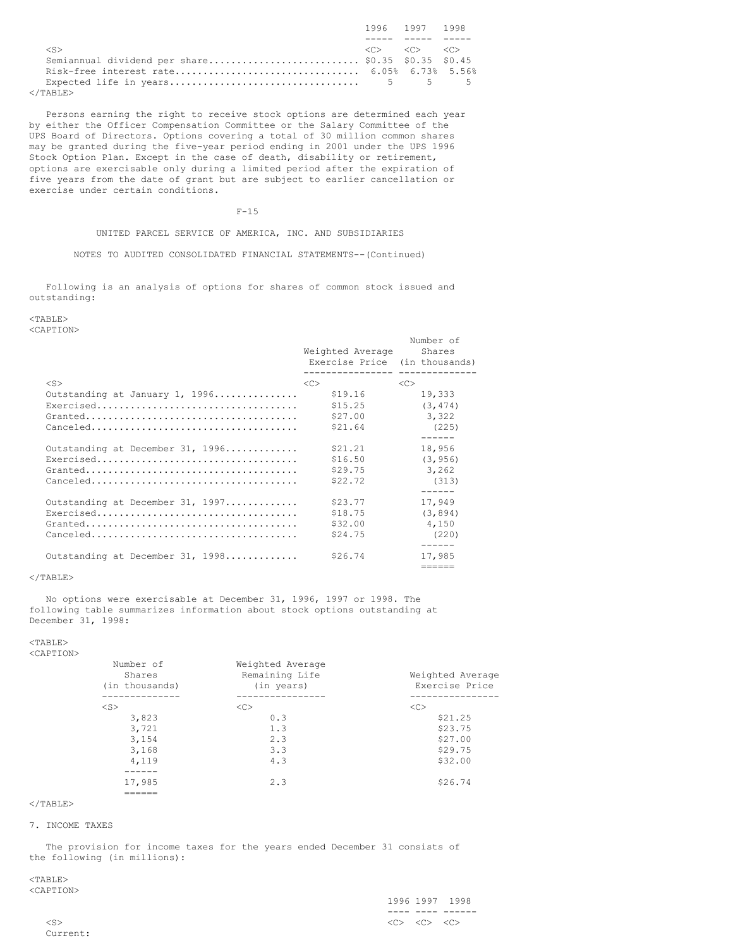|                                                    | 1996 1997 1998                                              |  |
|----------------------------------------------------|-------------------------------------------------------------|--|
|                                                    |                                                             |  |
| $\langle S \rangle$                                | $\langle C \rangle$ $\langle C \rangle$ $\langle C \rangle$ |  |
| Semiannual dividend per share \$0.35 \$0.35 \$0.45 |                                                             |  |
|                                                    |                                                             |  |
|                                                    |                                                             |  |
| $\langle$ /TABLE>                                  |                                                             |  |

Persons earning the right to receive stock options are determined each year by either the Officer Compensation Committee or the Salary Committee of the UPS Board of Directors. Options covering a total of 30 million common shares may be granted during the five-year period ending in 2001 under the UPS 1996 Stock Option Plan. Except in the case of death, disability or retirement, options are exercisable only during a limited period after the expiration of five years from the date of grant but are subject to earlier cancellation or exercise under certain conditions.

# F-15

UNITED PARCEL SERVICE OF AMERICA, INC. AND SUBSIDIARIES

NOTES TO AUDITED CONSOLIDATED FINANCIAL STATEMENTS--(Continued)

Following is an analysis of options for shares of common stock issued and outstanding:

# <TABLE>

<CAPTION>

|                                                                                       | Weighted Average<br>Exercise Price (in thousands)<br>-------------- | Number of<br>Shares |
|---------------------------------------------------------------------------------------|---------------------------------------------------------------------|---------------------|
| $<$ S>                                                                                | <<                                                                  | <<                  |
| Outstanding at January 1, 1996                                                        | \$19.16                                                             | 19,333              |
| Exercised                                                                             | \$15.25                                                             | (3, 474)            |
| $Grand.\dots \dots \dots \dots \dots \dots \dots \dots \dots \dots \dots \dots \dots$ | \$27.00                                                             | 3,322               |
|                                                                                       | \$21.64                                                             | (225)               |
|                                                                                       |                                                                     | ------              |
| Outstanding at December 31, 1996                                                      | \$21.21                                                             | 18,956              |
|                                                                                       | \$16.50                                                             | (3, 956)            |
| $Grand.\dots \dots \dots \dots \dots \dots \dots \dots \dots \dots \dots \dots \dots$ | \$29.75                                                             | 3,262               |
|                                                                                       | \$22.72                                                             | (313)               |
|                                                                                       |                                                                     |                     |
| Outstanding at December 31, 1997                                                      | \$23.77                                                             | 17,949              |
|                                                                                       | \$18.75                                                             | (3, 894)            |
| $Grand.\dots \dots \dots \dots \dots \dots \dots \dots \dots \dots \dots \dots \dots$ | \$32.00                                                             | 4,150               |
|                                                                                       | \$24.75                                                             | (220)               |
|                                                                                       |                                                                     |                     |
| Outstanding at December 31, 1998                                                      | \$26.74                                                             | 17,985              |
|                                                                                       |                                                                     | ======              |

### $<$ /TABLE $>$

No options were exercisable at December 31, 1996, 1997 or 1998. The following table summarizes information about stock options outstanding at December 31, 1998:

<TABLE>

| ×<br>×<br>۰.<br>٧ |  |
|-------------------|--|
|                   |  |

| Number of<br>Shares<br>(in thousands) | Weighted Average<br>Remaining Life<br>(in years) | Weighted Average<br>Exercise Price |
|---------------------------------------|--------------------------------------------------|------------------------------------|
| ---------                             |                                                  |                                    |
| $<$ S $>$                             | <<                                               | <<                                 |
| 3,823                                 | 0.3                                              | \$21.25                            |
| 3,721                                 | 1.3                                              | \$23.75                            |
| 3,154                                 | 2.3                                              | \$27.00                            |
| 3,168                                 | 3.3                                              | \$29.75                            |
| 4,119                                 | 4.3                                              | \$32.00                            |
|                                       |                                                  |                                    |
| 17,985                                | 2.3                                              | \$26.74                            |
|                                       |                                                  |                                    |

# $\langle$ /TABLE $>$

#### 7. INCOME TAXES

The provision for income taxes for the years ended December 31 consists of the following (in millions):

### <TABLE> <CAPTION>

|        |         |                                                             | 1996 1997 1998 |
|--------|---------|-------------------------------------------------------------|----------------|
|        | _ _ _ _ | ____                                                        |                |
| $<$ S> |         | $\langle C \rangle$ $\langle C \rangle$ $\langle C \rangle$ |                |

Current: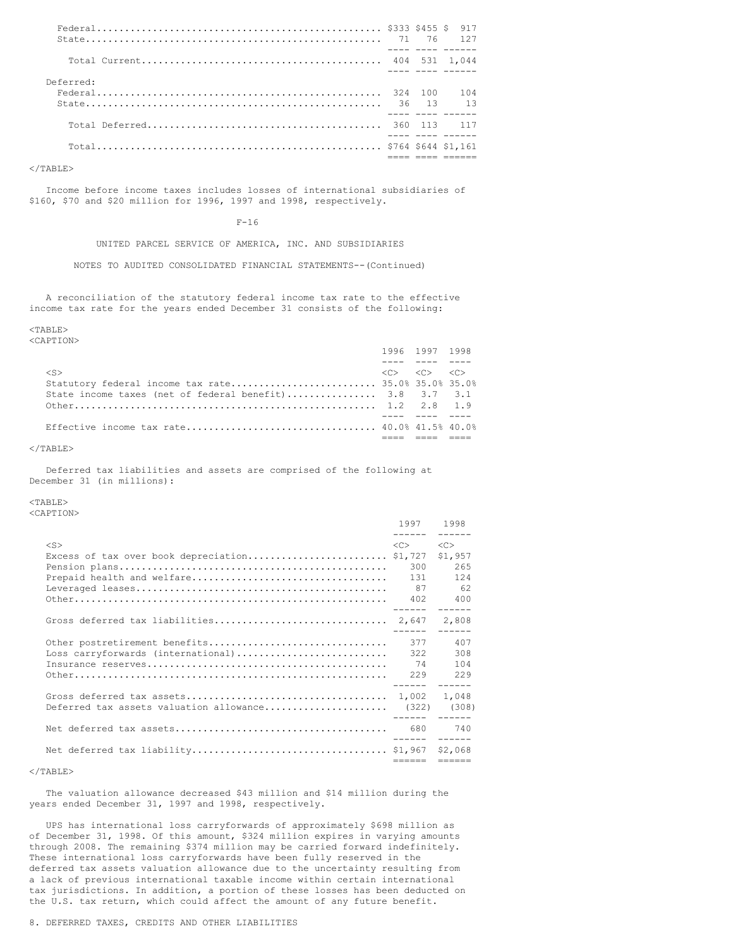|           |         | 917                           |
|-----------|---------|-------------------------------|
|           |         | ---- ---- ------              |
| Deferred: |         |                               |
|           | 324 100 | 104<br><u>aas assa assass</u> |
|           |         |                               |
|           |         |                               |
|           |         |                               |

</TABLE>

Income before income taxes includes losses of international subsidiaries of \$160, \$70 and \$20 million for 1996, 1997 and 1998, respectively.

 $F-16$ 

UNITED PARCEL SERVICE OF AMERICA, INC. AND SUBSIDIARIES

NOTES TO AUDITED CONSOLIDATED FINANCIAL STATEMENTS--(Continued)

A reconciliation of the statutory federal income tax rate to the effective income tax rate for the years ended December 31 consists of the following:

### $<$ TABLE>

<CAPTION>

|                                                         | 1996 1997 1998                                              |  |
|---------------------------------------------------------|-------------------------------------------------------------|--|
|                                                         |                                                             |  |
| $<$ S>                                                  | $\langle C \rangle$ $\langle C \rangle$ $\langle C \rangle$ |  |
|                                                         |                                                             |  |
| State income taxes (net of federal benefit) 3.8 3.7 3.1 |                                                             |  |
|                                                         |                                                             |  |
|                                                         |                                                             |  |
|                                                         |                                                             |  |
|                                                         |                                                             |  |

#### $<$ /TABLE>

Deferred tax liabilities and assets are comprised of the following at December 31 (in millions):

### <TABLE>

<CAPTION>

|                                                     | 1997 1998<br>------ ------ |                                                                                                                                                                                                                                                                                                                                                                                                                                                                                        |
|-----------------------------------------------------|----------------------------|----------------------------------------------------------------------------------------------------------------------------------------------------------------------------------------------------------------------------------------------------------------------------------------------------------------------------------------------------------------------------------------------------------------------------------------------------------------------------------------|
| $<$ S>                                              | <<><br>300<br>131<br>87    | < <sub><br/>\$1,957<br/>265<br/>124<br/>62<br/>400</sub>                                                                                                                                                                                                                                                                                                                                                                                                                               |
|                                                     |                            | 2,808                                                                                                                                                                                                                                                                                                                                                                                                                                                                                  |
| Loss carryforwards (international)                  | 377<br>322<br>74           | 407<br>308<br>104                                                                                                                                                                                                                                                                                                                                                                                                                                                                      |
| Deferred tax assets valuation allowance (322) (308) |                            |                                                                                                                                                                                                                                                                                                                                                                                                                                                                                        |
|                                                     | ------ ------              |                                                                                                                                                                                                                                                                                                                                                                                                                                                                                        |
|                                                     | ------                     | $\begin{array}{cccccccccc} \multicolumn{2}{c}{} & \multicolumn{2}{c}{} & \multicolumn{2}{c}{} & \multicolumn{2}{c}{} & \multicolumn{2}{c}{} & \multicolumn{2}{c}{} & \multicolumn{2}{c}{} & \multicolumn{2}{c}{} & \multicolumn{2}{c}{} & \multicolumn{2}{c}{} & \multicolumn{2}{c}{} & \multicolumn{2}{c}{} & \multicolumn{2}{c}{} & \multicolumn{2}{c}{} & \multicolumn{2}{c}{} & \multicolumn{2}{c}{} & \multicolumn{2}{c}{} & \multicolumn{2}{c}{} & \multicolumn{2}{c}{} & \mult$ |

# $<$ /TABLE>

The valuation allowance decreased \$43 million and \$14 million during the years ended December 31, 1997 and 1998, respectively.

UPS has international loss carryforwards of approximately \$698 million as of December 31, 1998. Of this amount, \$324 million expires in varying amounts through 2008. The remaining \$374 million may be carried forward indefinitely. These international loss carryforwards have been fully reserved in the deferred tax assets valuation allowance due to the uncertainty resulting from a lack of previous international taxable income within certain international tax jurisdictions. In addition, a portion of these losses has been deducted on the U.S. tax return, which could affect the amount of any future benefit.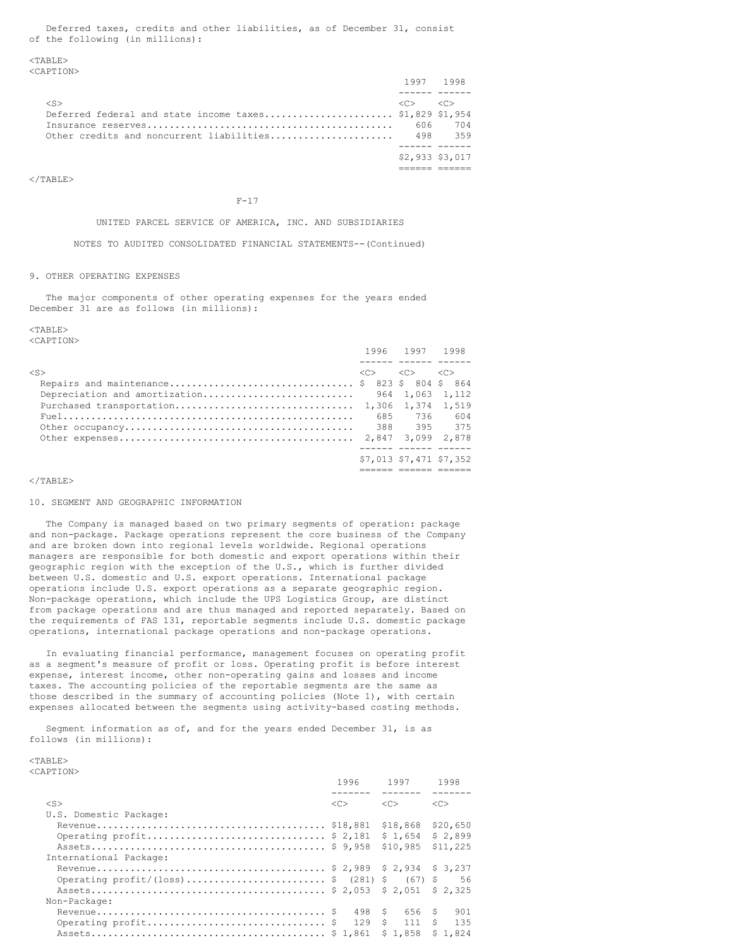Deferred taxes, credits and other liabilities, as of December 31, consist of the following (in millions):

<TABLE> <CAPTION>

|                                                         |                        | 1997 1998       |
|---------------------------------------------------------|------------------------|-----------------|
|                                                         |                        |                 |
| $\langle S \rangle$                                     | $\langle \cap \rangle$ | $<<\cap>$       |
| Deferred federal and state income taxes \$1,829 \$1,954 |                        |                 |
|                                                         | 606                    | 704             |
|                                                         |                        | 498 359         |
|                                                         |                        |                 |
|                                                         |                        | \$2,933 \$3,017 |
|                                                         |                        |                 |

 $<$ /TABLE>

 $F-17$ 

#### UNITED PARCEL SERVICE OF AMERICA, INC. AND SUBSIDIARIES

NOTES TO AUDITED CONSOLIDATED FINANCIAL STATEMENTS--(Continued)

### 9. OTHER OPERATING EXPENSES

The major components of other operating expenses for the years ended December 31 are as follows (in millions):

# $<$ TABLE>

<CAPTION>

|           | 1996 1997 1998                                              |                         |
|-----------|-------------------------------------------------------------|-------------------------|
|           |                                                             |                         |
| $<$ S $>$ | $\langle C \rangle$ $\langle C \rangle$ $\langle C \rangle$ |                         |
|           |                                                             |                         |
|           |                                                             |                         |
|           |                                                             |                         |
|           | 685 736                                                     | 604                     |
|           | 388 395 375                                                 |                         |
|           |                                                             |                         |
|           |                                                             |                         |
|           |                                                             | \$7,013 \$7,471 \$7,352 |
|           |                                                             |                         |

### $<$ /TABLE>

### 10. SEGMENT AND GEOGRAPHIC INFORMATION

The Company is managed based on two primary segments of operation: package and non-package. Package operations represent the core business of the Company and are broken down into regional levels worldwide. Regional operations managers are responsible for both domestic and export operations within their geographic region with the exception of the U.S., which is further divided between U.S. domestic and U.S. export operations. International package operations include U.S. export operations as a separate geographic region. Non-package operations, which include the UPS Logistics Group, are distinct from package operations and are thus managed and reported separately. Based on the requirements of FAS 131, reportable segments include U.S. domestic package operations, international package operations and non-package operations.

In evaluating financial performance, management focuses on operating profit as a segment's measure of profit or loss. Operating profit is before interest expense, interest income, other non-operating gains and losses and income taxes. The accounting policies of the reportable segments are the same as those described in the summary of accounting policies (Note 1), with certain expenses allocated between the segments using activity-based costing methods.

Segment information as of, and for the years ended December 31, is as follows (in millions):

#### $<$ TABLE> <CAPTION>

|                                             | 1996 | 1997        | 1998     |
|---------------------------------------------|------|-------------|----------|
| $<$ S>                                      | <<   | <<          | <<       |
| U.S. Domestic Package:                      |      |             |          |
|                                             |      | \$18,868    | \$20,650 |
|                                             |      | \$1.654     | \$2,899  |
|                                             |      | \$10,985    | \$11,225 |
| International Package:                      |      |             |          |
|                                             |      |             |          |
| Operating profit/(loss) \$ (281) \$ (67) \$ |      |             | 56       |
|                                             |      |             |          |
| Non-Package:                                |      |             |          |
|                                             | 498  | \$6.56      | 901<br>S |
| Operating profit\$                          |      | 129 S 111 S | 135      |
|                                             |      | \$1.858     | \$1.824  |
|                                             |      |             |          |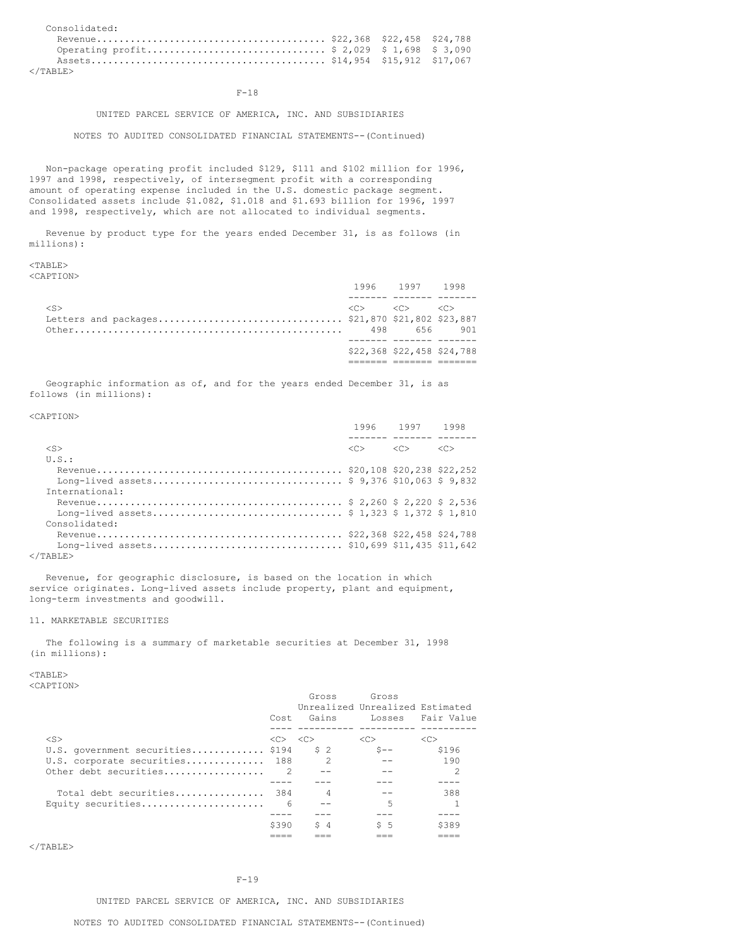| Consolidated:                               |  |  |
|---------------------------------------------|--|--|
|                                             |  |  |
| Operating profit \$ 2,029 \$ 1,698 \$ 3,090 |  |  |
|                                             |  |  |
|                                             |  |  |

  |  |### F-18

### UNITED PARCEL SERVICE OF AMERICA, INC. AND SUBSIDIARIES

### NOTES TO AUDITED CONSOLIDATED FINANCIAL STATEMENTS--(Continued)

Non-package operating profit included \$129, \$111 and \$102 million for 1996, 1997 and 1998, respectively, of intersegment profit with a corresponding amount of operating expense included in the U.S. domestic package segment. Consolidated assets include \$1.082, \$1.018 and \$1.693 billion for 1996, 1997 and 1998, respectively, which are not allocated to individual segments.

Revenue by product type for the years ended December 31, is as follows (in millions):

#### <TABLE> <CAPTION>

<CAPTION>

|                     | 1996 1997 1998                                              |                            |
|---------------------|-------------------------------------------------------------|----------------------------|
|                     |                                                             |                            |
| $\langle S \rangle$ | $\langle C \rangle$ $\langle C \rangle$ $\langle C \rangle$ |                            |
|                     |                                                             |                            |
|                     | 498 656 901                                                 |                            |
|                     |                                                             |                            |
|                     |                                                             | \$22,368 \$22,458 \$24,788 |
|                     |                                                             |                            |

Geographic information as of, and for the years ended December 31, is as follows (in millions):

|                                              |                                         | 1996 1997 1998 |                     |
|----------------------------------------------|-----------------------------------------|----------------|---------------------|
|                                              |                                         |                |                     |
| $<$ S>                                       | $\langle C \rangle$ $\langle C \rangle$ |                | $\langle C \rangle$ |
| $U.S.$ :                                     |                                         |                |                     |
|                                              |                                         |                |                     |
| Long-lived assets \$ 9,376 \$10,063 \$ 9,832 |                                         |                |                     |
| International:                               |                                         |                |                     |
|                                              |                                         |                |                     |
|                                              |                                         |                |                     |
| Consolidated:                                |                                         |                |                     |
|                                              |                                         |                |                     |
|                                              |                                         |                |                     |
| $\langle$ /TABLE>                            |                                         |                |                     |

Revenue, for geographic disclosure, is based on the location in which service originates. Long-lived assets include property, plant and equipment, long-term investments and goodwill.

# 11. MARKETABLE SECURITIES

The following is a summary of marketable securities at December 31, 1998 (in millions):

<TABLE>

<CAPTION>

|                                       | Cost                                    | Gross<br>Gains | Gross<br>Unrealized Unrealized Estimated | Losses Fair Value |
|---------------------------------------|-----------------------------------------|----------------|------------------------------------------|-------------------|
| $\langle$ S>                          | $\langle C \rangle$ $\langle C \rangle$ |                | $<<$ $>$                                 | < <sub></sub>     |
| U.S. government securities \$194 \$ 2 |                                         |                | $S --$                                   | \$196             |
| U.S. corporate securities             | 188                                     | $\mathcal{P}$  | $- -$                                    | 190               |
| Other debt securities                 | $\overline{2}$                          |                |                                          | 2                 |
|                                       |                                         |                |                                          |                   |
| Total debt securities                 | 384                                     | 4              |                                          | 388               |
| Equity securities                     | 6                                       |                | 5                                        |                   |
|                                       |                                         |                |                                          |                   |
|                                       | \$390                                   | \$4            | $5\quad5$                                | \$389             |
|                                       |                                         |                |                                          |                   |

 $<$ /TABLE>

#### $F-19$

UNITED PARCEL SERVICE OF AMERICA, INC. AND SUBSIDIARIES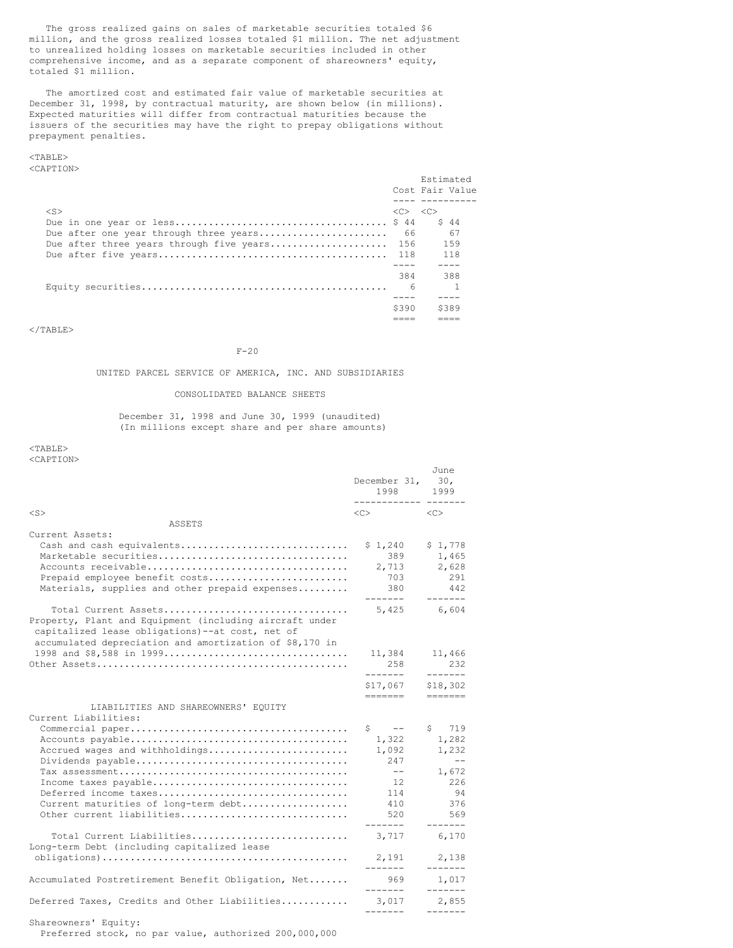The gross realized gains on sales of marketable securities totaled \$6 million, and the gross realized losses totaled \$1 million. The net adjustment to unrealized holding losses on marketable securities included in other comprehensive income, and as a separate component of shareowners' equity, totaled \$1 million.

The amortized cost and estimated fair value of marketable securities at December 31, 1998, by contractual maturity, are shown below (in millions). Expected maturities will differ from contractual maturities because the issuers of the securities may have the right to prepay obligations without prepayment penalties.

# <TABLE>

<CAPTION>

|                                              |                                         | Estimated<br>Cost Fair Value |
|----------------------------------------------|-----------------------------------------|------------------------------|
|                                              |                                         |                              |
| $<$ S>                                       | $\langle C \rangle$ $\langle C \rangle$ |                              |
|                                              |                                         | S 44                         |
| Due after one year through three years       | 66                                      | 67                           |
| Due after three years through five years 156 |                                         | 159                          |
|                                              |                                         | 118                          |
|                                              |                                         |                              |
|                                              | 384                                     | 388                          |
|                                              | - 6                                     |                              |
|                                              |                                         |                              |
|                                              | \$390                                   | \$389                        |
|                                              |                                         |                              |

 $\langle$ /TABLE>

F-20

### UNITED PARCEL SERVICE OF AMERICA, INC. AND SUBSIDIARIES

### CONSOLIDATED BALANCE SHEETS

December 31, 1998 and June 30, 1999 (unaudited) (In millions except share and per share amounts)

### <TABLE> <CAPTION>

June<br>30. December 31, 1998 1999 ------------ ------- <S> <C> <C> ASSETS Current Assets: Cash and cash equivalents.............................. \$ 1,240 \$ 1,778 Marketable securities.................................. 389 1,465 Accounts receivable.................................... 2,713 2,628 Prepaid employee benefit costs......................... 703 291 Materials, supplies and other prepaid expenses........ ------- -------<br>5,425 6,604 Total Current Assets................................. 5,425 6,604 Property, Plant and Equipment (including aircraft under capitalized lease obligations)--at cost, net of accumulated depreciation and amortization of \$8,170 in 1998 and \$8,588 in 1999................................. 11,384 11,466 Other Assets............................................. 258 232 ------- ------- \$17,067 \$18,302 ======= ======= LIABILITIES AND SHAREOWNERS' EQUITY Current Liabilities: Commercial paper....................................... \$ -- \$ 719 Accounts payable....................................... 1,322 1,282 Accrued wages and withholdings......................... 1,092 1,232 Dividends payable...................................... 247 -- Tax assessment......................................... -- 1,672 Income taxes payable................................... 12 226 Deferred income taxes.................................. 114 94 Current maturities of long-term debt................... 410 376 Other current liabilities............................... ------- ------- Total Current Liabilities............................ 3,717 6,170 Long-term Debt (including capitalized lease obligations)............................................ 2,191 2,138 ------- ------- Accumulated Postretirement Benefit Obligation, Net....... 969 1,017 ------- -------<br>3,017 2,855 Deferred Taxes, Credits and Other Liabilities............ ------- ------- Shareowners' Equity: Preferred stock, no par value, authorized 200,000,000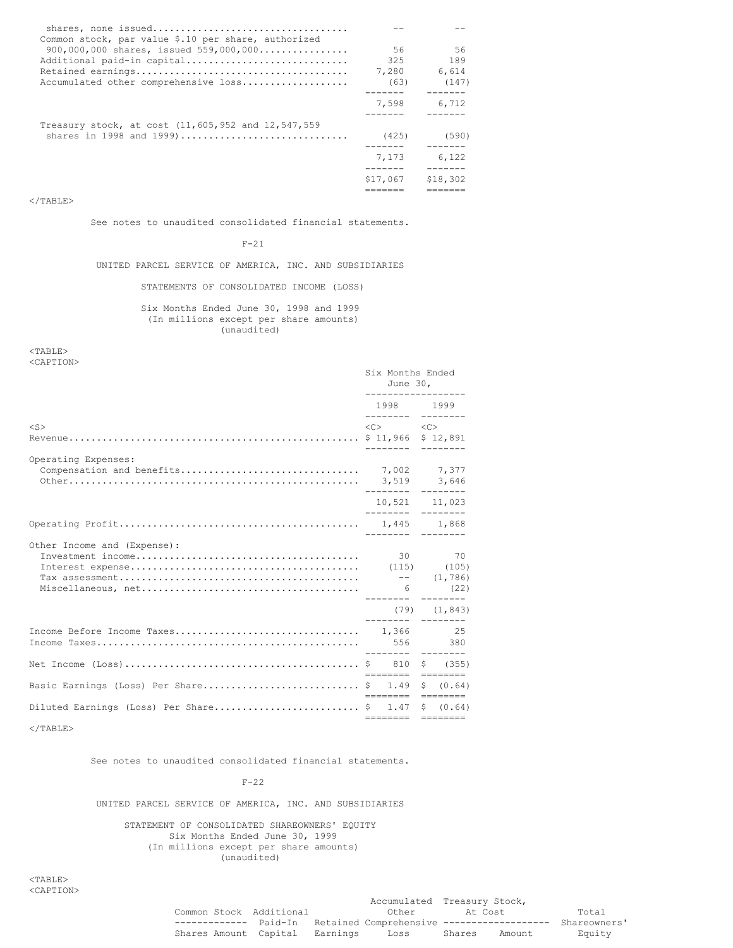| Common stock, par value \$.10 per share, authorized |          |          |
|-----------------------------------------------------|----------|----------|
| $900,000,000$ shares, issued $559,000,000$          | -56      | 56       |
| Additional paid-in capital                          | 325      | 189      |
|                                                     | 7,280    | 6.614    |
| Accumulated other comprehensive loss                | (63)     | (147)    |
|                                                     |          |          |
|                                                     | 7,598    | 6,712    |
|                                                     |          |          |
| Treasury stock, at cost (11,605,952 and 12,547,559  |          |          |
| shares in 1998 and 1999)                            | (425)    | (590)    |
|                                                     | 7.173    |          |
|                                                     |          | 6,122    |
|                                                     | \$17,067 | \$18,302 |
|                                                     |          |          |

</TABLE>

See notes to unaudited consolidated financial statements.

F-21

UNITED PARCEL SERVICE OF AMERICA, INC. AND SUBSIDIARIES

STATEMENTS OF CONSOLIDATED INCOME (LOSS)

Six Months Ended June 30, 1998 and 1999 (In millions except per share amounts) (unaudited)

<TABLE> <CAPTION>

|                                                    | Six Months Ended<br>June $30l$<br>------------------ |                                         |  |                            |
|----------------------------------------------------|------------------------------------------------------|-----------------------------------------|--|----------------------------|
|                                                    |                                                      | 1998 1999                               |  |                            |
| $<$ S>                                             |                                                      | $\langle C \rangle$ $\langle C \rangle$ |  |                            |
| Operating Expenses:                                |                                                      |                                         |  |                            |
|                                                    |                                                      | 10,521 11,023                           |  |                            |
|                                                    |                                                      |                                         |  |                            |
| Other Income and (Expense):                        |                                                      |                                         |  | 30 70<br>$(79)$ $(1, 843)$ |
|                                                    |                                                      |                                         |  |                            |
|                                                    |                                                      | <b>Concert Concert</b>                  |  |                            |
| Basic Earnings (Loss) Per Share \$ 1.49 \$ (0.64)  |                                                      | eessesse eessesse                       |  |                            |
| Diluted Earnings (Loss) Per Share\$ 1.47 \$ (0.64) |                                                      | ======== ========                       |  |                            |

</TABLE>

See notes to unaudited consolidated financial statements.

F-22

UNITED PARCEL SERVICE OF AMERICA, INC. AND SUBSIDIARIES

STATEMENT OF CONSOLIDATED SHAREOWNERS' EQUITY Six Months Ended June 30, 1999 (In millions except per share amounts) (unaudited)

<TABLE> <CAPTION>

|                                |  | Accumulated Treasury Stock,                       |         |        |              |
|--------------------------------|--|---------------------------------------------------|---------|--------|--------------|
| Common Stock Additional        |  | Other                                             | At Cost |        | Total        |
| --------------                 |  | Paid-In Retained Comprehensive ------------------ |         |        | Shareowners' |
| Shares Amount Capital Earnings |  | Loss                                              | Shares  | Amount | Equity       |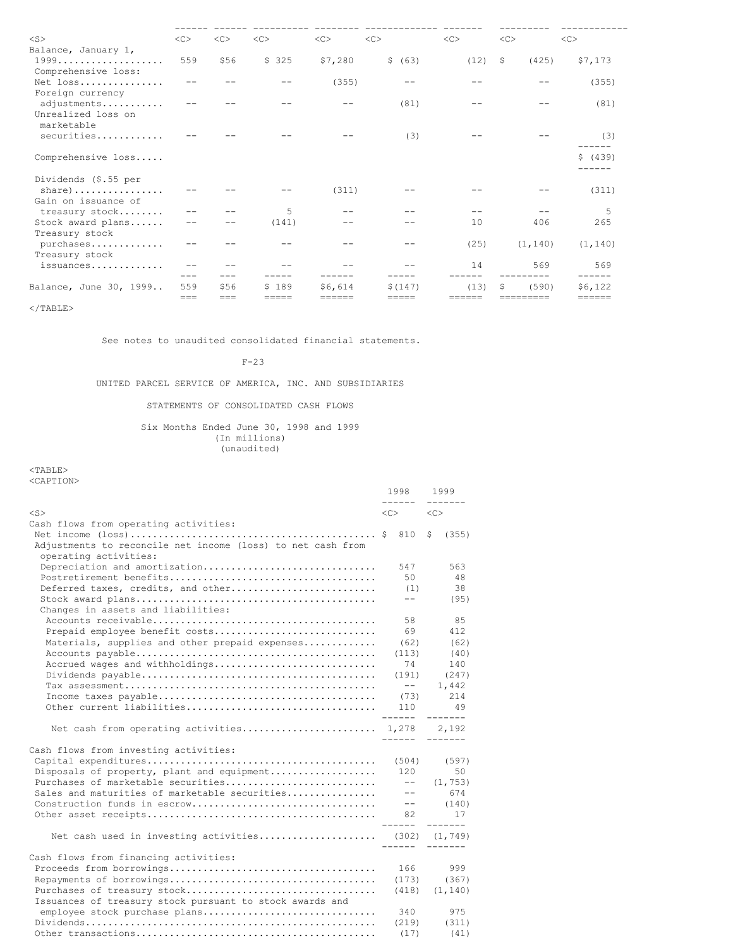| $<$ S $>$                                       | <<      | <<   | <<    | <<      | <<      | < <sub></sub> | <<            | < <sub></sub> |
|-------------------------------------------------|---------|------|-------|---------|---------|---------------|---------------|---------------|
| Balance, January 1,                             |         |      |       |         |         |               |               |               |
| 1999<br>Comprehensive loss:                     | 559     | \$56 | \$325 | \$7,280 | \$ (63) | (12)          | (425)<br>- \$ | \$7,173       |
| Net loss<br>Foreign currency                    |         |      |       | (355)   |         |               |               | (355)         |
| adjustments<br>Unrealized loss on<br>marketable |         |      |       |         | (81)    |               |               | (81)          |
| securities                                      |         |      |       |         | (3)     |               |               | (3)           |
| Comprehensive loss                              |         |      |       |         |         |               |               | \$ (439)      |
| Dividends (\$.55 per                            |         |      |       |         |         |               |               |               |
| share)<br>Gain on issuance of                   |         |      |       | (311)   |         |               |               | (311)         |
| treasury stock                                  |         |      | 5     |         |         |               |               | 5             |
| Stock award plans<br>Treasury stock             |         |      | (141) |         |         | 10            | 406           | 265           |
| purchases<br>Treasury stock                     |         |      |       |         |         | (25)          | (1, 140)      | (1, 140)      |
| issuances                                       |         |      |       |         |         | 14            | 569           | 569<br>------ |
| Balance, June 30, 1999                          | 559     | \$56 | S 189 | \$6.614 | \$(147) | (13)          | Ŝ<br>(590)    | \$6,122       |
|                                                 | $=$ $=$ | ===  | ===== | ======  | =====   | ======        | =========     | ======        |

 $<$ /TABLE>

See notes to unaudited consolidated financial statements.

F-23

# UNITED PARCEL SERVICE OF AMERICA, INC. AND SUBSIDIARIES

# STATEMENTS OF CONSOLIDATED CASH FLOWS

Six Months Ended June 30, 1998 and 1999 (In millions) (unaudited)

### $<$ TABLE $>$ <CAPTION>

|                                                                                      | 1998<br>------ | 1999<br>-------       |
|--------------------------------------------------------------------------------------|----------------|-----------------------|
| $<$ S $>$                                                                            | $<<$ $C>$      | < <sub></sub>         |
| Cash flows from operating activities:                                                |                |                       |
| Adjustments to reconcile net income (loss) to net cash from<br>operating activities: |                | (355)<br>\$           |
| Depreciation and amortization                                                        | 547            | 563                   |
|                                                                                      | 50             | 48                    |
| Deferred taxes, credits, and other                                                   | (1)            | 38                    |
| Changes in assets and liabilities:                                                   | $- -$          | (95)                  |
|                                                                                      | 58             | 85                    |
| Prepaid employee benefit costs                                                       | 69             | 412                   |
| Materials, supplies and other prepaid expenses                                       | (62)           | (62)                  |
|                                                                                      | (113)          | (40)                  |
| Accrued wages and withholdings                                                       | 74             | 140                   |
|                                                                                      | (191)          | (247)                 |
|                                                                                      | $--$           | 1,442                 |
|                                                                                      | (73)           | 214                   |
| Other current liabilities                                                            | 110<br>------- | 49<br>$- - - - - - -$ |
| Net cash from operating activities 1,278 2,192                                       | -------        | --------              |
| Cash flows from investing activities:                                                |                |                       |
|                                                                                      | (504)          | (597)                 |
| Disposals of property, plant and equipment                                           | 120            | 50                    |
| Purchases of marketable securities                                                   | $---$          | (1, 753)              |
| Sales and maturities of marketable securities                                        | $- -$          | 674                   |
| Construction funds in escrow                                                         | $- -$          | (140)                 |
|                                                                                      | 82<br>-------  | 17<br>-------         |
| Net cash used in investing activities (302) (1,749)                                  | -------        | $- - - - - - -$       |
| Cash flows from financing activities:                                                |                |                       |
|                                                                                      | 166            | 999                   |
|                                                                                      | (173)          | (367)                 |
|                                                                                      | (418)          | (1, 140)              |
| Issuances of treasury stock pursuant to stock awards and                             |                |                       |
| employee stock purchase plans                                                        | 340            | 975                   |
|                                                                                      | (219)          | (311)                 |
|                                                                                      | (17)           | (41)                  |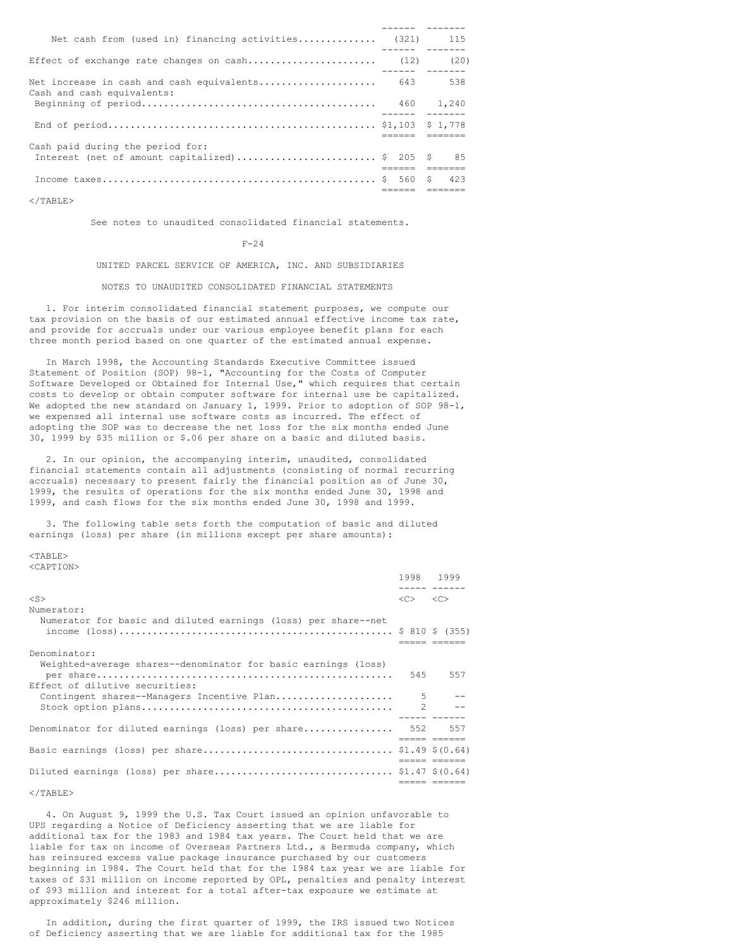| Net cash from (used in) financing activities (321) 115                          |                |      |
|---------------------------------------------------------------------------------|----------------|------|
|                                                                                 |                | (20) |
| Net increase in cash and cash equivalents 643 538<br>Cash and cash equivalents: |                |      |
|                                                                                 | ------ ------- |      |
|                                                                                 |                |      |
| Cash paid during the period for:                                                |                |      |
| Interest (net of amount capitalized) \$ 205 \$                                  |                | 85   |
|                                                                                 |                |      |
|                                                                                 |                | 423  |
|                                                                                 |                |      |

 $\langle$ /TABLE>

See notes to unaudited consolidated financial statements.

#### F-24

UNITED PARCEL SERVICE OF AMERICA, INC. AND SUBSIDIARIES

#### NOTES TO UNAUDITED CONSOLIDATED FINANCIAL STATEMENTS

1. For interim consolidated financial statement purposes, we compute our tax provision on the basis of our estimated annual effective income tax rate, and provide for accruals under our various employee benefit plans for each three month period based on one quarter of the estimated annual expense.

In March 1998, the Accounting Standards Executive Committee issued Statement of Position (SOP) 98-1, "Accounting for the Costs of Computer Software Developed or Obtained for Internal Use," which requires that certain costs to develop or obtain computer software for internal use be capitalized. We adopted the new standard on January 1, 1999. Prior to adoption of SOP 98-1, we expensed all internal use software costs as incurred. The effect of adopting the SOP was to decrease the net loss for the six months ended June 30, 1999 by \$35 million or \$.06 per share on a basic and diluted basis.

2. In our opinion, the accompanying interim, unaudited, consolidated financial statements contain all adjustments (consisting of normal recurring accruals) necessary to present fairly the financial position as of June 30, 1999, the results of operations for the six months ended June 30, 1998 and 1999, and cash flows for the six months ended June 30, 1998 and 1999.

3. The following table sets forth the computation of basic and diluted earnings (loss) per share (in millions except per share amounts):

#### <TABLE> <CAPTION>

|                                                                                                  | 1998 1999                               |            |
|--------------------------------------------------------------------------------------------------|-----------------------------------------|------------|
| $<$ S $>$                                                                                        | $\langle C \rangle$ $\langle C \rangle$ |            |
| Numerator:                                                                                       |                                         |            |
| Numerator for basic and diluted earnings (loss) per share--net                                   |                                         |            |
| Denominator:                                                                                     |                                         |            |
| Weighted-average shares--denominator for basic earnings (loss)<br>Effect of dilutive securities: |                                         | 545 557    |
| Contingent shares--Managers Incentive Plan                                                       | 5                                       | $\sim$ $-$ |
|                                                                                                  |                                         |            |
|                                                                                                  |                                         |            |
| Denominator for diluted earnings (loss) per share 552 557                                        |                                         |            |
|                                                                                                  |                                         |            |
|                                                                                                  |                                         |            |
|                                                                                                  |                                         |            |

#### $<$ /TABLE>

4. On August 9, 1999 the U.S. Tax Court issued an opinion unfavorable to UPS regarding a Notice of Deficiency asserting that we are liable for additional tax for the 1983 and 1984 tax years. The Court held that we are liable for tax on income of Overseas Partners Ltd., a Bermuda company, which has reinsured excess value package insurance purchased by our customers beginning in 1984. The Court held that for the 1984 tax year we are liable for taxes of \$31 million on income reported by OPL, penalties and penalty interest of \$93 million and interest for a total after-tax exposure we estimate at approximately \$246 million.

In addition, during the first quarter of 1999, the IRS issued two Notices of Deficiency asserting that we are liable for additional tax for the 1985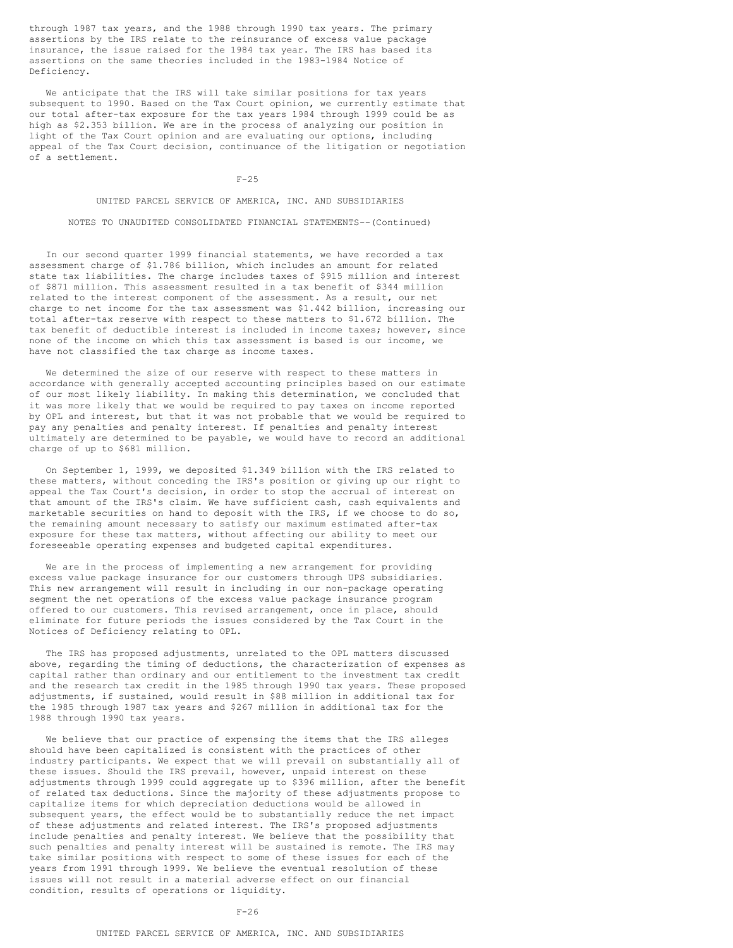through 1987 tax years, and the 1988 through 1990 tax years. The primary assertions by the IRS relate to the reinsurance of excess value package insurance, the issue raised for the 1984 tax year. The IRS has based its assertions on the same theories included in the 1983-1984 Notice of Deficiency.

We anticipate that the IRS will take similar positions for tax years subsequent to 1990. Based on the Tax Court opinion, we currently estimate that our total after-tax exposure for the tax years 1984 through 1999 could be as high as \$2.353 billion. We are in the process of analyzing our position in light of the Tax Court opinion and are evaluating our options, including appeal of the Tax Court decision, continuance of the litigation or negotiation of a settlement.

F-25

UNITED PARCEL SERVICE OF AMERICA, INC. AND SUBSIDIARIES

NOTES TO UNAUDITED CONSOLIDATED FINANCIAL STATEMENTS--(Continued)

In our second quarter 1999 financial statements, we have recorded a tax assessment charge of \$1.786 billion, which includes an amount for related state tax liabilities. The charge includes taxes of \$915 million and interest of \$871 million. This assessment resulted in a tax benefit of \$344 million related to the interest component of the assessment. As a result, our net charge to net income for the tax assessment was \$1.442 billion, increasing our total after-tax reserve with respect to these matters to \$1.672 billion. The tax benefit of deductible interest is included in income taxes; however, since none of the income on which this tax assessment is based is our income, we have not classified the tax charge as income taxes.

We determined the size of our reserve with respect to these matters in accordance with generally accepted accounting principles based on our estimate of our most likely liability. In making this determination, we concluded that it was more likely that we would be required to pay taxes on income reported by OPL and interest, but that it was not probable that we would be required to pay any penalties and penalty interest. If penalties and penalty interest ultimately are determined to be payable, we would have to record an additional charge of up to \$681 million.

On September 1, 1999, we deposited \$1.349 billion with the IRS related to these matters, without conceding the IRS's position or giving up our right to appeal the Tax Court's decision, in order to stop the accrual of interest on that amount of the IRS's claim. We have sufficient cash, cash equivalents and marketable securities on hand to deposit with the IRS, if we choose to do so, the remaining amount necessary to satisfy our maximum estimated after-tax exposure for these tax matters, without affecting our ability to meet our foreseeable operating expenses and budgeted capital expenditures.

We are in the process of implementing a new arrangement for providing excess value package insurance for our customers through UPS subsidiaries. This new arrangement will result in including in our non-package operating segment the net operations of the excess value package insurance program offered to our customers. This revised arrangement, once in place, should eliminate for future periods the issues considered by the Tax Court in the Notices of Deficiency relating to OPL.

The IRS has proposed adjustments, unrelated to the OPL matters discussed above, regarding the timing of deductions, the characterization of expenses as capital rather than ordinary and our entitlement to the investment tax credit and the research tax credit in the 1985 through 1990 tax years. These proposed adjustments, if sustained, would result in \$88 million in additional tax for the 1985 through 1987 tax years and \$267 million in additional tax for the 1988 through 1990 tax years.

We believe that our practice of expensing the items that the IRS alleges should have been capitalized is consistent with the practices of other industry participants. We expect that we will prevail on substantially all of these issues. Should the IRS prevail, however, unpaid interest on these adjustments through 1999 could aggregate up to \$396 million, after the benefit of related tax deductions. Since the majority of these adjustments propose to capitalize items for which depreciation deductions would be allowed in subsequent years, the effect would be to substantially reduce the net impact of these adjustments and related interest. The IRS's proposed adjustments include penalties and penalty interest. We believe that the possibility that such penalties and penalty interest will be sustained is remote. The IRS may take similar positions with respect to some of these issues for each of the years from 1991 through 1999. We believe the eventual resolution of these issues will not result in a material adverse effect on our financial condition, results of operations or liquidity.

#### $F - 26$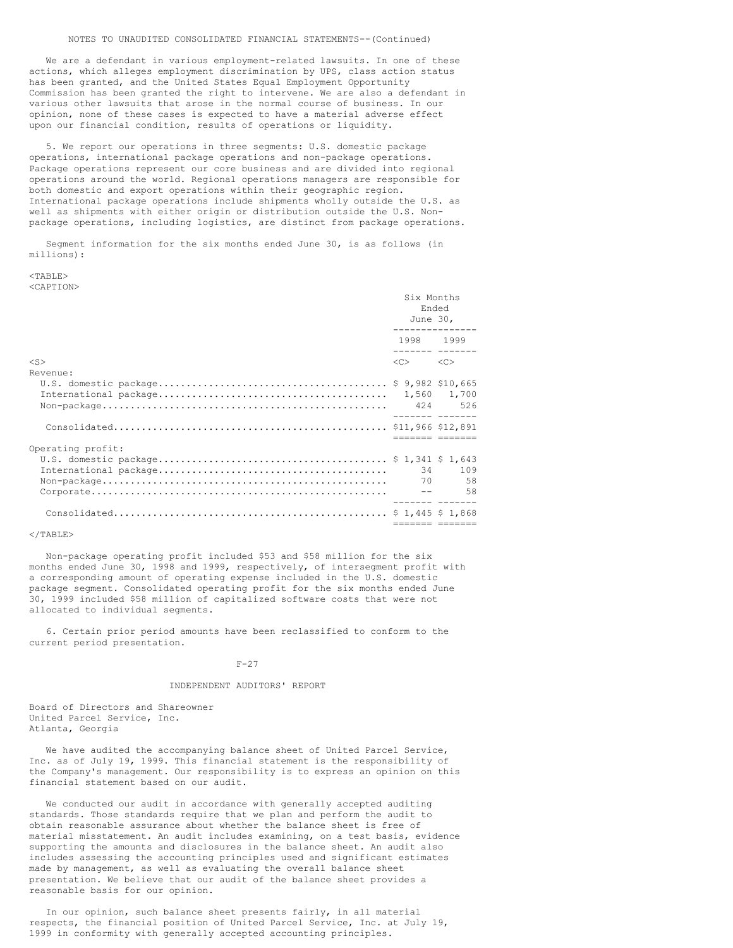We are a defendant in various employment-related lawsuits. In one of these actions, which alleges employment discrimination by UPS, class action status has been granted, and the United States Equal Employment Opportunity Commission has been granted the right to intervene. We are also a defendant in various other lawsuits that arose in the normal course of business. In our opinion, none of these cases is expected to have a material adverse effect upon our financial condition, results of operations or liquidity.

5. We report our operations in three segments: U.S. domestic package operations, international package operations and non-package operations. Package operations represent our core business and are divided into regional operations around the world. Regional operations managers are responsible for both domestic and export operations within their geographic region. International package operations include shipments wholly outside the U.S. as well as shipments with either origin or distribution outside the U.S. Nonpackage operations, including logistics, are distinct from package operations.

Segment information for the six months ended June 30, is as follows (in millions):

 $<$ TABLE> <CAPTION>

|                   | Six Months<br>Ended<br>June 30,         |               |  |
|-------------------|-----------------------------------------|---------------|--|
|                   | 1998 1999                               |               |  |
| $<$ S>            | $\langle C \rangle$ $\langle C \rangle$ |               |  |
| Revenue:          |                                         |               |  |
|                   |                                         |               |  |
|                   |                                         |               |  |
|                   |                                         | sesse esesses |  |
| Operating profit: |                                         |               |  |
|                   |                                         | 34 109        |  |
|                   |                                         |               |  |

### $<$ /TABLE>

Non-package operating profit included \$53 and \$58 million for the six months ended June 30, 1998 and 1999, respectively, of intersegment profit with a corresponding amount of operating expense included in the U.S. domestic package segment. Consolidated operating profit for the six months ended June 30, 1999 included \$58 million of capitalized software costs that were not allocated to individual segments.

6. Certain prior period amounts have been reclassified to conform to the current period presentation.

### $F-27$

### INDEPENDENT AUDITORS' REPORT

Board of Directors and Shareowner United Parcel Service, Inc. Atlanta, Georgia

We have audited the accompanying balance sheet of United Parcel Service, Inc. as of July 19, 1999. This financial statement is the responsibility of the Company's management. Our responsibility is to express an opinion on this financial statement based on our audit.

We conducted our audit in accordance with generally accepted auditing standards. Those standards require that we plan and perform the audit to obtain reasonable assurance about whether the balance sheet is free of material misstatement. An audit includes examining, on a test basis, evidence supporting the amounts and disclosures in the balance sheet. An audit also includes assessing the accounting principles used and significant estimates made by management, as well as evaluating the overall balance sheet presentation. We believe that our audit of the balance sheet provides a reasonable basis for our opinion.

In our opinion, such balance sheet presents fairly, in all material respects, the financial position of United Parcel Service, Inc. at July 19, 1999 in conformity with generally accepted accounting principles.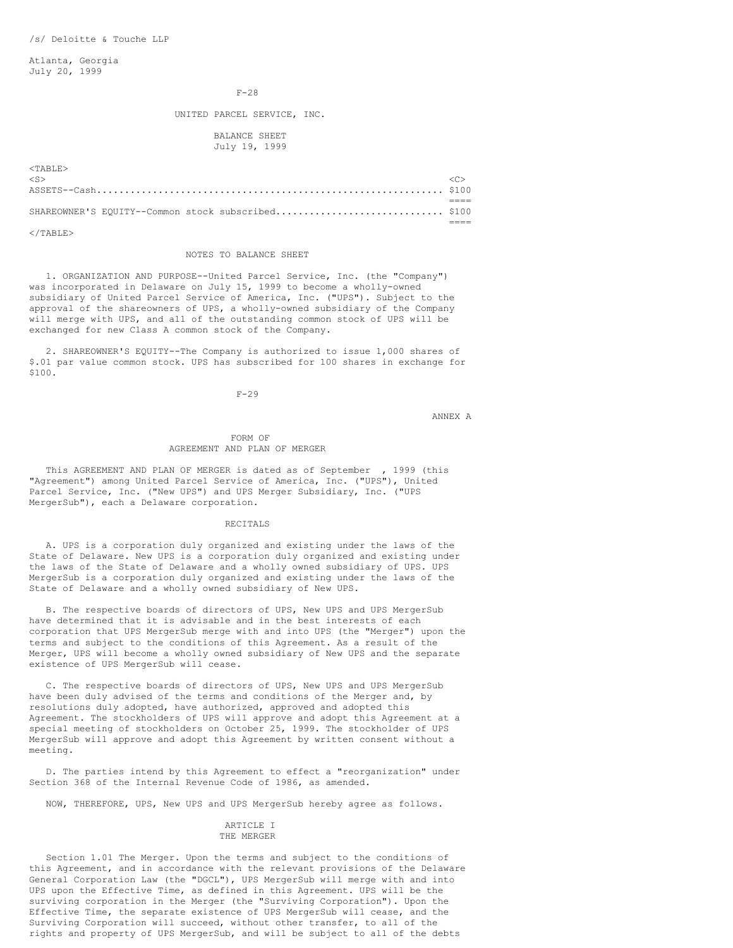Atlanta, Georgia July 20, 1999

#### F-28

### UNITED PARCEL SERVICE, INC.

### BALANCE SHEET July 19, 1999

| $<$ TARLE $>$                                      |  |
|----------------------------------------------------|--|
| $\langle S \rangle$                                |  |
|                                                    |  |
|                                                    |  |
| SHAREOWNER'S EQUITY--Common stock subscribed \$100 |  |
|                                                    |  |

 $<$ /TABLE>

#### NOTES TO BALANCE SHEET

1. ORGANIZATION AND PURPOSE--United Parcel Service, Inc. (the "Company") was incorporated in Delaware on July 15, 1999 to become a wholly-owned subsidiary of United Parcel Service of America, Inc. ("UPS"). Subject to the approval of the shareowners of UPS, a wholly-owned subsidiary of the Company will merge with UPS, and all of the outstanding common stock of UPS will be exchanged for new Class A common stock of the Company.

2. SHAREOWNER'S EQUITY--The Company is authorized to issue 1,000 shares of \$.01 par value common stock. UPS has subscribed for 100 shares in exchange for \$100.

 $F-29$ 

ANNEX A

#### FORM OF AGREEMENT AND PLAN OF MERGER

This AGREEMENT AND PLAN OF MERGER is dated as of September , 1999 (this "Agreement") among United Parcel Service of America, Inc. ("UPS"), United Parcel Service, Inc. ("New UPS") and UPS Merger Subsidiary, Inc. ("UPS MergerSub"), each a Delaware corporation.

#### RECITALS

A. UPS is a corporation duly organized and existing under the laws of the State of Delaware. New UPS is a corporation duly organized and existing under the laws of the State of Delaware and a wholly owned subsidiary of UPS. UPS MergerSub is a corporation duly organized and existing under the laws of the State of Delaware and a wholly owned subsidiary of New UPS.

B. The respective boards of directors of UPS, New UPS and UPS MergerSub have determined that it is advisable and in the best interests of each corporation that UPS MergerSub merge with and into UPS (the "Merger") upon the terms and subject to the conditions of this Agreement. As a result of the Merger, UPS will become a wholly owned subsidiary of New UPS and the separate existence of UPS MergerSub will cease.

C. The respective boards of directors of UPS, New UPS and UPS MergerSub have been duly advised of the terms and conditions of the Merger and, by resolutions duly adopted, have authorized, approved and adopted this Agreement. The stockholders of UPS will approve and adopt this Agreement at a special meeting of stockholders on October 25, 1999. The stockholder of UPS MergerSub will approve and adopt this Agreement by written consent without a meeting.

D. The parties intend by this Agreement to effect a "reorganization" under Section 368 of the Internal Revenue Code of 1986, as amended.

NOW, THEREFORE, UPS, New UPS and UPS MergerSub hereby agree as follows.

#### ARTICLE I THE MERGER

Section 1.01 The Merger. Upon the terms and subject to the conditions of this Agreement, and in accordance with the relevant provisions of the Delaware General Corporation Law (the "DGCL"), UPS MergerSub will merge with and into UPS upon the Effective Time, as defined in this Agreement. UPS will be the surviving corporation in the Merger (the "Surviving Corporation"). Upon the Effective Time, the separate existence of UPS MergerSub will cease, and the Surviving Corporation will succeed, without other transfer, to all of the rights and property of UPS MergerSub, and will be subject to all of the debts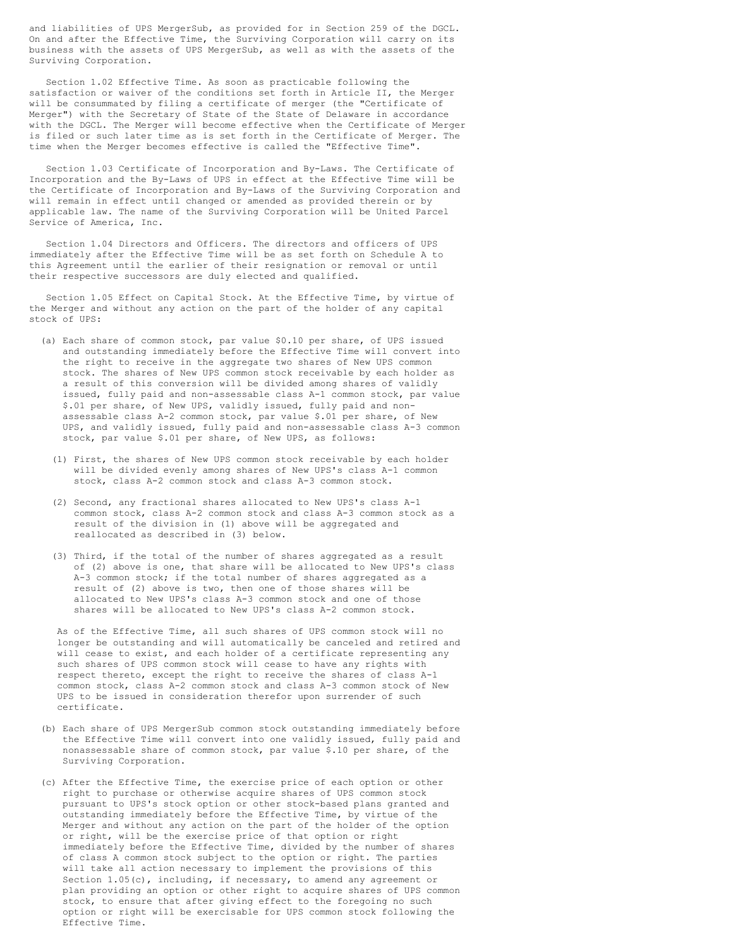and liabilities of UPS MergerSub, as provided for in Section 259 of the DGCL. On and after the Effective Time, the Surviving Corporation will carry on its business with the assets of UPS MergerSub, as well as with the assets of the Surviving Corporation.

Section 1.02 Effective Time. As soon as practicable following the satisfaction or waiver of the conditions set forth in Article II, the Merger will be consummated by filing a certificate of merger (the "Certificate of Merger") with the Secretary of State of the State of Delaware in accordance with the DGCL. The Merger will become effective when the Certificate of Merger is filed or such later time as is set forth in the Certificate of Merger. The time when the Merger becomes effective is called the "Effective Time".

Section 1.03 Certificate of Incorporation and By-Laws. The Certificate of Incorporation and the By-Laws of UPS in effect at the Effective Time will be the Certificate of Incorporation and By-Laws of the Surviving Corporation and will remain in effect until changed or amended as provided therein or by applicable law. The name of the Surviving Corporation will be United Parcel Service of America, Inc.

Section 1.04 Directors and Officers. The directors and officers of UPS immediately after the Effective Time will be as set forth on Schedule A to this Agreement until the earlier of their resignation or removal or until their respective successors are duly elected and qualified.

Section 1.05 Effect on Capital Stock. At the Effective Time, by virtue of the Merger and without any action on the part of the holder of any capital stock of UPS:

- (a) Each share of common stock, par value \$0.10 per share, of UPS issued and outstanding immediately before the Effective Time will convert into the right to receive in the aggregate two shares of New UPS common stock. The shares of New UPS common stock receivable by each holder as a result of this conversion will be divided among shares of validly issued, fully paid and non-assessable class A-1 common stock, par value \$.01 per share, of New UPS, validly issued, fully paid and nonassessable class A-2 common stock, par value \$.01 per share, of New UPS, and validly issued, fully paid and non-assessable class A-3 common stock, par value \$.01 per share, of New UPS, as follows:
	- (1) First, the shares of New UPS common stock receivable by each holder will be divided evenly among shares of New UPS's class A-1 common stock, class A-2 common stock and class A-3 common stock.
	- (2) Second, any fractional shares allocated to New UPS's class A-1 common stock, class A-2 common stock and class A-3 common stock as a result of the division in (1) above will be aggregated and reallocated as described in (3) below.
	- (3) Third, if the total of the number of shares aggregated as a result of (2) above is one, that share will be allocated to New UPS's class A-3 common stock; if the total number of shares aggregated as a result of (2) above is two, then one of those shares will be allocated to New UPS's class A-3 common stock and one of those shares will be allocated to New UPS's class A-2 common stock.

As of the Effective Time, all such shares of UPS common stock will no longer be outstanding and will automatically be canceled and retired and will cease to exist, and each holder of a certificate representing any such shares of UPS common stock will cease to have any rights with respect thereto, except the right to receive the shares of class A-1 common stock, class A-2 common stock and class A-3 common stock of New UPS to be issued in consideration therefor upon surrender of such certificate.

- (b) Each share of UPS MergerSub common stock outstanding immediately before the Effective Time will convert into one validly issued, fully paid and nonassessable share of common stock, par value \$.10 per share, of the Surviving Corporation.
- (c) After the Effective Time, the exercise price of each option or other right to purchase or otherwise acquire shares of UPS common stock pursuant to UPS's stock option or other stock-based plans granted and outstanding immediately before the Effective Time, by virtue of the Merger and without any action on the part of the holder of the option or right, will be the exercise price of that option or right immediately before the Effective Time, divided by the number of shares of class A common stock subject to the option or right. The parties will take all action necessary to implement the provisions of this Section 1.05(c), including, if necessary, to amend any agreement or plan providing an option or other right to acquire shares of UPS common stock, to ensure that after giving effect to the foregoing no such option or right will be exercisable for UPS common stock following the Effective Time.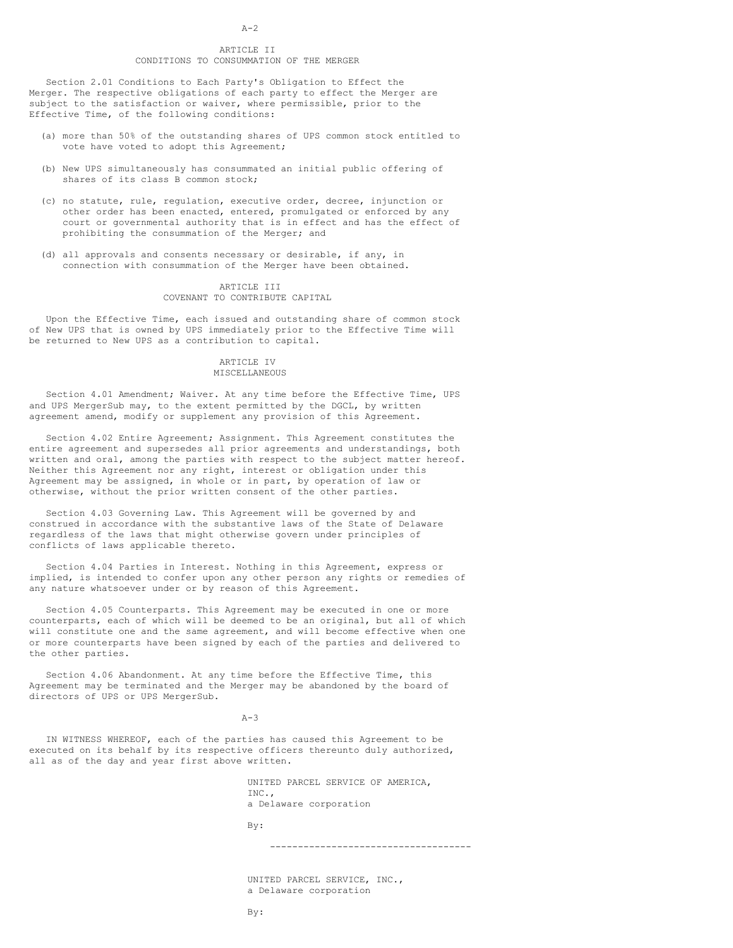#### $A-2$

### ARTICLE II CONDITIONS TO CONSUMMATION OF THE MERGER

Section 2.01 Conditions to Each Party's Obligation to Effect the Merger. The respective obligations of each party to effect the Merger are subject to the satisfaction or waiver, where permissible, prior to the Effective Time, of the following conditions:

- (a) more than 50% of the outstanding shares of UPS common stock entitled to vote have voted to adopt this Agreement;
- (b) New UPS simultaneously has consummated an initial public offering of shares of its class B common stock;
- (c) no statute, rule, regulation, executive order, decree, injunction or other order has been enacted, entered, promulgated or enforced by any court or governmental authority that is in effect and has the effect of prohibiting the consummation of the Merger; and
- (d) all approvals and consents necessary or desirable, if any, in connection with consummation of the Merger have been obtained.

#### ARTICLE III COVENANT TO CONTRIBUTE CAPITAL

Upon the Effective Time, each issued and outstanding share of common stock of New UPS that is owned by UPS immediately prior to the Effective Time will be returned to New UPS as a contribution to capital.

### ARTICLE IV MISCELLANEOUS

Section 4.01 Amendment; Waiver. At any time before the Effective Time, UPS and UPS MergerSub may, to the extent permitted by the DGCL, by written agreement amend, modify or supplement any provision of this Agreement.

Section 4.02 Entire Agreement; Assignment. This Agreement constitutes the entire agreement and supersedes all prior agreements and understandings, both written and oral, among the parties with respect to the subject matter hereof. Neither this Agreement nor any right, interest or obligation under this Agreement may be assigned, in whole or in part, by operation of law or otherwise, without the prior written consent of the other parties.

Section 4.03 Governing Law. This Agreement will be governed by and construed in accordance with the substantive laws of the State of Delaware regardless of the laws that might otherwise govern under principles of conflicts of laws applicable thereto.

Section 4.04 Parties in Interest. Nothing in this Agreement, express or implied, is intended to confer upon any other person any rights or remedies of any nature whatsoever under or by reason of this Agreement.

Section 4.05 Counterparts. This Agreement may be executed in one or more counterparts, each of which will be deemed to be an original, but all of which will constitute one and the same agreement, and will become effective when one or more counterparts have been signed by each of the parties and delivered to the other parties.

Section 4.06 Abandonment. At any time before the Effective Time, this Agreement may be terminated and the Merger may be abandoned by the board of directors of UPS or UPS MergerSub.

 $A-3$ 

IN WITNESS WHEREOF, each of the parties has caused this Agreement to be executed on its behalf by its respective officers thereunto duly authorized, all as of the day and year first above written.

> UNITED PARCEL SERVICE OF AMERICA, INC., a Delaware corporation

By:

------------------------------------

UNITED PARCEL SERVICE, INC., a Delaware corporation

By: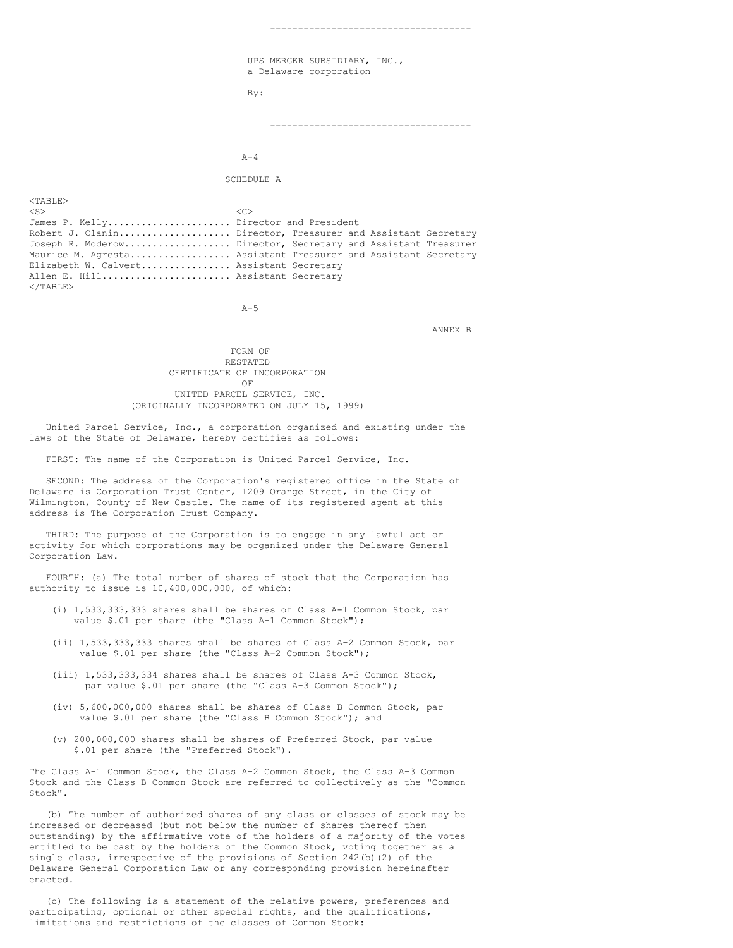UPS MERGER SUBSIDIARY, INC., a Delaware corporation By:

------------------------------------

------------------------------------

 $A-4$ 

SCHEDULE A

 $<$ TABLE>  $\langle$ S>  $\langle$ C> James P. Kelly......................... Director and President Robert J. Clanin............................. Director, Treasurer and Assistant Secretary Joseph R. Moderow................... Director, Secretary and Assistant Treasurer Maurice M. Agresta.................. Assistant Treasurer and Assistant Secretary Elizabeth W. Calvert................ Assistant Secretary Allen E. Hill....................... Assistant Secretary  $\langle$ /TABLE>

 $A-5$ 

ANNEX B

FORM OF RESTATED CERTIFICATE OF INCORPORATION OF UNITED PARCEL SERVICE, INC. (ORIGINALLY INCORPORATED ON JULY 15, 1999)

United Parcel Service, Inc., a corporation organized and existing under the laws of the State of Delaware, hereby certifies as follows:

FIRST: The name of the Corporation is United Parcel Service, Inc.

SECOND: The address of the Corporation's registered office in the State of Delaware is Corporation Trust Center, 1209 Orange Street, in the City of Wilmington, County of New Castle. The name of its registered agent at this address is The Corporation Trust Company.

THIRD: The purpose of the Corporation is to engage in any lawful act or activity for which corporations may be organized under the Delaware General Corporation Law.

FOURTH: (a) The total number of shares of stock that the Corporation has authority to issue is 10,400,000,000, of which:

- (i) 1,533,333,333 shares shall be shares of Class A-1 Common Stock, par value \$.01 per share (the "Class A-1 Common Stock");
- (ii) 1,533,333,333 shares shall be shares of Class A-2 Common Stock, par value \$.01 per share (the "Class A-2 Common Stock");
- (iii) 1,533,333,334 shares shall be shares of Class A-3 Common Stock, par value \$.01 per share (the "Class A-3 Common Stock");
- (iv) 5,600,000,000 shares shall be shares of Class B Common Stock, par value \$.01 per share (the "Class B Common Stock"); and
- (v) 200,000,000 shares shall be shares of Preferred Stock, par value \$.01 per share (the "Preferred Stock").

The Class A-1 Common Stock, the Class A-2 Common Stock, the Class A-3 Common Stock and the Class B Common Stock are referred to collectively as the "Common Stock".

(b) The number of authorized shares of any class or classes of stock may be increased or decreased (but not below the number of shares thereof then outstanding) by the affirmative vote of the holders of a majority of the votes entitled to be cast by the holders of the Common Stock, voting together as a single class, irrespective of the provisions of Section 242(b)(2) of the Delaware General Corporation Law or any corresponding provision hereinafter enacted.

(c) The following is a statement of the relative powers, preferences and participating, optional or other special rights, and the qualifications, limitations and restrictions of the classes of Common Stock: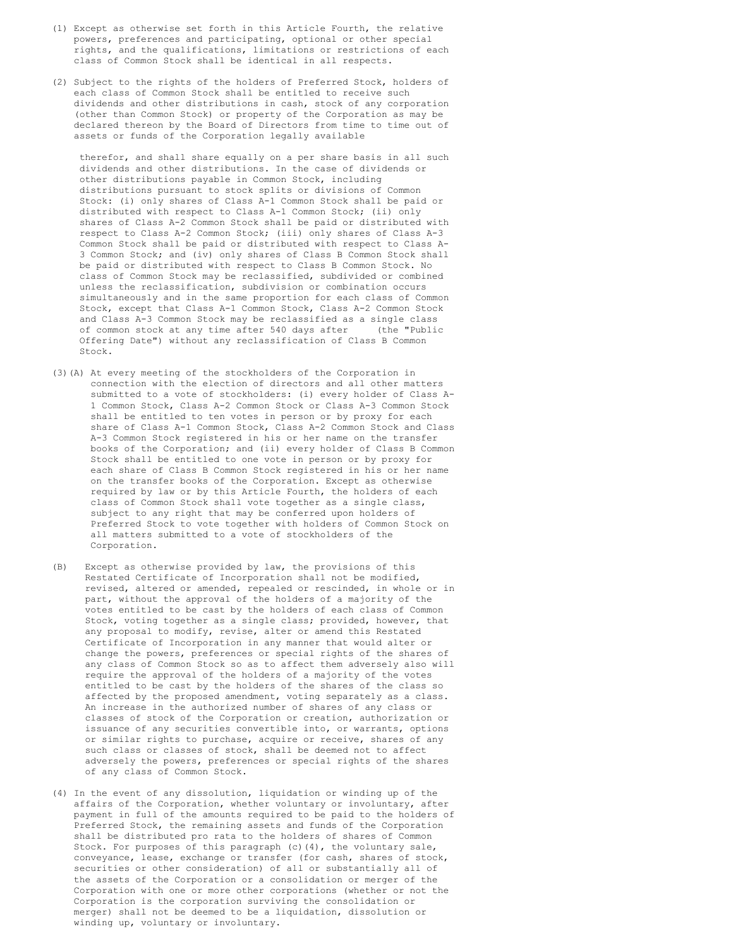- (1) Except as otherwise set forth in this Article Fourth, the relative powers, preferences and participating, optional or other special rights, and the qualifications, limitations or restrictions of each class of Common Stock shall be identical in all respects.
- (2) Subject to the rights of the holders of Preferred Stock, holders of each class of Common Stock shall be entitled to receive such dividends and other distributions in cash, stock of any corporation (other than Common Stock) or property of the Corporation as may be declared thereon by the Board of Directors from time to time out of assets or funds of the Corporation legally available

therefor, and shall share equally on a per share basis in all such dividends and other distributions. In the case of dividends or other distributions payable in Common Stock, including distributions pursuant to stock splits or divisions of Common Stock: (i) only shares of Class A-1 Common Stock shall be paid or distributed with respect to Class A-1 Common Stock; (ii) only shares of Class A-2 Common Stock shall be paid or distributed with respect to Class A-2 Common Stock; (iii) only shares of Class A-3 Common Stock shall be paid or distributed with respect to Class A-3 Common Stock; and (iv) only shares of Class B Common Stock shall be paid or distributed with respect to Class B Common Stock. No class of Common Stock may be reclassified, subdivided or combined unless the reclassification, subdivision or combination occurs simultaneously and in the same proportion for each class of Common Stock, except that Class A-1 Common Stock, Class A-2 Common Stock and Class A-3 Common Stock may be reclassified as a single class of common stock at any time after 540 days after (the "Public Offering Date") without any reclassification of Class B Common Stock.

- (3)(A) At every meeting of the stockholders of the Corporation in connection with the election of directors and all other matters submitted to a vote of stockholders: (i) every holder of Class A-1 Common Stock, Class A-2 Common Stock or Class A-3 Common Stock shall be entitled to ten votes in person or by proxy for each share of Class A-1 Common Stock, Class A-2 Common Stock and Class A-3 Common Stock registered in his or her name on the transfer books of the Corporation; and (ii) every holder of Class B Common Stock shall be entitled to one vote in person or by proxy for each share of Class B Common Stock registered in his or her name on the transfer books of the Corporation. Except as otherwise required by law or by this Article Fourth, the holders of each class of Common Stock shall vote together as a single class, subject to any right that may be conferred upon holders of Preferred Stock to vote together with holders of Common Stock on all matters submitted to a vote of stockholders of the Corporation.
- (B) Except as otherwise provided by law, the provisions of this Restated Certificate of Incorporation shall not be modified, revised, altered or amended, repealed or rescinded, in whole or in part, without the approval of the holders of a majority of the votes entitled to be cast by the holders of each class of Common Stock, voting together as a single class; provided, however, that any proposal to modify, revise, alter or amend this Restated Certificate of Incorporation in any manner that would alter or change the powers, preferences or special rights of the shares of any class of Common Stock so as to affect them adversely also will require the approval of the holders of a majority of the votes entitled to be cast by the holders of the shares of the class so affected by the proposed amendment, voting separately as a class. An increase in the authorized number of shares of any class or classes of stock of the Corporation or creation, authorization or issuance of any securities convertible into, or warrants, options or similar rights to purchase, acquire or receive, shares of any such class or classes of stock, shall be deemed not to affect adversely the powers, preferences or special rights of the shares of any class of Common Stock.
- (4) In the event of any dissolution, liquidation or winding up of the affairs of the Corporation, whether voluntary or involuntary, after payment in full of the amounts required to be paid to the holders of Preferred Stock, the remaining assets and funds of the Corporation shall be distributed pro rata to the holders of shares of Common Stock. For purposes of this paragraph (c)(4), the voluntary sale, conveyance, lease, exchange or transfer (for cash, shares of stock, securities or other consideration) of all or substantially all of the assets of the Corporation or a consolidation or merger of the Corporation with one or more other corporations (whether or not the Corporation is the corporation surviving the consolidation or merger) shall not be deemed to be a liquidation, dissolution or winding up, voluntary or involuntary.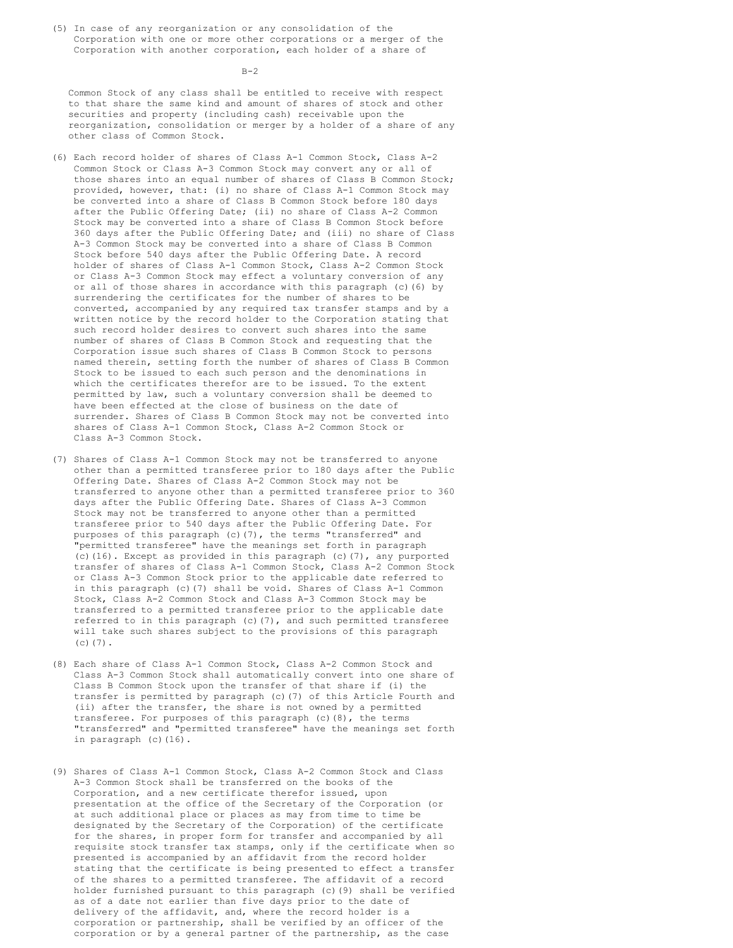(5) In case of any reorganization or any consolidation of the Corporation with one or more other corporations or a merger of the Corporation with another corporation, each holder of a share of

 $B-2$ 

Common Stock of any class shall be entitled to receive with respect to that share the same kind and amount of shares of stock and other securities and property (including cash) receivable upon the reorganization, consolidation or merger by a holder of a share of any other class of Common Stock.

- (6) Each record holder of shares of Class A-1 Common Stock, Class A-2 Common Stock or Class A-3 Common Stock may convert any or all of those shares into an equal number of shares of Class B Common Stock; provided, however, that: (i) no share of Class A-1 Common Stock may be converted into a share of Class B Common Stock before 180 days after the Public Offering Date; (ii) no share of Class A-2 Common Stock may be converted into a share of Class B Common Stock before 360 days after the Public Offering Date; and (iii) no share of Class A-3 Common Stock may be converted into a share of Class B Common Stock before 540 days after the Public Offering Date. A record holder of shares of Class A-1 Common Stock, Class A-2 Common Stock or Class A-3 Common Stock may effect a voluntary conversion of any or all of those shares in accordance with this paragraph (c)(6) by surrendering the certificates for the number of shares to be converted, accompanied by any required tax transfer stamps and by a written notice by the record holder to the Corporation stating that such record holder desires to convert such shares into the same number of shares of Class B Common Stock and requesting that the Corporation issue such shares of Class B Common Stock to persons named therein, setting forth the number of shares of Class B Common Stock to be issued to each such person and the denominations in which the certificates therefor are to be issued. To the extent permitted by law, such a voluntary conversion shall be deemed to have been effected at the close of business on the date of surrender. Shares of Class B Common Stock may not be converted into shares of Class A-1 Common Stock, Class A-2 Common Stock or Class A-3 Common Stock.
- (7) Shares of Class A-1 Common Stock may not be transferred to anyone other than a permitted transferee prior to 180 days after the Public Offering Date. Shares of Class A-2 Common Stock may not be transferred to anyone other than a permitted transferee prior to 360 days after the Public Offering Date. Shares of Class A-3 Common Stock may not be transferred to anyone other than a permitted transferee prior to 540 days after the Public Offering Date. For purposes of this paragraph (c)(7), the terms "transferred" and "permitted transferee" have the meanings set forth in paragraph (c)(16). Except as provided in this paragraph (c)(7), any purported transfer of shares of Class A-1 Common Stock, Class A-2 Common Stock or Class A-3 Common Stock prior to the applicable date referred to in this paragraph (c)(7) shall be void. Shares of Class A-1 Common Stock, Class A-2 Common Stock and Class A-3 Common Stock may be transferred to a permitted transferee prior to the applicable date referred to in this paragraph  $(c)$   $(7)$ , and such permitted transferee will take such shares subject to the provisions of this paragraph  $(c)$  $(7)$ .
- (8) Each share of Class A-1 Common Stock, Class A-2 Common Stock and Class A-3 Common Stock shall automatically convert into one share of Class B Common Stock upon the transfer of that share if (i) the transfer is permitted by paragraph (c)(7) of this Article Fourth and (ii) after the transfer, the share is not owned by a permitted transferee. For purposes of this paragraph (c)(8), the terms "transferred" and "permitted transferee" have the meanings set forth in paragraph (c)(16).
- (9) Shares of Class A-1 Common Stock, Class A-2 Common Stock and Class A-3 Common Stock shall be transferred on the books of the Corporation, and a new certificate therefor issued, upon presentation at the office of the Secretary of the Corporation (or at such additional place or places as may from time to time be designated by the Secretary of the Corporation) of the certificate for the shares, in proper form for transfer and accompanied by all requisite stock transfer tax stamps, only if the certificate when so presented is accompanied by an affidavit from the record holder stating that the certificate is being presented to effect a transfer of the shares to a permitted transferee. The affidavit of a record holder furnished pursuant to this paragraph (c)(9) shall be verified as of a date not earlier than five days prior to the date of delivery of the affidavit, and, where the record holder is a corporation or partnership, shall be verified by an officer of the corporation or by a general partner of the partnership, as the case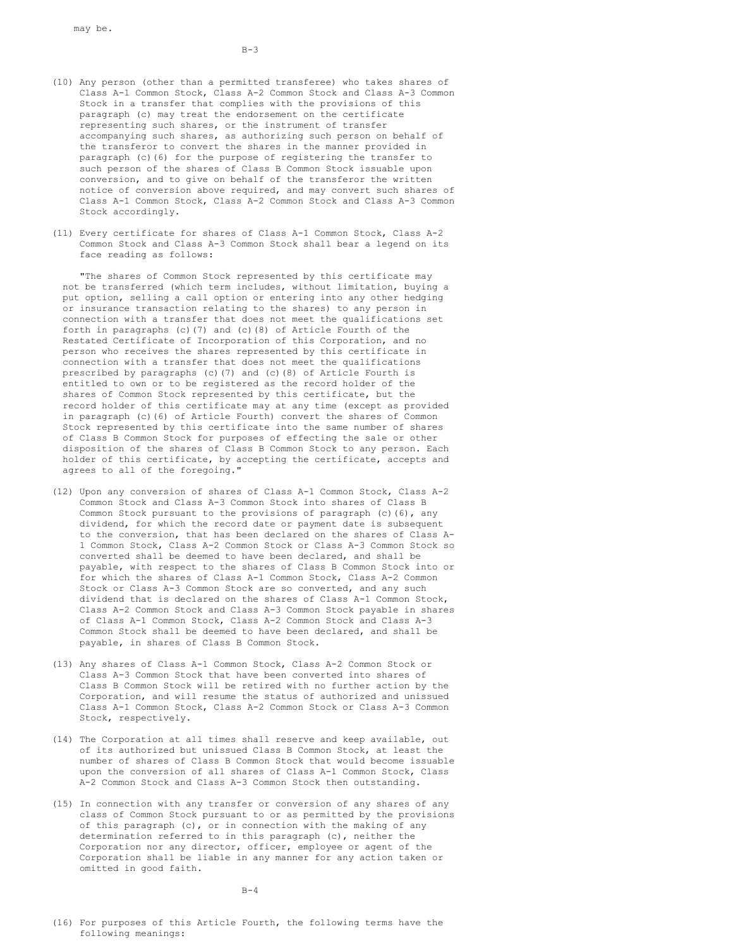$B-3$ 

- (10) Any person (other than a permitted transferee) who takes shares of Class A-1 Common Stock, Class A-2 Common Stock and Class A-3 Common Stock in a transfer that complies with the provisions of this paragraph (c) may treat the endorsement on the certificate representing such shares, or the instrument of transfer accompanying such shares, as authorizing such person on behalf of the transferor to convert the shares in the manner provided in paragraph (c)(6) for the purpose of registering the transfer to such person of the shares of Class B Common Stock issuable upon conversion, and to give on behalf of the transferor the written notice of conversion above required, and may convert such shares of Class A-1 Common Stock, Class A-2 Common Stock and Class A-3 Common Stock accordingly.
- (11) Every certificate for shares of Class A-1 Common Stock, Class A-2 Common Stock and Class A-3 Common Stock shall bear a legend on its face reading as follows:

"The shares of Common Stock represented by this certificate may not be transferred (which term includes, without limitation, buying a put option, selling a call option or entering into any other hedging or insurance transaction relating to the shares) to any person in connection with a transfer that does not meet the qualifications set forth in paragraphs (c)(7) and (c)(8) of Article Fourth of the Restated Certificate of Incorporation of this Corporation, and no person who receives the shares represented by this certificate in connection with a transfer that does not meet the qualifications prescribed by paragraphs (c)(7) and (c)(8) of Article Fourth is entitled to own or to be registered as the record holder of the shares of Common Stock represented by this certificate, but the record holder of this certificate may at any time (except as provided in paragraph (c)(6) of Article Fourth) convert the shares of Common Stock represented by this certificate into the same number of shares of Class B Common Stock for purposes of effecting the sale or other disposition of the shares of Class B Common Stock to any person. Each holder of this certificate, by accepting the certificate, accepts and agrees to all of the foregoing."

- (12) Upon any conversion of shares of Class A-1 Common Stock, Class A-2 Common Stock and Class A-3 Common Stock into shares of Class B Common Stock pursuant to the provisions of paragraph (c)(6), any dividend, for which the record date or payment date is subsequent to the conversion, that has been declared on the shares of Class A-1 Common Stock, Class A-2 Common Stock or Class A-3 Common Stock so converted shall be deemed to have been declared, and shall be payable, with respect to the shares of Class B Common Stock into or for which the shares of Class A-1 Common Stock, Class A-2 Common Stock or Class A-3 Common Stock are so converted, and any such dividend that is declared on the shares of Class A-1 Common Stock, Class A-2 Common Stock and Class A-3 Common Stock payable in shares of Class A-1 Common Stock, Class A-2 Common Stock and Class A-3 Common Stock shall be deemed to have been declared, and shall be payable, in shares of Class B Common Stock.
- (13) Any shares of Class A-1 Common Stock, Class A-2 Common Stock or Class A-3 Common Stock that have been converted into shares of Class B Common Stock will be retired with no further action by the Corporation, and will resume the status of authorized and unissued Class A-1 Common Stock, Class A-2 Common Stock or Class A-3 Common Stock, respectively.
- (14) The Corporation at all times shall reserve and keep available, out of its authorized but unissued Class B Common Stock, at least the number of shares of Class B Common Stock that would become issuable upon the conversion of all shares of Class A-1 Common Stock, Class A-2 Common Stock and Class A-3 Common Stock then outstanding.
- (15) In connection with any transfer or conversion of any shares of any class of Common Stock pursuant to or as permitted by the provisions of this paragraph  $(c)$ , or in connection with the making of any determination referred to in this paragraph (c), neither the Corporation nor any director, officer, employee or agent of the Corporation shall be liable in any manner for any action taken or omitted in good faith.

 $B-4$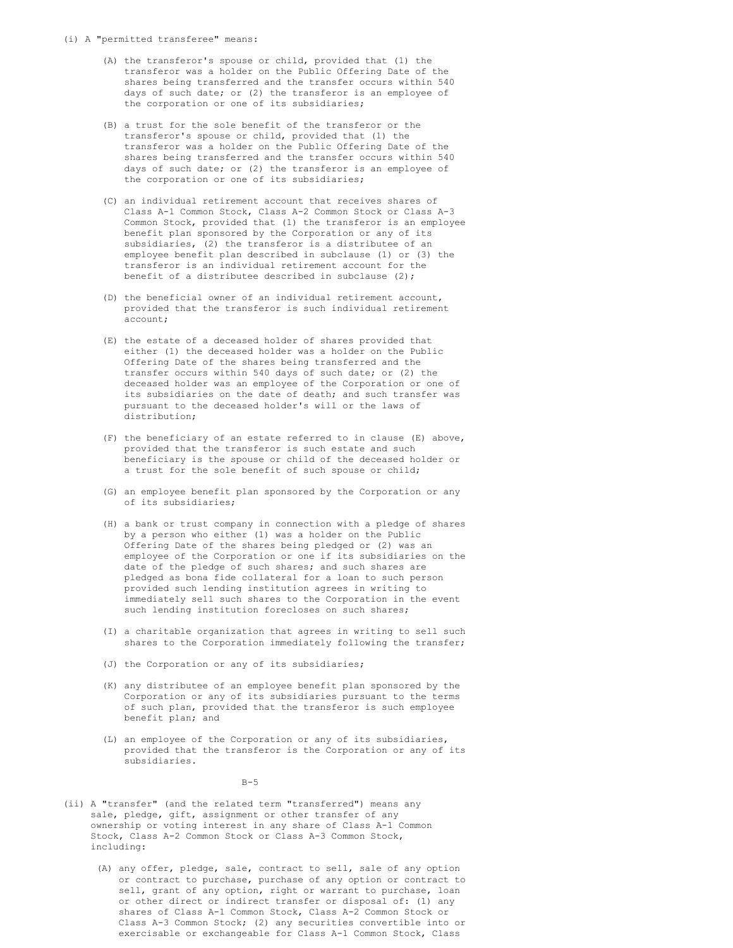#### (i) A "permitted transferee" means:

- (A) the transferor's spouse or child, provided that (1) the transferor was a holder on the Public Offering Date of the shares being transferred and the transfer occurs within 540 days of such date; or (2) the transferor is an employee of the corporation or one of its subsidiaries;
- (B) a trust for the sole benefit of the transferor or the transferor's spouse or child, provided that (1) the transferor was a holder on the Public Offering Date of the shares being transferred and the transfer occurs within 540 days of such date; or (2) the transferor is an employee of the corporation or one of its subsidiaries;
- (C) an individual retirement account that receives shares of Class A-1 Common Stock, Class A-2 Common Stock or Class A-3 Common Stock, provided that (1) the transferor is an employee benefit plan sponsored by the Corporation or any of its subsidiaries, (2) the transferor is a distributee of an employee benefit plan described in subclause (1) or (3) the transferor is an individual retirement account for the benefit of a distributee described in subclause (2);
- (D) the beneficial owner of an individual retirement account, provided that the transferor is such individual retirement account;
- (E) the estate of a deceased holder of shares provided that either (1) the deceased holder was a holder on the Public Offering Date of the shares being transferred and the transfer occurs within 540 days of such date; or (2) the deceased holder was an employee of the Corporation or one of its subsidiaries on the date of death; and such transfer was pursuant to the deceased holder's will or the laws of distribution;
- (F) the beneficiary of an estate referred to in clause (E) above, provided that the transferor is such estate and such beneficiary is the spouse or child of the deceased holder or a trust for the sole benefit of such spouse or child;
- (G) an employee benefit plan sponsored by the Corporation or any of its subsidiaries;
- (H) a bank or trust company in connection with a pledge of shares by a person who either (1) was a holder on the Public Offering Date of the shares being pledged or (2) was an employee of the Corporation or one if its subsidiaries on the date of the pledge of such shares; and such shares are pledged as bona fide collateral for a loan to such person provided such lending institution agrees in writing to immediately sell such shares to the Corporation in the event such lending institution forecloses on such shares;
- (I) a charitable organization that agrees in writing to sell such shares to the Corporation immediately following the transfer;
- (J) the Corporation or any of its subsidiaries;
- (K) any distributee of an employee benefit plan sponsored by the Corporation or any of its subsidiaries pursuant to the terms of such plan, provided that the transferor is such employee benefit plan; and
- (L) an employee of the Corporation or any of its subsidiaries, provided that the transferor is the Corporation or any of its subsidiaries.

 $B-5$ 

- (ii) A "transfer" (and the related term "transferred") means any sale, pledge, gift, assignment or other transfer of any ownership or voting interest in any share of Class A-1 Common Stock, Class A-2 Common Stock or Class A-3 Common Stock, including:
	- (A) any offer, pledge, sale, contract to sell, sale of any option or contract to purchase, purchase of any option or contract to sell, grant of any option, right or warrant to purchase, loan or other direct or indirect transfer or disposal of: (1) any shares of Class A-1 Common Stock, Class A-2 Common Stock or Class A-3 Common Stock; (2) any securities convertible into or exercisable or exchangeable for Class A-1 Common Stock, Class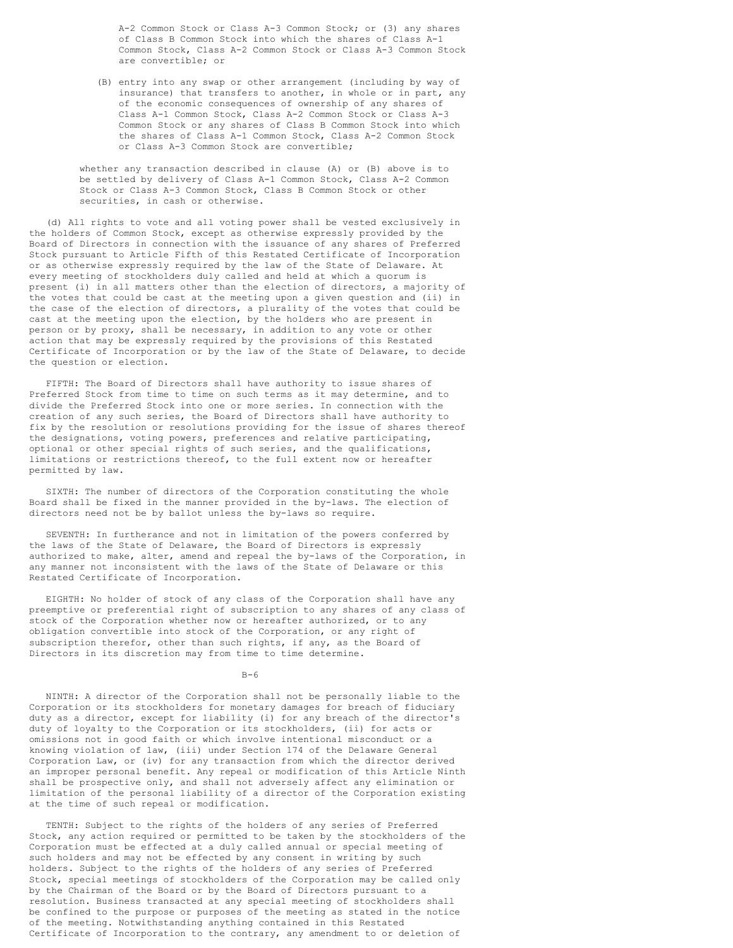A-2 Common Stock or Class A-3 Common Stock; or (3) any shares of Class B Common Stock into which the shares of Class A-1 Common Stock, Class A-2 Common Stock or Class A-3 Common Stock are convertible; or

(B) entry into any swap or other arrangement (including by way of insurance) that transfers to another, in whole or in part, any of the economic consequences of ownership of any shares of Class A-1 Common Stock, Class A-2 Common Stock or Class A-3 Common Stock or any shares of Class B Common Stock into which the shares of Class A-1 Common Stock, Class A-2 Common Stock or Class A-3 Common Stock are convertible;

whether any transaction described in clause (A) or (B) above is to be settled by delivery of Class A-1 Common Stock, Class A-2 Common Stock or Class A-3 Common Stock, Class B Common Stock or other securities, in cash or otherwise.

(d) All rights to vote and all voting power shall be vested exclusively in the holders of Common Stock, except as otherwise expressly provided by the Board of Directors in connection with the issuance of any shares of Preferred Stock pursuant to Article Fifth of this Restated Certificate of Incorporation or as otherwise expressly required by the law of the State of Delaware. At every meeting of stockholders duly called and held at which a quorum is present (i) in all matters other than the election of directors, a majority of the votes that could be cast at the meeting upon a given question and (ii) in the case of the election of directors, a plurality of the votes that could be cast at the meeting upon the election, by the holders who are present in person or by proxy, shall be necessary, in addition to any vote or other action that may be expressly required by the provisions of this Restated Certificate of Incorporation or by the law of the State of Delaware, to decide the question or election.

FIFTH: The Board of Directors shall have authority to issue shares of Preferred Stock from time to time on such terms as it may determine, and to divide the Preferred Stock into one or more series. In connection with the creation of any such series, the Board of Directors shall have authority to fix by the resolution or resolutions providing for the issue of shares thereof the designations, voting powers, preferences and relative participating, optional or other special rights of such series, and the qualifications, limitations or restrictions thereof, to the full extent now or hereafter permitted by law.

SIXTH: The number of directors of the Corporation constituting the whole Board shall be fixed in the manner provided in the by-laws. The election of directors need not be by ballot unless the by-laws so require.

SEVENTH: In furtherance and not in limitation of the powers conferred by the laws of the State of Delaware, the Board of Directors is expressly authorized to make, alter, amend and repeal the by-laws of the Corporation, in any manner not inconsistent with the laws of the State of Delaware or this Restated Certificate of Incorporation.

EIGHTH: No holder of stock of any class of the Corporation shall have any preemptive or preferential right of subscription to any shares of any class of stock of the Corporation whether now or hereafter authorized, or to any obligation convertible into stock of the Corporation, or any right of subscription therefor, other than such rights, if any, as the Board of Directors in its discretion may from time to time determine.

#### $B-6$

NINTH: A director of the Corporation shall not be personally liable to the Corporation or its stockholders for monetary damages for breach of fiduciary duty as a director, except for liability (i) for any breach of the director's duty of loyalty to the Corporation or its stockholders, (ii) for acts or omissions not in good faith or which involve intentional misconduct or a knowing violation of law, (iii) under Section 174 of the Delaware General Corporation Law, or (iv) for any transaction from which the director derived an improper personal benefit. Any repeal or modification of this Article Ninth shall be prospective only, and shall not adversely affect any elimination or limitation of the personal liability of a director of the Corporation existing at the time of such repeal or modification.

TENTH: Subject to the rights of the holders of any series of Preferred Stock, any action required or permitted to be taken by the stockholders of the Corporation must be effected at a duly called annual or special meeting of such holders and may not be effected by any consent in writing by such holders. Subject to the rights of the holders of any series of Preferred Stock, special meetings of stockholders of the Corporation may be called only by the Chairman of the Board or by the Board of Directors pursuant to a resolution. Business transacted at any special meeting of stockholders shall be confined to the purpose or purposes of the meeting as stated in the notice of the meeting. Notwithstanding anything contained in this Restated Certificate of Incorporation to the contrary, any amendment to or deletion of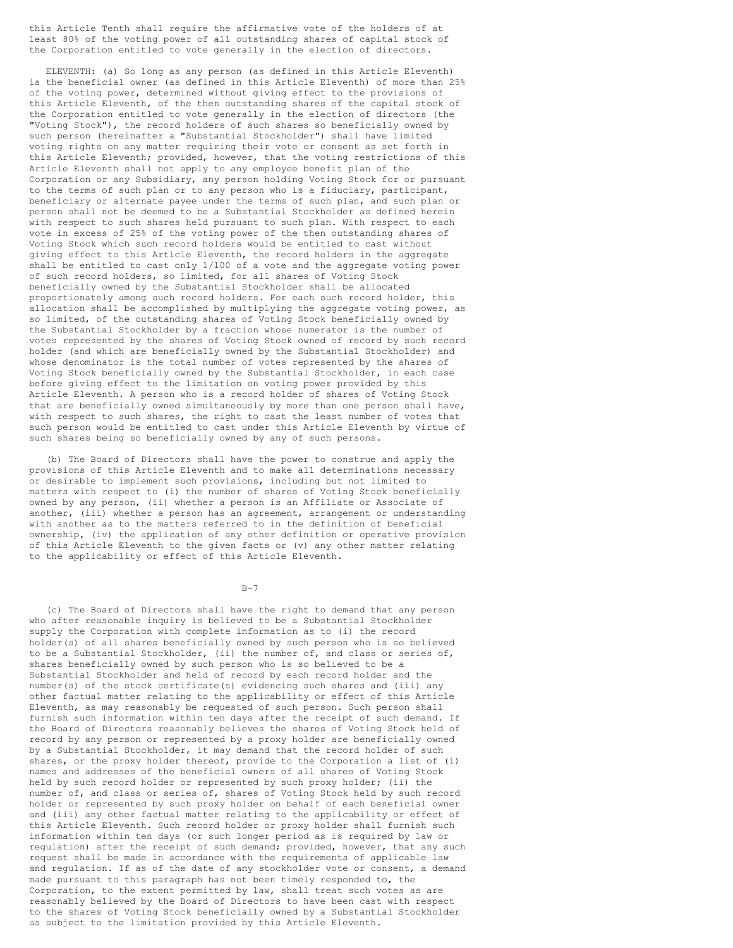this Article Tenth shall require the affirmative vote of the holders of at least 80% of the voting power of all outstanding shares of capital stock of the Corporation entitled to vote generally in the election of directors.

ELEVENTH: (a) So long as any person (as defined in this Article Eleventh) is the beneficial owner (as defined in this Article Eleventh) of more than 25% of the voting power, determined without giving effect to the provisions of this Article Eleventh, of the then outstanding shares of the capital stock of the Corporation entitled to vote generally in the election of directors (the "Voting Stock"), the record holders of such shares so beneficially owned by such person (hereinafter a "Substantial Stockholder") shall have limited voting rights on any matter requiring their vote or consent as set forth in this Article Eleventh; provided, however, that the voting restrictions of this Article Eleventh shall not apply to any employee benefit plan of the Corporation or any Subsidiary, any person holding Voting Stock for or pursuant to the terms of such plan or to any person who is a fiduciary, participant, beneficiary or alternate payee under the terms of such plan, and such plan or person shall not be deemed to be a Substantial Stockholder as defined herein with respect to such shares held pursuant to such plan. With respect to each vote in excess of 25% of the voting power of the then outstanding shares of Voting Stock which such record holders would be entitled to cast without giving effect to this Article Eleventh, the record holders in the aggregate shall be entitled to cast only 1/100 of a vote and the aggregate voting power of such record holders, so limited, for all shares of Voting Stock beneficially owned by the Substantial Stockholder shall be allocated proportionately among such record holders. For each such record holder, this allocation shall be accomplished by multiplying the aggregate voting power, as so limited, of the outstanding shares of Voting Stock beneficially owned by the Substantial Stockholder by a fraction whose numerator is the number of votes represented by the shares of Voting Stock owned of record by such record holder (and which are beneficially owned by the Substantial Stockholder) and whose denominator is the total number of votes represented by the shares of Voting Stock beneficially owned by the Substantial Stockholder, in each case before giving effect to the limitation on voting power provided by this Article Eleventh. A person who is a record holder of shares of Voting Stock that are beneficially owned simultaneously by more than one person shall have, with respect to such shares, the right to cast the least number of votes that such person would be entitled to cast under this Article Eleventh by virtue of such shares being so beneficially owned by any of such persons.

(b) The Board of Directors shall have the power to construe and apply the provisions of this Article Eleventh and to make all determinations necessary or desirable to implement such provisions, including but not limited to matters with respect to (i) the number of shares of Voting Stock beneficially owned by any person, (ii) whether a person is an Affiliate or Associate of another, (iii) whether a person has an agreement, arrangement or understanding with another as to the matters referred to in the definition of beneficial ownership, (iv) the application of any other definition or operative provision of this Article Eleventh to the given facts or (v) any other matter relating to the applicability or effect of this Article Eleventh.

B-7

(c) The Board of Directors shall have the right to demand that any person who after reasonable inquiry is believed to be a Substantial Stockholder supply the Corporation with complete information as to (i) the record holder(s) of all shares beneficially owned by such person who is so believed to be a Substantial Stockholder, (ii) the number of, and class or series of, shares beneficially owned by such person who is so believed to be a Substantial Stockholder and held of record by each record holder and the number(s) of the stock certificate(s) evidencing such shares and (iii) any other factual matter relating to the applicability or effect of this Article Eleventh, as may reasonably be requested of such person. Such person shall furnish such information within ten days after the receipt of such demand. If the Board of Directors reasonably believes the shares of Voting Stock held of record by any person or represented by a proxy holder are beneficially owned by a Substantial Stockholder, it may demand that the record holder of such shares, or the proxy holder thereof, provide to the Corporation a list of (i) names and addresses of the beneficial owners of all shares of Voting Stock held by such record holder or represented by such proxy holder; (ii) the number of, and class or series of, shares of Voting Stock held by such record holder or represented by such proxy holder on behalf of each beneficial owner and (iii) any other factual matter relating to the applicability or effect of this Article Eleventh. Such record holder or proxy holder shall furnish such information within ten days (or such longer period as is required by law or regulation) after the receipt of such demand; provided, however, that any such request shall be made in accordance with the requirements of applicable law and regulation. If as of the date of any stockholder vote or consent, a demand made pursuant to this paragraph has not been timely responded to, the Corporation, to the extent permitted by law, shall treat such votes as are reasonably believed by the Board of Directors to have been cast with respect to the shares of Voting Stock beneficially owned by a Substantial Stockholder as subject to the limitation provided by this Article Eleventh.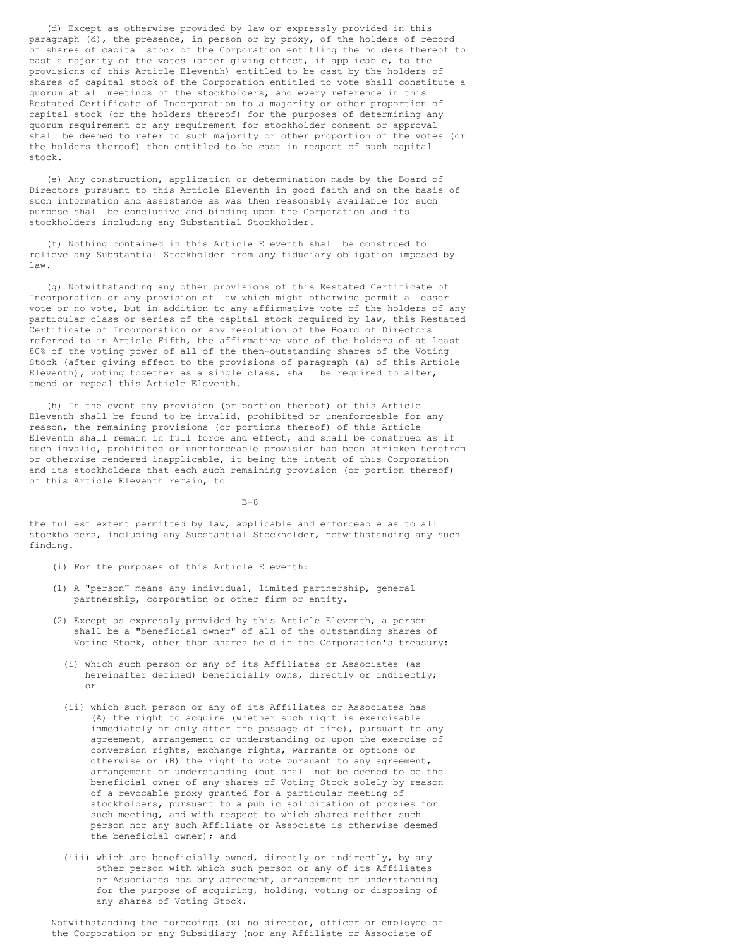(d) Except as otherwise provided by law or expressly provided in this paragraph (d), the presence, in person or by proxy, of the holders of record of shares of capital stock of the Corporation entitling the holders thereof to cast a majority of the votes (after giving effect, if applicable, to the provisions of this Article Eleventh) entitled to be cast by the holders of shares of capital stock of the Corporation entitled to vote shall constitute a quorum at all meetings of the stockholders, and every reference in this Restated Certificate of Incorporation to a majority or other proportion of capital stock (or the holders thereof) for the purposes of determining any quorum requirement or any requirement for stockholder consent or approval shall be deemed to refer to such majority or other proportion of the votes (or the holders thereof) then entitled to be cast in respect of such capital stock.

(e) Any construction, application or determination made by the Board of Directors pursuant to this Article Eleventh in good faith and on the basis of such information and assistance as was then reasonably available for such purpose shall be conclusive and binding upon the Corporation and its stockholders including any Substantial Stockholder.

(f) Nothing contained in this Article Eleventh shall be construed to relieve any Substantial Stockholder from any fiduciary obligation imposed by law.

(g) Notwithstanding any other provisions of this Restated Certificate of Incorporation or any provision of law which might otherwise permit a lesser vote or no vote, but in addition to any affirmative vote of the holders of any particular class or series of the capital stock required by law, this Restated Certificate of Incorporation or any resolution of the Board of Directors referred to in Article Fifth, the affirmative vote of the holders of at least 80% of the voting power of all of the then-outstanding shares of the Voting Stock (after giving effect to the provisions of paragraph (a) of this Article Eleventh), voting together as a single class, shall be required to alter, amend or repeal this Article Eleventh.

(h) In the event any provision (or portion thereof) of this Article Eleventh shall be found to be invalid, prohibited or unenforceable for any reason, the remaining provisions (or portions thereof) of this Article Eleventh shall remain in full force and effect, and shall be construed as if such invalid, prohibited or unenforceable provision had been stricken herefrom or otherwise rendered inapplicable, it being the intent of this Corporation and its stockholders that each such remaining provision (or portion thereof) of this Article Eleventh remain, to

 $B-8$ 

the fullest extent permitted by law, applicable and enforceable as to all stockholders, including any Substantial Stockholder, notwithstanding any such finding.

- (i) For the purposes of this Article Eleventh:
- (1) A "person" means any individual, limited partnership, general partnership, corporation or other firm or entity.
- (2) Except as expressly provided by this Article Eleventh, a person shall be a "beneficial owner" of all of the outstanding shares of Voting Stock, other than shares held in the Corporation's treasury:
	- (i) which such person or any of its Affiliates or Associates (as hereinafter defined) beneficially owns, directly or indirectly; or
	- (ii) which such person or any of its Affiliates or Associates has (A) the right to acquire (whether such right is exercisable immediately or only after the passage of time), pursuant to any agreement, arrangement or understanding or upon the exercise of conversion rights, exchange rights, warrants or options or otherwise or (B) the right to vote pursuant to any agreement, arrangement or understanding (but shall not be deemed to be the beneficial owner of any shares of Voting Stock solely by reason of a revocable proxy granted for a particular meeting of stockholders, pursuant to a public solicitation of proxies for such meeting, and with respect to which shares neither such person nor any such Affiliate or Associate is otherwise deemed the beneficial owner); and
	- (iii) which are beneficially owned, directly or indirectly, by any other person with which such person or any of its Affiliates or Associates has any agreement, arrangement or understanding for the purpose of acquiring, holding, voting or disposing of any shares of Voting Stock.

Notwithstanding the foregoing: (x) no director, officer or employee of the Corporation or any Subsidiary (nor any Affiliate or Associate of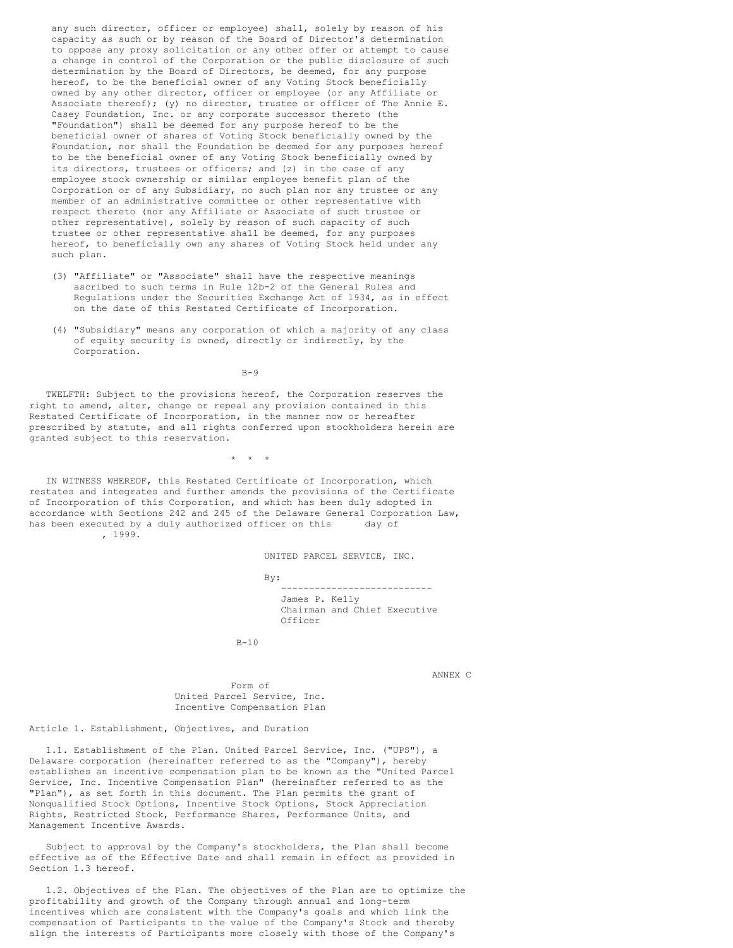any such director, officer or employee) shall, solely by reason of his capacity as such or by reason of the Board of Director's determination to oppose any proxy solicitation or any other offer or attempt to cause a change in control of the Corporation or the public disclosure of such determination by the Board of Directors, be deemed, for any purpose hereof, to be the beneficial owner of any Voting Stock beneficially owned by any other director, officer or employee (or any Affiliate or Associate thereof); (y) no director, trustee or officer of The Annie E. Casey Foundation, Inc. or any corporate successor thereto (the "Foundation") shall be deemed for any purpose hereof to be the beneficial owner of shares of Voting Stock beneficially owned by the Foundation, nor shall the Foundation be deemed for any purposes hereof to be the beneficial owner of any Voting Stock beneficially owned by its directors, trustees or officers; and (z) in the case of any employee stock ownership or similar employee benefit plan of the Corporation or of any Subsidiary, no such plan nor any trustee or any member of an administrative committee or other representative with respect thereto (nor any Affiliate or Associate of such trustee or other representative), solely by reason of such capacity of such trustee or other representative shall be deemed, for any purposes hereof, to beneficially own any shares of Voting Stock held under any such plan.

- (3) "Affiliate" or "Associate" shall have the respective meanings ascribed to such terms in Rule 12b-2 of the General Rules and Regulations under the Securities Exchange Act of 1934, as in effect on the date of this Restated Certificate of Incorporation.
- (4) "Subsidiary" means any corporation of which a majority of any class of equity security is owned, directly or indirectly, by the Corporation.

 $B-9$ 

TWELFTH: Subject to the provisions hereof, the Corporation reserves the right to amend, alter, change or repeal any provision contained in this Restated Certificate of Incorporation, in the manner now or hereafter prescribed by statute, and all rights conferred upon stockholders herein are granted subject to this reservation.

 $\star$   $\star$   $\star$ 

IN WITNESS WHEREOF, this Restated Certificate of Incorporation, which restates and integrates and further amends the provisions of the Certificate of Incorporation of this Corporation, and which has been duly adopted in accordance with Sections 242 and 245 of the Delaware General Corporation Law, has been executed by a duly authorized officer on this day of , 1999.

UNITED PARCEL SERVICE, INC.

By: --------------------------- James P. Kelly Chairman and Chief Executive Officer

 $B-10$ 

ANNEX C

Form of United Parcel Service, Inc. Incentive Compensation Plan

Article 1. Establishment, Objectives, and Duration

1.1. Establishment of the Plan. United Parcel Service, Inc. ("UPS"), a Delaware corporation (hereinafter referred to as the "Company"), hereby establishes an incentive compensation plan to be known as the "United Parcel Service, Inc. Incentive Compensation Plan" (hereinafter referred to as the "Plan"), as set forth in this document. The Plan permits the grant of Nonqualified Stock Options, Incentive Stock Options, Stock Appreciation Rights, Restricted Stock, Performance Shares, Performance Units, and Management Incentive Awards.

Subject to approval by the Company's stockholders, the Plan shall become effective as of the Effective Date and shall remain in effect as provided in Section 1.3 hereof.

1.2. Objectives of the Plan. The objectives of the Plan are to optimize the profitability and growth of the Company through annual and long-term incentives which are consistent with the Company's goals and which link the compensation of Participants to the value of the Company's Stock and thereby align the interests of Participants more closely with those of the Company's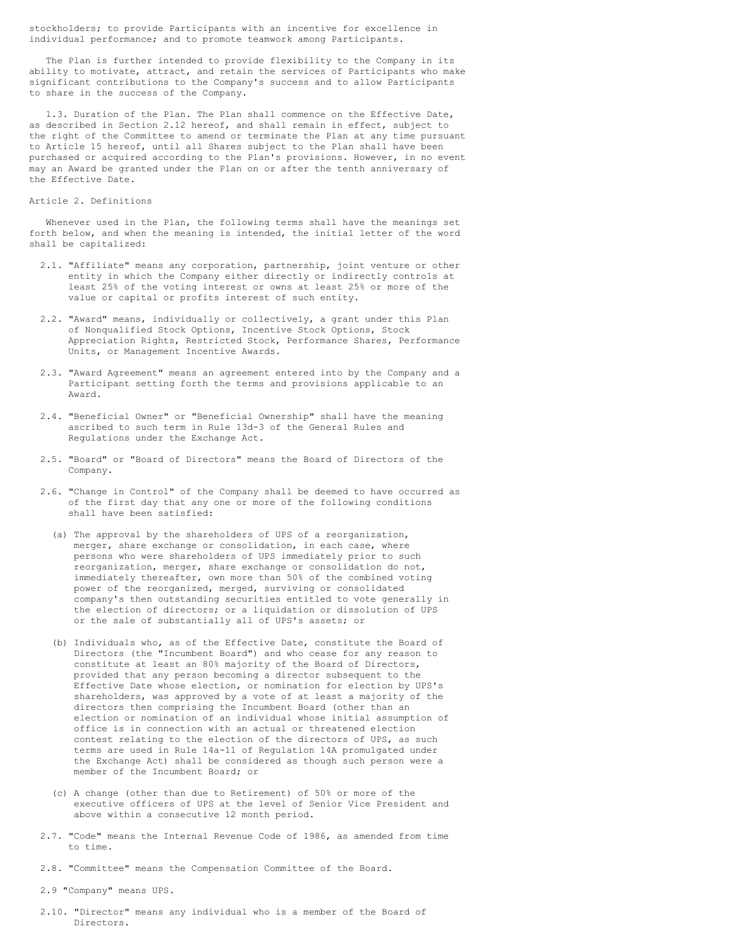stockholders; to provide Participants with an incentive for excellence in individual performance; and to promote teamwork among Participants.

The Plan is further intended to provide flexibility to the Company in its ability to motivate, attract, and retain the services of Participants who make significant contributions to the Company's success and to allow Participants to share in the success of the Company.

1.3. Duration of the Plan. The Plan shall commence on the Effective Date, as described in Section 2.12 hereof, and shall remain in effect, subject to the right of the Committee to amend or terminate the Plan at any time pursuant to Article 15 hereof, until all Shares subject to the Plan shall have been purchased or acquired according to the Plan's provisions. However, in no event may an Award be granted under the Plan on or after the tenth anniversary of the Effective Date.

#### Article 2. Definitions

Whenever used in the Plan, the following terms shall have the meanings set forth below, and when the meaning is intended, the initial letter of the word shall be capitalized:

- 2.1. "Affiliate" means any corporation, partnership, joint venture or other entity in which the Company either directly or indirectly controls at least 25% of the voting interest or owns at least 25% or more of the value or capital or profits interest of such entity.
- 2.2. "Award" means, individually or collectively, a grant under this Plan of Nonqualified Stock Options, Incentive Stock Options, Stock Appreciation Rights, Restricted Stock, Performance Shares, Performance Units, or Management Incentive Awards.
- 2.3. "Award Agreement" means an agreement entered into by the Company and a Participant setting forth the terms and provisions applicable to an Award.
- 2.4. "Beneficial Owner" or "Beneficial Ownership" shall have the meaning ascribed to such term in Rule 13d-3 of the General Rules and Regulations under the Exchange Act.
- 2.5. "Board" or "Board of Directors" means the Board of Directors of the Company.
- 2.6. "Change in Control" of the Company shall be deemed to have occurred as of the first day that any one or more of the following conditions shall have been satisfied:
	- (a) The approval by the shareholders of UPS of a reorganization, merger, share exchange or consolidation, in each case, where persons who were shareholders of UPS immediately prior to such reorganization, merger, share exchange or consolidation do not, immediately thereafter, own more than 50% of the combined voting power of the reorganized, merged, surviving or consolidated company's then outstanding securities entitled to vote generally in the election of directors; or a liquidation or dissolution of UPS or the sale of substantially all of UPS's assets; or
	- (b) Individuals who, as of the Effective Date, constitute the Board of Directors (the "Incumbent Board") and who cease for any reason to constitute at least an 80% majority of the Board of Directors, provided that any person becoming a director subsequent to the Effective Date whose election, or nomination for election by UPS's shareholders, was approved by a vote of at least a majority of the directors then comprising the Incumbent Board (other than an election or nomination of an individual whose initial assumption of office is in connection with an actual or threatened election contest relating to the election of the directors of UPS, as such terms are used in Rule 14a-11 of Regulation 14A promulgated under the Exchange Act) shall be considered as though such person were a member of the Incumbent Board; or
	- (c) A change (other than due to Retirement) of 50% or more of the executive officers of UPS at the level of Senior Vice President and above within a consecutive 12 month period.
- 2.7. "Code" means the Internal Revenue Code of 1986, as amended from time to time.
- 2.8. "Committee" means the Compensation Committee of the Board.
- 2.9 "Company" means UPS.
- 2.10. "Director" means any individual who is a member of the Board of Directors.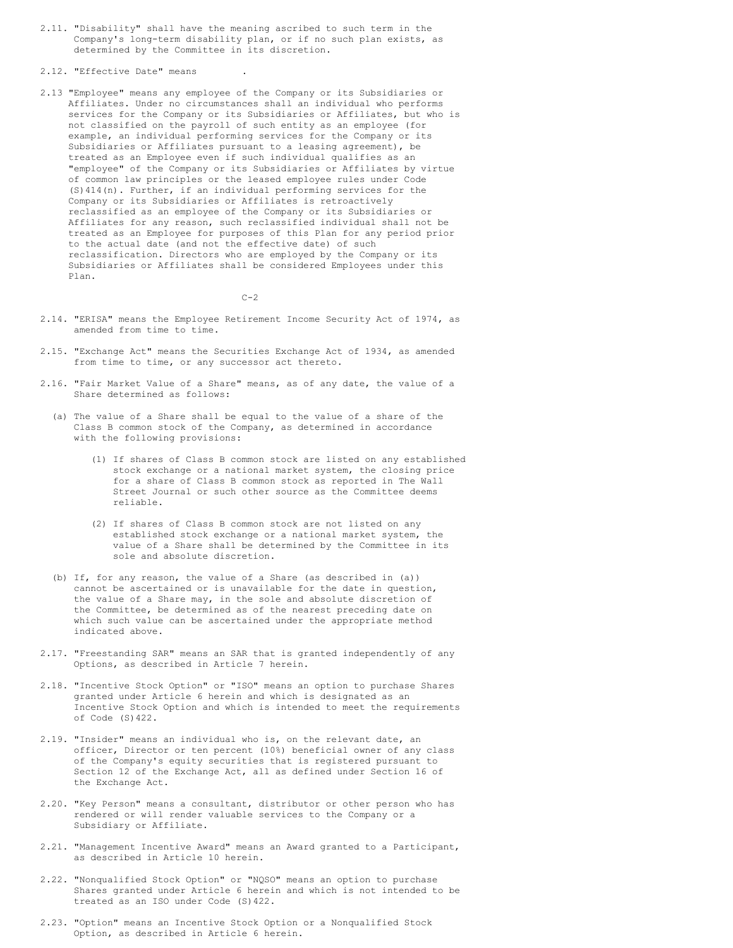- 2.11. "Disability" shall have the meaning ascribed to such term in the Company's long-term disability plan, or if no such plan exists, as determined by the Committee in its discretion.
- 2.12. "Effective Date" means
- 2.13 "Employee" means any employee of the Company or its Subsidiaries or Affiliates. Under no circumstances shall an individual who performs services for the Company or its Subsidiaries or Affiliates, but who is not classified on the payroll of such entity as an employee (for example, an individual performing services for the Company or its Subsidiaries or Affiliates pursuant to a leasing agreement), be treated as an Employee even if such individual qualifies as an "employee" of the Company or its Subsidiaries or Affiliates by virtue of common law principles or the leased employee rules under Code (S)414(n). Further, if an individual performing services for the Company or its Subsidiaries or Affiliates is retroactively reclassified as an employee of the Company or its Subsidiaries or Affiliates for any reason, such reclassified individual shall not be treated as an Employee for purposes of this Plan for any period prior to the actual date (and not the effective date) of such reclassification. Directors who are employed by the Company or its Subsidiaries or Affiliates shall be considered Employees under this Plan.

 $C-2$ 

- 2.14. "ERISA" means the Employee Retirement Income Security Act of 1974, as amended from time to time.
- 2.15. "Exchange Act" means the Securities Exchange Act of 1934, as amended from time to time, or any successor act thereto.
- 2.16. "Fair Market Value of a Share" means, as of any date, the value of a Share determined as follows:
	- (a) The value of a Share shall be equal to the value of a share of the Class B common stock of the Company, as determined in accordance with the following provisions:
		- (1) If shares of Class B common stock are listed on any established stock exchange or a national market system, the closing price for a share of Class B common stock as reported in The Wall Street Journal or such other source as the Committee deems reliable.
		- (2) If shares of Class B common stock are not listed on any established stock exchange or a national market system, the value of a Share shall be determined by the Committee in its sole and absolute discretion.
	- (b) If, for any reason, the value of a Share (as described in (a)) cannot be ascertained or is unavailable for the date in question, the value of a Share may, in the sole and absolute discretion of the Committee, be determined as of the nearest preceding date on which such value can be ascertained under the appropriate method indicated above.
- 2.17. "Freestanding SAR" means an SAR that is granted independently of any Options, as described in Article 7 herein.
- 2.18. "Incentive Stock Option" or "ISO" means an option to purchase Shares granted under Article 6 herein and which is designated as an Incentive Stock Option and which is intended to meet the requirements of Code (S)422.
- 2.19. "Insider" means an individual who is, on the relevant date, an officer, Director or ten percent (10%) beneficial owner of any class of the Company's equity securities that is registered pursuant to Section 12 of the Exchange Act, all as defined under Section 16 of the Exchange Act.
- 2.20. "Key Person" means a consultant, distributor or other person who has rendered or will render valuable services to the Company or a Subsidiary or Affiliate.
- 2.21. "Management Incentive Award" means an Award granted to a Participant, as described in Article 10 herein.
- 2.22. "Nonqualified Stock Option" or "NQSO" means an option to purchase Shares granted under Article 6 herein and which is not intended to be treated as an ISO under Code (S)422.
- 2.23. "Option" means an Incentive Stock Option or a Nonqualified Stock Option, as described in Article 6 herein.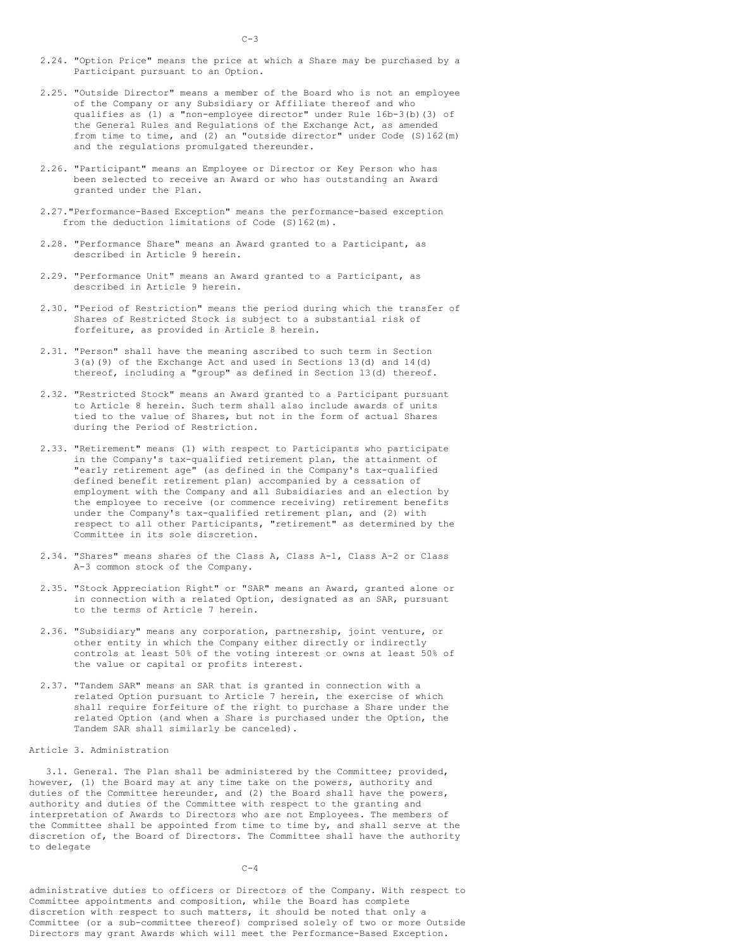- 2.24. "Option Price" means the price at which a Share may be purchased by a Participant pursuant to an Option.
- 2.25. "Outside Director" means a member of the Board who is not an employee of the Company or any Subsidiary or Affiliate thereof and who qualifies as (1) a "non-employee director" under Rule 16b-3(b)(3) of the General Rules and Regulations of the Exchange Act, as amended from time to time, and (2) an "outside director" under Code (S)162(m) and the regulations promulgated thereunder.
- 2.26. "Participant" means an Employee or Director or Key Person who has been selected to receive an Award or who has outstanding an Award granted under the Plan.
- 2.27."Performance-Based Exception" means the performance-based exception from the deduction limitations of Code (S)162(m).
- 2.28. "Performance Share" means an Award granted to a Participant, as described in Article 9 herein.
- 2.29. "Performance Unit" means an Award granted to a Participant, as described in Article 9 herein.
- 2.30. "Period of Restriction" means the period during which the transfer of Shares of Restricted Stock is subject to a substantial risk of forfeiture, as provided in Article 8 herein.
- 2.31. "Person" shall have the meaning ascribed to such term in Section 3(a)(9) of the Exchange Act and used in Sections 13(d) and 14(d) thereof, including a "group" as defined in Section 13(d) thereof.
- 2.32. "Restricted Stock" means an Award granted to a Participant pursuant to Article 8 herein. Such term shall also include awards of units tied to the value of Shares, but not in the form of actual Shares during the Period of Restriction.
- 2.33. "Retirement" means (1) with respect to Participants who participate in the Company's tax-qualified retirement plan, the attainment of "early retirement age" (as defined in the Company's tax-qualified defined benefit retirement plan) accompanied by a cessation of employment with the Company and all Subsidiaries and an election by the employee to receive (or commence receiving) retirement benefits under the Company's tax-qualified retirement plan, and (2) with respect to all other Participants, "retirement" as determined by the Committee in its sole discretion.
- 2.34. "Shares" means shares of the Class A, Class A-1, Class A-2 or Class A-3 common stock of the Company.
- 2.35. "Stock Appreciation Right" or "SAR" means an Award, granted alone or in connection with a related Option, designated as an SAR, pursuant to the terms of Article 7 herein.
- 2.36. "Subsidiary" means any corporation, partnership, joint venture, or other entity in which the Company either directly or indirectly controls at least 50% of the voting interest or owns at least 50% of the value or capital or profits interest.
- 2.37. "Tandem SAR" means an SAR that is granted in connection with a related Option pursuant to Article 7 herein, the exercise of which shall require forfeiture of the right to purchase a Share under the related Option (and when a Share is purchased under the Option, the Tandem SAR shall similarly be canceled).

#### Article 3. Administration

3.1. General. The Plan shall be administered by the Committee; provided, however, (1) the Board may at any time take on the powers, authority and duties of the Committee hereunder, and (2) the Board shall have the powers, authority and duties of the Committee with respect to the granting and interpretation of Awards to Directors who are not Employees. The members of the Committee shall be appointed from time to time by, and shall serve at the discretion of, the Board of Directors. The Committee shall have the authority to delegate

 $C-4$ 

administrative duties to officers or Directors of the Company. With respect to Committee appointments and composition, while the Board has complete discretion with respect to such matters, it should be noted that only a Committee (or a sub-committee thereof) comprised solely of two or more Outside Directors may grant Awards which will meet the Performance-Based Exception.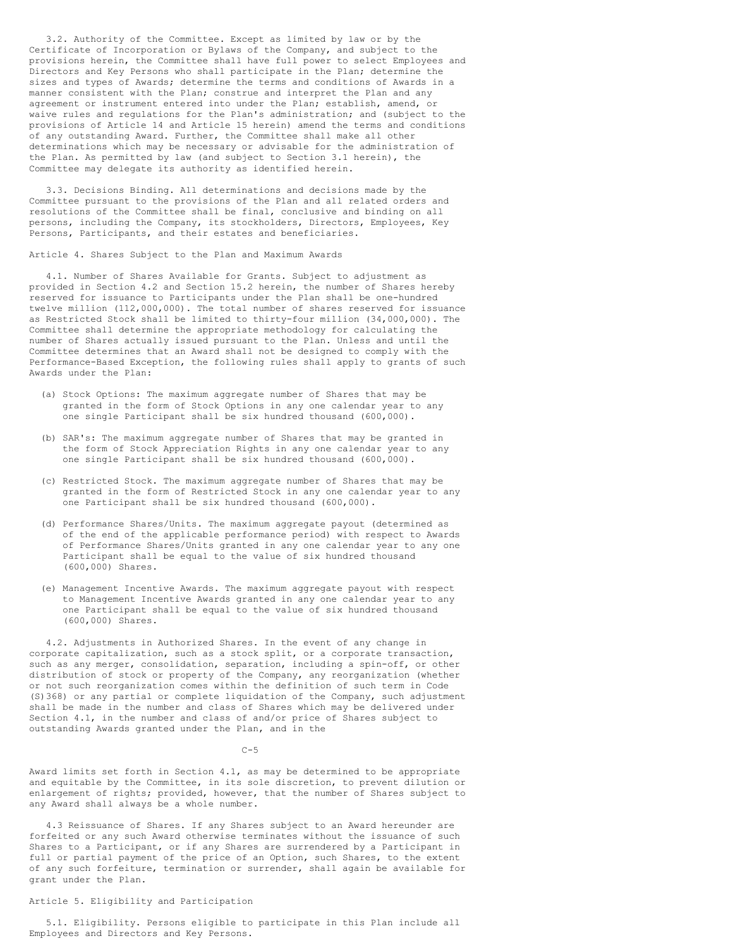3.2. Authority of the Committee. Except as limited by law or by the Certificate of Incorporation or Bylaws of the Company, and subject to the provisions herein, the Committee shall have full power to select Employees and Directors and Key Persons who shall participate in the Plan; determine the sizes and types of Awards; determine the terms and conditions of Awards in a manner consistent with the Plan; construe and interpret the Plan and any agreement or instrument entered into under the Plan; establish, amend, or waive rules and regulations for the Plan's administration; and (subject to the provisions of Article 14 and Article 15 herein) amend the terms and conditions of any outstanding Award. Further, the Committee shall make all other determinations which may be necessary or advisable for the administration of the Plan. As permitted by law (and subject to Section 3.1 herein), the Committee may delegate its authority as identified herein.

3.3. Decisions Binding. All determinations and decisions made by the Committee pursuant to the provisions of the Plan and all related orders and resolutions of the Committee shall be final, conclusive and binding on all persons, including the Company, its stockholders, Directors, Employees, Key Persons, Participants, and their estates and beneficiaries.

Article 4. Shares Subject to the Plan and Maximum Awards

4.1. Number of Shares Available for Grants. Subject to adjustment as provided in Section 4.2 and Section 15.2 herein, the number of Shares hereby reserved for issuance to Participants under the Plan shall be one-hundred twelve million (112,000,000). The total number of shares reserved for issuance as Restricted Stock shall be limited to thirty-four million (34,000,000). The Committee shall determine the appropriate methodology for calculating the number of Shares actually issued pursuant to the Plan. Unless and until the Committee determines that an Award shall not be designed to comply with the Performance-Based Exception, the following rules shall apply to grants of such Awards under the Plan:

- (a) Stock Options: The maximum aggregate number of Shares that may be granted in the form of Stock Options in any one calendar year to any one single Participant shall be six hundred thousand (600,000).
- (b) SAR's: The maximum aggregate number of Shares that may be granted in the form of Stock Appreciation Rights in any one calendar year to any one single Participant shall be six hundred thousand (600,000).
- (c) Restricted Stock. The maximum aggregate number of Shares that may be granted in the form of Restricted Stock in any one calendar year to any one Participant shall be six hundred thousand (600,000).
- (d) Performance Shares/Units. The maximum aggregate payout (determined as of the end of the applicable performance period) with respect to Awards of Performance Shares/Units granted in any one calendar year to any one Participant shall be equal to the value of six hundred thousand (600,000) Shares.
- (e) Management Incentive Awards. The maximum aggregate payout with respect to Management Incentive Awards granted in any one calendar year to any one Participant shall be equal to the value of six hundred thousand (600,000) Shares.

4.2. Adjustments in Authorized Shares. In the event of any change in corporate capitalization, such as a stock split, or a corporate transaction, such as any merger, consolidation, separation, including a spin-off, or other distribution of stock or property of the Company, any reorganization (whether or not such reorganization comes within the definition of such term in Code (S)368) or any partial or complete liquidation of the Company, such adjustment shall be made in the number and class of Shares which may be delivered under Section 4.1, in the number and class of and/or price of Shares subject to outstanding Awards granted under the Plan, and in the

 $C-5$ 

Award limits set forth in Section 4.1, as may be determined to be appropriate and equitable by the Committee, in its sole discretion, to prevent dilution or enlargement of rights; provided, however, that the number of Shares subject to any Award shall always be a whole number.

4.3 Reissuance of Shares. If any Shares subject to an Award hereunder are forfeited or any such Award otherwise terminates without the issuance of such Shares to a Participant, or if any Shares are surrendered by a Participant in full or partial payment of the price of an Option, such Shares, to the extent of any such forfeiture, termination or surrender, shall again be available for grant under the Plan.

## Article 5. Eligibility and Participation

5.1. Eligibility. Persons eligible to participate in this Plan include all Employees and Directors and Key Persons.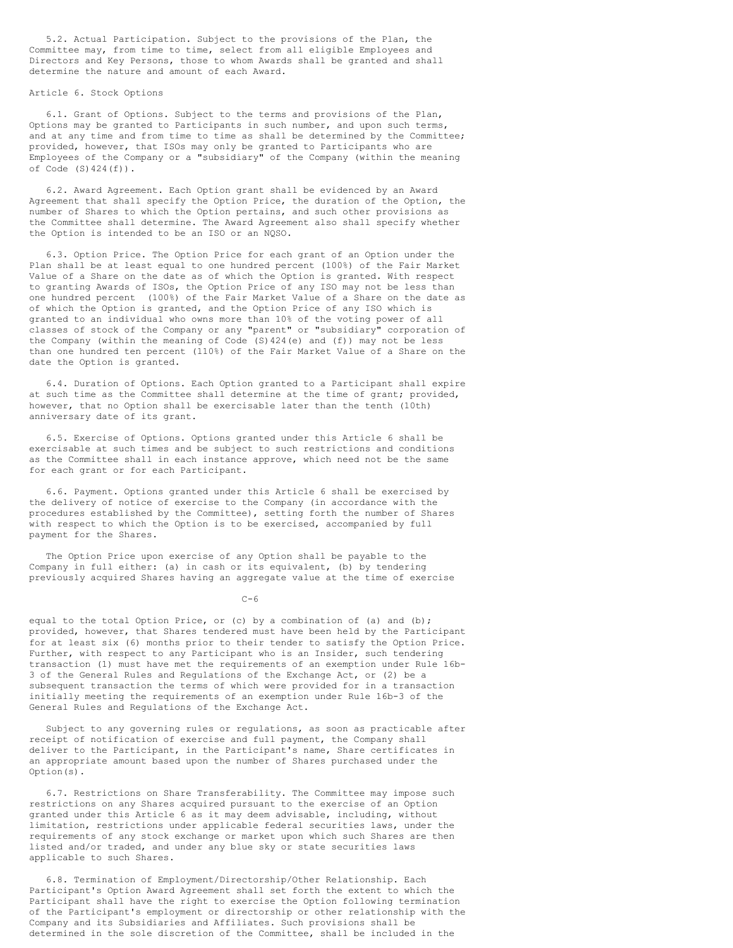5.2. Actual Participation. Subject to the provisions of the Plan, the Committee may, from time to time, select from all eligible Employees and Directors and Key Persons, those to whom Awards shall be granted and shall determine the nature and amount of each Award.

### Article 6. Stock Options

6.1. Grant of Options. Subject to the terms and provisions of the Plan, Options may be granted to Participants in such number, and upon such terms, and at any time and from time to time as shall be determined by the Committee; provided, however, that ISOs may only be granted to Participants who are Employees of the Company or a "subsidiary" of the Company (within the meaning of Code  $(S) 424(f)$ .

6.2. Award Agreement. Each Option grant shall be evidenced by an Award Agreement that shall specify the Option Price, the duration of the Option, the number of Shares to which the Option pertains, and such other provisions as the Committee shall determine. The Award Agreement also shall specify whether the Option is intended to be an ISO or an NQSO.

6.3. Option Price. The Option Price for each grant of an Option under the Plan shall be at least equal to one hundred percent (100%) of the Fair Market Value of a Share on the date as of which the Option is granted. With respect to granting Awards of ISOs, the Option Price of any ISO may not be less than one hundred percent (100%) of the Fair Market Value of a Share on the date as of which the Option is granted, and the Option Price of any ISO which is granted to an individual who owns more than 10% of the voting power of all classes of stock of the Company or any "parent" or "subsidiary" corporation of the Company (within the meaning of Code (S)424(e) and (f)) may not be less than one hundred ten percent (110%) of the Fair Market Value of a Share on the date the Option is granted.

6.4. Duration of Options. Each Option granted to a Participant shall expire at such time as the Committee shall determine at the time of grant; provided, however, that no Option shall be exercisable later than the tenth (10th) anniversary date of its grant.

6.5. Exercise of Options. Options granted under this Article 6 shall be exercisable at such times and be subject to such restrictions and conditions as the Committee shall in each instance approve, which need not be the same for each grant or for each Participant.

6.6. Payment. Options granted under this Article 6 shall be exercised by the delivery of notice of exercise to the Company (in accordance with the procedures established by the Committee), setting forth the number of Shares with respect to which the Option is to be exercised, accompanied by full payment for the Shares.

The Option Price upon exercise of any Option shall be payable to the Company in full either: (a) in cash or its equivalent, (b) by tendering previously acquired Shares having an aggregate value at the time of exercise

 $C-6$ 

equal to the total Option Price, or (c) by a combination of (a) and (b); provided, however, that Shares tendered must have been held by the Participant for at least six (6) months prior to their tender to satisfy the Option Price. Further, with respect to any Participant who is an Insider, such tendering transaction (1) must have met the requirements of an exemption under Rule 16b-3 of the General Rules and Regulations of the Exchange Act, or (2) be a subsequent transaction the terms of which were provided for in a transaction initially meeting the requirements of an exemption under Rule 16b-3 of the General Rules and Regulations of the Exchange Act.

Subject to any governing rules or regulations, as soon as practicable after receipt of notification of exercise and full payment, the Company shall deliver to the Participant, in the Participant's name, Share certificates in an appropriate amount based upon the number of Shares purchased under the Option(s).

6.7. Restrictions on Share Transferability. The Committee may impose such restrictions on any Shares acquired pursuant to the exercise of an Option granted under this Article 6 as it may deem advisable, including, without limitation, restrictions under applicable federal securities laws, under the requirements of any stock exchange or market upon which such Shares are then listed and/or traded, and under any blue sky or state securities laws applicable to such Shares.

6.8. Termination of Employment/Directorship/Other Relationship. Each Participant's Option Award Agreement shall set forth the extent to which the Participant shall have the right to exercise the Option following termination of the Participant's employment or directorship or other relationship with the Company and its Subsidiaries and Affiliates. Such provisions shall be determined in the sole discretion of the Committee, shall be included in the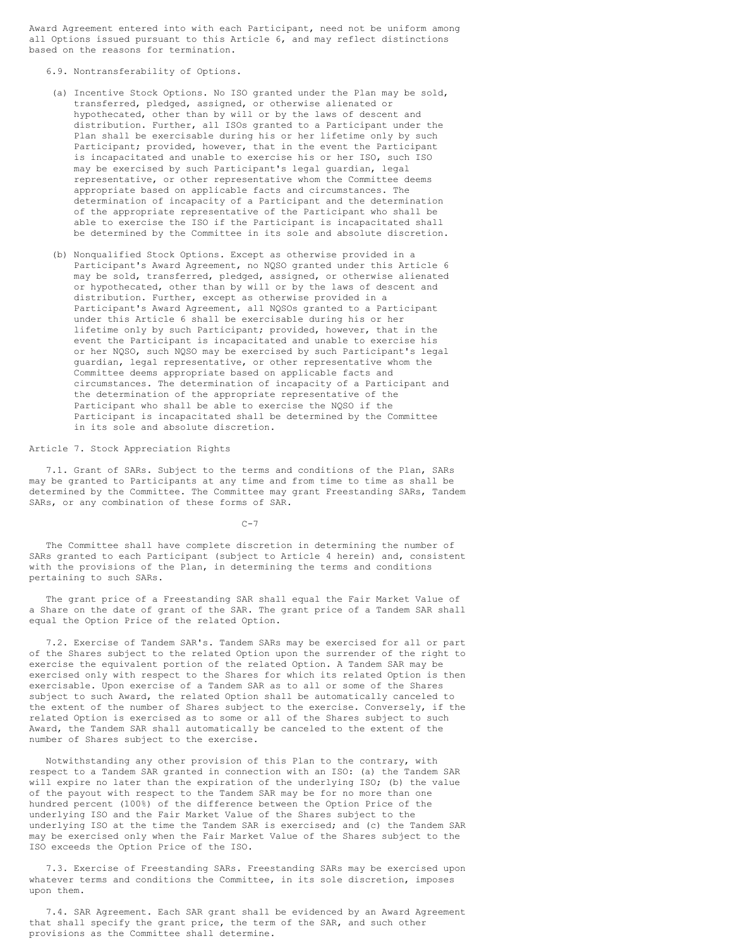Award Agreement entered into with each Participant, need not be uniform among all Options issued pursuant to this Article 6, and may reflect distinctions based on the reasons for termination.

6.9. Nontransferability of Options.

- (a) Incentive Stock Options. No ISO granted under the Plan may be sold, transferred, pledged, assigned, or otherwise alienated or hypothecated, other than by will or by the laws of descent and distribution. Further, all ISOs granted to a Participant under the Plan shall be exercisable during his or her lifetime only by such Participant; provided, however, that in the event the Participant is incapacitated and unable to exercise his or her ISO, such ISO may be exercised by such Participant's legal guardian, legal representative, or other representative whom the Committee deems appropriate based on applicable facts and circumstances. The determination of incapacity of a Participant and the determination of the appropriate representative of the Participant who shall be able to exercise the ISO if the Participant is incapacitated shall be determined by the Committee in its sole and absolute discretion.
- (b) Nonqualified Stock Options. Except as otherwise provided in a Participant's Award Agreement, no NQSO granted under this Article 6 may be sold, transferred, pledged, assigned, or otherwise alienated or hypothecated, other than by will or by the laws of descent and distribution. Further, except as otherwise provided in a Participant's Award Agreement, all NQSOs granted to a Participant under this Article 6 shall be exercisable during his or her lifetime only by such Participant; provided, however, that in the event the Participant is incapacitated and unable to exercise his or her NQSO, such NQSO may be exercised by such Participant's legal guardian, legal representative, or other representative whom the Committee deems appropriate based on applicable facts and circumstances. The determination of incapacity of a Participant and the determination of the appropriate representative of the Participant who shall be able to exercise the NQSO if the Participant is incapacitated shall be determined by the Committee in its sole and absolute discretion.

## Article 7. Stock Appreciation Rights

7.1. Grant of SARs. Subject to the terms and conditions of the Plan, SARs may be granted to Participants at any time and from time to time as shall be determined by the Committee. The Committee may grant Freestanding SARs, Tandem SARs, or any combination of these forms of SAR.

 $C-7$ 

The Committee shall have complete discretion in determining the number of SARs granted to each Participant (subject to Article 4 herein) and, consistent with the provisions of the Plan, in determining the terms and conditions pertaining to such SARs.

The grant price of a Freestanding SAR shall equal the Fair Market Value of a Share on the date of grant of the SAR. The grant price of a Tandem SAR shall equal the Option Price of the related Option.

7.2. Exercise of Tandem SAR's. Tandem SARs may be exercised for all or part of the Shares subject to the related Option upon the surrender of the right to exercise the equivalent portion of the related Option. A Tandem SAR may be exercised only with respect to the Shares for which its related Option is then exercisable. Upon exercise of a Tandem SAR as to all or some of the Shares subject to such Award, the related Option shall be automatically canceled to the extent of the number of Shares subject to the exercise. Conversely, if the related Option is exercised as to some or all of the Shares subject to such Award, the Tandem SAR shall automatically be canceled to the extent of the number of Shares subject to the exercise.

Notwithstanding any other provision of this Plan to the contrary, with respect to a Tandem SAR granted in connection with an ISO: (a) the Tandem SAR will expire no later than the expiration of the underlying ISO; (b) the value of the payout with respect to the Tandem SAR may be for no more than one hundred percent (100%) of the difference between the Option Price of the underlying ISO and the Fair Market Value of the Shares subject to the underlying ISO at the time the Tandem SAR is exercised; and (c) the Tandem SAR may be exercised only when the Fair Market Value of the Shares subject to the ISO exceeds the Option Price of the ISO.

7.3. Exercise of Freestanding SARs. Freestanding SARs may be exercised upon whatever terms and conditions the Committee, in its sole discretion, imposes upon them.

7.4. SAR Agreement. Each SAR grant shall be evidenced by an Award Agreement that shall specify the grant price, the term of the SAR, and such other provisions as the Committee shall determine.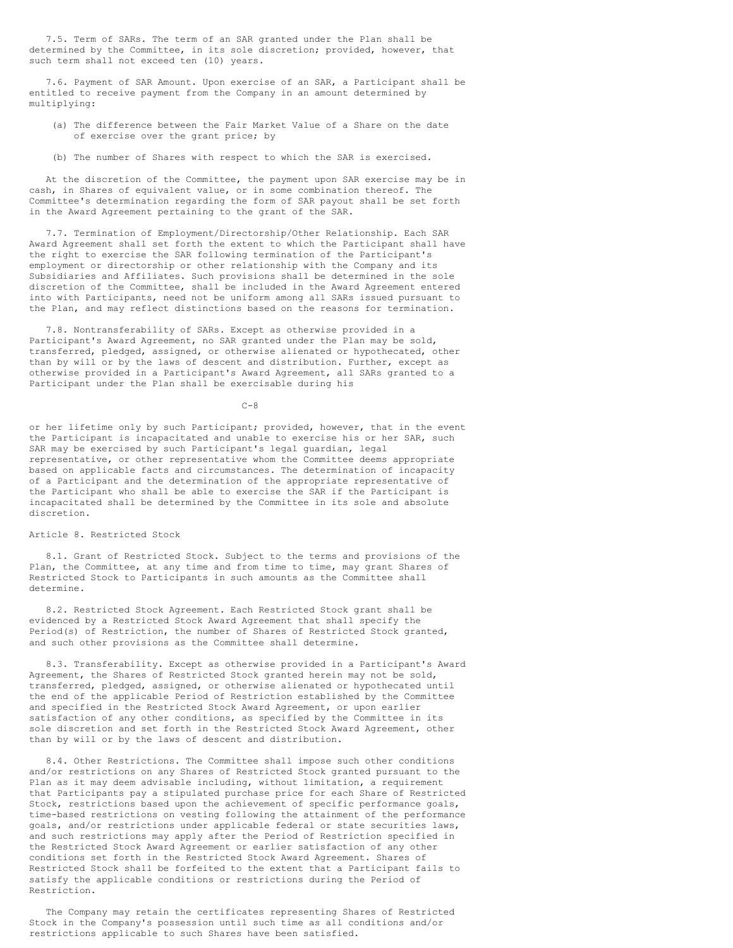7.5. Term of SARs. The term of an SAR granted under the Plan shall be determined by the Committee, in its sole discretion; provided, however, that such term shall not exceed ten (10) years.

7.6. Payment of SAR Amount. Upon exercise of an SAR, a Participant shall be entitled to receive payment from the Company in an amount determined by multiplying:

- (a) The difference between the Fair Market Value of a Share on the date of exercise over the grant price; by
- (b) The number of Shares with respect to which the SAR is exercised.

At the discretion of the Committee, the payment upon SAR exercise may be in cash, in Shares of equivalent value, or in some combination thereof. The Committee's determination regarding the form of SAR payout shall be set forth in the Award Agreement pertaining to the grant of the SAR.

7.7. Termination of Employment/Directorship/Other Relationship. Each SAR Award Agreement shall set forth the extent to which the Participant shall have the right to exercise the SAR following termination of the Participant's employment or directorship or other relationship with the Company and its Subsidiaries and Affiliates. Such provisions shall be determined in the sole discretion of the Committee, shall be included in the Award Agreement entered into with Participants, need not be uniform among all SARs issued pursuant to the Plan, and may reflect distinctions based on the reasons for termination.

7.8. Nontransferability of SARs. Except as otherwise provided in a Participant's Award Agreement, no SAR granted under the Plan may be sold, transferred, pledged, assigned, or otherwise alienated or hypothecated, other than by will or by the laws of descent and distribution. Further, except as otherwise provided in a Participant's Award Agreement, all SARs granted to a Participant under the Plan shall be exercisable during his

 $C - 8$ 

or her lifetime only by such Participant; provided, however, that in the event the Participant is incapacitated and unable to exercise his or her SAR, such SAR may be exercised by such Participant's legal guardian, legal representative, or other representative whom the Committee deems appropriate based on applicable facts and circumstances. The determination of incapacity of a Participant and the determination of the appropriate representative of the Participant who shall be able to exercise the SAR if the Participant is incapacitated shall be determined by the Committee in its sole and absolute discretion.

## Article 8. Restricted Stock

8.1. Grant of Restricted Stock. Subject to the terms and provisions of the Plan, the Committee, at any time and from time to time, may grant Shares of Restricted Stock to Participants in such amounts as the Committee shall determine.

8.2. Restricted Stock Agreement. Each Restricted Stock grant shall be evidenced by a Restricted Stock Award Agreement that shall specify the Period(s) of Restriction, the number of Shares of Restricted Stock granted, and such other provisions as the Committee shall determine.

8.3. Transferability. Except as otherwise provided in a Participant's Award Agreement, the Shares of Restricted Stock granted herein may not be sold, transferred, pledged, assigned, or otherwise alienated or hypothecated until the end of the applicable Period of Restriction established by the Committee and specified in the Restricted Stock Award Agreement, or upon earlier satisfaction of any other conditions, as specified by the Committee in its sole discretion and set forth in the Restricted Stock Award Agreement, other than by will or by the laws of descent and distribution.

8.4. Other Restrictions. The Committee shall impose such other conditions and/or restrictions on any Shares of Restricted Stock granted pursuant to the Plan as it may deem advisable including, without limitation, a requirement that Participants pay a stipulated purchase price for each Share of Restricted Stock, restrictions based upon the achievement of specific performance goals, time-based restrictions on vesting following the attainment of the performance goals, and/or restrictions under applicable federal or state securities laws, and such restrictions may apply after the Period of Restriction specified in the Restricted Stock Award Agreement or earlier satisfaction of any other conditions set forth in the Restricted Stock Award Agreement. Shares of Restricted Stock shall be forfeited to the extent that a Participant fails to satisfy the applicable conditions or restrictions during the Period of Restriction.

The Company may retain the certificates representing Shares of Restricted Stock in the Company's possession until such time as all conditions and/or restrictions applicable to such Shares have been satisfied.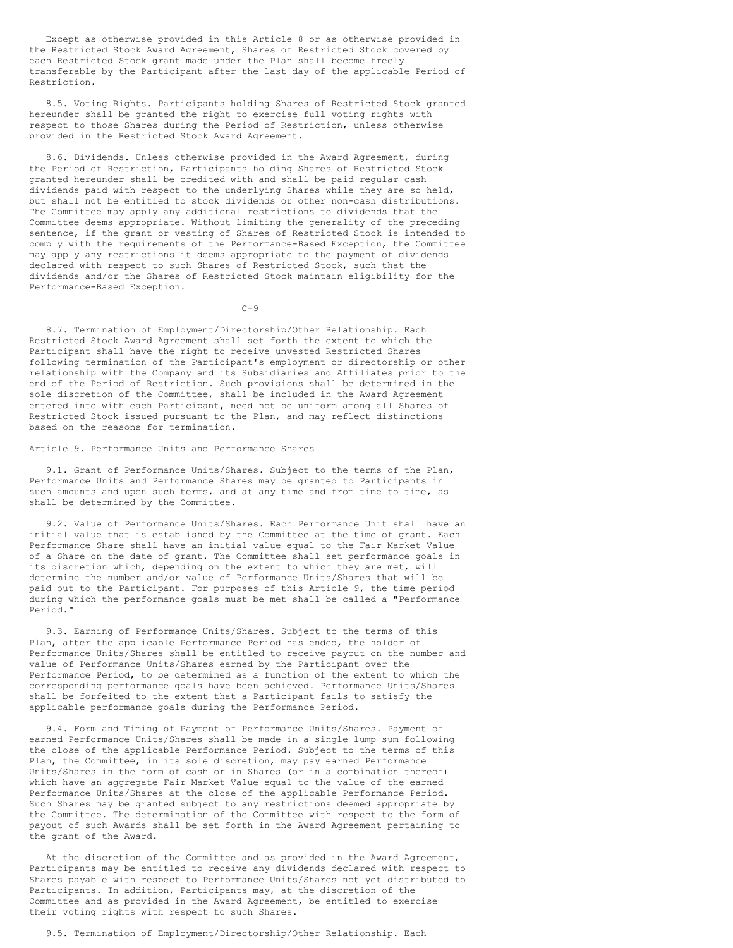Except as otherwise provided in this Article 8 or as otherwise provided in the Restricted Stock Award Agreement, Shares of Restricted Stock covered by each Restricted Stock grant made under the Plan shall become freely transferable by the Participant after the last day of the applicable Period of Restriction.

8.5. Voting Rights. Participants holding Shares of Restricted Stock granted hereunder shall be granted the right to exercise full voting rights with respect to those Shares during the Period of Restriction, unless otherwise provided in the Restricted Stock Award Agreement.

8.6. Dividends. Unless otherwise provided in the Award Agreement, during the Period of Restriction, Participants holding Shares of Restricted Stock granted hereunder shall be credited with and shall be paid regular cash dividends paid with respect to the underlying Shares while they are so held, but shall not be entitled to stock dividends or other non-cash distributions. The Committee may apply any additional restrictions to dividends that the Committee deems appropriate. Without limiting the generality of the preceding sentence, if the grant or vesting of Shares of Restricted Stock is intended to comply with the requirements of the Performance-Based Exception, the Committee may apply any restrictions it deems appropriate to the payment of dividends declared with respect to such Shares of Restricted Stock, such that the dividends and/or the Shares of Restricted Stock maintain eligibility for the Performance-Based Exception.

 $C-9$ 

8.7. Termination of Employment/Directorship/Other Relationship. Each Restricted Stock Award Agreement shall set forth the extent to which the Participant shall have the right to receive unvested Restricted Shares following termination of the Participant's employment or directorship or other relationship with the Company and its Subsidiaries and Affiliates prior to the end of the Period of Restriction. Such provisions shall be determined in the sole discretion of the Committee, shall be included in the Award Agreement entered into with each Participant, need not be uniform among all Shares of Restricted Stock issued pursuant to the Plan, and may reflect distinctions based on the reasons for termination.

Article 9. Performance Units and Performance Shares

9.1. Grant of Performance Units/Shares. Subject to the terms of the Plan, Performance Units and Performance Shares may be granted to Participants in such amounts and upon such terms, and at any time and from time to time, as shall be determined by the Committee.

9.2. Value of Performance Units/Shares. Each Performance Unit shall have an initial value that is established by the Committee at the time of grant. Each Performance Share shall have an initial value equal to the Fair Market Value of a Share on the date of grant. The Committee shall set performance goals in its discretion which, depending on the extent to which they are met, will determine the number and/or value of Performance Units/Shares that will be paid out to the Participant. For purposes of this Article 9, the time period during which the performance goals must be met shall be called a "Performance Period."

9.3. Earning of Performance Units/Shares. Subject to the terms of this Plan, after the applicable Performance Period has ended, the holder of Performance Units/Shares shall be entitled to receive payout on the number and value of Performance Units/Shares earned by the Participant over the Performance Period, to be determined as a function of the extent to which the corresponding performance goals have been achieved. Performance Units/Shares shall be forfeited to the extent that a Participant fails to satisfy the applicable performance goals during the Performance Period.

9.4. Form and Timing of Payment of Performance Units/Shares. Payment of earned Performance Units/Shares shall be made in a single lump sum following the close of the applicable Performance Period. Subject to the terms of this Plan, the Committee, in its sole discretion, may pay earned Performance Units/Shares in the form of cash or in Shares (or in a combination thereof) which have an aggregate Fair Market Value equal to the value of the earned Performance Units/Shares at the close of the applicable Performance Period. Such Shares may be granted subject to any restrictions deemed appropriate by the Committee. The determination of the Committee with respect to the form of payout of such Awards shall be set forth in the Award Agreement pertaining to the grant of the Award.

At the discretion of the Committee and as provided in the Award Agreement, Participants may be entitled to receive any dividends declared with respect to Shares payable with respect to Performance Units/Shares not yet distributed to Participants. In addition, Participants may, at the discretion of the Committee and as provided in the Award Agreement, be entitled to exercise their voting rights with respect to such Shares.

9.5. Termination of Employment/Directorship/Other Relationship. Each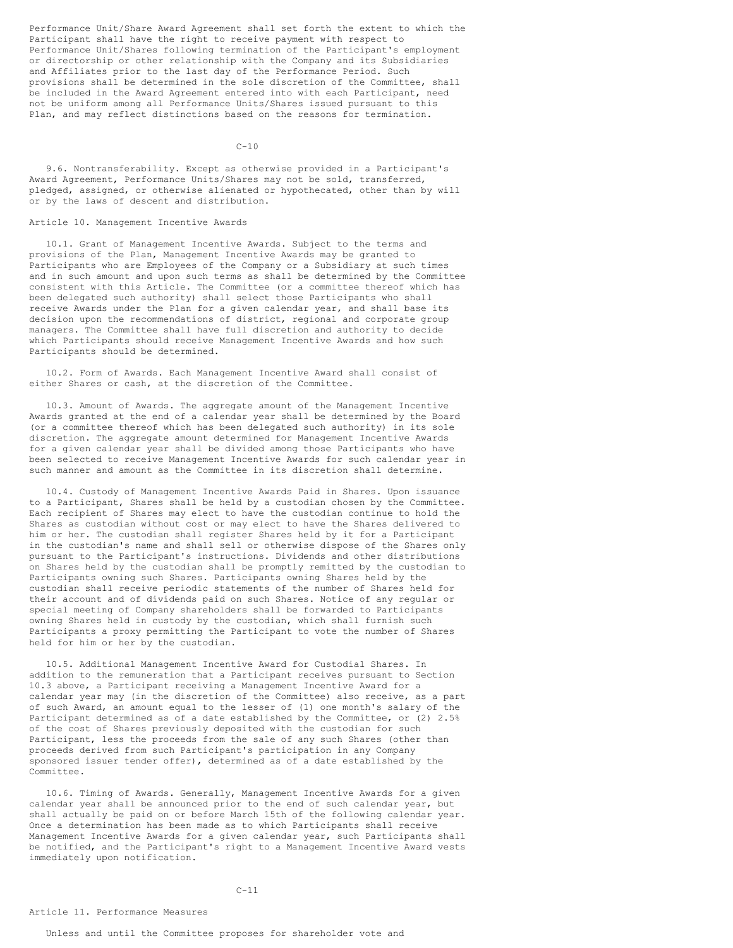Performance Unit/Share Award Agreement shall set forth the extent to which the Participant shall have the right to receive payment with respect to Performance Unit/Shares following termination of the Participant's employment or directorship or other relationship with the Company and its Subsidiaries and Affiliates prior to the last day of the Performance Period. Such provisions shall be determined in the sole discretion of the Committee, shall be included in the Award Agreement entered into with each Participant, need not be uniform among all Performance Units/Shares issued pursuant to this Plan, and may reflect distinctions based on the reasons for termination.

 $C - 10$ 

9.6. Nontransferability. Except as otherwise provided in a Participant's Award Agreement, Performance Units/Shares may not be sold, transferred, pledged, assigned, or otherwise alienated or hypothecated, other than by will or by the laws of descent and distribution.

# Article 10. Management Incentive Awards

10.1. Grant of Management Incentive Awards. Subject to the terms and provisions of the Plan, Management Incentive Awards may be granted to Participants who are Employees of the Company or a Subsidiary at such times and in such amount and upon such terms as shall be determined by the Committee consistent with this Article. The Committee (or a committee thereof which has been delegated such authority) shall select those Participants who shall receive Awards under the Plan for a given calendar year, and shall base its decision upon the recommendations of district, regional and corporate group managers. The Committee shall have full discretion and authority to decide which Participants should receive Management Incentive Awards and how such Participants should be determined.

10.2. Form of Awards. Each Management Incentive Award shall consist of either Shares or cash, at the discretion of the Committee.

10.3. Amount of Awards. The aggregate amount of the Management Incentive Awards granted at the end of a calendar year shall be determined by the Board (or a committee thereof which has been delegated such authority) in its sole discretion. The aggregate amount determined for Management Incentive Awards for a given calendar year shall be divided among those Participants who have been selected to receive Management Incentive Awards for such calendar year in such manner and amount as the Committee in its discretion shall determine.

10.4. Custody of Management Incentive Awards Paid in Shares. Upon issuance to a Participant, Shares shall be held by a custodian chosen by the Committee. Each recipient of Shares may elect to have the custodian continue to hold the Shares as custodian without cost or may elect to have the Shares delivered to him or her. The custodian shall register Shares held by it for a Participant in the custodian's name and shall sell or otherwise dispose of the Shares only pursuant to the Participant's instructions. Dividends and other distributions on Shares held by the custodian shall be promptly remitted by the custodian to Participants owning such Shares. Participants owning Shares held by the custodian shall receive periodic statements of the number of Shares held for their account and of dividends paid on such Shares. Notice of any regular or special meeting of Company shareholders shall be forwarded to Participants owning Shares held in custody by the custodian, which shall furnish such Participants a proxy permitting the Participant to vote the number of Shares held for him or her by the custodian.

10.5. Additional Management Incentive Award for Custodial Shares. In addition to the remuneration that a Participant receives pursuant to Section 10.3 above, a Participant receiving a Management Incentive Award for a calendar year may (in the discretion of the Committee) also receive, as a part of such Award, an amount equal to the lesser of (1) one month's salary of the Participant determined as of a date established by the Committee, or (2) 2.5% of the cost of Shares previously deposited with the custodian for such Participant, less the proceeds from the sale of any such Shares (other than proceeds derived from such Participant's participation in any Company sponsored issuer tender offer), determined as of a date established by the Committee.

10.6. Timing of Awards. Generally, Management Incentive Awards for a given calendar year shall be announced prior to the end of such calendar year, but shall actually be paid on or before March 15th of the following calendar year. Once a determination has been made as to which Participants shall receive Management Incentive Awards for a given calendar year, such Participants shall be notified, and the Participant's right to a Management Incentive Award vests immediately upon notification.

## Article 11. Performance Measures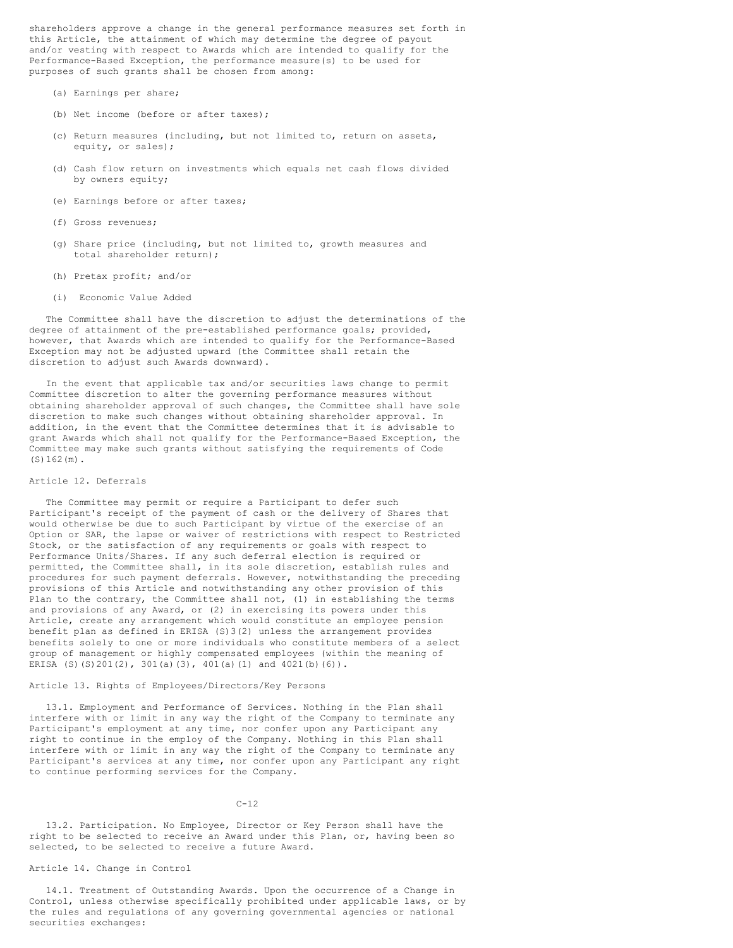shareholders approve a change in the general performance measures set forth in this Article, the attainment of which may determine the degree of payout and/or vesting with respect to Awards which are intended to qualify for the Performance-Based Exception, the performance measure(s) to be used for purposes of such grants shall be chosen from among:

- (a) Earnings per share;
- (b) Net income (before or after taxes):
- (c) Return measures (including, but not limited to, return on assets, equity, or sales);
- (d) Cash flow return on investments which equals net cash flows divided by owners equity;
- (e) Earnings before or after taxes;
- (f) Gross revenues;
- (g) Share price (including, but not limited to, growth measures and total shareholder return);
- (h) Pretax profit; and/or
- (i) Economic Value Added

The Committee shall have the discretion to adjust the determinations of the degree of attainment of the pre-established performance goals; provided, however, that Awards which are intended to qualify for the Performance-Based Exception may not be adjusted upward (the Committee shall retain the discretion to adjust such Awards downward).

In the event that applicable tax and/or securities laws change to permit Committee discretion to alter the governing performance measures without obtaining shareholder approval of such changes, the Committee shall have sole discretion to make such changes without obtaining shareholder approval. In addition, in the event that the Committee determines that it is advisable to grant Awards which shall not qualify for the Performance-Based Exception, the Committee may make such grants without satisfying the requirements of Code  $(S)162(m)$ .

### Article 12. Deferrals

The Committee may permit or require a Participant to defer such Participant's receipt of the payment of cash or the delivery of Shares that would otherwise be due to such Participant by virtue of the exercise of an Option or SAR, the lapse or waiver of restrictions with respect to Restricted Stock, or the satisfaction of any requirements or goals with respect to Performance Units/Shares. If any such deferral election is required or permitted, the Committee shall, in its sole discretion, establish rules and procedures for such payment deferrals. However, notwithstanding the preceding provisions of this Article and notwithstanding any other provision of this Plan to the contrary, the Committee shall not, (1) in establishing the terms and provisions of any Award, or (2) in exercising its powers under this Article, create any arrangement which would constitute an employee pension benefit plan as defined in ERISA (S)3(2) unless the arrangement provides benefits solely to one or more individuals who constitute members of a select group of management or highly compensated employees (within the meaning of ERISA (S)(S)201(2), 301(a)(3), 401(a)(1) and 4021(b)(6)).

## Article 13. Rights of Employees/Directors/Key Persons

13.1. Employment and Performance of Services. Nothing in the Plan shall interfere with or limit in any way the right of the Company to terminate any Participant's employment at any time, nor confer upon any Participant any right to continue in the employ of the Company. Nothing in this Plan shall interfere with or limit in any way the right of the Company to terminate any Participant's services at any time, nor confer upon any Participant any right to continue performing services for the Company.

### $C-12$

13.2. Participation. No Employee, Director or Key Person shall have the right to be selected to receive an Award under this Plan, or, having been so selected, to be selected to receive a future Award.

# Article 14. Change in Control

14.1. Treatment of Outstanding Awards. Upon the occurrence of a Change in Control, unless otherwise specifically prohibited under applicable laws, or by the rules and regulations of any governing governmental agencies or national securities exchanges: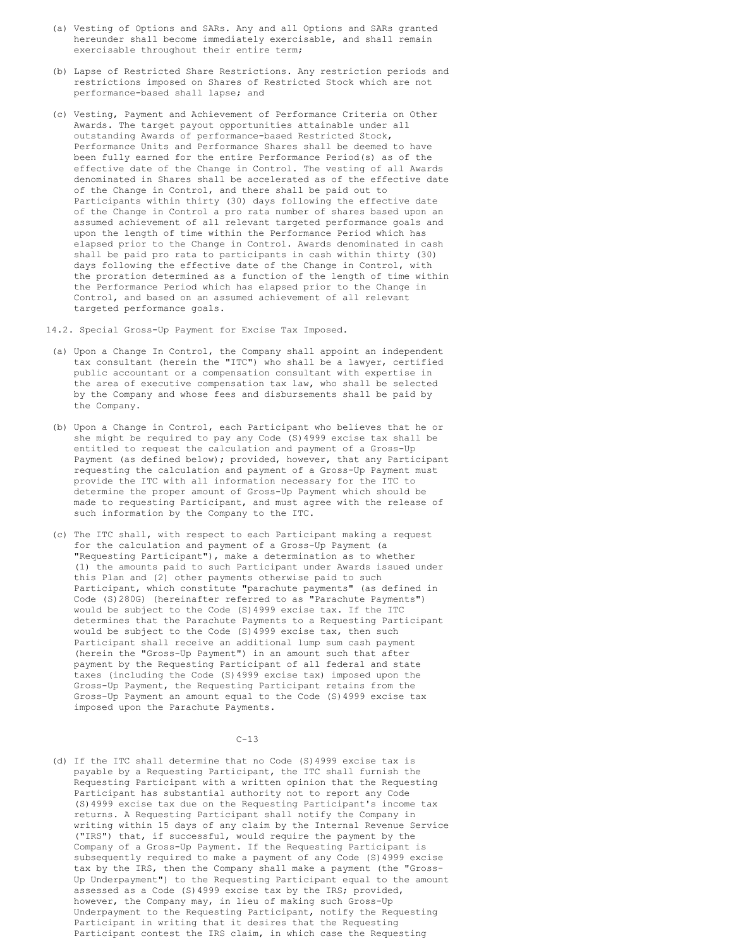- (a) Vesting of Options and SARs. Any and all Options and SARs granted hereunder shall become immediately exercisable, and shall remain exercisable throughout their entire term;
- (b) Lapse of Restricted Share Restrictions. Any restriction periods and restrictions imposed on Shares of Restricted Stock which are not performance-based shall lapse; and
- (c) Vesting, Payment and Achievement of Performance Criteria on Other Awards. The target payout opportunities attainable under all outstanding Awards of performance-based Restricted Stock, Performance Units and Performance Shares shall be deemed to have been fully earned for the entire Performance Period(s) as of the effective date of the Change in Control. The vesting of all Awards denominated in Shares shall be accelerated as of the effective date of the Change in Control, and there shall be paid out to Participants within thirty (30) days following the effective date of the Change in Control a pro rata number of shares based upon an assumed achievement of all relevant targeted performance goals and upon the length of time within the Performance Period which has elapsed prior to the Change in Control. Awards denominated in cash shall be paid pro rata to participants in cash within thirty (30) days following the effective date of the Change in Control, with the proration determined as a function of the length of time within the Performance Period which has elapsed prior to the Change in Control, and based on an assumed achievement of all relevant targeted performance goals.

14.2. Special Gross-Up Payment for Excise Tax Imposed.

- (a) Upon a Change In Control, the Company shall appoint an independent tax consultant (herein the "ITC") who shall be a lawyer, certified public accountant or a compensation consultant with expertise in the area of executive compensation tax law, who shall be selected by the Company and whose fees and disbursements shall be paid by the Company.
- (b) Upon a Change in Control, each Participant who believes that he or she might be required to pay any Code (S)4999 excise tax shall be entitled to request the calculation and payment of a Gross-Up Payment (as defined below); provided, however, that any Participant requesting the calculation and payment of a Gross-Up Payment must provide the ITC with all information necessary for the ITC to determine the proper amount of Gross-Up Payment which should be made to requesting Participant, and must agree with the release of such information by the Company to the ITC.
- (c) The ITC shall, with respect to each Participant making a request for the calculation and payment of a Gross-Up Payment (a "Requesting Participant"), make a determination as to whether (1) the amounts paid to such Participant under Awards issued under this Plan and (2) other payments otherwise paid to such Participant, which constitute "parachute payments" (as defined in Code (S)280G) (hereinafter referred to as "Parachute Payments") would be subject to the Code (S)4999 excise tax. If the ITC determines that the Parachute Payments to a Requesting Participant would be subject to the Code (S)4999 excise tax, then such Participant shall receive an additional lump sum cash payment (herein the "Gross-Up Payment") in an amount such that after payment by the Requesting Participant of all federal and state taxes (including the Code (S)4999 excise tax) imposed upon the Gross-Up Payment, the Requesting Participant retains from the Gross-Up Payment an amount equal to the Code (S)4999 excise tax imposed upon the Parachute Payments.

 $C-13$ 

(d) If the ITC shall determine that no Code (S)4999 excise tax is payable by a Requesting Participant, the ITC shall furnish the Requesting Participant with a written opinion that the Requesting Participant has substantial authority not to report any Code (S)4999 excise tax due on the Requesting Participant's income tax returns. A Requesting Participant shall notify the Company in writing within 15 days of any claim by the Internal Revenue Service ("IRS") that, if successful, would require the payment by the Company of a Gross-Up Payment. If the Requesting Participant is subsequently required to make a payment of any Code (S)4999 excise tax by the IRS, then the Company shall make a payment (the "Gross-Up Underpayment") to the Requesting Participant equal to the amount assessed as a Code (S)4999 excise tax by the IRS; provided, however, the Company may, in lieu of making such Gross-Up Underpayment to the Requesting Participant, notify the Requesting Participant in writing that it desires that the Requesting Participant contest the IRS claim, in which case the Requesting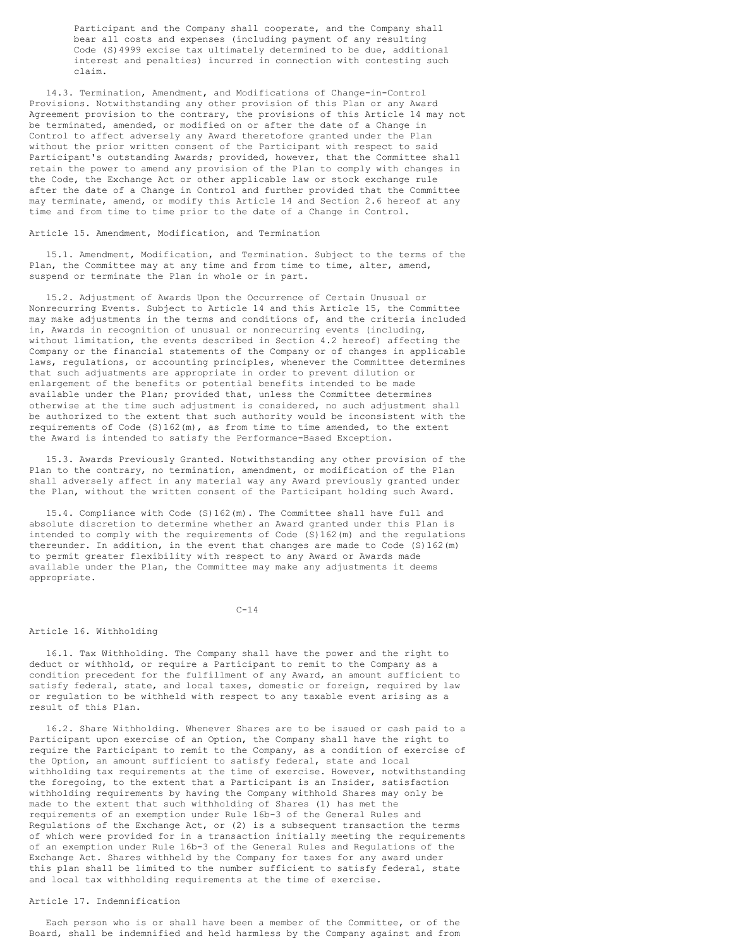Participant and the Company shall cooperate, and the Company shall bear all costs and expenses (including payment of any resulting Code (S)4999 excise tax ultimately determined to be due, additional interest and penalties) incurred in connection with contesting such claim.

14.3. Termination, Amendment, and Modifications of Change-in-Control Provisions. Notwithstanding any other provision of this Plan or any Award Agreement provision to the contrary, the provisions of this Article 14 may not be terminated, amended, or modified on or after the date of a Change in Control to affect adversely any Award theretofore granted under the Plan without the prior written consent of the Participant with respect to said Participant's outstanding Awards; provided, however, that the Committee shall retain the power to amend any provision of the Plan to comply with changes in the Code, the Exchange Act or other applicable law or stock exchange rule after the date of a Change in Control and further provided that the Committee may terminate, amend, or modify this Article 14 and Section 2.6 hereof at any time and from time to time prior to the date of a Change in Control.

#### Article 15. Amendment, Modification, and Termination

15.1. Amendment, Modification, and Termination. Subject to the terms of the Plan, the Committee may at any time and from time to time, alter, amend, suspend or terminate the Plan in whole or in part.

15.2. Adjustment of Awards Upon the Occurrence of Certain Unusual or Nonrecurring Events. Subject to Article 14 and this Article 15, the Committee may make adjustments in the terms and conditions of, and the criteria included in, Awards in recognition of unusual or nonrecurring events (including, without limitation, the events described in Section 4.2 hereof) affecting the Company or the financial statements of the Company or of changes in applicable laws, regulations, or accounting principles, whenever the Committee determines that such adjustments are appropriate in order to prevent dilution or enlargement of the benefits or potential benefits intended to be made available under the Plan; provided that, unless the Committee determines otherwise at the time such adjustment is considered, no such adjustment shall be authorized to the extent that such authority would be inconsistent with the requirements of Code  $(S)162(m)$ , as from time to time amended, to the extent the Award is intended to satisfy the Performance-Based Exception.

15.3. Awards Previously Granted. Notwithstanding any other provision of the Plan to the contrary, no termination, amendment, or modification of the Plan shall adversely affect in any material way any Award previously granted under the Plan, without the written consent of the Participant holding such Award.

15.4. Compliance with Code (S)162(m). The Committee shall have full and absolute discretion to determine whether an Award granted under this Plan is intended to comply with the requirements of Code (S)162(m) and the regulations thereunder. In addition, in the event that changes are made to Code (S)162(m) to permit greater flexibility with respect to any Award or Awards made available under the Plan, the Committee may make any adjustments it deems appropriate.

 $C - 14$ 

## Article 16. Withholding

16.1. Tax Withholding. The Company shall have the power and the right to deduct or withhold, or require a Participant to remit to the Company as a condition precedent for the fulfillment of any Award, an amount sufficient to satisfy federal, state, and local taxes, domestic or foreign, required by law or regulation to be withheld with respect to any taxable event arising as a result of this Plan.

16.2. Share Withholding. Whenever Shares are to be issued or cash paid to a Participant upon exercise of an Option, the Company shall have the right to require the Participant to remit to the Company, as a condition of exercise of the Option, an amount sufficient to satisfy federal, state and local withholding tax requirements at the time of exercise. However, notwithstanding the foregoing, to the extent that a Participant is an Insider, satisfaction withholding requirements by having the Company withhold Shares may only be made to the extent that such withholding of Shares (1) has met the requirements of an exemption under Rule 16b-3 of the General Rules and Regulations of the Exchange Act, or (2) is a subsequent transaction the terms of which were provided for in a transaction initially meeting the requirements of an exemption under Rule 16b-3 of the General Rules and Regulations of the Exchange Act. Shares withheld by the Company for taxes for any award under this plan shall be limited to the number sufficient to satisfy federal, state and local tax withholding requirements at the time of exercise.

## Article 17. Indemnification

Each person who is or shall have been a member of the Committee, or of the Board, shall be indemnified and held harmless by the Company against and from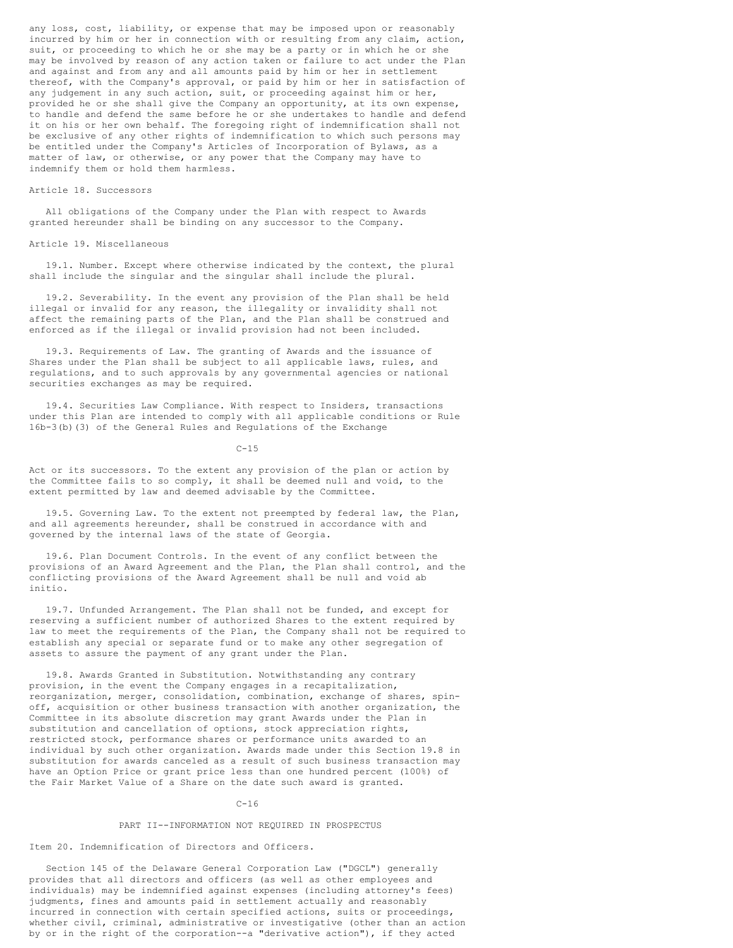any loss, cost, liability, or expense that may be imposed upon or reasonably incurred by him or her in connection with or resulting from any claim, action, suit, or proceeding to which he or she may be a party or in which he or she may be involved by reason of any action taken or failure to act under the Plan and against and from any and all amounts paid by him or her in settlement thereof, with the Company's approval, or paid by him or her in satisfaction of any judgement in any such action, suit, or proceeding against him or her, provided he or she shall give the Company an opportunity, at its own expense, to handle and defend the same before he or she undertakes to handle and defend it on his or her own behalf. The foregoing right of indemnification shall not be exclusive of any other rights of indemnification to which such persons may be entitled under the Company's Articles of Incorporation of Bylaws, as a matter of law, or otherwise, or any power that the Company may have to indemnify them or hold them harmless.

## Article 18. Successors

All obligations of the Company under the Plan with respect to Awards granted hereunder shall be binding on any successor to the Company.

### Article 19. Miscellaneous

19.1. Number. Except where otherwise indicated by the context, the plural shall include the singular and the singular shall include the plural.

19.2. Severability. In the event any provision of the Plan shall be held illegal or invalid for any reason, the illegality or invalidity shall not affect the remaining parts of the Plan, and the Plan shall be construed and enforced as if the illegal or invalid provision had not been included.

19.3. Requirements of Law. The granting of Awards and the issuance of Shares under the Plan shall be subject to all applicable laws, rules, and regulations, and to such approvals by any governmental agencies or national securities exchanges as may be required.

19.4. Securities Law Compliance. With respect to Insiders, transactions under this Plan are intended to comply with all applicable conditions or Rule 16b-3(b)(3) of the General Rules and Regulations of the Exchange

 $C-15$ 

Act or its successors. To the extent any provision of the plan or action by the Committee fails to so comply, it shall be deemed null and void, to the extent permitted by law and deemed advisable by the Committee.

19.5. Governing Law. To the extent not preempted by federal law, the Plan, and all agreements hereunder, shall be construed in accordance with and governed by the internal laws of the state of Georgia.

19.6. Plan Document Controls. In the event of any conflict between the provisions of an Award Agreement and the Plan, the Plan shall control, and the conflicting provisions of the Award Agreement shall be null and void ab initio.

19.7. Unfunded Arrangement. The Plan shall not be funded, and except for reserving a sufficient number of authorized Shares to the extent required by law to meet the requirements of the Plan, the Company shall not be required to establish any special or separate fund or to make any other segregation of assets to assure the payment of any grant under the Plan.

19.8. Awards Granted in Substitution. Notwithstanding any contrary provision, in the event the Company engages in a recapitalization, reorganization, merger, consolidation, combination, exchange of shares, spinoff, acquisition or other business transaction with another organization, the Committee in its absolute discretion may grant Awards under the Plan in substitution and cancellation of options, stock appreciation rights, restricted stock, performance shares or performance units awarded to an individual by such other organization. Awards made under this Section 19.8 in substitution for awards canceled as a result of such business transaction may have an Option Price or grant price less than one hundred percent (100%) of the Fair Market Value of a Share on the date such award is granted.

### $C - 16$

#### PART II--INFORMATION NOT REQUIRED IN PROSPECTUS

Item 20. Indemnification of Directors and Officers.

Section 145 of the Delaware General Corporation Law ("DGCL") generally provides that all directors and officers (as well as other employees and individuals) may be indemnified against expenses (including attorney's fees) judgments, fines and amounts paid in settlement actually and reasonably incurred in connection with certain specified actions, suits or proceedings, whether civil, criminal, administrative or investigative (other than an action by or in the right of the corporation--a "derivative action"), if they acted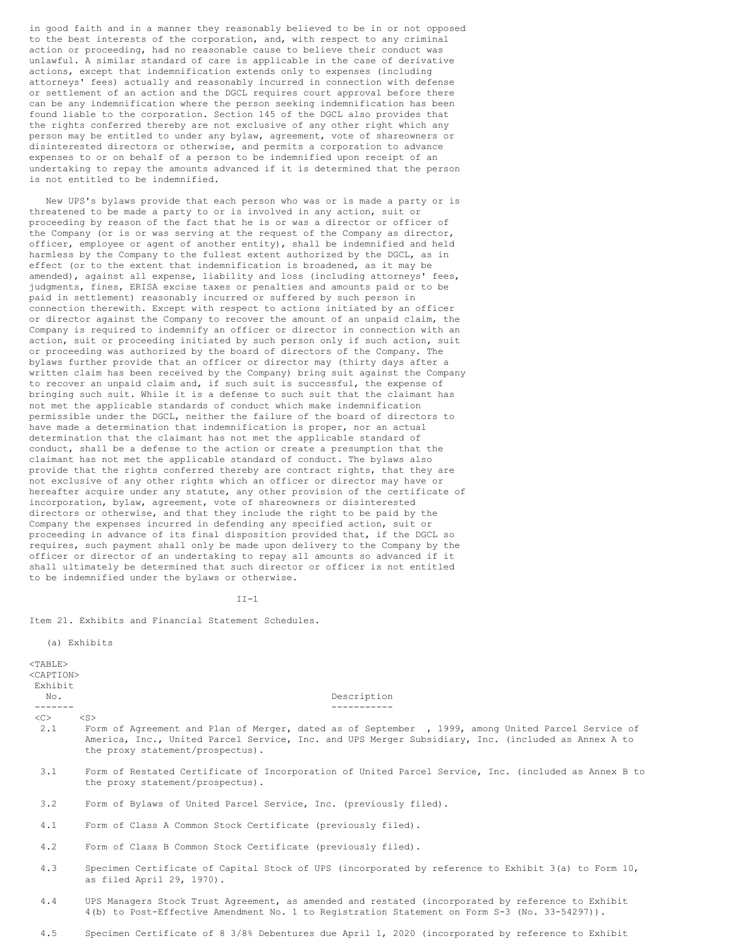in good faith and in a manner they reasonably believed to be in or not opposed to the best interests of the corporation, and, with respect to any criminal action or proceeding, had no reasonable cause to believe their conduct was unlawful. A similar standard of care is applicable in the case of derivative actions, except that indemnification extends only to expenses (including attorneys' fees) actually and reasonably incurred in connection with defense or settlement of an action and the DGCL requires court approval before there can be any indemnification where the person seeking indemnification has been found liable to the corporation. Section 145 of the DGCL also provides that the rights conferred thereby are not exclusive of any other right which any person may be entitled to under any bylaw, agreement, vote of shareowners or disinterested directors or otherwise, and permits a corporation to advance expenses to or on behalf of a person to be indemnified upon receipt of an undertaking to repay the amounts advanced if it is determined that the person is not entitled to be indemnified.

New UPS's bylaws provide that each person who was or is made a party or is threatened to be made a party to or is involved in any action, suit or proceeding by reason of the fact that he is or was a director or officer of the Company (or is or was serving at the request of the Company as director, officer, employee or agent of another entity), shall be indemnified and held harmless by the Company to the fullest extent authorized by the DGCL, as in effect (or to the extent that indemnification is broadened, as it may be amended), against all expense, liability and loss (including attorneys' fees, judgments, fines, ERISA excise taxes or penalties and amounts paid or to be paid in settlement) reasonably incurred or suffered by such person in connection therewith. Except with respect to actions initiated by an officer or director against the Company to recover the amount of an unpaid claim, the Company is required to indemnify an officer or director in connection with an action, suit or proceeding initiated by such person only if such action, suit or proceeding was authorized by the board of directors of the Company. The bylaws further provide that an officer or director may (thirty days after a written claim has been received by the Company) bring suit against the Company to recover an unpaid claim and, if such suit is successful, the expense of bringing such suit. While it is a defense to such suit that the claimant has not met the applicable standards of conduct which make indemnification permissible under the DGCL, neither the failure of the board of directors to have made a determination that indemnification is proper, nor an actual determination that the claimant has not met the applicable standard of conduct, shall be a defense to the action or create a presumption that the claimant has not met the applicable standard of conduct. The bylaws also provide that the rights conferred thereby are contract rights, that they are not exclusive of any other rights which an officer or director may have or hereafter acquire under any statute, any other provision of the certificate of incorporation, bylaw, agreement, vote of shareowners or disinterested directors or otherwise, and that they include the right to be paid by the Company the expenses incurred in defending any specified action, suit or proceeding in advance of its final disposition provided that, if the DGCL so requires, such payment shall only be made upon delivery to the Company by the officer or director of an undertaking to repay all amounts so advanced if it shall ultimately be determined that such director or officer is not entitled to be indemnified under the bylaws or otherwise.

 $TT-1$ 

Item 21. Exhibits and Financial Statement Schedules.

(a) Exhibits

 $<$ TABLE> <CAPTION> Exhibit

 $\langle$ C>  $\langle$ S>

No. Description

- 2.1 Form of Agreement and Plan of Merger, dated as of September , 1999, among United Parcel Service of America, Inc., United Parcel Service, Inc. and UPS Merger Subsidiary, Inc. (included as Annex A to the proxy statement/prospectus).
- 3.1 Form of Restated Certificate of Incorporation of United Parcel Service, Inc. (included as Annex B to the proxy statement/prospectus).
- 3.2 Form of Bylaws of United Parcel Service, Inc. (previously filed).
- 4.1 Form of Class A Common Stock Certificate (previously filed).

------- -----------

- 4.2 Form of Class B Common Stock Certificate (previously filed).
- 4.3 Specimen Certificate of Capital Stock of UPS (incorporated by reference to Exhibit 3(a) to Form 10, as filed April 29, 1970).
- 4.4 UPS Managers Stock Trust Agreement, as amended and restated (incorporated by reference to Exhibit 4(b) to Post-Effective Amendment No. 1 to Registration Statement on Form S-3 (No. 33-54297)).
- 4.5 Specimen Certificate of 8 3/8% Debentures due April 1, 2020 (incorporated by reference to Exhibit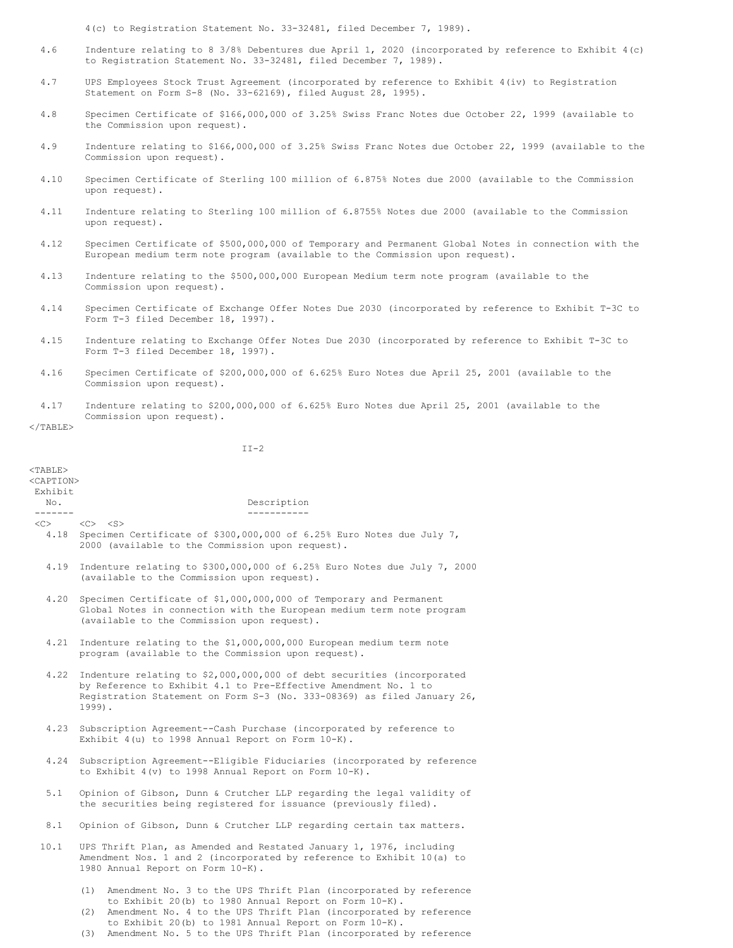4(c) to Registration Statement No. 33-32481, filed December 7, 1989).

- 4.6 Indenture relating to 8 3/8% Debentures due April 1, 2020 (incorporated by reference to Exhibit 4(c) to Registration Statement No. 33-32481, filed December 7, 1989).
- 4.7 UPS Employees Stock Trust Agreement (incorporated by reference to Exhibit 4(iv) to Registration Statement on Form S-8 (No. 33-62169), filed August 28, 1995).
- 4.8 Specimen Certificate of \$166,000,000 of 3.25% Swiss Franc Notes due October 22, 1999 (available to the Commission upon request).
- 4.9 Indenture relating to \$166,000,000 of 3.25% Swiss Franc Notes due October 22, 1999 (available to the Commission upon request).
- 4.10 Specimen Certificate of Sterling 100 million of 6.875% Notes due 2000 (available to the Commission upon request).
- 4.11 Indenture relating to Sterling 100 million of 6.8755% Notes due 2000 (available to the Commission upon request).
- 4.12 Specimen Certificate of \$500,000,000 of Temporary and Permanent Global Notes in connection with the European medium term note program (available to the Commission upon request).
- 4.13 Indenture relating to the \$500,000,000 European Medium term note program (available to the Commission upon request).
- 4.14 Specimen Certificate of Exchange Offer Notes Due 2030 (incorporated by reference to Exhibit T-3C to Form T-3 filed December 18, 1997).
- 4.15 Indenture relating to Exchange Offer Notes Due 2030 (incorporated by reference to Exhibit T-3C to Form T-3 filed December 18, 1997).
- 4.16 Specimen Certificate of \$200,000,000 of 6.625% Euro Notes due April 25, 2001 (available to the Commission upon request).
- 4.17 Indenture relating to \$200,000,000 of 6.625% Euro Notes due April 25, 2001 (available to the Commission upon request).

 $<$ /TABLE>

 $II-2$ 

| $<$ TABLE $>$<br><caption></caption> |                                                                                                                                                                                                                                                                        |  |  |  |
|--------------------------------------|------------------------------------------------------------------------------------------------------------------------------------------------------------------------------------------------------------------------------------------------------------------------|--|--|--|
| Exhibit                              |                                                                                                                                                                                                                                                                        |  |  |  |
| No.<br>--------                      | Description<br>-----------                                                                                                                                                                                                                                             |  |  |  |
|                                      | $\langle C \rangle$ $\langle C \rangle$ $\langle S \rangle$                                                                                                                                                                                                            |  |  |  |
|                                      | 4.18 Specimen Certificate of \$300,000,000 of 6.25% Euro Notes due July 7,<br>2000 (available to the Commission upon request).                                                                                                                                         |  |  |  |
| 4.19                                 | Indenture relating to \$300,000,000 of 6.25% Euro Notes due July 7, 2000<br>(available to the Commission upon request).                                                                                                                                                |  |  |  |
| 4.20                                 | Specimen Certificate of \$1,000,000,000 of Temporary and Permanent<br>Global Notes in connection with the European medium term note program<br>(available to the Commission upon request).                                                                             |  |  |  |
| 4.21                                 | Indenture relating to the \$1,000,000,000 European medium term note<br>program (available to the Commission upon request).                                                                                                                                             |  |  |  |
|                                      | 4.22 Indenture relating to \$2,000,000,000 of debt securities (incorporated<br>by Reference to Exhibit 4.1 to Pre-Effective Amendment No. 1 to<br>Registration Statement on Form S-3 (No. 333-08369) as filed January 26,<br>$1999$ ).                                 |  |  |  |
| 4.23                                 | Subscription Agreement--Cash Purchase (incorporated by reference to<br>Exhibit 4(u) to 1998 Annual Report on Form 10-K).                                                                                                                                               |  |  |  |
| 4.24                                 | Subscription Agreement--Eligible Fiduciaries (incorporated by reference<br>to Exhibit $4(v)$ to 1998 Annual Report on Form $10-K$ ).                                                                                                                                   |  |  |  |
| 5.1                                  | Opinion of Gibson, Dunn & Crutcher LLP regarding the legal validity of<br>the securities being registered for issuance (previously filed).                                                                                                                             |  |  |  |
| 8.1                                  | Opinion of Gibson, Dunn & Crutcher LLP regarding certain tax matters.                                                                                                                                                                                                  |  |  |  |
| 10.1                                 | UPS Thrift Plan, as Amended and Restated January 1, 1976, including<br>Amendment Nos. 1 and 2 (incorporated by reference to Exhibit 10(a) to<br>1980 Annual Report on Form 10-K).                                                                                      |  |  |  |
|                                      | Amendment No. 3 to the UPS Thrift Plan (incorporated by reference<br>(1)<br>to Exhibit 20(b) to 1980 Annual Report on Form 10-K).<br>Amendment No. 4 to the UPS Thrift Plan (incorporated by reference<br>(2)<br>to Exhibit 20(b) to 1981 Annual Report on Form 10-K). |  |  |  |

(3) Amendment No. 5 to the UPS Thrift Plan (incorporated by reference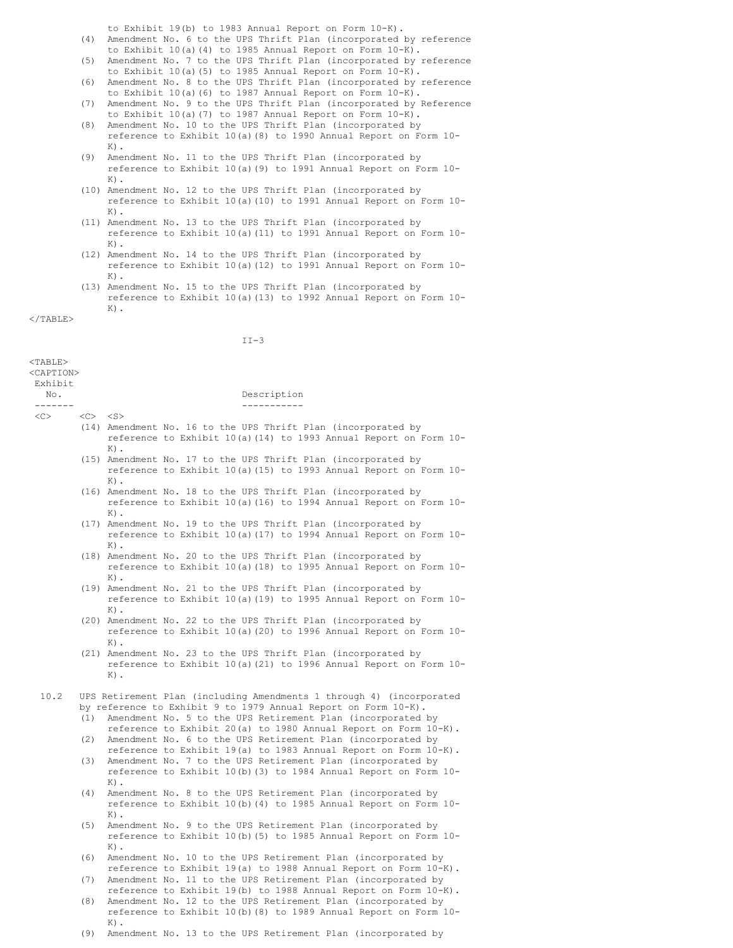to Exhibit 19(b) to 1983 Annual Report on Form 10-K).

- (4) Amendment No. 6 to the UPS Thrift Plan (incorporated by reference to Exhibit 10(a)(4) to 1985 Annual Report on Form 10-K).
- (5) Amendment No. 7 to the UPS Thrift Plan (incorporated by reference to Exhibit 10(a)(5) to 1985 Annual Report on Form 10-K).
- (6) Amendment No. 8 to the UPS Thrift Plan (incorporated by reference to Exhibit 10(a)(6) to 1987 Annual Report on Form 10-K).
- (7) Amendment No. 9 to the UPS Thrift Plan (incorporated by Reference to Exhibit 10(a)(7) to 1987 Annual Report on Form 10-K).
- (8) Amendment No. 10 to the UPS Thrift Plan (incorporated by reference to Exhibit 10(a)(8) to 1990 Annual Report on Form 10-  $K$ ).
- (9) Amendment No. 11 to the UPS Thrift Plan (incorporated by reference to Exhibit 10(a)(9) to 1991 Annual Report on Form 10-  $K$ ).
- (10) Amendment No. 12 to the UPS Thrift Plan (incorporated by reference to Exhibit 10(a)(10) to 1991 Annual Report on Form 10-  $K$ ).
- (11) Amendment No. 13 to the UPS Thrift Plan (incorporated by reference to Exhibit 10(a)(11) to 1991 Annual Report on Form 10-  $K$ ).
- (12) Amendment No. 14 to the UPS Thrift Plan (incorporated by reference to Exhibit 10(a)(12) to 1991 Annual Report on Form 10-  $K$ ).
- (13) Amendment No. 15 to the UPS Thrift Plan (incorporated by reference to Exhibit 10(a)(13) to 1992 Annual Report on Form 10-  $K$ ).

</TABLE>

|                                                       |                 | $II-3$                                                                                                                                                                                                |
|-------------------------------------------------------|-----------------|-------------------------------------------------------------------------------------------------------------------------------------------------------------------------------------------------------|
| $<$ TABLE><br><caption><br/>Exhibit<br/>No.</caption> |                 | Description                                                                                                                                                                                           |
| -------                                               |                 | ___________                                                                                                                                                                                           |
| <<>                                                   | $<\circ$ $<$ S> |                                                                                                                                                                                                       |
|                                                       |                 | (14) Amendment No. 16 to the UPS Thrift Plan (incorporated by<br>reference to Exhibit 10(a) (14) to 1993 Annual Report on Form 10-<br>$K)$ .                                                          |
|                                                       |                 | (15) Amendment No. 17 to the UPS Thrift Plan (incorporated by<br>reference to Exhibit 10(a) (15) to 1993 Annual Report on Form 10-<br>$K)$ .                                                          |
|                                                       |                 | (16) Amendment No. 18 to the UPS Thrift Plan (incorporated by<br>reference to Exhibit 10(a) (16) to 1994 Annual Report on Form 10-<br>$K)$ .                                                          |
|                                                       |                 | (17) Amendment No. 19 to the UPS Thrift Plan (incorporated by<br>reference to Exhibit 10(a) (17) to 1994 Annual Report on Form 10-<br>K).                                                             |
|                                                       |                 | (18) Amendment No. 20 to the UPS Thrift Plan (incorporated by<br>reference to Exhibit 10(a) (18) to 1995 Annual Report on Form 10-<br>$K)$ .                                                          |
|                                                       |                 | (19) Amendment No. 21 to the UPS Thrift Plan (incorporated by<br>reference to Exhibit 10(a) (19) to 1995 Annual Report on Form 10-<br>$K)$ .                                                          |
|                                                       |                 | (20) Amendment No. 22 to the UPS Thrift Plan (incorporated by<br>reference to Exhibit 10(a) (20) to 1996 Annual Report on Form 10-<br>$K$ ).                                                          |
|                                                       |                 | (21) Amendment No. 23 to the UPS Thrift Plan (incorporated by<br>reference to Exhibit 10(a) (21) to 1996 Annual Report on Form 10-<br>$K)$ .                                                          |
| 10.2                                                  |                 | UPS Retirement Plan (including Amendments 1 through 4) (incorporated                                                                                                                                  |
|                                                       |                 | by reference to Exhibit 9 to 1979 Annual Report on Form 10-K).                                                                                                                                        |
|                                                       | (1)             | Amendment No. 5 to the UPS Retirement Plan (incorporated by                                                                                                                                           |
|                                                       |                 | reference to Exhibit 20(a) to 1980 Annual Report on Form 10-K).<br>(2) Amendment No. 6 to the UPS Retirement Plan (incorporated by<br>reference to Exhibit 19(a) to 1983 Annual Report on Form 10-K). |
|                                                       | (3)             | Amendment No. 7 to the UPS Retirement Plan (incorporated by<br>reference to Exhibit 10(b) (3) to 1984 Annual Report on Form 10-<br>$K)$ .                                                             |
|                                                       | (4)             | Amendment No. 8 to the UPS Retirement Plan (incorporated by<br>reference to Exhibit 10(b) (4) to 1985 Annual Report on Form 10-<br>$K)$ .                                                             |
|                                                       | (5)             | Amendment No. 9 to the UPS Retirement Plan (incorporated by<br>reference to Exhibit 10(b) (5) to 1985 Annual Report on Form 10-<br>$K)$ .                                                             |
|                                                       | (6)             | Amendment No. 10 to the UPS Retirement Plan (incorporated by<br>reference to Exhibit 19(a) to 1988 Annual Report on Form 10-K).                                                                       |
|                                                       | (7)             | Amendment No. 11 to the UPS Retirement Plan (incorporated by<br>reference to Exhibit 19(b) to 1988 Annual Report on Form 10-K).                                                                       |
|                                                       | (8)             | Amendment No. 12 to the UPS Retirement Plan (incorporated by<br>reference to Exhibit 10(b) (8) to 1989 Annual Report on Form 10-                                                                      |

(9) Amendment No. 13 to the UPS Retirement Plan (incorporated by

 $K$ ).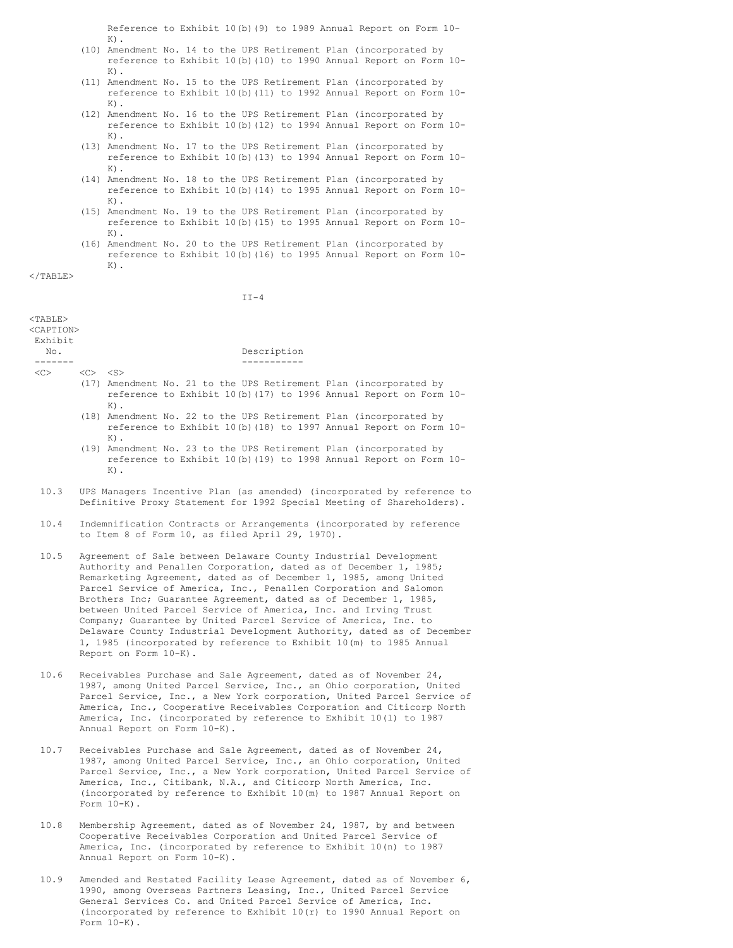Reference to Exhibit 10(b)(9) to 1989 Annual Report on Form 10-  $K$ ).

- (10) Amendment No. 14 to the UPS Retirement Plan (incorporated by reference to Exhibit 10(b)(10) to 1990 Annual Report on Form 10-  $K$ ).
- (11) Amendment No. 15 to the UPS Retirement Plan (incorporated by reference to Exhibit 10(b)(11) to 1992 Annual Report on Form 10-  $K$ ).
- (12) Amendment No. 16 to the UPS Retirement Plan (incorporated by reference to Exhibit 10(b)(12) to 1994 Annual Report on Form 10-  $K$ ).
- (13) Amendment No. 17 to the UPS Retirement Plan (incorporated by reference to Exhibit 10(b)(13) to 1994 Annual Report on Form 10- K).
- (14) Amendment No. 18 to the UPS Retirement Plan (incorporated by reference to Exhibit 10(b)(14) to 1995 Annual Report on Form 10-  $K$ ).
- (15) Amendment No. 19 to the UPS Retirement Plan (incorporated by reference to Exhibit 10(b)(15) to 1995 Annual Report on Form 10-  $K)$ .
- (16) Amendment No. 20 to the UPS Retirement Plan (incorporated by reference to Exhibit 10(b)(16) to 1995 Annual Report on Form 10-  $K$ ).

 $\langle$ /TABLE>

<TABLE>

 $II-4$ 

| ∖⊥AD⊥L∕<br><caption><br/>Exhibit<br/>No.</caption> | Description                                                                                                                                                                                                                                                                                                                                                                                                                                                                                                                                                                                                                                                        |  |  |
|----------------------------------------------------|--------------------------------------------------------------------------------------------------------------------------------------------------------------------------------------------------------------------------------------------------------------------------------------------------------------------------------------------------------------------------------------------------------------------------------------------------------------------------------------------------------------------------------------------------------------------------------------------------------------------------------------------------------------------|--|--|
| $<<$ $>$                                           | $\langle C \rangle$ $\langle S \rangle$<br>(17) Amendment No. 21 to the UPS Retirement Plan (incorporated by<br>reference to Exhibit 10(b) (17) to 1996 Annual Report on Form 10-<br>$K)$ .<br>(18) Amendment No. 22 to the UPS Retirement Plan (incorporated by<br>reference to Exhibit 10(b) (18) to 1997 Annual Report on Form 10-<br>$K)$ .<br>(19) Amendment No. 23 to the UPS Retirement Plan (incorporated by<br>reference to Exhibit 10(b) (19) to 1998 Annual Report on Form 10-<br>$K)$ .                                                                                                                                                                |  |  |
| 10.3                                               | UPS Managers Incentive Plan (as amended) (incorporated by reference to<br>Definitive Proxy Statement for 1992 Special Meeting of Shareholders).                                                                                                                                                                                                                                                                                                                                                                                                                                                                                                                    |  |  |
| 10.4                                               | Indemnification Contracts or Arrangements (incorporated by reference<br>to Item 8 of Form 10, as filed April 29, 1970).                                                                                                                                                                                                                                                                                                                                                                                                                                                                                                                                            |  |  |
| 10.5                                               | Agreement of Sale between Delaware County Industrial Development<br>Authority and Penallen Corporation, dated as of December 1, 1985;<br>Remarketing Agreement, dated as of December 1, 1985, among United<br>Parcel Service of America, Inc., Penallen Corporation and Salomon<br>Brothers Inc; Guarantee Agreement, dated as of December 1, 1985,<br>between United Parcel Service of America, Inc. and Irving Trust<br>Company; Guarantee by United Parcel Service of America, Inc. to<br>Delaware County Industrial Development Authority, dated as of December<br>1, 1985 (incorporated by reference to Exhibit 10(m) to 1985 Annual<br>Report on Form 10-K). |  |  |
| 10.6                                               | Receivables Purchase and Sale Agreement, dated as of November 24,<br>1987, among United Parcel Service, Inc., an Ohio corporation, United<br>Parcel Service, Inc., a New York corporation, United Parcel Service of<br>America, Inc., Cooperative Receivables Corporation and Citicorp North<br>America, Inc. (incorporated by reference to Exhibit 10(1) to 1987<br>Annual Report on Form 10-K).                                                                                                                                                                                                                                                                  |  |  |
| 10.7                                               | Receivables Purchase and Sale Agreement, dated as of November 24,<br>1987, among United Parcel Service, Inc., an Ohio corporation, United                                                                                                                                                                                                                                                                                                                                                                                                                                                                                                                          |  |  |

- 1987, among United Parcel Service, Inc., an Ohio corporation, United Parcel Service, Inc., a New York corporation, United Parcel Service of America, Inc., Citibank, N.A., and Citicorp North America, Inc. (incorporated by reference to Exhibit 10(m) to 1987 Annual Report on Form 10-K).
- 10.8 Membership Agreement, dated as of November 24, 1987, by and between Cooperative Receivables Corporation and United Parcel Service of America, Inc. (incorporated by reference to Exhibit 10(n) to 1987 Annual Report on Form 10-K).
- 10.9 Amended and Restated Facility Lease Agreement, dated as of November 6, 1990, among Overseas Partners Leasing, Inc., United Parcel Service General Services Co. and United Parcel Service of America, Inc. (incorporated by reference to Exhibit 10(r) to 1990 Annual Report on Form  $10-K$ ).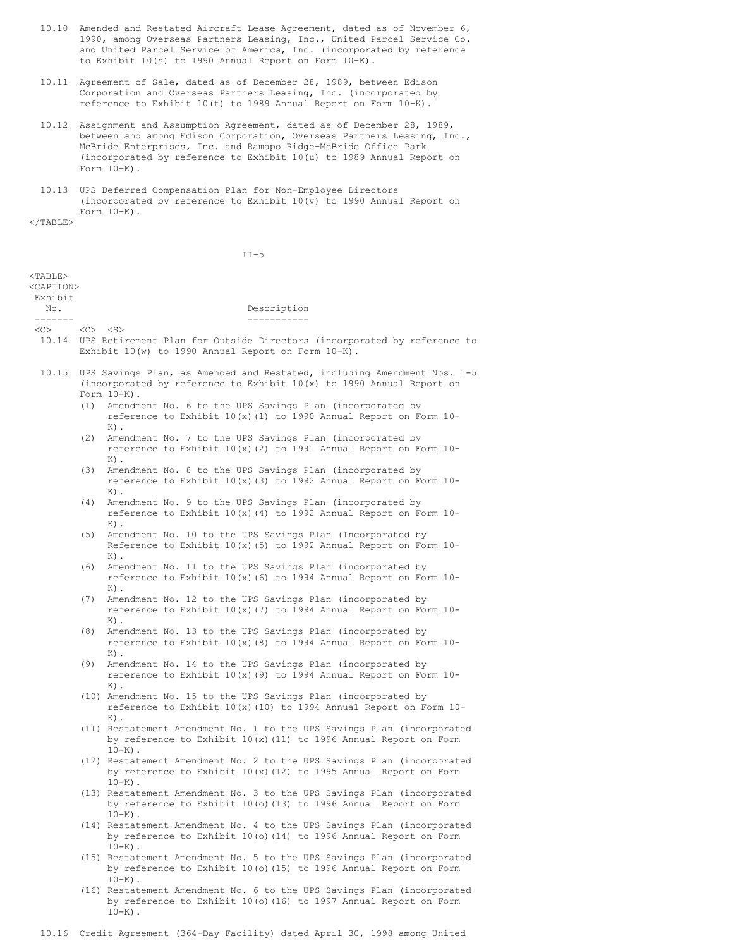- 10.10 Amended and Restated Aircraft Lease Agreement, dated as of November 6, 1990, among Overseas Partners Leasing, Inc., United Parcel Service Co. and United Parcel Service of America, Inc. (incorporated by reference to Exhibit 10(s) to 1990 Annual Report on Form 10-K).
- 10.11 Agreement of Sale, dated as of December 28, 1989, between Edison Corporation and Overseas Partners Leasing, Inc. (incorporated by reference to Exhibit 10(t) to 1989 Annual Report on Form 10-K).
- 10.12 Assignment and Assumption Agreement, dated as of December 28, 1989, between and among Edison Corporation, Overseas Partners Leasing, Inc., McBride Enterprises, Inc. and Ramapo Ridge-McBride Office Park (incorporated by reference to Exhibit 10(u) to 1989 Annual Report on Form  $10-K$ ).
- 10.13 UPS Deferred Compensation Plan for Non-Employee Directors (incorporated by reference to Exhibit 10(v) to 1990 Annual Report on Form 10-K).

</TABLE>

 $II-5$ 

| $<$ TABLE $>$                   |                                                                                                                                                                                                         |                                                                                                                                                                           |  |  |  |
|---------------------------------|---------------------------------------------------------------------------------------------------------------------------------------------------------------------------------------------------------|---------------------------------------------------------------------------------------------------------------------------------------------------------------------------|--|--|--|
| <caption><br/>Exhibit</caption> |                                                                                                                                                                                                         |                                                                                                                                                                           |  |  |  |
| No.                             |                                                                                                                                                                                                         | Description                                                                                                                                                               |  |  |  |
| -------                         |                                                                                                                                                                                                         | ___________                                                                                                                                                               |  |  |  |
|                                 | $\langle C \rangle$ $\langle C \rangle$ $\langle S \rangle$<br>10.14 UPS Retirement Plan for Outside Directors (incorporated by reference to<br>Exhibit $10(w)$ to 1990 Annual Report on Form $10-K$ ). |                                                                                                                                                                           |  |  |  |
|                                 |                                                                                                                                                                                                         | 10.15 UPS Savings Plan, as Amended and Restated, including Amendment Nos. 1-5<br>(incorporated by reference to Exhibit $10(x)$ to 1990 Annual Report on<br>Form $10-K$ ). |  |  |  |
|                                 |                                                                                                                                                                                                         | (1) Amendment No. 6 to the UPS Savings Plan (incorporated by<br>reference to Exhibit 10(x) (1) to 1990 Annual Report on Form 10-<br>$K$ ).                                |  |  |  |
|                                 |                                                                                                                                                                                                         | (2) Amendment No. 7 to the UPS Savings Plan (incorporated by<br>reference to Exhibit 10(x)(2) to 1991 Annual Report on Form 10-<br>$K$ ).                                 |  |  |  |
|                                 |                                                                                                                                                                                                         | (3) Amendment No. 8 to the UPS Savings Plan (incorporated by<br>reference to Exhibit 10(x) (3) to 1992 Annual Report on Form 10-<br>$K$ ).                                |  |  |  |
|                                 |                                                                                                                                                                                                         | (4) Amendment No. 9 to the UPS Savings Plan (incorporated by<br>reference to Exhibit $10(x)$ (4) to 1992 Annual Report on Form $10$ -<br>$K$ ).                           |  |  |  |
|                                 |                                                                                                                                                                                                         | (5) Amendment No. 10 to the UPS Savings Plan (Incorporated by<br>Reference to Exhibit $10(x)(5)$ to 1992 Annual Report on Form $10-$<br>$K$ ).                            |  |  |  |
|                                 |                                                                                                                                                                                                         | (6) Amendment No. 11 to the UPS Savings Plan (incorporated by<br>reference to Exhibit $10(x)$ (6) to 1994 Annual Report on Form $10-$<br>$K$ ).                           |  |  |  |
|                                 |                                                                                                                                                                                                         | (7) Amendment No. 12 to the UPS Savings Plan (incorporated by<br>reference to Exhibit $10(x)$ (7) to 1994 Annual Report on Form $10-$<br>$K)$ .                           |  |  |  |
|                                 |                                                                                                                                                                                                         | (8) Amendment No. 13 to the UPS Savings Plan (incorporated by<br>reference to Exhibit 10(x) (8) to 1994 Annual Report on Form 10-<br>$K$ ).                               |  |  |  |
|                                 |                                                                                                                                                                                                         | (9) Amendment No. 14 to the UPS Savings Plan (incorporated by<br>reference to Exhibit $10(x)$ (9) to 1994 Annual Report on Form $10-$<br>$K$ ).                           |  |  |  |
|                                 |                                                                                                                                                                                                         | (10) Amendment No. 15 to the UPS Savings Plan (incorporated by<br>reference to Exhibit $10(x)$ (10) to 1994 Annual Report on Form $10-$<br>$K$ ).                         |  |  |  |
|                                 |                                                                                                                                                                                                         | (11) Restatement Amendment No. 1 to the UPS Savings Plan (incorporated<br>by reference to Exhibit $10(x)$ (11) to 1996 Annual Report on Form<br>$10-K$ ).                 |  |  |  |
|                                 |                                                                                                                                                                                                         | (12) Restatement Amendment No. 2 to the UPS Savings Plan (incorporated<br>by reference to Exhibit $10(x)$ (12) to 1995 Annual Report on Form<br>$10-K$ ).                 |  |  |  |
|                                 |                                                                                                                                                                                                         | (13) Restatement Amendment No. 3 to the UPS Savings Plan (incorporated<br>by reference to Exhibit 10(o)(13) to 1996 Annual Report on Form<br>$10-K$ ).                    |  |  |  |
|                                 |                                                                                                                                                                                                         | (14) Restatement Amendment No. 4 to the UPS Savings Plan (incorporated<br>by reference to Exhibit 10(o) (14) to 1996 Annual Report on Form<br>$10-K$ ).                   |  |  |  |
|                                 |                                                                                                                                                                                                         | (15) Restatement Amendment No. 5 to the UPS Savings Plan (incorporated<br>by reference to Exhibit 10(o) (15) to 1996 Annual Report on Form<br>$10-K$ ).                   |  |  |  |
|                                 |                                                                                                                                                                                                         | (16) Restatement Amendment No. 6 to the UPS Savings Plan (incorporated                                                                                                    |  |  |  |

by reference to Exhibit 10(o)(16) to 1997 Annual Report on Form  $10-K$ ).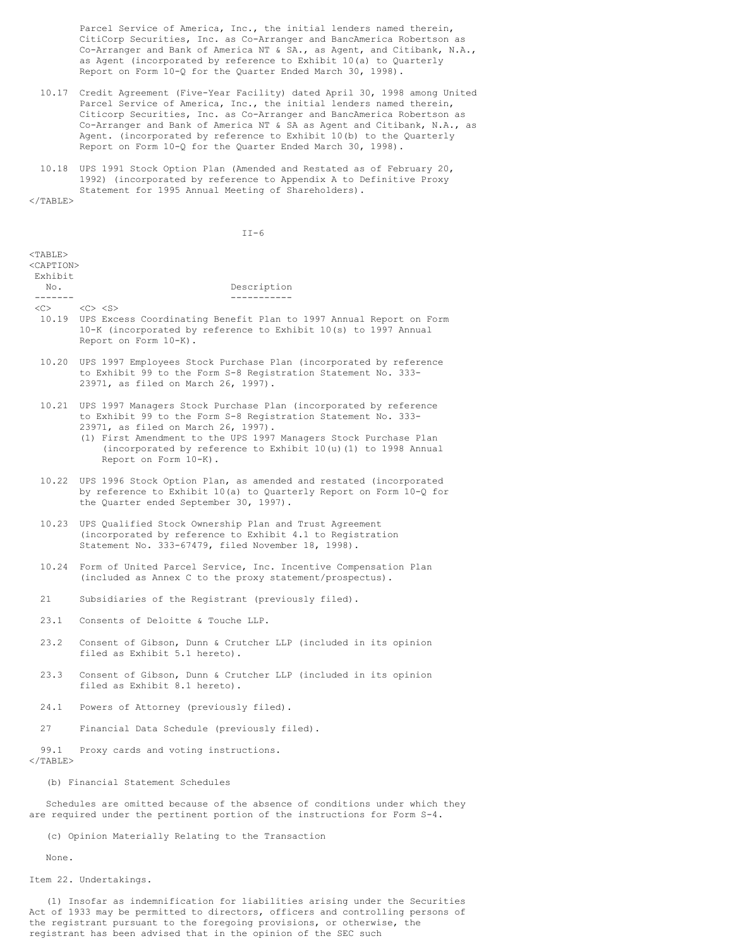Parcel Service of America, Inc., the initial lenders named therein, CitiCorp Securities, Inc. as Co-Arranger and BancAmerica Robertson as Co-Arranger and Bank of America NT & SA., as Agent, and Citibank, N.A., as Agent (incorporated by reference to Exhibit 10(a) to Quarterly Report on Form 10-Q for the Quarter Ended March 30, 1998).

- 10.17 Credit Agreement (Five-Year Facility) dated April 30, 1998 among United Parcel Service of America, Inc., the initial lenders named therein, Citicorp Securities, Inc. as Co-Arranger and BancAmerica Robertson as Co-Arranger and Bank of America NT & SA as Agent and Citibank, N.A., as Agent. (incorporated by reference to Exhibit 10(b) to the Quarterly Report on Form 10-Q for the Quarter Ended March 30, 1998).
- 10.18 UPS 1991 Stock Option Plan (Amended and Restated as of February 20, 1992) (incorporated by reference to Appendix A to Definitive Proxy Statement for 1995 Annual Meeting of Shareholders).

 $<$ /TABLE>

| $<$ TABLE><br><caption></caption> |                                                                                                                                                                                                                                                                                                                                              |
|-----------------------------------|----------------------------------------------------------------------------------------------------------------------------------------------------------------------------------------------------------------------------------------------------------------------------------------------------------------------------------------------|
| Exhibit                           |                                                                                                                                                                                                                                                                                                                                              |
| No.<br>-------                    | Description<br>-----------                                                                                                                                                                                                                                                                                                                   |
| <<>                               | $\langle$ C> $\langle$ S><br>10.19 UPS Excess Coordinating Benefit Plan to 1997 Annual Report on Form<br>10-K (incorporated by reference to Exhibit 10(s) to 1997 Annual<br>Report on Form 10-K).                                                                                                                                            |
|                                   | 10.20 UPS 1997 Employees Stock Purchase Plan (incorporated by reference<br>to Exhibit 99 to the Form S-8 Registration Statement No. 333-<br>23971, as filed on March 26, 1997).                                                                                                                                                              |
|                                   | 10.21 UPS 1997 Managers Stock Purchase Plan (incorporated by reference<br>to Exhibit 99 to the Form S-8 Registration Statement No. 333-<br>23971, as filed on March 26, 1997).<br>(1) First Amendment to the UPS 1997 Managers Stock Purchase Plan<br>(incorporated by reference to Exhibit 10(u)(1) to 1998 Annual<br>Report on Form 10-K). |
| 10.22                             | UPS 1996 Stock Option Plan, as amended and restated (incorporated<br>by reference to Exhibit 10(a) to Quarterly Report on Form 10-Q for<br>the Quarter ended September 30, 1997).                                                                                                                                                            |
| 10.23                             | UPS Qualified Stock Ownership Plan and Trust Agreement<br>(incorporated by reference to Exhibit 4.1 to Registration<br>Statement No. 333-67479, filed November 18, 1998).                                                                                                                                                                    |
| 10.24                             | Form of United Parcel Service, Inc. Incentive Compensation Plan<br>(included as Annex C to the proxy statement/prospectus).                                                                                                                                                                                                                  |
| 21                                | Subsidiaries of the Registrant (previously filed).                                                                                                                                                                                                                                                                                           |
| 23.1                              | Consents of Deloitte & Touche LLP.                                                                                                                                                                                                                                                                                                           |
| 23.2                              | Consent of Gibson, Dunn & Crutcher LLP (included in its opinion<br>filed as Exhibit 5.1 hereto).                                                                                                                                                                                                                                             |
| 23.3                              | Consent of Gibson, Dunn & Crutcher LLP (included in its opinion<br>filed as Exhibit 8.1 hereto).                                                                                                                                                                                                                                             |
| 24.1                              | Powers of Attorney (previously filed).                                                                                                                                                                                                                                                                                                       |
| 27                                | Financial Data Schedule (previously filed).                                                                                                                                                                                                                                                                                                  |
| 99.1<br>                          |                                                                                                                                                                                                                                                                                                                                              |

 Proxy cards and voting instructions. ||  | (b) Financial Statement Schedules |
|  | Schedules are omitted because of the absence of conditions under which theyare required under the pertinent portion of the instructions for Form S-4. |
(c) Opinion Materially Relating to the Transaction

None.

Item 22. Undertakings.

(1) Insofar as indemnification for liabilities arising under the Securities Act of 1933 may be permitted to directors, officers and controlling persons of the registrant pursuant to the foregoing provisions, or otherwise, the registrant has been advised that in the opinion of the SEC such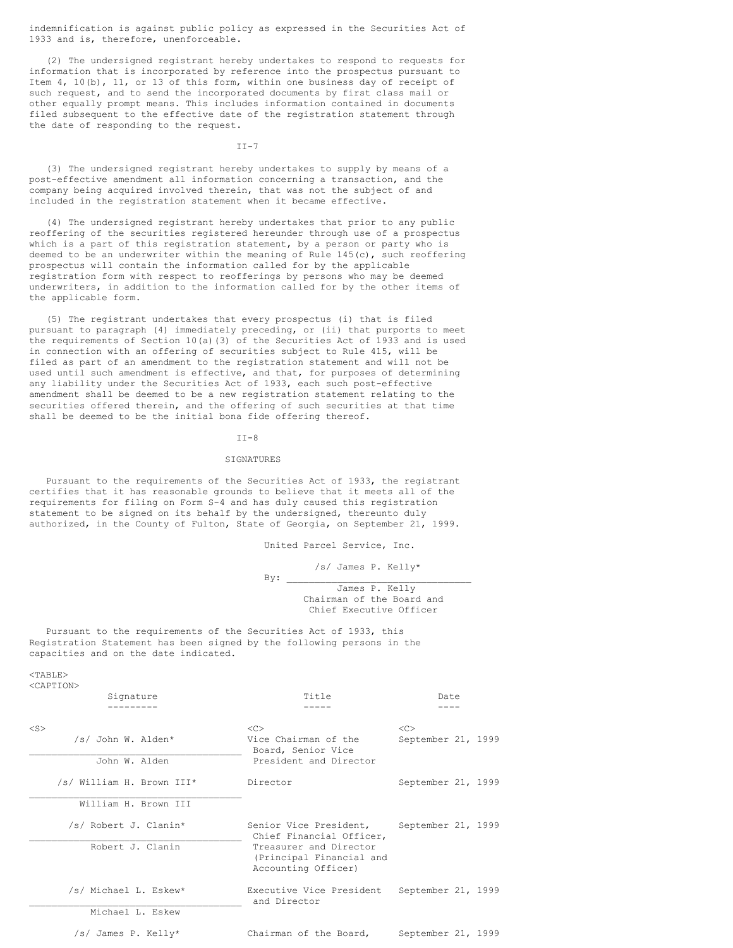indemnification is against public policy as expressed in the Securities Act of 1933 and is, therefore, unenforceable.

(2) The undersigned registrant hereby undertakes to respond to requests for information that is incorporated by reference into the prospectus pursuant to Item 4, 10(b), 11, or 13 of this form, within one business day of receipt of such request, and to send the incorporated documents by first class mail or other equally prompt means. This includes information contained in documents filed subsequent to the effective date of the registration statement through the date of responding to the request.

 $TT-7$ 

(3) The undersigned registrant hereby undertakes to supply by means of a post-effective amendment all information concerning a transaction, and the company being acquired involved therein, that was not the subject of and included in the registration statement when it became effective.

(4) The undersigned registrant hereby undertakes that prior to any public reoffering of the securities registered hereunder through use of a prospectus which is a part of this registration statement, by a person or party who is deemed to be an underwriter within the meaning of Rule 145(c), such reoffering prospectus will contain the information called for by the applicable registration form with respect to reofferings by persons who may be deemed underwriters, in addition to the information called for by the other items of the applicable form.

(5) The registrant undertakes that every prospectus (i) that is filed pursuant to paragraph (4) immediately preceding, or (ii) that purports to meet the requirements of Section 10(a)(3) of the Securities Act of 1933 and is used in connection with an offering of securities subject to Rule 415, will be filed as part of an amendment to the registration statement and will not be used until such amendment is effective, and that, for purposes of determining any liability under the Securities Act of 1933, each such post-effective amendment shall be deemed to be a new registration statement relating to the securities offered therein, and the offering of such securities at that time shall be deemed to be the initial bona fide offering thereof.

### $TT-8$

### **SIGNATURES**

Pursuant to the requirements of the Securities Act of 1933, the registrant certifies that it has reasonable grounds to believe that it meets all of the requirements for filing on Form S-4 and has duly caused this registration statement to be signed on its behalf by the undersigned, thereunto duly authorized, in the County of Fulton, State of Georgia, on September 21, 1999.

United Parcel Service, Inc.

/s/ James P. Kelly\*

 $By:$ James P. Kelly Chairman of the Board and Chief Executive Officer

Pursuant to the requirements of the Securities Act of 1933, this Registration Statement has been signed by the following persons in the capacities and on the date indicated.

 $<$ TABLE> <CAPTION>

|           | Signature                                 | Title                                                                                                                           | Date                            |
|-----------|-------------------------------------------|---------------------------------------------------------------------------------------------------------------------------------|---------------------------------|
| $<$ S $>$ | /s/ John W. Alden*<br>John W. Alden       | < <sub><br/>Vice Chairman of the<br/>Board, Senior Vice<br/>President and Director</sub>                                        | $<<$ $C>$<br>September 21, 1999 |
|           | /s/ William H. Brown III*                 | Director                                                                                                                        | September 21, 1999              |
|           | William H. Brown III                      |                                                                                                                                 |                                 |
|           | /s/ Robert J. Clanin*<br>Robert J. Clanin | Senior Vice President,<br>Chief Financial Officer,<br>Treasurer and Director<br>(Principal Financial and<br>Accounting Officer) | September 21, 1999              |
|           | /s/ Michael L. Eskew*<br>Michael L. Eskew | Executive Vice President<br>and Director                                                                                        | September 21, 1999              |
|           | /s/ James P. Kelly*                       | Chairman of the Board,                                                                                                          | September 21, 1999              |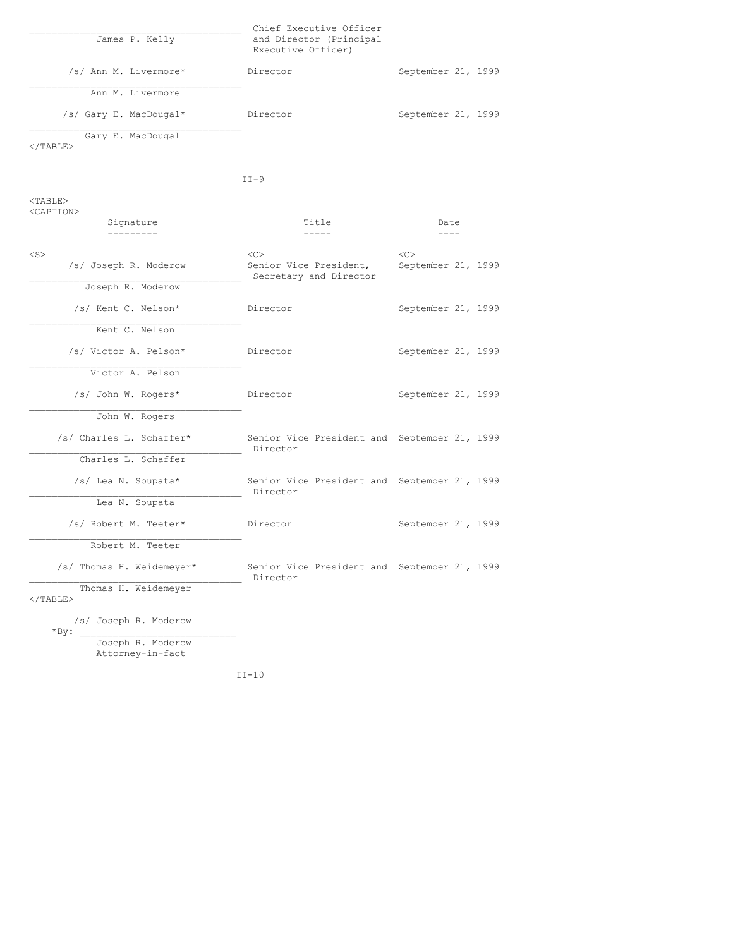| James P. Kelly         | Chief Executive Officer<br>and Director (Principal<br>Executive Officer) |                    |
|------------------------|--------------------------------------------------------------------------|--------------------|
| /s/ Ann M. Livermore*  | Director                                                                 | September 21, 1999 |
| Ann M. Livermore       |                                                                          |                    |
| /s/ Gary E. MacDougal* | Director                                                                 | September 21, 1999 |
| Gary E. MacDougal<br>  |                                                                          |                    |

  |  ||  | $TT-9$ |  |
| $<$ TABLE $>$ |  |  |
| Signature\_\_\_\_\_\_\_\_\_ | Title $- - - - -$ | Date $- - - -$ |
| $<$ S $>$ | << | << |
| /s/ Joseph R. Moderow | Senior Vice President,Secretary and Director | September 21, 1999 |
| Joseph R. Moderow |  |  |
| /s/ Kent C. Nelson\* | Director | September 21, 1999 |
| Kent C. Nelson |  |  |
| /s/ Victor A. Pelson\* | Director | September 21, 1999 |
| Victor A. Pelson |  |  |
| /s/ John W. Rogers\* | Director | September 21, 1999 |
| John W. Rogers |  |  |
| /s/ Charles L. Schaffer\* | Senior Vice President and September 21, 1999Director |  |
| Charles L. Schaffer |  |  |
| /s/ Lea N. Soupata\* | Senior Vice President and September 21, 1999Director |  |
| Lea N. Soupata |  |  |
| /s/ Robert M. Teeter\* | Director | September 21, 1999 |
| Robert M. Teeter |  |  |
| /s/ Thomas H. Weidemeyer\* | Senior Vice President and September 21, 1999Director |  |
| Thomas H. Weidemeyer $\langle$ /TABLE> |  |  |
| /s/ Joseph R. Moderow\*By: |  |  |
| Joseph R. ModerowAttorney-in-fact |  |  |
|  | $II-10$ |  |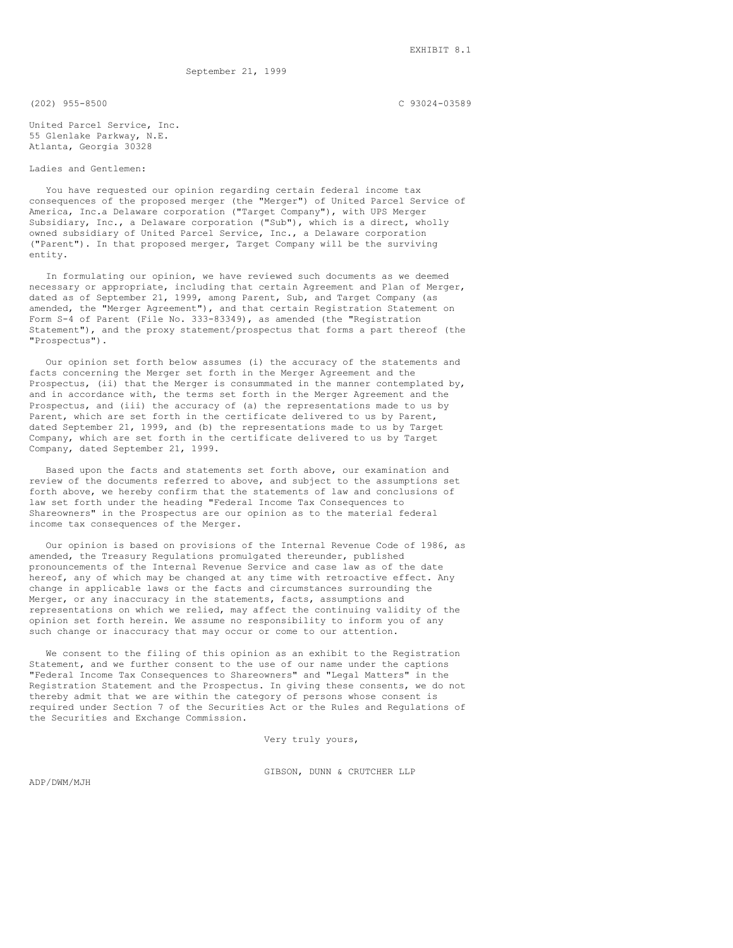September 21, 1999

(202) 955-8500 C 93024-03589

United Parcel Service, Inc. 55 Glenlake Parkway, N.E. Atlanta, Georgia 30328

## Ladies and Gentlemen:

You have requested our opinion regarding certain federal income tax consequences of the proposed merger (the "Merger") of United Parcel Service of America, Inc.a Delaware corporation ("Target Company"), with UPS Merger Subsidiary, Inc., a Delaware corporation ("Sub"), which is a direct, wholly owned subsidiary of United Parcel Service, Inc., a Delaware corporation ("Parent"). In that proposed merger, Target Company will be the surviving entity.

In formulating our opinion, we have reviewed such documents as we deemed necessary or appropriate, including that certain Agreement and Plan of Merger, dated as of September 21, 1999, among Parent, Sub, and Target Company (as amended, the "Merger Agreement"), and that certain Registration Statement on Form S-4 of Parent (File No. 333-83349), as amended (the "Registration Statement"), and the proxy statement/prospectus that forms a part thereof (the "Prospectus").

Our opinion set forth below assumes (i) the accuracy of the statements and facts concerning the Merger set forth in the Merger Agreement and the Prospectus, (ii) that the Merger is consummated in the manner contemplated by, and in accordance with, the terms set forth in the Merger Agreement and the Prospectus, and (iii) the accuracy of (a) the representations made to us by Parent, which are set forth in the certificate delivered to us by Parent, dated September 21, 1999, and (b) the representations made to us by Target Company, which are set forth in the certificate delivered to us by Target Company, dated September 21, 1999.

Based upon the facts and statements set forth above, our examination and review of the documents referred to above, and subject to the assumptions set forth above, we hereby confirm that the statements of law and conclusions of law set forth under the heading "Federal Income Tax Consequences to Shareowners" in the Prospectus are our opinion as to the material federal income tax consequences of the Merger.

Our opinion is based on provisions of the Internal Revenue Code of 1986, as amended, the Treasury Regulations promulgated thereunder, published pronouncements of the Internal Revenue Service and case law as of the date hereof, any of which may be changed at any time with retroactive effect. Any change in applicable laws or the facts and circumstances surrounding the Merger, or any inaccuracy in the statements, facts, assumptions and representations on which we relied, may affect the continuing validity of the opinion set forth herein. We assume no responsibility to inform you of any such change or inaccuracy that may occur or come to our attention.

We consent to the filing of this opinion as an exhibit to the Registration Statement, and we further consent to the use of our name under the captions "Federal Income Tax Consequences to Shareowners" and "Legal Matters" in the Registration Statement and the Prospectus. In giving these consents, we do not thereby admit that we are within the category of persons whose consent is required under Section 7 of the Securities Act or the Rules and Regulations of the Securities and Exchange Commission.

Very truly yours,

ADP/DWM/MJH

GIBSON, DUNN & CRUTCHER LLP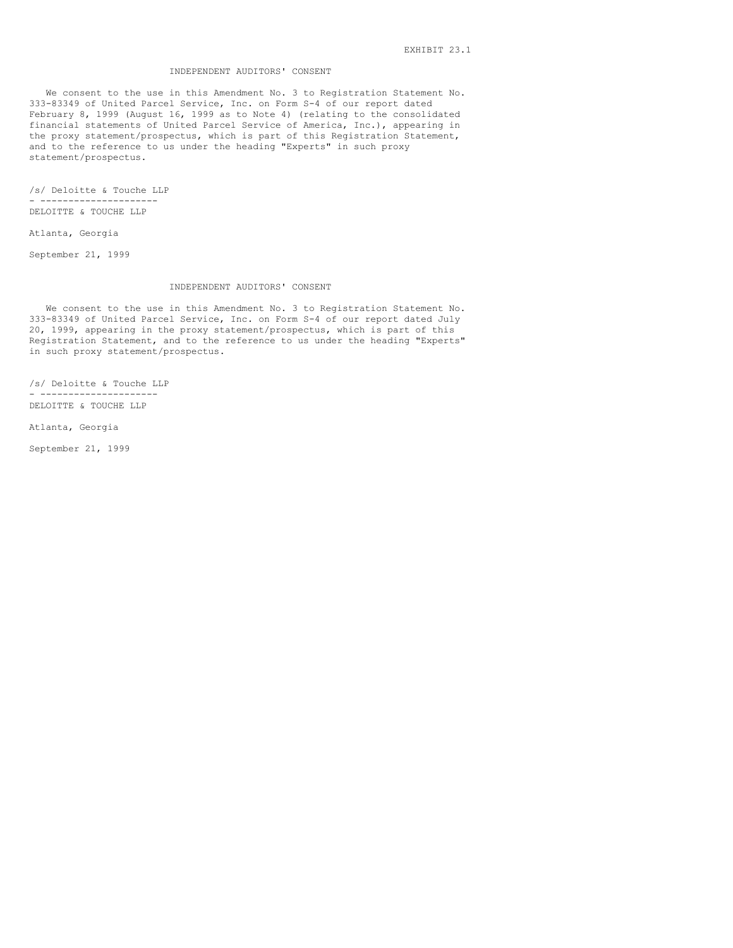### INDEPENDENT AUDITORS' CONSENT

We consent to the use in this Amendment No. 3 to Registration Statement No. 333-83349 of United Parcel Service, Inc. on Form S-4 of our report dated February 8, 1999 (August 16, 1999 as to Note 4) (relating to the consolidated financial statements of United Parcel Service of America, Inc.), appearing in the proxy statement/prospectus, which is part of this Registration Statement, and to the reference to us under the heading "Experts" in such proxy statement/prospectus.

/s/ Deloitte & Touche LLP - --------------------- DELOITTE & TOUCHE LLP

Atlanta, Georgia

September 21, 1999

#### INDEPENDENT AUDITORS' CONSENT

We consent to the use in this Amendment No. 3 to Registration Statement No. 333-83349 of United Parcel Service, Inc. on Form S-4 of our report dated July 20, 1999, appearing in the proxy statement/prospectus, which is part of this Registration Statement, and to the reference to us under the heading "Experts" in such proxy statement/prospectus.

/s/ Deloitte & Touche LLP - --------------------- DELOITTE & TOUCHE LLP

Atlanta, Georgia

September 21, 1999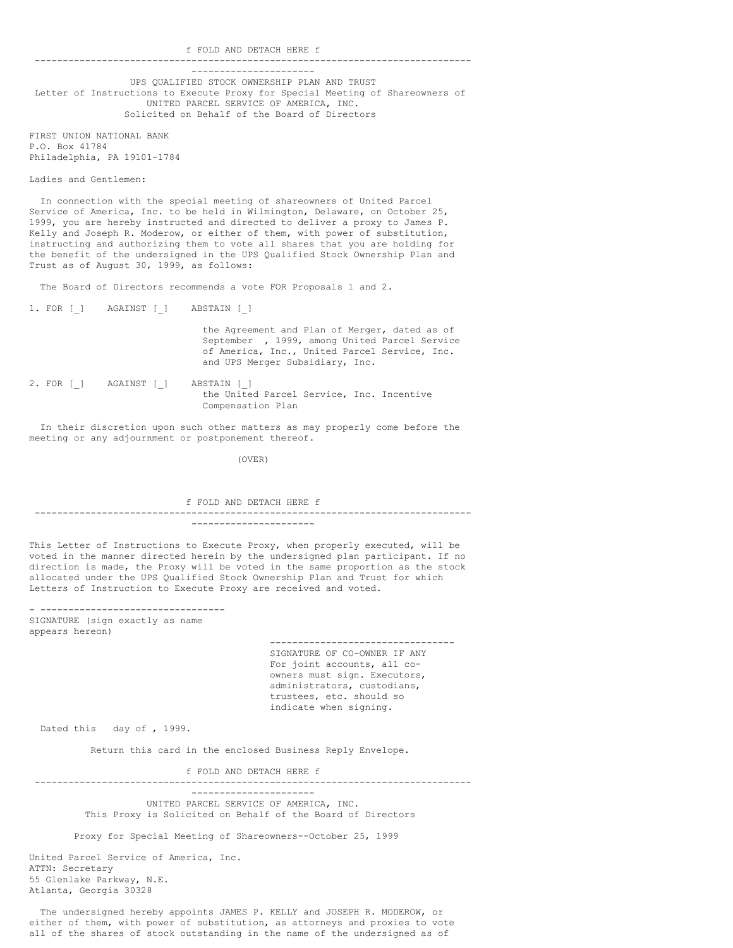f FOLD AND DETACH HERE f ------------------------------------------------------------------------------

---------------------- UPS QUALIFIED STOCK OWNERSHIP PLAN AND TRUST Letter of Instructions to Execute Proxy for Special Meeting of Shareowners of UNITED PARCEL SERVICE OF AMERICA, INC. Solicited on Behalf of the Board of Directors

FIRST UNION NATIONAL BANK P.O. Box 41784 Philadelphia, PA 19101-1784

Ladies and Gentlemen:

In connection with the special meeting of shareowners of United Parcel Service of America, Inc. to be held in Wilmington, Delaware, on October 25, 1999, you are hereby instructed and directed to deliver a proxy to James P. Kelly and Joseph R. Moderow, or either of them, with power of substitution, instructing and authorizing them to vote all shares that you are holding for the benefit of the undersigned in the UPS Qualified Stock Ownership Plan and Trust as of August 30, 1999, as follows:

The Board of Directors recommends a vote FOR Proposals 1 and 2.

1. FOR [\_] AGAINST [\_] ABSTAIN [\_]

the Agreement and Plan of Merger, dated as of September , 1999, among United Parcel Service of America, Inc., United Parcel Service, Inc. and UPS Merger Subsidiary, Inc.

2. FOR [ ] AGAINST [ ] ABSTAIN [ ] the United Parcel Service, Inc. Incentive Compensation Plan

In their discretion upon such other matters as may properly come before the meeting or any adjournment or postponement thereof.

(OVER)

f FOLD AND DETACH HERE f ------------------------------------------------------------------------------ ----------------------

This Letter of Instructions to Execute Proxy, when properly executed, will be voted in the manner directed herein by the undersigned plan participant. If no direction is made, the Proxy will be voted in the same proportion as the stock allocated under the UPS Qualified Stock Ownership Plan and Trust for which Letters of Instruction to Execute Proxy are received and voted.

- --------------------------------- SIGNATURE (sign exactly as name appears hereon)

> --------------------------------- SIGNATURE OF CO-OWNER IF ANY For joint accounts, all coowners must sign. Executors, administrators, custodians, trustees, etc. should so indicate when signing.

Dated this day of , 1999.

Return this card in the enclosed Business Reply Envelope.

f FOLD AND DETACH HERE f ------------------------------------------------------------------------------

> ---------------------- UNITED PARCEL SERVICE OF AMERICA, INC. This Proxy is Solicited on Behalf of the Board of Directors

Proxy for Special Meeting of Shareowners--October 25, 1999

United Parcel Service of America, Inc. ATTN: Secretary 55 Glenlake Parkway, N.E. Atlanta, Georgia 30328

The undersigned hereby appoints JAMES P. KELLY and JOSEPH R. MODEROW, or either of them, with power of substitution, as attorneys and proxies to vote all of the shares of stock outstanding in the name of the undersigned as of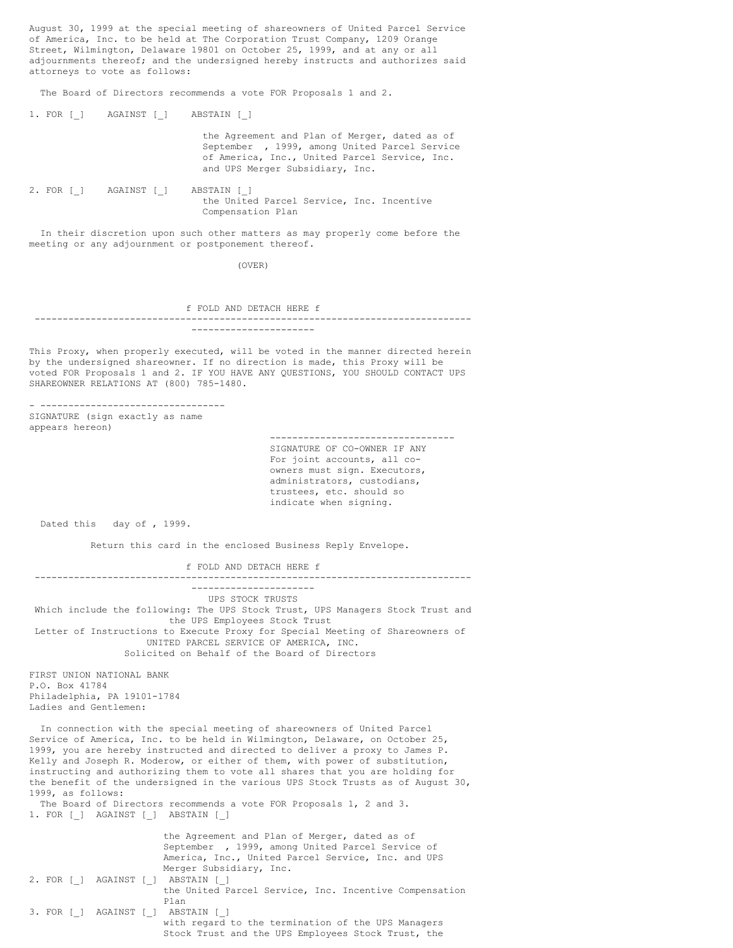August 30, 1999 at the special meeting of shareowners of United Parcel Service of America, Inc. to be held at The Corporation Trust Company, 1209 Orange Street, Wilmington, Delaware 19801 on October 25, 1999, and at any or all adjournments thereof; and the undersigned hereby instructs and authorizes said attorneys to vote as follows:

The Board of Directors recommends a vote FOR Proposals 1 and 2.

|  | 1. FOR [ ] AGAINST [ ] | ABSTAIN [ ]                                                                                                                                                                        |
|--|------------------------|------------------------------------------------------------------------------------------------------------------------------------------------------------------------------------|
|  |                        | the Agreement and Plan of Merger, dated as of<br>September , 1999, among United Parcel Service<br>of America, Inc., United Parcel Service, Inc.<br>and UPS Merger Subsidiary, Inc. |
|  | 2. FOR [ ] AGAINST [ ] | ABSTAIN [ ]<br>the United Parcel Service, Inc. Incentive<br>Compensation Plan                                                                                                      |

In their discretion upon such other matters as may properly come before the meeting or any adjournment or postponement thereof.

(OVER)

f FOLD AND DETACH HERE f ------------------------------------------------------------------------------ ----------------------

This Proxy, when properly executed, will be voted in the manner directed herein by the undersigned shareowner. If no direction is made, this Proxy will be voted FOR Proposals 1 and 2. IF YOU HAVE ANY QUESTIONS, YOU SHOULD CONTACT UPS SHAREOWNER RELATIONS AT (800) 785-1480.

- --------------------------------- SIGNATURE (sign exactly as name appears hereon)

--------------------------------- SIGNATURE OF CO-OWNER IF ANY For joint accounts, all coowners must sign. Executors, administrators, custodians, trustees, etc. should so indicate when signing.

Dated this day of , 1999.

Return this card in the enclosed Business Reply Envelope.

f FOLD AND DETACH HERE f ------------------------------------------------------------------------------

---------------------- UPS STOCK TRUSTS Which include the following: The UPS Stock Trust, UPS Managers Stock Trust and the UPS Employees Stock Trust Letter of Instructions to Execute Proxy for Special Meeting of Shareowners of UNITED PARCEL SERVICE OF AMERICA, INC. Solicited on Behalf of the Board of Directors

FIRST UNION NATIONAL BANK P.O. Box 41784 Philadelphia, PA 19101-1784 Ladies and Gentlemen:

In connection with the special meeting of shareowners of United Parcel Service of America, Inc. to be held in Wilmington, Delaware, on October 25, 1999, you are hereby instructed and directed to deliver a proxy to James P. Kelly and Joseph R. Moderow, or either of them, with power of substitution, instructing and authorizing them to vote all shares that you are holding for the benefit of the undersigned in the various UPS Stock Trusts as of August 30, 1999, as follows:

The Board of Directors recommends a vote FOR Proposals 1, 2 and 3. 1. FOR [\_] AGAINST [\_] ABSTAIN [\_]

the Agreement and Plan of Merger, dated as of September , 1999, among United Parcel Service of America, Inc., United Parcel Service, Inc. and UPS Merger Subsidiary, Inc. 2. FOR [\_] AGAINST [\_] ABSTAIN [\_] the United Parcel Service, Inc. Incentive Compensation Plan 3. FOR [\_] AGAINST [\_] ABSTAIN [\_] with regard to the termination of the UPS Managers Stock Trust and the UPS Employees Stock Trust, the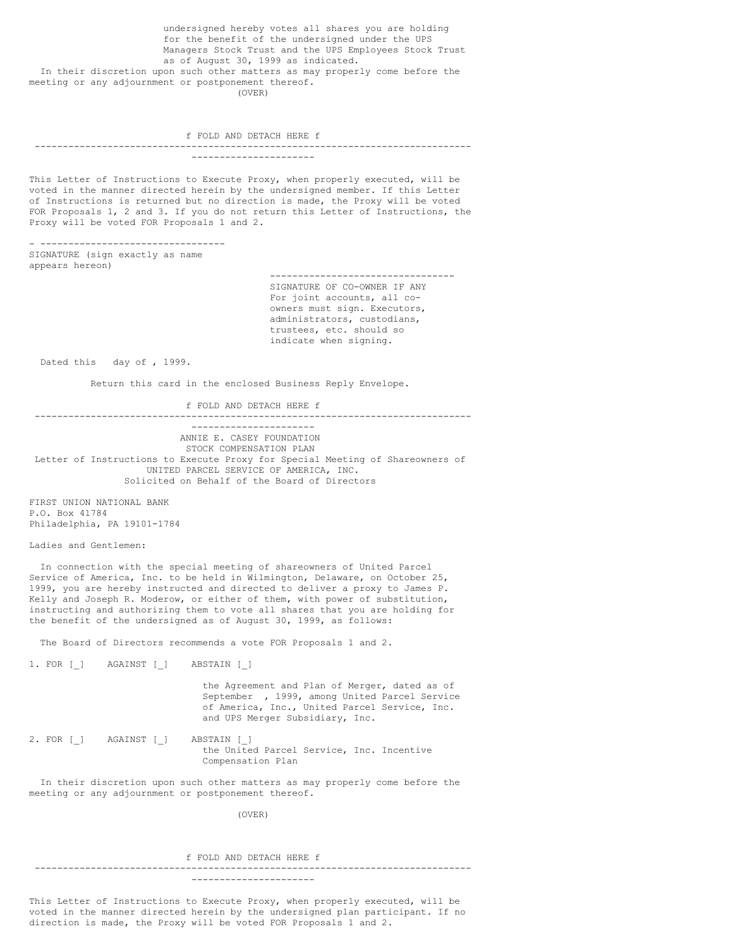undersigned hereby votes all shares you are holding for the benefit of the undersigned under the UPS Managers Stock Trust and the UPS Employees Stock Trust as of August 30, 1999 as indicated. In their discretion upon such other matters as may properly come before the meeting or any adjournment or postponement thereof. (OVER)

f FOLD AND DETACH HERE f ------------------------------------------------------------------------------

----------------------

This Letter of Instructions to Execute Proxy, when properly executed, will be voted in the manner directed herein by the undersigned member. If this Letter of Instructions is returned but no direction is made, the Proxy will be voted FOR Proposals 1, 2 and 3. If you do not return this Letter of Instructions, the Proxy will be voted FOR Proposals 1 and 2.

- --------------------------------- SIGNATURE (sign exactly as name appears hereon)

> --------------------------------- SIGNATURE OF CO-OWNER IF ANY For joint accounts, all coowners must sign. Executors, administrators, custodians, trustees, etc. should so indicate when signing.

Dated this day of , 1999.

Return this card in the enclosed Business Reply Envelope.

f FOLD AND DETACH HERE f

------------------------------------------------------------------------------ ----------------------

ANNIE E. CASEY FOUNDATION STOCK COMPENSATION PLAN Letter of Instructions to Execute Proxy for Special Meeting of Shareowners of UNITED PARCEL SERVICE OF AMERICA, INC. Solicited on Behalf of the Board of Directors

FIRST UNION NATIONAL BANK P.O. Box 41784 Philadelphia, PA 19101-1784

Ladies and Gentlemen:

In connection with the special meeting of shareowners of United Parcel Service of America, Inc. to be held in Wilmington, Delaware, on October 25, 1999, you are hereby instructed and directed to deliver a proxy to James P. Kelly and Joseph R. Moderow, or either of them, with power of substitution, instructing and authorizing them to vote all shares that you are holding for the benefit of the undersigned as of August 30, 1999, as follows:

The Board of Directors recommends a vote FOR Proposals 1 and 2.

1. FOR [\_] AGAINST [\_] ABSTAIN [\_]

the Agreement and Plan of Merger, dated as of September , 1999, among United Parcel Service of America, Inc., United Parcel Service, Inc. and UPS Merger Subsidiary, Inc.

2. FOR [ ] AGAINST [ ] ABSTAIN [ ] the United Parcel Service, Inc. Incentive Compensation Plan

In their discretion upon such other matters as may properly come before the meeting or any adjournment or postponement thereof.

(OVER)

#### f FOLD AND DETACH HERE f

------------------------------------------------------------------------------ ----------------------

This Letter of Instructions to Execute Proxy, when properly executed, will be voted in the manner directed herein by the undersigned plan participant. If no direction is made, the Proxy will be voted FOR Proposals 1 and 2.